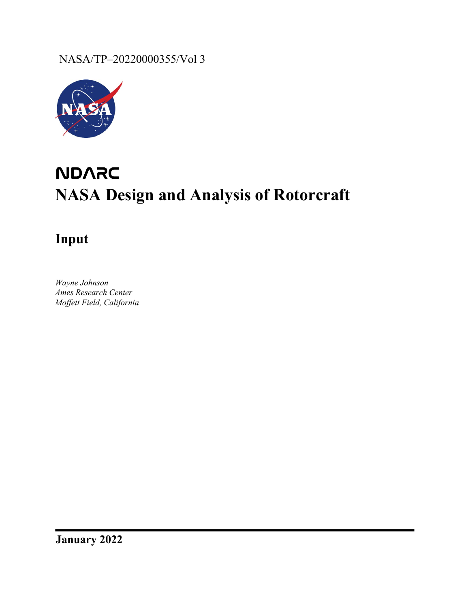NASA/TP–20220000355/Vol 3



# **NDARC NASA Design and Analysis of Rotorcraft**

## **Input**

*Wayne Johnson Ames Research Center Moffett Field, California*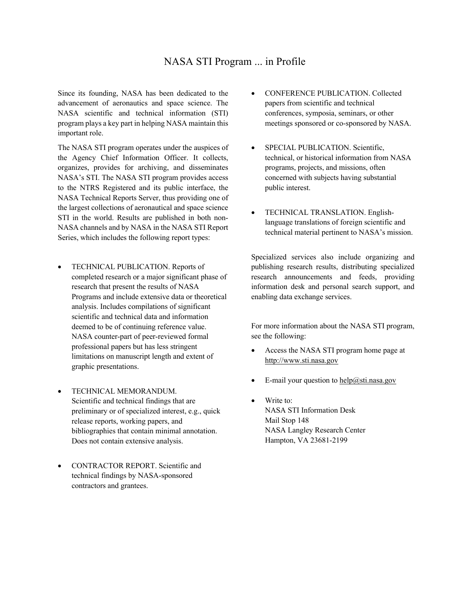## NASA STI Program ... in Profile

Since its founding, NASA has been dedicated to the advancement of aeronautics and space science. The NASA scientific and technical information (STI) program plays a key part in helping NASA maintain this important role.

The NASA STI program operates under the auspices of the Agency Chief Information Officer. It collects, organizes, provides for archiving, and disseminates NASA's STI. The NASA STI program provides access to the NTRS Registered and its public interface, the NASA Technical Reports Server, thus providing one of the largest collections of aeronautical and space science STI in the world. Results are published in both non-NASA channels and by NASA in the NASA STI Report Series, which includes the following report types:

- TECHNICAL PUBLICATION. Reports of completed research or a major significant phase of research that present the results of NASA Programs and include extensive data or theoretical analysis. Includes compilations of significant scientific and technical data and information deemed to be of continuing reference value. NASA counter-part of peer-reviewed formal professional papers but has less stringent limitations on manuscript length and extent of graphic presentations.
- TECHNICAL MEMORANDUM. Scientific and technical findings that are preliminary or of specialized interest, e.g., quick release reports, working papers, and bibliographies that contain minimal annotation. Does not contain extensive analysis.
- CONTRACTOR REPORT. Scientific and technical findings by NASA-sponsored contractors and grantees.
- CONFERENCE PUBLICATION. Collected papers from scientific and technical conferences, symposia, seminars, or other meetings sponsored or co-sponsored by NASA.
- SPECIAL PUBLICATION. Scientific, technical, or historical information from NASA programs, projects, and missions, often concerned with subjects having substantial public interest.
- TECHNICAL TRANSLATION. Englishlanguage translations of foreign scientific and technical material pertinent to NASA's mission.

Specialized services also include organizing and publishing research results, distributing specialized research announcements and feeds, providing information desk and personal search support, and enabling data exchange services.

For more information about the NASA STI program, see the following:

- Access the NASA STI program home page at http://www.sti.nasa.gov
- E-mail your question to  $help@sti.nasa.gov$
- Write to: NASA STI Information Desk Mail Stop 148 NASA Langley Research Center Hampton, VA 23681-2199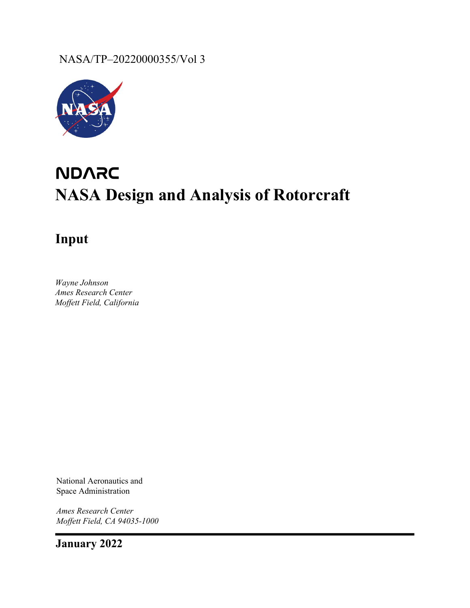NASA/TP–20220000355/Vol 3



# **NDARC NASA Design and Analysis of Rotorcraft**

## **Input**

*Wayne Johnson Ames Research Center Moffett Field, California*

National Aeronautics and Space Administration

*Ames Research Center Moffett Field, CA 94035-1000*

**January 2022**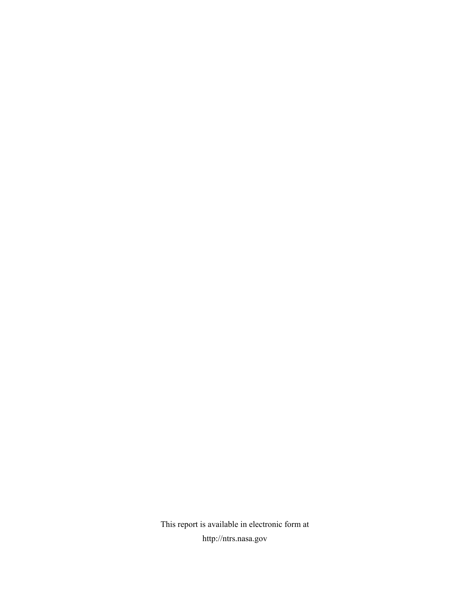This report is available in electronic form at http://ntrs.nasa.gov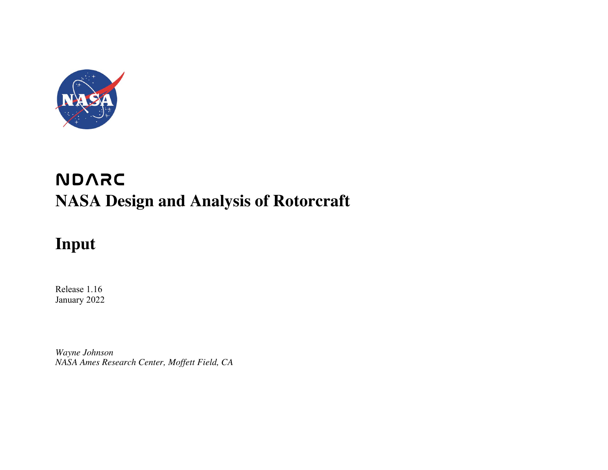

# NDARC **NASA Design and Analysis of Rotorcraft**

## **Input**

Release 1.16 January 2022

*Wayne Johnson NASA Ames Research Center, Moffett Field, CA*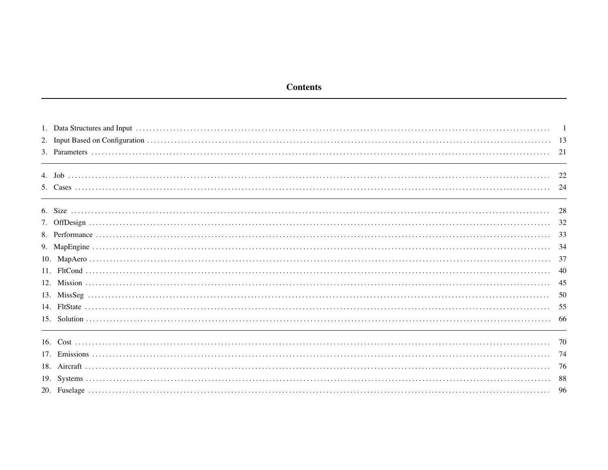## **Contents**

|  | -96 |
|--|-----|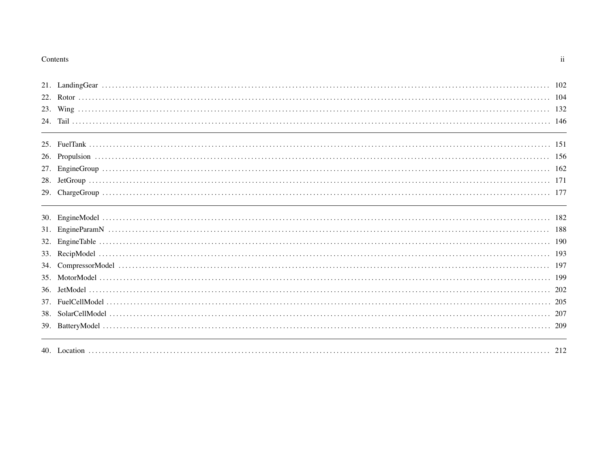### Contents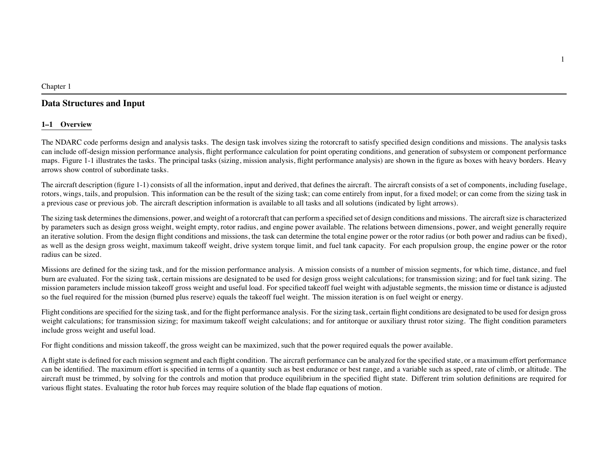Chapter 1

### **Data Structures and Input**

#### **1–1 Overview**

The NDARC code performs design and analysis tasks. The design task involves sizing the rotorcraft to satisfy specified design conditions and missions. The analysis tasks can include off-design mission performance analysis, flight performance calculation for point operating conditions, and generation of subsystem or componen<sup>t</sup> performance maps. Figure 1-1 illustrates the tasks. The principal tasks (sizing, mission analysis, flight performance analysis) are shown in the figure as boxes with heavy borders. Heavy arrows show control of subordinate tasks.

The aircraft description (figure 1-1) consists of all the information, input and derived, that defines the aircraft. The aircraft consists of <sup>a</sup> set of components, including fuselage, rotors, wings, tails, and propulsion. This information can be the result of the sizing task; can come entirely from input, for a fixed model; or can come from the sizing task in <sup>a</sup> previous case or previous job. The aircraft description information is available to all tasks and all solutions (indicated by light arrows).

The sizing task determines the dimensions, power, and weight of <sup>a</sup> rotorcraft that can perform <sup>a</sup> specified set of design conditions and missions. The aircraft size is characterized by parameters such as design gross weight, weight empty, rotor radius, and engine power available. The relations between dimensions, power, and weight generally require an iterative solution. From the design flight conditions and missions, the task can determine the total engine power or the rotor radius (or both power and radius can be fixed), as well as the design gross weight, maximum takeoff weight, drive system torque limit, and fuel tank capacity. For each propulsion group, the engine power or the rotor radius can be sized.

Missions are defined for the sizing task, and for the mission performance analysis. A mission consists of <sup>a</sup> number of mission segments, for which time, distance, and fuel burn are evaluated. For the sizing task, certain missions are designated to be used for design gross weight calculations; for transmission sizing; and for fuel tank sizing. The mission parameters include mission takeoff gross weight and useful load. For specified takeoff fuel weight with adjustable segments, the mission time or distance is adjusted so the fuel required for the mission (burned plus reserve) equals the takeoff fuel weight. The mission iteration is on fuel weight or energy.

Flight conditions are specified for the sizing task, and for the flight performance analysis. For the sizing task, certain flight conditions are designated to be used for design gross weight calculations; for transmission sizing; for maximum takeoff weight calculations; and for antitorque or auxiliary thrust rotor sizing. The flight condition parameters include gross weight and useful load.

For flight conditions and mission takeoff, the gross weight can be maximized, such that the power required equals the power available.

A flight state is defined for each mission segmen<sup>t</sup> and each flight condition. The aircraft performance can be analyzed for the specified state, or <sup>a</sup> maximum effort performance can be identified. The maximum effort is specified in terms of <sup>a</sup> quantity such as best endurance or best range, and <sup>a</sup> variable such as speed, rate of climb, or altitude. The aircraft must be trimmed, by solving for the controls and motion that produce equilibrium in the specified flight state. Different trim solution definitions are required for various flight states. Evaluating the rotor hub forces may require solution of the blade flap equations of motion.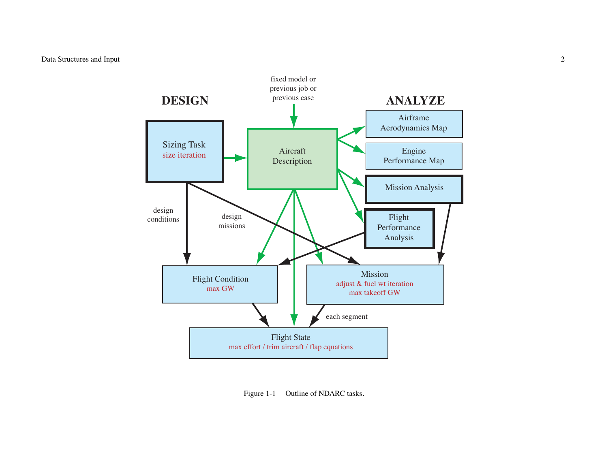

Figure 1-1 Outline of NDARC tasks.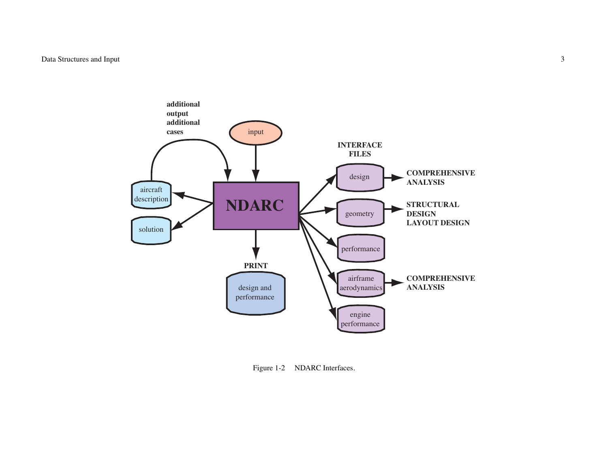

Figure 1-2 NDARC Interfaces.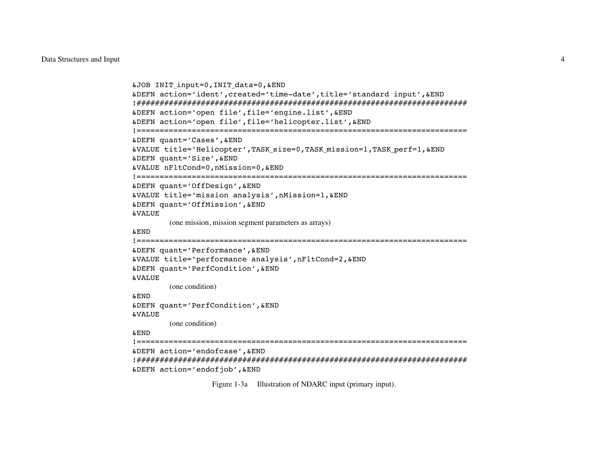```
&JOB INIT
_input=0,INIT_data=0,&END
&DEFN action='ident',created='time-date',title='standard input',&END
!########################################################################
&DEFN action='open file',file='engine.list',&END
&DEFN action='open file',file='helicopter.list',&END
!========================================================================
&DEFN quant='Cases',&END
&VALUE title='Helicopter',TASK_size=0,TASK_mission=1,TASK_perf=1,&END
&DEFN quant='Size',&END
&VALUE nFltCond=0,nMission=0,&END
!========================================================================
&DEFN quant='OffDesign',&END
&VALUE title='mission analysis',nMission=1,&END
&DEFN quant='OffMission',&END
&VALUE
        (one mission, mission segment parameters as arrays)
&END
!========================================================================
&DEFN quant='Performance',&END
&VALUE title='performance analysis',nFltCond=2,&END
&DEFN quant='PerfCondition',&END
&VALUE
        (one condition)
&END
&DEFN quant='PerfCondition',&END
&VALUE
        (one condition)
&END
!========================================================================
&DEFN action='endofcase',&END
!########################################################################
&DEFN action='endofjob',&END
```
Figure 1-3a Illustration of NDARC input (primary input).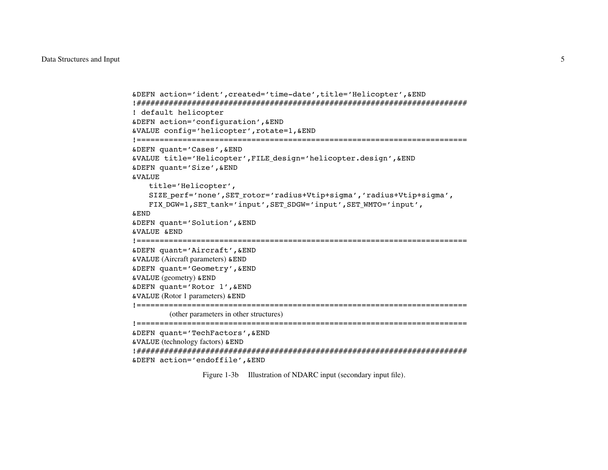```
&DEFN action='ident',created='time-date',title='Helicopter',&END
!########################################################################
! default helicopter
&DEFN action='configuration',&END
&VALUE config='helicopter',rotate=1,&END
!========================================================================
&DEFN quant='Cases',&END
&VALUE title='Helicopter',FILE_design='helicopter.design',&END
&DEFN quant='Size',&END
&VALUE
   title='Helicopter',
    SIZE
_perf='none',SET_rotor='radius+Vtip+sigma','radius+Vtip+sigma',
    FIX
_DGW=1,SET_tank='input',SET_SDGW='input',SET_WMTO='input',
&END
&DEFN quant='Solution',&END
&VALUE &END
!========================================================================
&DEFN quant='Aircraft',&END
&VALUE (Aircraft parameters) &END
&DEFN quant='Geometry',&END
&VALUE (geometry) &END
&DEFN quant='Rotor 1',&END
&VALUE (Rotor 1 parameters) &END
!========================================================================
        (other parameters in other structures)
!========================================================================
&DEFN quant='TechFactors',&END
&VALUE (technology factors) &END
!########################################################################
&DEFN action='endoffile',&END
```
Figure 1-3b Illustration of NDARC input (secondary input file).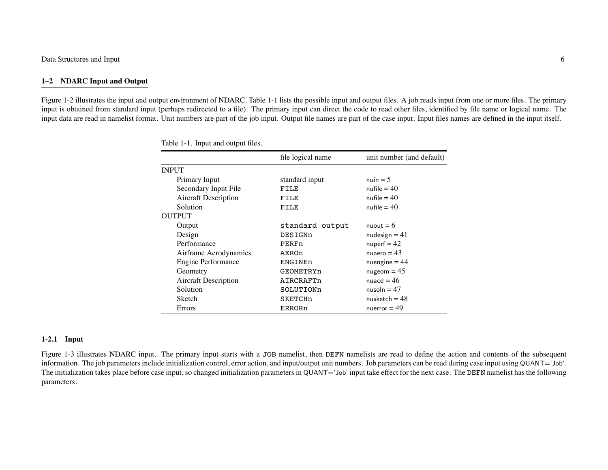#### **1–2 NDARC Input and Output**

Figure 1-2 illustrates the input and output environment of NDARC. Table 1-1 lists the possible input and output files. A job reads input from one or more files. The primary input is obtained from standard input (perhaps redirected to <sup>a</sup> file). The primary input can direct the code to read other files, identified by file name or logical name. The input data are read in namelist format. Unit numbers are par<sup>t</sup> of the job input. Output file names are par<sup>t</sup> of the case input. Input files names are defined in the input itself.

|                             | file logical name | unit number (and default) |
|-----------------------------|-------------------|---------------------------|
| <b>INPUT</b>                |                   |                           |
| Primary Input               | standard input    | $n$ uin = 5               |
| Secondary Input File        | FILE              | nufile $=$ 40             |
| <b>Aircraft Description</b> | FILE              | nufile $=$ 40             |
| <b>Solution</b>             | FILE              | nufile $=$ 40             |
| <b>OUTPUT</b>               |                   |                           |
| Output                      | standard output   | nuout $= 6$               |
| Design                      | DESIGNn           | nudesign $= 41$           |
| Performance                 | PERFn             | nuperf = $42$             |
| Airframe Aerodynamics       | AEROn             | nuaero $= 43$             |
| <b>Engine Performance</b>   | ENGINEn           | nuengine $= 44$           |
| Geometry                    | <b>GEOMETRYn</b>  | nugeom $= 45$             |
| <b>Aircraft Description</b> | AIRCRAFTn         | nuacd $= 46$              |
| Solution                    | SOLUTIONn         | nusoln $= 47$             |
| Sketch                      | SKETCHn           | nusketch $= 48$           |
| Errors                      | ERRORn            | nuerror $=$ 49            |

Table 1-1. Input and output files.

#### **1-2.1 Input**

Figure 1-3 illustrates NDARC input. The primary input starts with <sup>a</sup> JOB namelist, then DEFN namelists are read to define the action and contents of the subsequent information. The job parameters include initialization control, error action, and input/output unit numbers. Job parameters can be read during case input using QUANT='Job'. The initialization takes place before case input, so changed initialization parameters in QUANT='Job' input take effect for the next case. The DEFN namelist has the following parameters.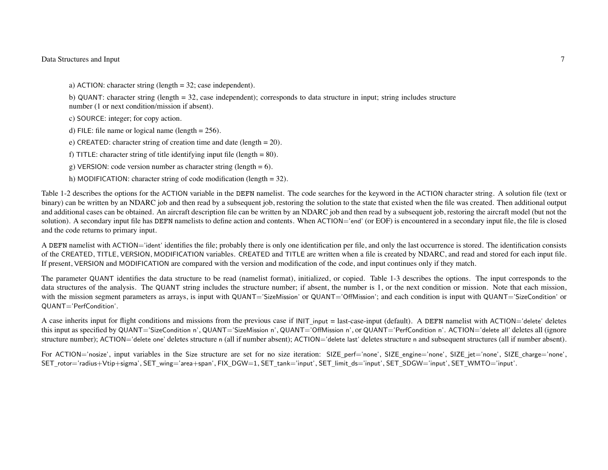a) ACTION: character string (length <sup>=</sup> 32; case independent).

b) QUANT: character string (length <sup>=</sup> 32, case independent); corresponds to data structure in input; string includes structure number (1 or next condition/mission if absent).

c) SOURCE: integer; for copy action.

d) FILE: file name or logical name (length  $= 256$ ).

e) CREATED: character string of creation time and date (length <sup>=</sup> 20).

f) TITLE: character string of title identifying input file (length  $= 80$ ).

g) VERSION: code version number as character string (length  $= 6$ ).

h) MODIFICATION: character string of code modification (length <sup>=</sup> 32).

Table 1-2 describes the options for the ACTION variable in the DEFN namelist. The code searches for the keyword in the ACTION character string. A solution file (text or binary) can be written by an NDARC job and then read by a subsequent job, restoring the solution to the state that existed when the file was created. Then additional output and additional cases can be obtained. An aircraft description file can be written by an NDARC job and then read by <sup>a</sup> subsequent job, restoring the aircraft model (but not the solution). A secondary input file has DEFN namelists to define action and contents. When ACTION='end' (or EOF) is encountered in a secondary input file, the file is closed and the code returns to primary input.

A DEFN namelist with ACTION='ident' identifies the file; probably there is only one identification per file, and only the last occurrence is stored. The identification consists of the CREATED, TITLE, VERSION, MODIFICATION variables. CREATED and TITLE are written when <sup>a</sup> file is created by NDARC, and read and stored for each input file. If present, VERSION and MODIFICATION are compared with the version and modification of the code, and input continues only if they match.

The parameter QUANT identifies the data structure to be read (namelist format), initialized, or copied. Table 1-3 describes the options. The input corresponds to the data structures of the analysis. The QUANT string includes the structure number; if absent, the number is 1, or the next condition or mission. Note that each mission, with the mission segment parameters as arrays, is input with QUANT='SizeMission' or QUANT='OffMission'; and each condition is input with QUANT='SizeCondition' or QUANT='PerfCondition'.

A case inherits input for flight conditions and missions from the previous case if INIT input = last-case-input (default). A DEFN namelist with ACTION='delete' deletes this input as specified by QUANT='SizeCondition <sup>n</sup>', QUANT='SizeMission <sup>n</sup>', QUANT='OffMission <sup>n</sup>', or QUANT='PerfCondition <sup>n</sup>'. ACTION='delete all' deletes all (ignore structure number); ACTION='delete one' deletes structure n (all if number absent); ACTION='delete last' deletes structure n and subsequent structures (all if number absent).

For ACTION='nosize', input variables in the Size structure are set for no size iteration: SIZE perf='none', SIZE engine='none', SIZE jet='none', SIZE charge='none', SET \_rotor='radius+Vtip+sigma', SET\_wing='area+span', FIX\_DGW=1, SET\_tank='input', SET\_limit\_ds='input', SET\_SDGW='input', SET\_WMTO='input'.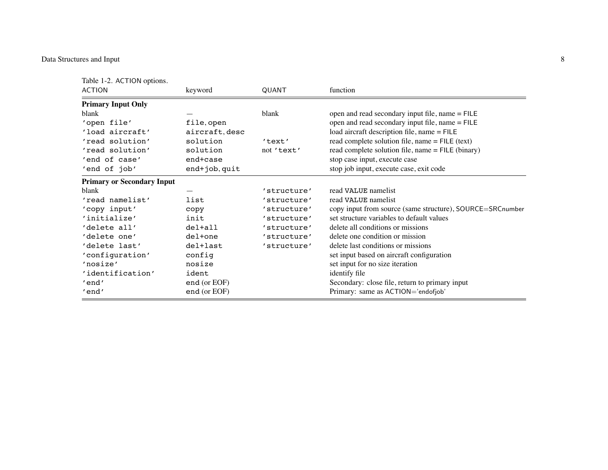| Table 1-2. ACTION options.        |                |             |                                                           |
|-----------------------------------|----------------|-------------|-----------------------------------------------------------|
| <b>ACTION</b>                     | keyword        | QUANT       | function                                                  |
| <b>Primary Input Only</b>         |                |             |                                                           |
| blank                             |                | blank       | open and read secondary input file, name = FILE           |
| 'open file'                       | file, open     |             | open and read secondary input file, name = FILE           |
| 'load aircraft'                   | aircraft, desc |             | load aircraft description file, name = FILE               |
| 'read solution'                   | solution       | 'text'      | read complete solution file, name = FILE (text)           |
| 'read solution'                   | solution       | not 'text'  | read complete solution file, name = FILE (binary)         |
| 'end of case'                     | end+case       |             | stop case input, execute case                             |
| 'end of job'                      | end+job, quit  |             | stop job input, execute case, exit code                   |
| <b>Primary or Secondary Input</b> |                |             |                                                           |
| blank                             | —              | 'structure' | read VALUE namelist                                       |
| 'read namelist'                   | list           | 'structure' | read VALUE namelist                                       |
| 'copy input'                      | copy           | 'structure' | copy input from source (same structure), SOURCE=SRCnumber |
| 'initialize'                      | init           | 'structure' | set structure variables to default values                 |
| 'delete all'                      | del+all        | 'structure' | delete all conditions or missions                         |
| 'delete one'                      | del+one        | 'structure' | delete one condition or mission                           |
| 'delete last'                     | del+last       | 'structure' | delete last conditions or missions                        |
| 'configuration'                   | config         |             | set input based on aircraft configuration                 |
| 'nosize'                          | nosize         |             | set input for no size iteration                           |
| 'identification'                  | ident          |             | identify file                                             |
| 'end'                             | end (or EOF)   |             | Secondary: close file, return to primary input            |
| 'end'                             | end (or EOF)   |             | Primary: same as ACTION='endofjob'                        |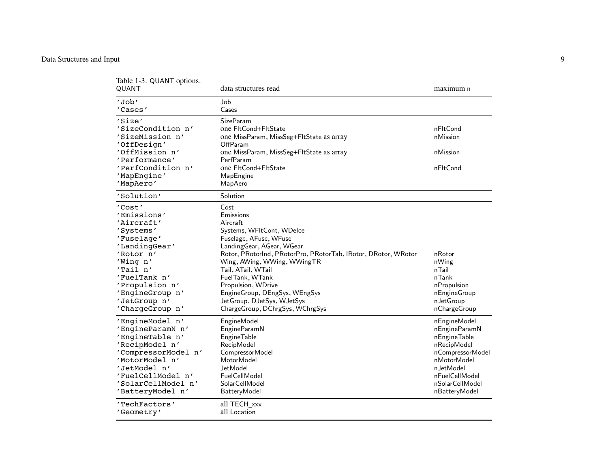| Table 1-3. QUANT options.<br>QUANT                                                                                                                                                                           | data structures read                                                                                                                                                                                                                                                                                                                                                                | maximum n                                                                                                                                                          |
|--------------------------------------------------------------------------------------------------------------------------------------------------------------------------------------------------------------|-------------------------------------------------------------------------------------------------------------------------------------------------------------------------------------------------------------------------------------------------------------------------------------------------------------------------------------------------------------------------------------|--------------------------------------------------------------------------------------------------------------------------------------------------------------------|
| 'Job'<br>'Cases'                                                                                                                                                                                             | Job<br>Cases                                                                                                                                                                                                                                                                                                                                                                        |                                                                                                                                                                    |
| 'Size'<br>'SizeCondition n'<br>'SizeMission n'<br>'OffDesign'<br>'OffMission n'<br>'Performance'<br>'PerfCondition n'<br>'MapEngine'<br>'MapAero'                                                            | <b>SizeParam</b><br>one FltCond+FltState<br>one MissParam, MissSeg+FltState as array<br>OffParam<br>one MissParam, MissSeg+FltState as array<br>PerfParam<br>one FltCond+FltState<br>MapEngine<br>MapAero                                                                                                                                                                           | nFltCond<br>nMission<br>nMission<br>nFltCond                                                                                                                       |
| 'Solution'                                                                                                                                                                                                   | Solution                                                                                                                                                                                                                                                                                                                                                                            |                                                                                                                                                                    |
| 'Cost'<br>'Emissions'<br>'Aircraft'<br>'Systems'<br>'Fuselage'<br>'LandingGear'<br>'Rotor n'<br>'Wing n'<br>'Tail n'<br>'FuelTank n'<br>'Propulsion n'<br>'EngineGroup n'<br>'JetGroup n'<br>'ChargeGroup n' | Cost<br>Emissions<br>Aircraft<br>Systems, WFItCont, WDelce<br>Fuselage, AFuse, WFuse<br>LandingGear, AGear, WGear<br>Rotor, PRotorInd, PRotorPro, PRotorTab, IRotor, DRotor, WRotor<br>Wing, AWing, WWing, WWingTR<br>Tail, ATail, WTail<br>FuelTank, WTank<br>Propulsion, WDrive<br>EngineGroup, DEngSys, WEngSys<br>JetGroup, DJetSys, WJetSys<br>ChargeGroup, DChrgSys, WChrgSys | nRotor<br>nWing<br>nTail<br>nTank<br>nPropulsion<br>nEngineGroup<br>nJetGroup<br>nChargeGroup                                                                      |
| 'EngineModel n'<br>'EngineParamN n'<br>'EngineTable n'<br>'RecipModel n'<br>'CompressorModel n'<br>'MotorModel n'<br>'JetModel n'<br>'FuelCellModel n'<br>'SolarCellModel n'<br>'BatteryModel n'             | EngineModel<br>EngineParamN<br><b>Engine Table</b><br>RecipModel<br>CompressorModel<br>MotorModel<br>JetModel<br>FuelCellModel<br>SolarCellModel<br>BatteryModel                                                                                                                                                                                                                    | nEngineModel<br>nEngineParamN<br>nEngineTable<br>nRecipModel<br>nCompressorModel<br>nMotorModel<br>nJetModel<br>nFuelCellModel<br>nSolarCellModel<br>nBatteryModel |
| 'TechFactors'<br>'Geometry'                                                                                                                                                                                  | all TECH xxx<br>all Location                                                                                                                                                                                                                                                                                                                                                        |                                                                                                                                                                    |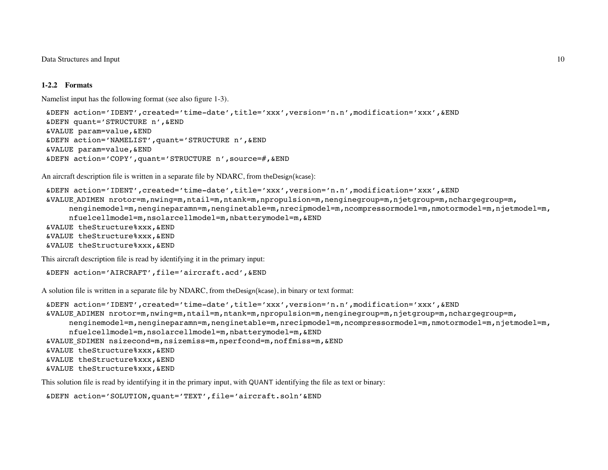#### **1-2.2 Formats**

Namelist input has the following format (see also figure 1-3).

```
&DEFN action='IDENT',created='time-date',title='xxx',version='n.n',modification='xxx',&END
&DEFN quant='STRUCTURE n',&END
&VALUE param=value,&END
&DEFN action='NAMELIST',quant='STRUCTURE n',&END
&VALUE param=value,&END
&DEFN action='COPY',quant='STRUCTURE n',source=#,&END
```
An aircraft description file is written in <sup>a</sup> separate file by NDARC, from theDesign(kcase):

```
&DEFN action='IDENT',created='time-date',title='xxx',version='n.n',modification='xxx',&END
&VALUE
_ADIMEN nrotor=m,nwing=m,ntail=m,ntank=m,npropulsion=m,nenginegroup=m,njetgroup=m,nchargegroup=m,
     nenginemodel=m,nengineparamn=m,nenginetable=m,nrecipmodel=m,ncompressormodel=m,nmotormodel=m,njetmodel=m,
    nfuelcellmodel=m,nsolarcellmodel=m,nbatterymodel=m,&END
&VALUE theStructure%xxx,&END
&VALUE theStructure%xxx,&END
&VALUE theStructure%xxx,&END
```
This aircraft description file is read by identifying it in the primary input:

```
&DEFN action='AIRCRAFT',file='aircraft.acd',&END
```
A solution file is written in <sup>a</sup> separate file by NDARC, from theDesign(kcase), in binary or text format:

```
&DEFN action='IDENT',created='time-date',title='xxx',version='n.n',modification='xxx',&END
&VALUE
_ADIMEN nrotor=m,nwing=m,ntail=m,ntank=m,npropulsion=m,nenginegroup=m,njetgroup=m,nchargegroup=m,
     nenginemodel=m,nengineparamn=m,nenginetable=m,nrecipmodel=m,ncompressormodel=m,nmotormodel=m,njetmodel=m,
     nfuelcellmodel=m,nsolarcellmodel=m,nbatterymodel=m,&END
&VALUE
_SDIMEN nsizecond=m,nsizemiss=m,nperfcond=m,noffmiss=m,&END
&VALUE theStructure%xxx,&END
&VALUE theStructure%xxx,&END
&VALUE theStructure%xxx,&END
```
This solution file is read by identifying it in the primary input, with QUANT identifying the file as text or binary:

&DEFN action='SOLUTION,quant='TEXT',file='aircraft.soln'&END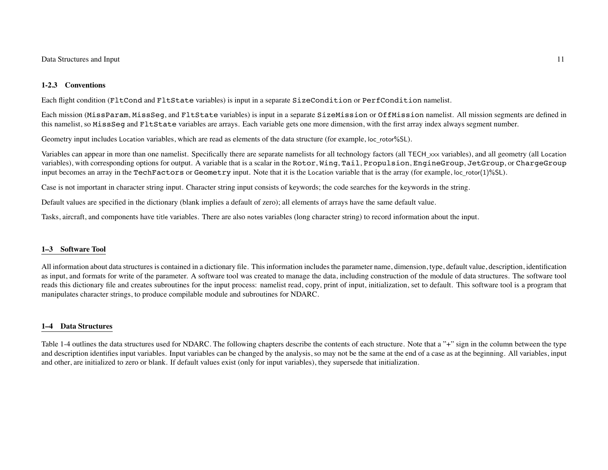#### **1-2.3 Conventions**

Each flight condition (FltCond and FltState variables) is input in <sup>a</sup> separate SizeCondition or PerfCondition namelist.

Each mission (MissParam, MissSeg, and FltState variables) is input in <sup>a</sup> separate SizeMission or OffMission namelist. All mission segments are defined in this namelist, so MissSeg and FltState variables are arrays. Each variable gets one more dimension, with the first array index always segmen<sup>t</sup> number.

Geometry input includes Location variables, which are read as elements of the data structure (for example, loc rotor%SL).

Variables can appear in more than one namelist. Specifically there are separate namelists for all technology factors (all TECH\_xxx variables), and all geometry (all Location variables), with corresponding options for output. A variable that is <sup>a</sup> scalar in the Rotor, Wing, Tail, Propulsion, EngineGroup, JetGroup, or ChargeGroup input becomes an array in the TechFactors or Geometry input. Note that it is the Location variable that is the array (for example, loc\_rotor(1)%SL).

Case is not important in character string input. Character string input consists of keywords; the code searches for the keywords in the string.

Default values are specified in the dictionary (blank implies <sup>a</sup> default of zero); all elements of arrays have the same default value.

Tasks, aircraft, and components have title variables. There are also notes variables (long character string) to record information about the input.

#### **1–3 Software Tool**

All information about data structures is contained in <sup>a</sup> dictionary file. This information includes the parameter name, dimension, type, default value, description, identification as input, and formats for write of the parameter. A software tool was created to manage the data, including construction of the module of data structures. The software tool reads this dictionary file and creates subroutines for the input process: namelist read, copy, print of input, initialization, set to default. This software tool is <sup>a</sup> program that manipulates character strings, to produce compilable module and subroutines for NDARC.

#### **1–4 Data Structures**

Table 1-4 outlines the data structures used for NDARC. The following chapters describe the contents of each structure. Note that a "+" sign in the column between the type and description identifies input variables. Input variables can be changed by the analysis, so may not be the same at the end of <sup>a</sup> case as at the beginning. All variables, input and other, are initialized to zero or blank. If default values exist (only for input variables), they supersede that initialization.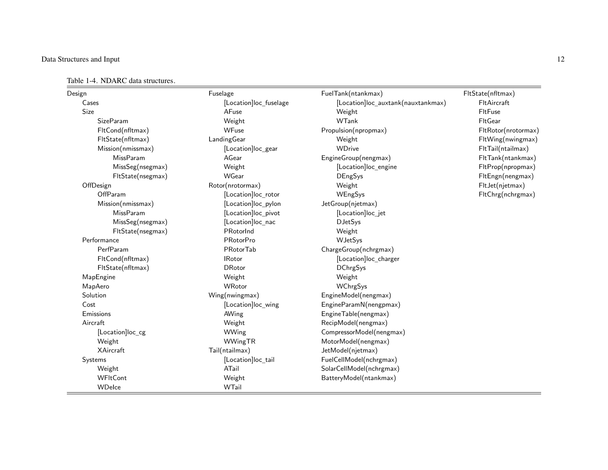## Table 1-4. NDARC data structures.

| Design            | Fuselage               | FuelTank(ntankmax)                 | FltState(nfltmax)   |
|-------------------|------------------------|------------------------------------|---------------------|
| Cases             | [Location]loc_fuselage | [Location]loc_auxtank(nauxtankmax) | FltAircraft         |
| Size              | AFuse                  | Weight                             | FltFuse             |
| <b>SizeParam</b>  | Weight                 | WTank                              | FltGear             |
| FltCond(nfltmax)  | WFuse                  | Propulsion(npropmax)               | FltRotor(nrotormax) |
| FltState(nfltmax) | LandingGear            | Weight                             | FltWing(nwingmax)   |
| Mission(nmissmax) | [Location]loc gear     | WDrive                             | FltTail(ntailmax)   |
| MissParam         | AGear                  | EngineGroup(nengmax)               | FltTank(ntankmax)   |
| MissSeg(nsegmax)  | Weight                 | [Location]loc_engine               | FltProp(npropmax)   |
| FltState(nsegmax) | WGear                  | DEngSys                            | FltEngn(nengmax)    |
| OffDesign         | Rotor(nrotormax)       | Weight                             | FltJet(njetmax)     |
| OffParam          | [Location]loc_rotor    | WEngSys                            | FltChrg(nchrgmax)   |
| Mission(nmissmax) | [Location]loc_pylon    | JetGroup(njetmax)                  |                     |
| MissParam         | [Location]loc pivot    | [Location]loc jet                  |                     |
| MissSeg(nsegmax)  | [Location]loc_nac      | <b>DJetSys</b>                     |                     |
| FltState(nsegmax) | PRotorInd              | Weight                             |                     |
| Performance       | PRotorPro              | WJetSys                            |                     |
| PerfParam         | <b>PRotorTab</b>       | ChargeGroup(nchrgmax)              |                     |
| FltCond(nfltmax)  | <b>IRotor</b>          | [Location]loc_charger              |                     |
| FltState(nfltmax) | <b>DRotor</b>          | <b>DChrgSys</b>                    |                     |
| MapEngine         | Weight                 | Weight                             |                     |
| MapAero           | WRotor                 | WChrgSys                           |                     |
| Solution          | Wing(nwingmax)         | EngineModel(nengmax)               |                     |
| Cost              | [Location]loc_wing     | EngineParamN(nengpmax)             |                     |
| Emissions         | AWing                  | EngineTable(nengmax)               |                     |
| Aircraft          | Weight                 | RecipModel(nengmax)                |                     |
| [Location]loc_cg  | WWing                  | CompressorModel(nengmax)           |                     |
| Weight            | WWingTR                | MotorModel(nengmax)                |                     |
| XAircraft         | Tail(ntailmax)         | JetModel(njetmax)                  |                     |
| Systems           | [Location]loc_tail     | FuelCellModel(nchrgmax)            |                     |
| Weight            | ATail                  | SolarCellModel(nchrgmax)           |                     |
| <b>WFItCont</b>   | Weight                 | BatteryModel(ntankmax)             |                     |
| WDelce            | WTail                  |                                    |                     |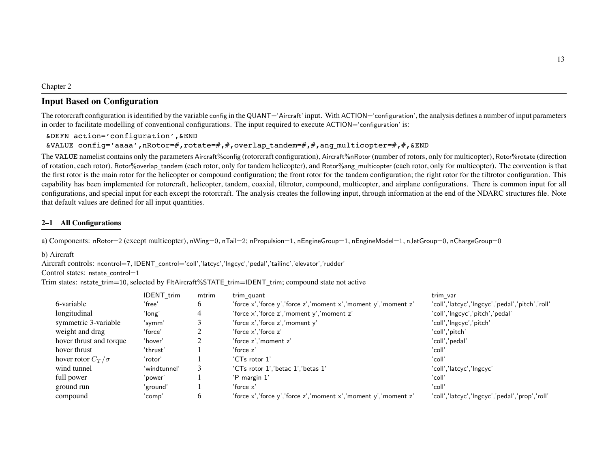#### Chapter 2

#### **Input Based on Configuration**

The rotorcraft configuration is identified by the variable config in the QUANT='Aircraft' input. With ACTION='configuration', the analysis defines a number of input parameters in order to facilitate modelling of conventional configurations. The input required to execute ACTION='configuration' is:

&DEFN action='configuration',&END

&VALUE config='aaaa',nRotor=#,rotate=#,#,overlap\_tandem=#,#,ang\_multicopter=#,#,&END

The VALUE namelist contains only the parameters Aircraft%config (rotorcraft configuration), Aircraft%nRotor (number of rotors, only for multicopter), Rotor%rotate (direction of rotation, each rotor), Rotor%overlap\_tandem (each rotor, only for tandem helicopter), and Rotor%ang\_multicopter (each rotor, only for multicopter). The convention is that the first rotor is the main rotor for the helicopter or compound configuration; the front rotor for the tandem configuration; the right rotor for the tiltrotor configuration. This capability has been implemented for rotorcraft, helicopter, tandem, coaxial, tiltrotor, compound, multicopter, and airplane configurations. There is common input for all configurations, and special input for each excep<sup>t</sup> the rotorcraft. The analysis creates the following input, through information at the end of the NDARC structures file. Note that default values are defined for all input quantities.

#### **2–1 All Configurations**

a) Components: nRotor=2 (except multicopter), nWing=0, nTail=2; nPropulsion=1, nEngineGroup=1, nEngineModel=1, nJetGroup=0, nChargeGroup=0

b) Aircraft

Aircraft controls: ncontrol=7, IDENT\_control='coll','latcyc','lngcyc','pedal','tailinc','elevator','rudder'

Control states: nstate \_ control=1

Trim states: nstate \_ trim=10, selected by FltAircraft%STATE\_trim=IDENT\_trim; compound state not active

|                          | <b>IDENT</b> trim | mtrim | trim quant                                                     | trim var                                        |
|--------------------------|-------------------|-------|----------------------------------------------------------------|-------------------------------------------------|
| 6-variable               | 'free'            | 6     | 'force x','force y','force z','moment x','moment y','moment z' | 'coll','latcyc','Ingcyc','pedal','pitch','roll' |
| longitudinal             | 'long'            | 4     | 'force x','force z','moment y','moment z'                      | 'coll','Ingcyc','pitch','pedal'                 |
| symmetric 3-variable     | 'svmm'            |       | 'force x','force z','moment y'                                 | 'coll','Ingcyc','pitch'                         |
| weight and drag          | 'force'           |       | 'force x','force z'                                            | 'coll','pitch'                                  |
| hover thrust and torque  | 'hover'           |       | 'force z','moment z'                                           | 'coll','pedal'                                  |
| hover thrust             | 'thrust'          |       | 'force z'                                                      | 'coll'                                          |
| hover rotor $C_T/\sigma$ | 'rotor'           |       | 'CTs rotor 1'                                                  | 'coll'                                          |
| wind tunnel              | 'windtunnel'      | 3     | 'CTs rotor 1', betac 1', betas 1'                              | 'coll','latcyc','lngcyc'                        |
| full power               | 'power'           |       | 'P margin 1'                                                   | 'coll'                                          |
| ground run               | 'ground'          |       | $'$ force $x'$                                                 | 'coll'                                          |
| compound                 | 'comp'            | 6     | 'force x','force y','force z','moment x','moment y','moment z' | 'coll','latcyc','Ingcyc','pedal','prop','roll'  |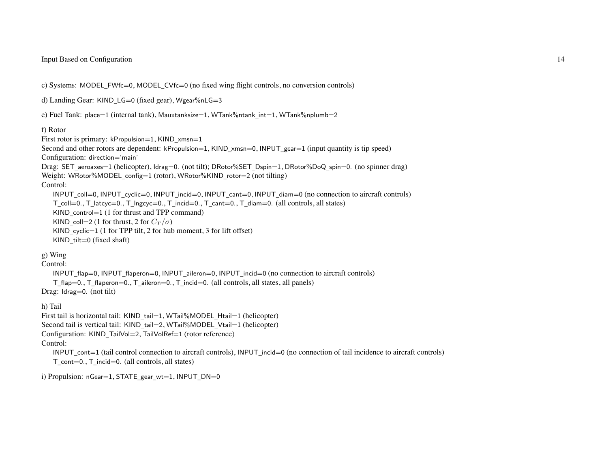c) Systems: MODEL\_FWfc=0, MODEL\_CVfc=0 (no fixed wing flight controls, no conversion controls)

d) Landing Gear: KIND  $LG=0$  (fixed gear), Wgear%nLG=3

e) Fuel Tank: place=1 (internal tank), Mauxtanksize=1, WTank%ntank int=1, WTank%nplumb=2

#### f) Rotor

First rotor is primary: kPropulsion=1, KIND xmsn=1 Second and other rotors are dependent: kPropulsion=1, KIND xmsn=0, INPUT gear=1 (input quantity is tip speed) Configuration: direction='main' Drag: SET\_aeroaxes=1 (helicopter), Idrag=0. (not tilt); DRotor%SET\_Dspin=1, DRotor%DoQ\_spin=0. (no spinner drag) Weight: WRotor%MODEL\_config=1 (rotor), WRotor%KIND\_rotor=2 (not tilting) Control: INPUT \_ coll=0, INPUT\_cyclic=0, INPUT\_incid=0, INPUT\_cant=0, INPUT\_diam=0 (no connection to aircraft controls) T \_ coll=0., T\_latcyc=0., T\_lngcyc=0., T\_incid=0., T\_cant=0., T\_diam=0. (all controls, all states) KIND \_ control=1 (1 for thrust and TPP command) KIND\_coll=2 (1 for thrust, 2 for  $C_T/\sigma$ ) KIND \_cyclic=1 (1 for TPP tilt, 2 for hub moment, 3 for lift offset) KIND \_ tilt=0 (fixed shaft)

#### g) Wing

Control:

INPUT \_flap=0, INPUT\_flaperon=0, INPUT\_aileron=0, INPUT\_incid=0 (no connection to aircraft controls) T \_flap=0., <sup>T</sup>\_flaperon=0., <sup>T</sup>\_aileron=0., <sup>T</sup>\_incid=0. (all controls, all states, all panels) Drag: Idrag=0. (not tilt)

#### h) Tail

First tail is horizontal tail: KIND \_ tail=1, WTail%MODEL\_Htail=1 (helicopter) Second tail is vertical tail: KIND \_ tail=2, WTail%MODEL\_Vtail=1 (helicopter) Configuration: KIND\_TailVol=2, TailVolRef=1 (rotor reference) Control: INPUT \_ cont=1 (tail control connection to aircraft controls), INPUT\_incid=0 (no connection of tail incidence to aircraft controls)

T \_ cont=0., T\_incid=0. (all controls, all states)

i) Propulsion:  $nGear=1$ , STATE gear wt=1, INPUT\_DN=0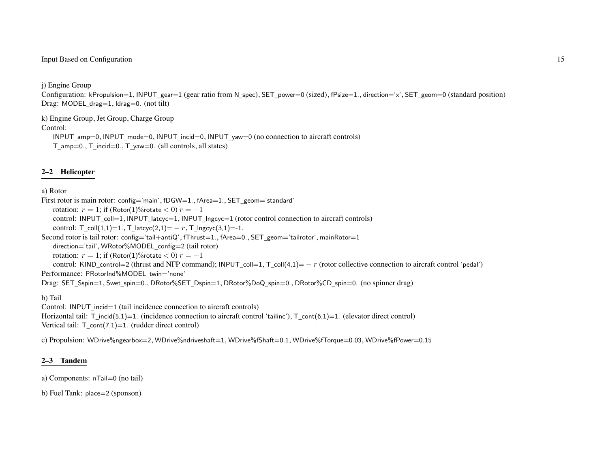j) Engine Group

Configuration: kPropulsion=1, INPUT\_gear=1 (gear ratio from N\_spec), SET\_power=0 (sized), fPsize=1., direction='x', SET\_geom=0 (standard position) Drag: MODEL drag=1, Idrag=0. (not tilt)

k) Engine Group, Jet Group, Charge Group

Control:

INPUT \_amp=0, INPUT\_mode=0, INPUT\_incid=0, INPUT\_yaw=0 (no connection to aircraft controls) T \_amp=0., T\_incid=0., T\_yaw=0. (all controls, all states)

#### **2–2 Helicopter**

#### a) Rotor

```
First rotor is main rotor: config='main', fDGW=1., fArea=1., SET_geom='standard'
   rotation: r = 1; if (Rotor(1)% rotate < 0) r = -1control: INPUT_coll=1, INPUT_latcyc=1, INPUT_lngcyc=1 (rotor control connection to aircraft controls)
    control: T
_coll(1,1)=1., T_latcyc(2,1)= − r, T_lngcyc(3,1)=-1.
Second rotor is tail rotor: config='tail+antiQ', fThrust=1., fArea=0., SET_geom='tailrotor', mainRotor=1
   direction='tail', WRotor%MODEL_config=2 (tail rotor)
   rotation: r = 1; if (Rotor(1)%rotate < 0) r = -1control: KIND
_
control=2 (thrust and NFP command); INPUT_coll=1, T_coll(4,1)= − r (rotor collective connection to aircraft control 'pedal')
Performance: PRotorInd%MODEL_twin='none'
```
Drag: SET\_Sspin=1, Swet\_spin=0., DRotor%SET\_Dspin=1, DRotor%DoQ\_spin=0., DRotor%CD\_spin=0. (no spinner drag)

#### b) Tail

Control: INPUT \_ incid=1 (tail incidence connection to aircraft controls)

Horizontal tail: T \_incid(5,1)=1. (incidence connection to aircraft control 'tailinc'), <sup>T</sup>\_cont(6,1)=1. (elevator direct control) Vertical tail: T \_cont(7,1)=1. (rudder direct control)

c) Propulsion: WDrive%ngearbox=2, WDrive%ndriveshaft=1, WDrive%fShaft=0.1, WDrive%fTorque=0.03, WDrive%fPower=0.15

#### **2–3 Tandem**

a) Components: nTail=0 (no tail)

b) Fuel Tank: place=2 (sponson)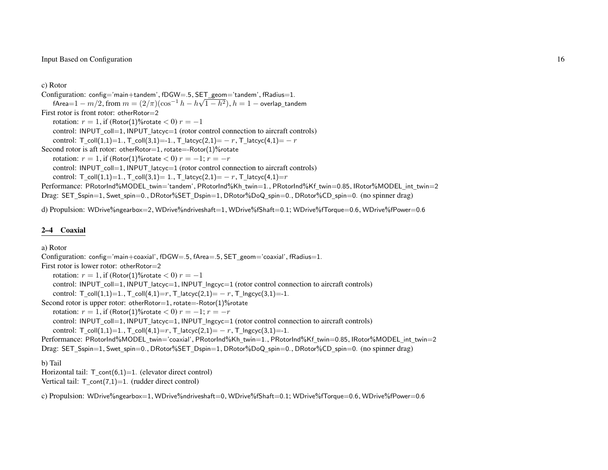#### c) Rotor

Configuration: config='main+tandem', fDGW=.5, SET\_geom='tandem', fRadius=1.  $fArea=1-m/2$ , from  $m=(2/\pi)(\cos^{-1}h-h\sqrt{1-h^2})$ ,  $h=1$  – overlap tandem First rotor is front rotor: otherRotor=2 rotation:  $r = 1$ , if (Rotor(1)% rotate  $< 0$ )  $r = -1$ control: INPUT\_coll=1, INPUT\_latcyc=1 (rotor control connection to aircraft controls) control: T \_coll(1,1)=1., <sup>T</sup>\_coll(3,1)=-1., <sup>T</sup>\_latcyc(2,1)= <sup>−</sup> *<sup>r</sup>*, <sup>T</sup>\_latcyc(4,1)= <sup>−</sup> *<sup>r</sup>* Second rotor is aft rotor: otherRotor=1, rotate=-Rotor(1)% rotate rotation:  $r = 1$ , if (Rotor(1)% rotate  $\lt 0$ )  $r = -1$ ;  $r = -r$ control: INPUT\_coll=1, INPUT\_latcyc=1 (rotor control connection to aircraft controls) control: T \_coll(1,1)=1., <sup>T</sup>\_coll(3,1)= 1., <sup>T</sup>\_latcyc(2,1)= <sup>−</sup> *<sup>r</sup>*, <sup>T</sup>\_latcyc(4,1)=*<sup>r</sup>* Performance: PRotorInd%MODEL\_twin='tandem', PRotorInd%Kh\_twin=1., PRotorInd%Kf\_twin=0.85, IRotor%MODEL\_int\_twin=2 Drag: SET\_Sspin=1, Swet\_spin=0., DRotor%SET\_Dspin=1, DRotor%DoQ\_spin=0., DRotor%CD\_spin=0. (no spinner drag)

d) Propulsion: WDrive%ngearbox=2, WDrive%ndriveshaft=1, WDrive%fShaft=0.1; WDrive%fTorque=0.6, WDrive%fPower=0.6

#### **2–4 Coaxial**

#### a) Rotor

Configuration: config='main+coaxial', fDGW=.5, fArea=.5, SET\_geom='coaxial', fRadius=1. First rotor is lower rotor: otherRotor=2 rotation:  $r = 1$ , if (Rotor(1)% rotate  $< 0$ )  $r = -1$ control: INPUT\_coll=1, INPUT\_latcyc=1, INPUT\_lngcyc=1 (rotor control connection to aircraft controls) control: T \_coll(1,1)=1., <sup>T</sup>\_coll(4,1)=*<sup>r</sup>*, <sup>T</sup>\_latcyc(2,1)= <sup>−</sup> *<sup>r</sup>*, <sup>T</sup>\_lngcyc(3,1)=-1. Second rotor is upper rotor: otherRotor=1, rotate=-Rotor(1)% rotate rotation:  $r = 1$ , if (Rotor(1)% rotate  $\lt 0$ )  $r = -1$ ;  $r = -r$ control: INPUT\_coll=1, INPUT\_latcyc=1, INPUT\_lngcyc=1 (rotor control connection to aircraft controls) control: T \_coll(1,1)=1., <sup>T</sup>\_coll(4,1)=*<sup>r</sup>*, <sup>T</sup>\_latcyc(2,1)= <sup>−</sup> *<sup>r</sup>*, <sup>T</sup>\_lngcyc(3,1)=-1. Performance: PRotorInd%MODEL\_twin='coaxial', PRotorInd%Kh\_twin=1., PRotorInd%Kf\_twin=0.85, IRotor%MODEL\_int\_twin=2 Drag: SET\_Sspin=1, Swet\_spin=0., DRotor%SET\_Dspin=1, DRotor%DoQ\_spin=0., DRotor%CD\_spin=0. (no spinner drag) b) Tail

Horizontal tail: T \_cont(6,1)=1. (elevator direct control) Vertical tail: T \_cont(7,1)=1. (rudder direct control)

c) Propulsion: WDrive%ngearbox=1, WDrive%ndriveshaft=0, WDrive%fShaft=0.1; WDrive%fTorque=0.6, WDrive%fPower=0.6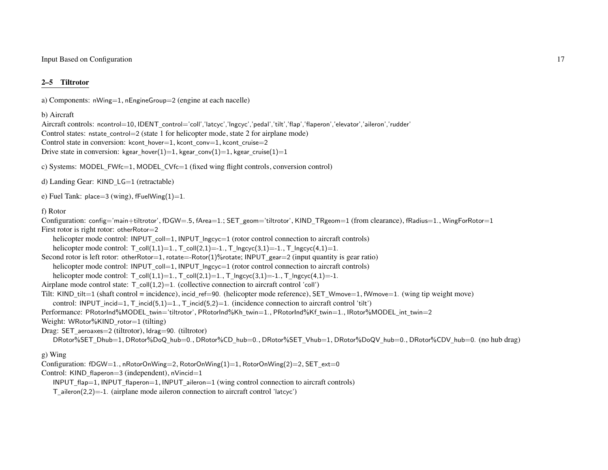#### **2–5 Tiltrotor**

a) Components: nWing=1, nEngineGroup=2 (engine at each nacelle)

b) Aircraft

Aircraft controls: ncontrol=10, IDENT\_control='coll','latcyc','lngcyc','pedal','tilt','flap','flaperon','elevator','aileron','rudder' Control states: nstate \_ control=2 (state 1 for helicopter mode, state 2 for airplane mode) Control state in conversion: kcont \_ hover=1, kcont\_conv=1, kcont\_cruise=2 Drive state in conversion: kgear hover(1)=1, kgear conv(1)=1, kgear cruise(1)=1

c) Systems: MODEL FWfc=1, MODEL CVfc=1 (fixed wing flight controls, conversion control)

d) Landing Gear: KIND\_LG=1 (retractable)

e) Fuel Tank: place=3 (wing),  $fFuelWing(1)=1$ .

f) Rotor

Configuration: config='main+tiltrotor', fDGW=.5, fArea=1.; SET\_geom='tiltrotor', KIND\_TRgeom=1 (from clearance), fRadius=1., WingForRotor=1 First rotor is right rotor: otherRotor=2 helicopter mode control: INPUT\_coll=1, INPUT\_lngcyc=1 (rotor control connection to aircraft controls) helicopter mode control:  $T_{\text{coll}}(1,1)=1$ .,  $T_{\text{coll}}(2,1)=-1$ .,  $T_{\text{Ingcyc}}(3,1)=-1$ .,  $T_{\text{Ingcyc}}(4,1)=1$ . Second rotor is left rotor: otherRotor=1, rotate=-Rotor(1)%rotate; INPUT\_gear=2 (input quantity is gear ratio) helicopter mode control: INPUT\_coll=1, INPUT\_lngcyc=1 (rotor control connection to aircraft controls) helicopter mode control:  $T_{\text{coll}}(1,1)=1$ .,  $T_{\text{coll}}(2,1)=1$ .,  $T_{\text{Ingcyc}}(3,1)=-1$ .,  $T_{\text{Ingcyc}}(4,1)=-1$ . Airplane mode control state:  $T_{\text{coll}}(1,2)=1$ . (collective connection to aircraft control 'coll') Tilt: KIND\_tilt=1 (shaft control = incidence), incid\_ref=90. (helicopter mode reference), SET\_Wmove=1, fWmove=1. (wing tip weight move) control: INPUT \_ incid=1, <sup>T</sup>\_incid(5,1)=1., <sup>T</sup>\_incid(5,2)=1. (incidence connection to aircraft control 'tilt') Performance: PRotorInd%MODEL\_twin='tiltrotor', PRotorInd%Kh\_twin=1., PRotorInd%Kf\_twin=1., IRotor%MODEL\_int\_twin=2 Weight: WRotor%KIND\_rotor=1 (tilting) Drag: SET aeroaxes=2 (tiltrotor), Idrag=90. (tiltrotor) DRotor%SET \_ Dhub=1, DRotor%DoQ\_hub=0., DRotor%CD\_hub=0., DRotor%SET\_Vhub=1, DRotor%DoQV\_hub=0., DRotor%CDV\_hub=0. (no hub drag) g) Wing Configuration: fDGW=1., nRotorOnWing=2, RotorOnWing(1)=1, RotorOnWing(2)=2, SET\_ext=0 Control: KIND \_flaperon=3 (independent), nVincid=1 INPUT \_flap=1, INPUT\_flaperon=1, INPUT\_aileron=1 (wing control connection to aircraft controls)

T \_aileron(2,2)=-1. (airplane mode aileron connection to aircraft control 'latcyc')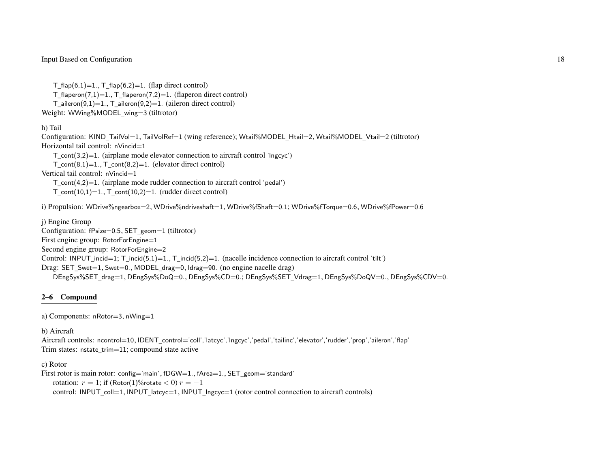$T_f$ flap $(6,1)=1$ .,  $T_f$ flap $(6,2)=1$ . (flap direct control) T \_flaperon(7,1)=1., <sup>T</sup>\_flaperon(7,2)=1. (flaperon direct control) T \_aileron(9,1)=1., <sup>T</sup>\_aileron(9,2)=1. (aileron direct control) Weight: WWing%MODEL wing=3 (tiltrotor)

#### h) Tail

```
Configuration: KIND_TailVol=1, TailVolRef=1 (wing reference); Wtail%MODEL_Htail=2, Wtail%MODEL_Vtail=2 (tiltrotor)
Horizontal tail control: nVincid=1
    T
_cont(3,2)=1. (airplane mode elevator connection to aircraft control 'lngcyc')
    T
_cont(8,1)=1., T_cont(8,2)=1. (elevator direct control)
Vertical tail control: nVincid=1
    T
_cont(4,2)=1. (airplane mode rudder connection to aircraft control 'pedal')
    T
_cont(10,1)=1., T_cont(10,2)=1. (rudder direct control)
i) Propulsion: WDrive%ngearbox=2, WDrive%ndriveshaft=1, WDrive%fShaft=0.1; WDrive%fTorque=0.6, WDrive%fPower=0.6
```

```
j) Engine Group
Configuration: fPsize=0.5, SET_geom=1 (tiltrotor)
First engine group: RotorForEngine=1
Second engine group: RotorForEngine=2
Control: INPUT
_
incid=1; T_incid(5,1)=1., T_incid(5,2)=1. (nacelle incidence connection to aircraft control 'tilt')
Drag: SET Swet=1, Swet=0., MODEL drag=0, Idrag=90. (no engine nacelle drag)
   DEngSys%SET_drag=1, DEngSys%DoQ=0., DEngSys%CD=0.; DEngSys%SET_Vdrag=1, DEngSys%DoQV=0., DEngSys%CDV=0.
```
#### **2–6 Compound**

a) Components: nRotor=3, nWing=1

b) Aircraft

Aircraft controls: ncontrol=10, IDENT\_control='coll','latcyc','Ingcyc','pedal','tailinc','elevator','rudder','prop','aileron','flap' Trim states: nstate \_ trim=11; compound state active

#### c) Rotor

First rotor is main rotor: config='main', fDGW=1., fArea=1., SET\_geom='standard' rotation:  $r = 1$ ; if (Rotor(1)%rotate  $<$  0)  $r = -1$ control: INPUT\_coll=1, INPUT\_latcyc=1, INPUT\_lngcyc=1 (rotor control connection to aircraft controls)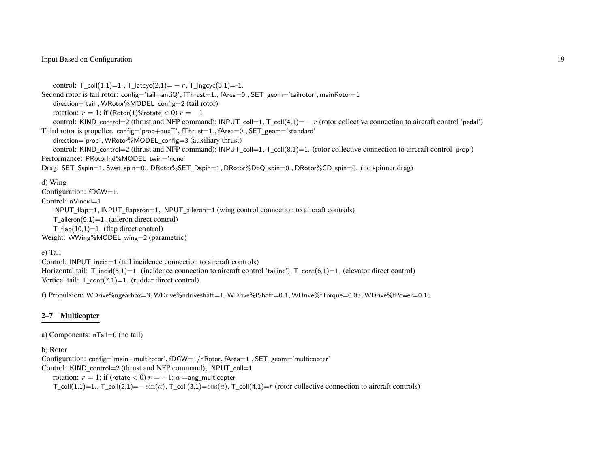control: T \_coll(1,1)=1., <sup>T</sup>\_latcyc(2,1)= <sup>−</sup> *<sup>r</sup>*, <sup>T</sup>\_lngcyc(3,1)=-1. Second rotor is tail rotor: config='tail+antiQ', fThrust=1., fArea=0., SET\_geom='tailrotor', mainRotor=1 direction='tail', WRotor%MODEL\_config=2 (tail rotor) rotation:  $r = 1$ ; if (Rotor(1)% rotate  $< 0$ )  $r = -1$ control: KIND \_ control=2 (thrust and NFP command); INPUT\_coll=1, <sup>T</sup>\_coll(4,1)= <sup>−</sup> *<sup>r</sup>* (rotor collective connection to aircraft control 'pedal') Third rotor is propeller:  $config='prop+auxT', fThrust=1., fArea=0., SET\_geom='standard'$ direction='prop', WRotor%MODEL config=3 (auxiliary thrust) control: KIND \_ control=2 (thrust and NFP command); INPUT\_coll=1, <sup>T</sup>\_coll(8,1)=1. (rotor collective connection to aircraft control 'prop') Performance: PRotorInd%MODEL\_twin='none' Drag: SET\_Sspin=1, Swet\_spin=0., DRotor%SET\_Dspin=1, DRotor%DoQ\_spin=0., DRotor%CD\_spin=0. (no spinner drag) d) Wing Configuration: fDGW=1. Control: nVincid=1 INPUT \_flap=1, INPUT\_flaperon=1, INPUT\_aileron=1 (wing control connection to aircraft controls) T \_aileron(9,1)=1. (aileron direct control) T \_flap(10,1)=1. (flap direct control) Weight: WWing%MODEL wing=2 (parametric)

e) Tail

Control: INPUT \_ incid=1 (tail incidence connection to aircraft controls) Horizontal tail: T \_incid(5,1)=1. (incidence connection to aircraft control 'tailinc'), <sup>T</sup>\_cont(6,1)=1. (elevator direct control) Vertical tail: T \_cont(7,1)=1. (rudder direct control)

f) Propulsion: WDrive%ngearbox=3, WDrive%ndriveshaft=1, WDrive%fShaft=0.1, WDrive%fTorque=0.03, WDrive%fPower=0.15

#### **2–7 Multicopter**

a) Components: nTail=0 (no tail)

b) Rotor

Configuration: config='main+multirotor', fDGW=1/nRotor, fArea=1., SET\_geom='multicopter' Control: KIND\_control=2 (thrust and NFP command); INPUT\_coll=1 rotation:  $r = 1$ ; if (rotate  $< 0$ )  $r = -1$ ;  $a =$ ang\_multicopter T \_coll(1,1)=1., <sup>T</sup>\_coll(2,1)=<sup>−</sup> sin(*a*), <sup>T</sup>\_coll(3,1)=cos(*a*), <sup>T</sup>\_coll(4,1)=*<sup>r</sup>* (rotor collective connection to aircraft controls)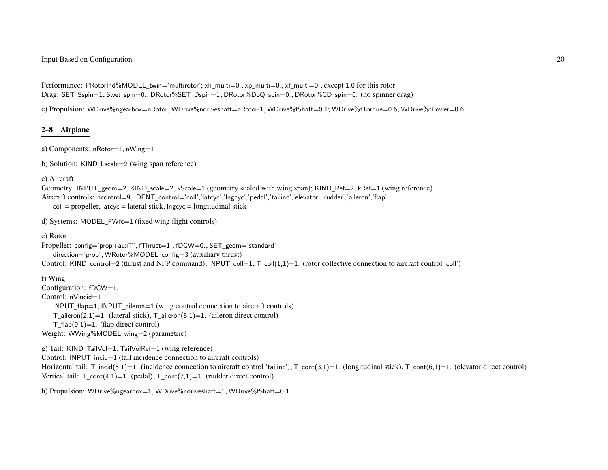```
Performance: PRotorInd%MODEL_twin='multirotor'; xh_multi=0., xp_multi=0., xf_multi=0., except 1.0 for this rotor
Drag: SET_Sspin=1, Swet_spin=0., DRotor%SET_Dspin=1, DRotor%DoQ_spin=0., DRotor%CD_spin=0. (no spinner drag)
```
c) Propulsion: WDrive%ngearbox=nRotor, WDrive%ndriveshaft=nRotor-1, WDrive%fShaft=0.1; WDrive%fTorque=0.6, WDrive%fPower=0.6

#### **2–8 Airplane**

a) Components: nRotor=1, nWing=1

b) Solution: KIND Lscale=2 (wing span reference)

c) Aircraft

```
Geometry: INPUT_geom=2, KIND_scale=2, kScale=1 (geometry scaled with wing span); KIND_Ref=2, kRef=1 (wing reference)
Aircraft controls: ncontrol=9, IDENT_control='coll','latcyc','lngcyc','pedal','tailinc','elevator','rudder','aileron','flap'
    \text{coll} = \text{propeller}, \text{lacyc} = \text{lateral stick}, \text{lngcyc} = \text{longitudinal stick}
```
d) Systems: MODEL\_FWfc=1 (fixed wing flight controls)

e) Rotor

```
Propeller: config='prop+auxT', fThrust=1., fDGW=0., SET_geom='standard'
   direction='prop', WRotor%MODEL config=3 (auxiliary thrust)
Control: KIND
_
control=2 (thrust and NFP command); INPUT_coll=1, T_coll(1,1)=1. (rotor collective connection to aircraft control 'coll')
```

```
f) Wing
Configuration: fDGW=1.
Control: nVincid=1
    INPUT
_flap=1, INPUT_aileron=1 (wing control connection to aircraft controls)
    T
_aileron(2,1)=1. (lateral stick), T_aileron(8,1)=1. (aileron direct control)
    T
_flap(9,1)=1. (flap direct control)
Weight: WWing%MODEL wing=2 (parametric)
```
g) Tail: KIND\_TailVol=1, TailVolRef=1 (wing reference) Control: INPUT \_ incid=1 (tail incidence connection to aircraft controls) Horizontal tail: T\_incid(5,1)=1. (incidence connection to aircraft control 'tailinc'), T\_cont(3,1)=1. (longitudinal stick), T\_cont(6,1)=1. (elevator direct control) Vertical tail: T \_cont(4,1)=1. (pedal), <sup>T</sup>\_cont(7,1)=1. (rudder direct control)

h) Propulsion: WDrive%ngearbox=1, WDrive%ndriveshaft=1, WDrive%fShaft=0.1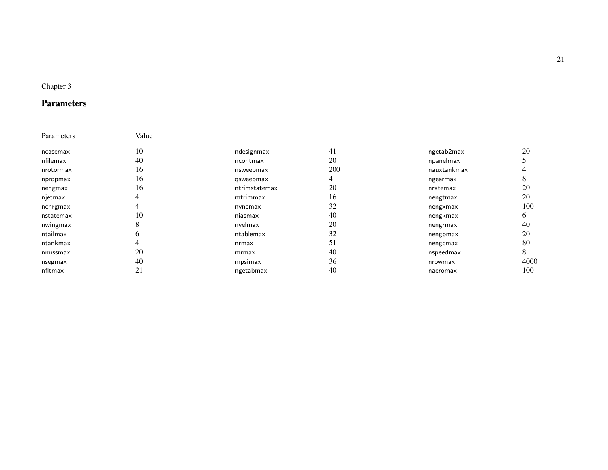## **Parameters**

| Parameters | Value |               |     |             |      |
|------------|-------|---------------|-----|-------------|------|
| ncasemax   | 10    | ndesignmax    | 41  | ngetab2max  | 20   |
| nfilemax   | 40    | ncontmax      | 20  | npanelmax   |      |
| nrotormax  | 16    | nsweepmax     | 200 | nauxtankmax | 4    |
| npropmax   | 16    | qsweepmax     | 4   | ngearmax    | 8    |
| nengmax    | 16    | ntrimstatemax | 20  | nratemax    | 20   |
| njetmax    |       | mtrimmax      | 16  | nengtmax    | 20   |
| nchrgmax   |       | nvnemax       | 32  | nengxmax    | 100  |
| nstatemax  | 10    | niasmax       | 40  | nengkmax    | 6    |
| nwingmax   | 8     | nvelmax       | 20  | nengrmax    | 40   |
| ntailmax   | O     | ntablemax     | 32  | nengpmax    | 20   |
| ntankmax   | 4     | nrmax         | 51  | nengcmax    | 80   |
| nmissmax   | 20    | mrmax         | 40  | nspeedmax   | 8    |
| nsegmax    | 40    | mpsimax       | 36  | nrowmax     | 4000 |
| nfltmax    | 21    | ngetabmax     | 40  | naeromax    | 100  |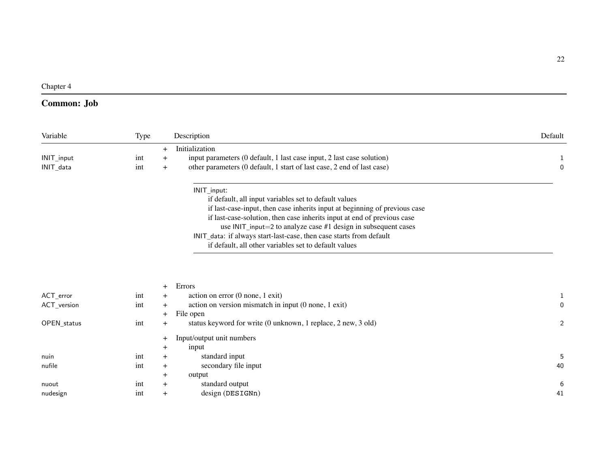## Chapter 4

## **Common: Job**

| Variable    | Type |           | Description                                                                | Default |
|-------------|------|-----------|----------------------------------------------------------------------------|---------|
|             |      | $\pm$     | Initialization                                                             |         |
| INIT_input  | int  | $\pm$     | input parameters (0 default, 1 last case input, 2 last case solution)      |         |
| INIT_data   | int  | $\ddot{}$ | other parameters (0 default, 1 start of last case, 2 end of last case)     |         |
|             |      |           | INIT input:                                                                |         |
|             |      |           | if default, all input variables set to default values                      |         |
|             |      |           | if last-case-input, then case inherits input at beginning of previous case |         |
|             |      |           | if last-case-solution, then case inherits input at end of previous case    |         |
|             |      |           | use $INT_{input} = 2$ to analyze case #1 design in subsequent cases        |         |
|             |      |           | INIT_data: if always start-last-case, then case starts from default        |         |
|             |      |           | if default, all other variables set to default values                      |         |
|             |      | $+$       | Errors                                                                     |         |
| ACT error   | int  | $+$       | action on error $(0 \text{ none}, 1 \text{ exit})$                         |         |
| ACT_version | int  | $\pm$     | action on version mismatch in input (0 none, 1 exit)                       |         |
|             |      | $\pm$     | File open                                                                  |         |
| OPEN status | int  | $\pm$     | status keyword for write (0 unknown, 1 replace, 2 new, 3 old)              |         |
|             |      | $\,^+$    | Input/output unit numbers                                                  |         |
|             |      | $\pm$     | input                                                                      |         |
| nuin        | int  | $\ddot{}$ | standard input                                                             |         |
| nufile      | int  | $\ddot{}$ | secondary file input                                                       | 40      |
|             |      | $\pm$     | output                                                                     |         |
| nuout       | int  | $\pm$     | standard output                                                            |         |
| nudesign    | int  | $+$       | design (DESIGNn)                                                           | 41      |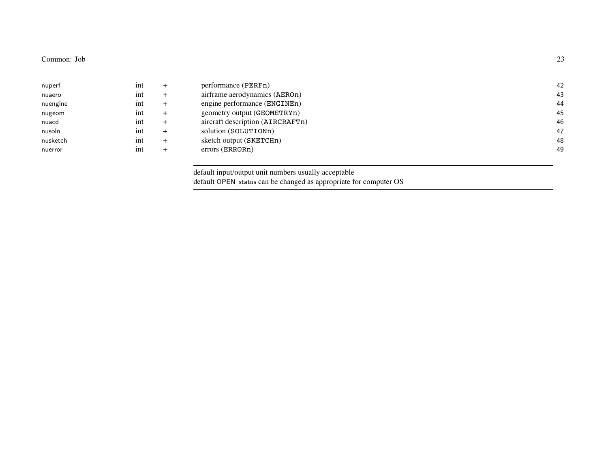#### Common: Job 23

| nuperf   | 1nt |       | performance (PERFn)              | 42 |
|----------|-----|-------|----------------------------------|----|
| nuaero   | 1nt | $\pm$ | airframe aerodynamics (AEROn)    | 43 |
| nuengine | 1nt | $\pm$ | engine performance (ENGINEn)     | 44 |
| nugeom   | 1nt | $\pm$ | geometry output (GEOMETRYn)      | 45 |
| nuacd    | 1nt | $\pm$ | aircraft description (AIRCRAFTn) | 46 |
| nusoln   | 1nt | $\pm$ | solution (SOLUTIONn)             | 47 |
| nusketch | 1nt | $\pm$ | sketch output (SKETCHn)          | 48 |
| nuerror  | 1nt |       | errors (ERRORn)                  | 49 |
|          |     |       |                                  |    |

default input/output unit numbers usually acceptable default OPEN \_ status can be changed as appropriate for computer OS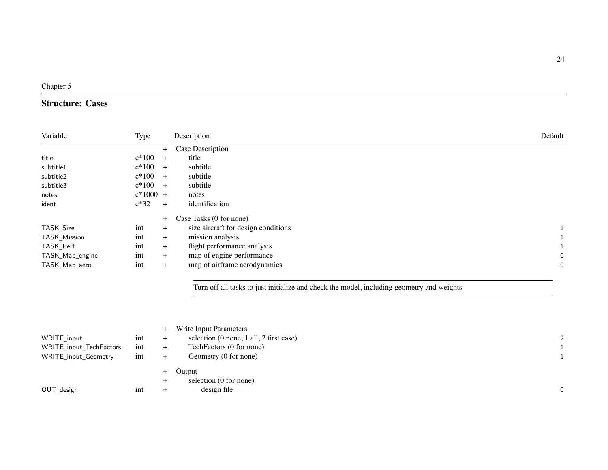## **Structure: Cases**

| Variable            | Type       |        | Description                         | Default |
|---------------------|------------|--------|-------------------------------------|---------|
|                     |            | $+$    | Case Description                    |         |
| title               | $c*100$    | $^{+}$ | title                               |         |
| subtitle1           | $c*100$    | $+$    | subtitle                            |         |
| subtitle2           | $c*100 +$  |        | subtitle                            |         |
| subtitle3           | $c*100 +$  |        | subtitle                            |         |
| notes               | $c*1000 +$ |        | notes                               |         |
| ident               | $c*32$     | $+$    | identification                      |         |
|                     |            | $+$    | Case Tasks (0 for none)             |         |
| TASK Size           | int        | $+$    | size aircraft for design conditions |         |
| <b>TASK Mission</b> | int        | $+$    | mission analysis                    |         |
| TASK Perf           | int        | $+$    | flight performance analysis         |         |
| TASK_Map_engine     | int        | $+$    | map of engine performance           | 0       |
| TASK_Map_aero       | int        | $+$    | map of airframe aerodynamics        | 0       |

Turn off all tasks to just initialize and check the model, including geometry and weights

|                             |     |     | Write Input Parameters                  |  |
|-----------------------------|-----|-----|-----------------------------------------|--|
| WRITE input                 | 1nt | ÷   | selection (0 none, 1 all, 2 first case) |  |
| WRITE_input_TechFactors     | int | $+$ | TechFactors (0 for none)                |  |
| <b>WRITE_input_Geometry</b> | int | ÷   | Geometry (0 for none)                   |  |
|                             |     |     | Output                                  |  |
|                             |     |     | selection (0 for none)                  |  |
| OUT_design                  | int | -   | design file                             |  |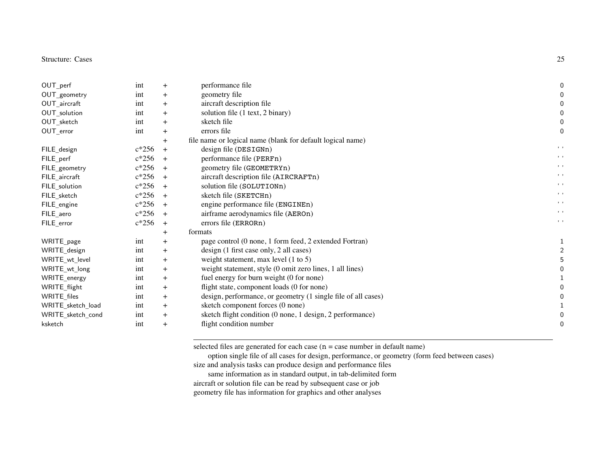#### Structure: Cases 25

| OUT perf          | int     | $\ddot{}$ | performance file                                              |           |
|-------------------|---------|-----------|---------------------------------------------------------------|-----------|
| OUT_geometry      | int     | $+$       | geometry file                                                 |           |
| OUT_aircraft      | int     | $+$       | aircraft description file                                     |           |
| OUT_solution      | int     | $\ddot{}$ | solution file (1 text, 2 binary)                              |           |
| $OUT\_sketch$     | int     | $\ddot{}$ | sketch file                                                   |           |
| OUT_error         | int     | $\ddot{}$ | errors file                                                   |           |
|                   |         | $\ddot{}$ | file name or logical name (blank for default logical name)    |           |
| FILE_design       | $c*256$ | $+$       | design file (DESIGNn)                                         | $, \cdot$ |
| FILE_perf         | $c*256$ | $\ddot{}$ | performance file (PERFn)                                      | $, \cdot$ |
| FILE_geometry     | $c*256$ | $+$       | geometry file (GEOMETRYn)                                     | $, \cdot$ |
| FILE_aircraft     | $c*256$ | $+$       | aircraft description file (AIRCRAFTn)                         | $, \cdot$ |
| FILE_solution     | $c*256$ | $+$       | solution file (SOLUTIONn)                                     | $, \cdot$ |
| FILE_sketch       | $c*256$ | $\ddot{}$ | sketch file (SKETCHn)                                         | $, \cdot$ |
| FILE_engine       | $c*256$ | $+$       | engine performance file (ENGINEn)                             | $, \cdot$ |
| FILE_aero         | $c*256$ | $+$       | airframe aerodynamics file (AEROn)                            | $, \cdot$ |
| FILE_error        | $c*256$ | $+$       | errors file (ERRORn)                                          | $, \cdot$ |
|                   |         | $\ddot{}$ | formats                                                       |           |
| WRITE_page        | int     | $\ddot{}$ | page control (0 none, 1 form feed, 2 extended Fortran)        |           |
| WRITE_design      | int     | $\ddot{}$ | design (1 first case only, 2 all cases)                       |           |
| WRITE_wt_level    | int     | $\ddot{}$ | weight statement, max level (1 to 5)                          |           |
| WRITE_wt_long     | int     | $\ddot{}$ | weight statement, style (0 omit zero lines, 1 all lines)      |           |
| WRITE_energy      | int     | $+$       | fuel energy for burn weight (0 for none)                      |           |
| WRITE_flight      | int     | $+$       | flight state, component loads (0 for none)                    |           |
| WRITE_files       | int     | $+$       | design, performance, or geometry (1 single file of all cases) |           |
| WRITE_sketch_load | int     | $\ddot{}$ | sketch component forces (0 none)                              |           |
| WRITE_sketch_cond | int     | $\ddot{}$ | sketch flight condition (0 none, 1 design, 2 performance)     |           |
| ksketch           | int     | $^{+}$    | flight condition number                                       |           |

selected files are generated for each case  $(n = case$  number in default name)

option single file of all cases for design, performance, or geometry (form feed between cases)

size and analysis tasks can produce design and performance files

same information as in standard output, in tab-delimited form

aircraft or solution file can be read by subsequent case or job

geometry file has information for graphics and other analyses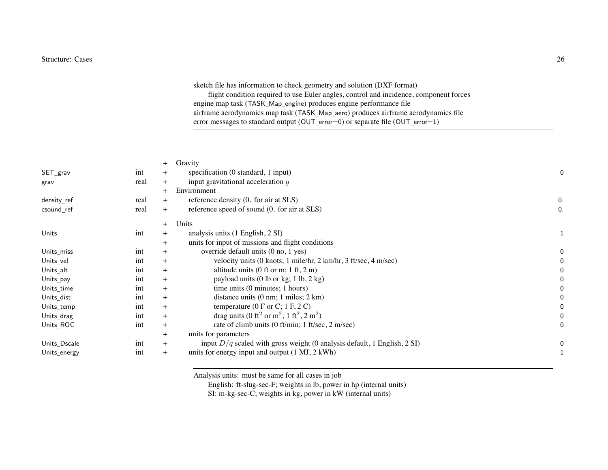|              |      |              | engine map task (TASK_Map_engine) produces engine performance file<br>airframe aerodynamics map task (TASK_Map_aero) produces airframe aerodynamics file<br>error messages to standard output (OUT_error=0) or separate file (OUT_error=1) |              |
|--------------|------|--------------|--------------------------------------------------------------------------------------------------------------------------------------------------------------------------------------------------------------------------------------------|--------------|
|              |      |              |                                                                                                                                                                                                                                            |              |
|              |      | $^{+}$       | Gravity                                                                                                                                                                                                                                    |              |
| SET_grav     | int  | $\pm$        | specification (0 standard, 1 input)                                                                                                                                                                                                        |              |
| grav         | real | $\ddot{}$    | input gravitational acceleration $q$                                                                                                                                                                                                       |              |
|              |      |              | Environment                                                                                                                                                                                                                                |              |
| density_ref  | real | $+$          | reference density (0. for air at SLS)                                                                                                                                                                                                      | 0.           |
| csound_ref   | real | $+$          | reference speed of sound (0. for air at SLS)                                                                                                                                                                                               | $\mathbf{0}$ |
|              |      | $+$          | Units                                                                                                                                                                                                                                      |              |
| Units        | int  | $\mathrm{+}$ | analysis units (1 English, 2 SI)                                                                                                                                                                                                           |              |
|              |      | $\ddot{}$    | units for input of missions and flight conditions                                                                                                                                                                                          |              |
| Units_miss   | int  | $+$          | override default units (0 no, 1 yes)                                                                                                                                                                                                       |              |
| Units_vel    | int  | $+$          | velocity units (0 knots; 1 mile/hr, 2 km/hr, 3 ft/sec, 4 m/sec)                                                                                                                                                                            |              |
| Units_alt    | int  | $\mathrm{+}$ | altitude units $(0$ ft or m; 1 ft, 2 m)                                                                                                                                                                                                    |              |
| Units pay    | int  | $+$          | payload units (0 lb or kg; 1 lb, 2 kg)                                                                                                                                                                                                     |              |
| Units_time   | int  | $+$          | time units (0 minutes; 1 hours)                                                                                                                                                                                                            |              |
| Units dist   | int  | $\ddot{}$    | distance units $(0 \text{ nm}; 1 \text{ miles}; 2 \text{ km})$                                                                                                                                                                             |              |
| Units_temp   | int  | $+$          | temperature ( $0 \text{ F or C}$ ; 1 F, 2 C)                                                                                                                                                                                               |              |
| Units_drag   | int  | $+$          | drag units (0 ft <sup>2</sup> or m <sup>2</sup> ; 1 ft <sup>2</sup> , 2 m <sup>2</sup> )                                                                                                                                                   |              |
| Units_ROC    | int  | $\pm$        | rate of climb units (0 ft/min; 1 ft/sec, 2 m/sec)                                                                                                                                                                                          |              |
|              |      | $+$          | units for parameters                                                                                                                                                                                                                       |              |
| Units Dscale | int  | $+$          | input $D/q$ scaled with gross weight (0 analysis default, 1 English, 2 SI)                                                                                                                                                                 |              |
| Units energy | int  | $\ddot{}$    | units for energy input and output (1 MJ, 2 kWh)                                                                                                                                                                                            |              |

sketch file has information to check geometry and solution (DXF format)

flight condition required to use Euler angles, control and incidence, componen<sup>t</sup> forces

Analysis units: must be same for all cases in job

English: ft-slug-sec-F; weights in lb, power in hp (internal units)

SI: m-kg-sec-C; weights in kg, power in kW (internal units)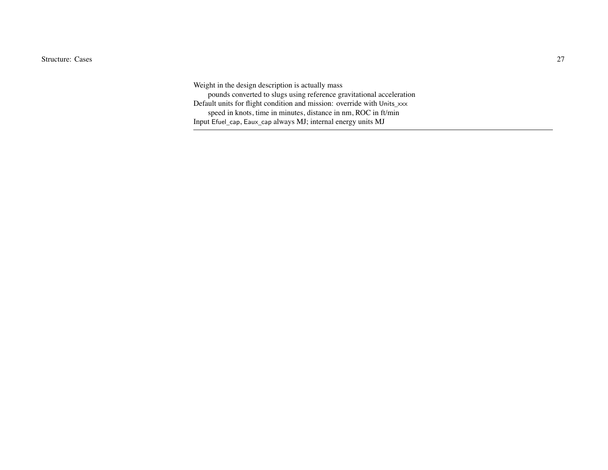Weight in the design description is actually mass pounds converted to slugs using reference gravitational acceleration Default units for flight condition and mission: override with Units\_xxx speed in knots, time in minutes, distance in nm, ROC in ft/min Input Efuel\_cap, Eaux\_cap always MJ; internal energy units MJ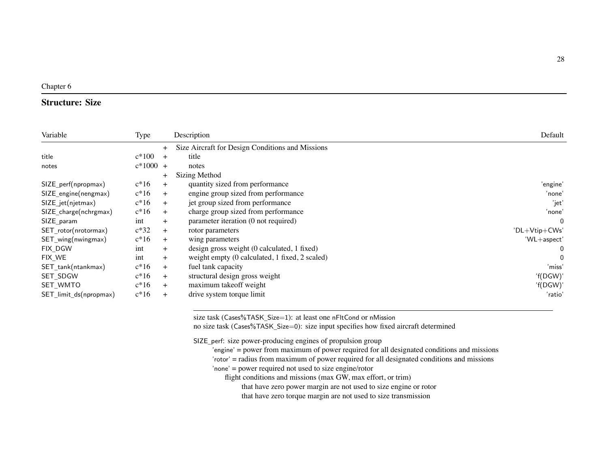#### Chapter 6

### **Structure: Size**

| Variable               | Type       |                | Description                                      | Default       |
|------------------------|------------|----------------|--------------------------------------------------|---------------|
|                        |            | $+$            | Size Aircraft for Design Conditions and Missions |               |
| title                  | $c*100$    | $^{+}$         | title                                            |               |
| notes                  | $c*1000 +$ |                | notes                                            |               |
|                        |            | $\overline{+}$ | <b>Sizing Method</b>                             |               |
| SIZE_perf(npropmax)    | $c*16$     | $+$            | quantity sized from performance                  | 'engine'      |
| SIZE_engine(nengmax)   | $c*16$     | $+$            | engine group sized from performance              | 'none'        |
| SIZE_jet(njetmax)      | $c*16$     | $+$            | jet group sized from performance                 | 'jet'         |
| SIZE_charge(nchrgmax)  | $c*16$     | $+$            | charge group sized from performance              | 'none'        |
| SIZE_param             | int        | $+$            | parameter iteration (0 not required)             | 0             |
| SET_rotor(nrotormax)   | $c*32$     | $+$            | rotor parameters                                 | 'DL+Vtip+CWs' |
| SET_wing(nwingmax)     | $c*16$     | $+$            | wing parameters                                  | 'WL+aspect'   |
| FIX DGW                | int        | $+$            | design gross weight (0 calculated, 1 fixed)      | 0             |
| FIX WE                 | int        | $+$            | weight empty (0 calculated, 1 fixed, 2 scaled)   | 0             |
| SET_tank(ntankmax)     | $c*16$     | $+$            | fuel tank capacity                               | 'miss'        |
| SET SDGW               | $c*16$     | $+$            | structural design gross weight                   | 'f(DGW)'      |
| SET WMTO               | $c*16$     | $+$            | maximum takeoff weight                           | 'f(DGW)'      |
| SET_limit_ds(npropmax) | $c*16$     | $+$            | drive system torque limit                        | 'ratio'       |

size task (Cases%TASK\_Size=1): at least one nFltCond or nMission no size task (Cases%TASK Size=0): size input specifies how fixed aircraft determined

SIZE \_perf: size power-producing engines of propulsion group

'engine' <sup>=</sup> power from maximum of power required for all designated conditions and missions

'rotor' <sup>=</sup> radius from maximum of power required for all designated conditions and missions

'none' <sup>=</sup> power required not used to size engine/rotor

flight conditions and missions (max GW, max effort, or trim)

that have zero power margin are not used to size engine or rotor

that have zero torque margin are not used to size transmission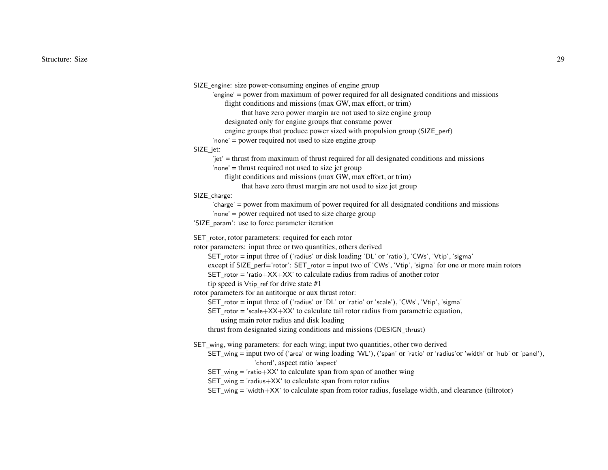| SIZE_engine: size power-consuming engines of engine group                                                             |
|-----------------------------------------------------------------------------------------------------------------------|
| 'engine' = power from maximum of power required for all designated conditions and missions                            |
| flight conditions and missions (max GW, max effort, or trim)                                                          |
| that have zero power margin are not used to size engine group                                                         |
| designated only for engine groups that consume power                                                                  |
| engine groups that produce power sized with propulsion group (SIZE_perf)                                              |
| 'none' = power required not used to size engine group                                                                 |
| SIZE jet:                                                                                                             |
| 'jet' = thrust from maximum of thrust required for all designated conditions and missions                             |
| 'none' = thrust required not used to size jet group                                                                   |
| flight conditions and missions (max GW, max effort, or trim)                                                          |
| that have zero thrust margin are not used to size jet group                                                           |
| SIZE_charge:                                                                                                          |
| 'charge' = power from maximum of power required for all designated conditions and missions                            |
| 'none' = power required not used to size charge group                                                                 |
| 'SIZE param': use to force parameter iteration                                                                        |
| SET rotor, rotor parameters: required for each rotor                                                                  |
| rotor parameters: input three or two quantities, others derived                                                       |
| SET_rotor = input three of ('radius' or disk loading 'DL' or 'ratio'), 'CWs', 'Vtip', 'sigma'                         |
| except if SIZE_perf='rotor': SET_rotor = input two of 'CWs', 'Vtip', 'sigma' for one or more main rotors              |
| $SET_{rotor}$ = 'ratio+XX+XX' to calculate radius from radius of another rotor                                        |
| tip speed is Vtip_ref for drive state #1                                                                              |
| rotor parameters for an antitorque or aux thrust rotor:                                                               |
| SET_rotor = input three of ('radius' or 'DL' or 'ratio' or 'scale'), 'CWs', 'Vtip', 'sigma'                           |
| $SET_{rotor}$ = 'scale+XX+XX' to calculate tail rotor radius from parametric equation,                                |
| using main rotor radius and disk loading                                                                              |
| thrust from designated sizing conditions and missions (DESIGN_thrust)                                                 |
| SET_wing, wing parameters: for each wing; input two quantities, other two derived                                     |
| SET_wing = input two of ('area' or wing loading 'WL'), ('span' or 'ratio' or 'radius'or 'width' or 'hub' or 'panel'), |
| 'chord', aspect ratio 'aspect'                                                                                        |
| $SET\_wing = 'ratio+XX'$ to calculate span from span of another wing                                                  |
| $SET\_wing = 'radius+XX'$ to calculate span from rotor radius                                                         |
| SET_wing = 'width+XX' to calculate span from rotor radius, fuselage width, and clearance (tiltrotor)                  |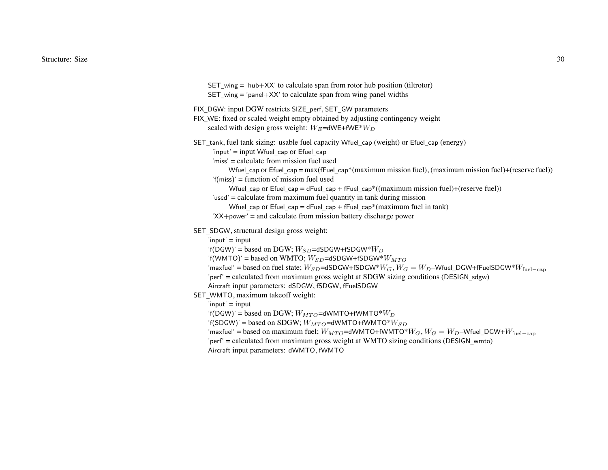| $SET_wing = 'hub+XX'$ to calculate span from rotor hub position (tiltrotor)<br>$SET\_wing = 'panel+XX'$ to calculate span from wing panel widths                                                                                                                                                                                                                                                                                                                                                                                                                                                                                                                                                                                                                                                                                                                                                              |
|---------------------------------------------------------------------------------------------------------------------------------------------------------------------------------------------------------------------------------------------------------------------------------------------------------------------------------------------------------------------------------------------------------------------------------------------------------------------------------------------------------------------------------------------------------------------------------------------------------------------------------------------------------------------------------------------------------------------------------------------------------------------------------------------------------------------------------------------------------------------------------------------------------------|
| FIX_DGW: input DGW restricts SIZE_perf, SET_GW parameters<br>FIX_WE: fixed or scaled weight empty obtained by adjusting contingency weight<br>scaled with design gross weight: $W_E$ =dWE+fWE* $W_D$                                                                                                                                                                                                                                                                                                                                                                                                                                                                                                                                                                                                                                                                                                          |
| SET_tank, fuel tank sizing: usable fuel capacity Wfuel_cap (weight) or Efuel_cap (energy)<br>'input' = input Wfuel cap or Efuel cap<br>'miss' = calculate from mission fuel used<br>Wfuel_cap or Efuel_cap = $max(fFuel\_cap*(maximum mission fuel), (maximum mission fuel)+(reserve fuel))$<br>$'f(miss)'$ = function of mission fuel used<br>Wfuel_cap or Efuel_cap = dFuel_cap + fFuel_cap*((maximum mission fuel)+(reserve fuel))<br>'used' = calculate from maximum fuel quantity in tank during mission<br>Wfuel_cap or $E$ fuel_cap = dFuel_cap + fFuel_cap*(maximum fuel in tank)<br>$'XX + power' =$ and calculate from mission battery discharge power                                                                                                                                                                                                                                              |
| SET_SDGW, structural design gross weight:<br>$'$ input' = input<br>'f(DGW)' = based on DGW; $W_{SD}$ =dSDGW+fSDGW* $W_D$<br>'f(WMTO)' = based on WMTO; $W_{SD}$ =dSDGW+fSDGW* $W_{MTO}$<br>'maxfuel' = based on fuel state; $W_{SD}$ =dSDGW+fSDGW* $W_G$ , $W_G = W_D$ -Wfuel_DGW+fFuelSDGW* $W_{\text{fuel-cap}}$<br>'perf' = calculated from maximum gross weight at SDGW sizing conditions (DESIGN_sdgw)<br>Aircraft input parameters: dSDGW, fSDGW, fFuelSDGW<br>SET_WMTO, maximum takeoff weight:<br>$'$ input' = input<br>'f(DGW)' = based on DGW; $W_{MTO}$ =dWMTO+fWMTO* $W_D$<br>'f(SDGW)' = based on SDGW; $W_{MTO}$ =dWMTO+fWMTO* $W_{SD}$<br>'maxfuel' = based on maximum fuel; $W_{MTO}$ =dWMTO+fWMTO* $W_G$ , $W_G = W_D$ —Wfuel_DGW+ $W_{\text{fuel-cap}}$<br>'perf' = calculated from maximum gross weight at WMTO sizing conditions (DESIGN_wmto)<br>Aircraft input parameters: dWMTO, fWMTO |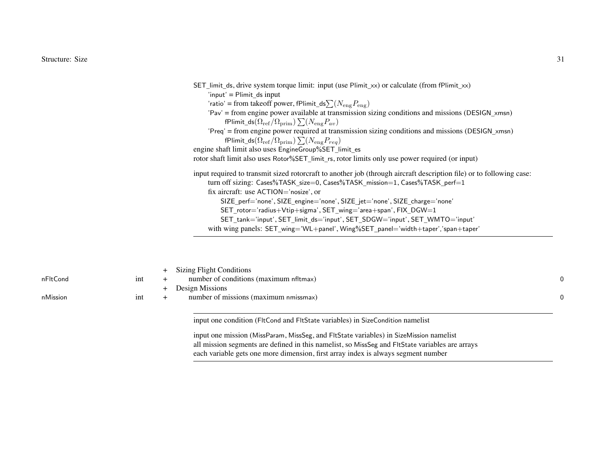| SET_limit_ds, drive system torque limit: input (use Plimit_xx) or calculate (from fPlimit_xx)                        |
|----------------------------------------------------------------------------------------------------------------------|
| $'$ input' = Plimit ds input                                                                                         |
| 'ratio' = from takeoff power, fPlimit_ds $\sum (N_{\text{eng}} P_{\text{eng}})$                                      |
| 'Pav' = from engine power available at transmission sizing conditions and missions (DESIGN_xmsn)                     |
| fPlimit ds $(\Omega_{\text{ref}}/\Omega_{\text{prim}}) \sum (N_{\text{eng}} P_{av})$                                 |
| $'Preq'$ = from engine power required at transmission sizing conditions and missions (DESIGN $\times$ msn)           |
| fPlimit ds( $\Omega_{\text{ref}}/\Omega_{\text{prim}}$ ) $\sum (N_{\text{eng}} P_{\text{req}})$                      |
| engine shaft limit also uses EngineGroup%SET limit es                                                                |
| rotor shaft limit also uses Rotor%SET_limit_rs, rotor limits only use power required (or input)                      |
| input required to transmit sized rotorcraft to another job (through aircraft description file) or to following case: |
| turn off sizing: Cases%TASK size=0, Cases%TASK mission=1, Cases%TASK perf=1                                          |
| fix aircraft: use ACTION='nosize', or                                                                                |
| SIZE perf='none', SIZE engine='none', SIZE jet='none', SIZE charge='none'                                            |
| SET rotor='radius+Vtip+sigma', SET wing='area+span', FIX DGW=1                                                       |
| SET_tank='input', SET_limit_ds='input', SET_SDGW='input', SET_WMTO='input'                                           |
| with wing panels: SET wing='WL+panel', Wing%SET panel='width+taper','span+taper'                                     |
|                                                                                                                      |

|          |     |        | + Sizing Flight Conditions             |  |
|----------|-----|--------|----------------------------------------|--|
| nFltCond | 1nt |        | number of conditions (maximum nfltmax) |  |
|          |     |        | + Design Missions                      |  |
| nMission | 1nt | $\div$ | number of missions (maximum nmissmax)  |  |
|          |     |        |                                        |  |

input one condition (FltCond and FltState variables) in SizeCondition namelist

input one mission (MissParam, MissSeg, and FltState variables) in SizeMission namelist all mission segments are defined in this namelist, so MissSeg and FltState variables are arrays each variable gets one more dimension, first array index is always segmen<sup>t</sup> number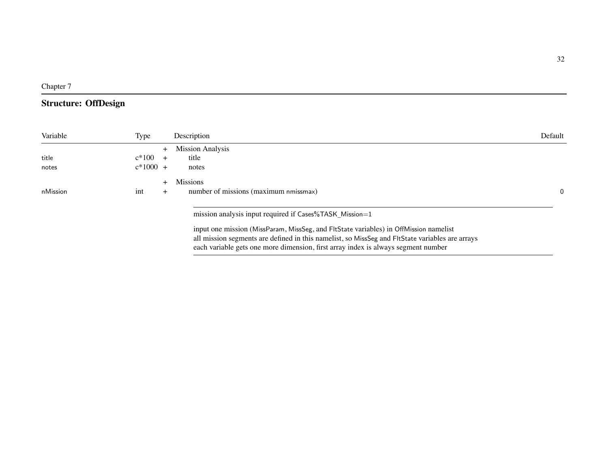## **Structure: OffDesign**

| Variable | Type       |     | Description                                                                                                                                                                                                                                                                   | Default |
|----------|------------|-----|-------------------------------------------------------------------------------------------------------------------------------------------------------------------------------------------------------------------------------------------------------------------------------|---------|
|          |            | $+$ | <b>Mission Analysis</b>                                                                                                                                                                                                                                                       |         |
| title    | $c*100 +$  |     | title                                                                                                                                                                                                                                                                         |         |
| notes    | $c*1000 +$ |     | notes                                                                                                                                                                                                                                                                         |         |
|          |            | $+$ | <b>Missions</b>                                                                                                                                                                                                                                                               |         |
| nMission | int        | $+$ | number of missions (maximum nmissmax)                                                                                                                                                                                                                                         | 0       |
|          |            |     | mission analysis input required if Cases%TASK_Mission=1                                                                                                                                                                                                                       |         |
|          |            |     | input one mission (MissParam, MissSeg, and FltState variables) in OffMission namelist<br>all mission segments are defined in this namelist, so MissSeg and FItState variables are arrays<br>each variable gets one more dimension, first array index is always segment number |         |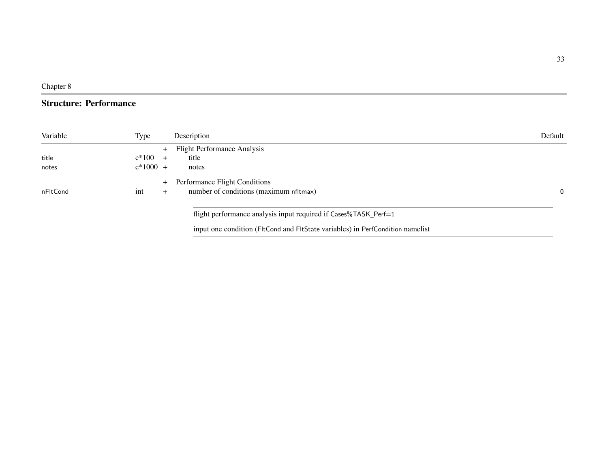Chapter 8

## **Structure: Performance**

| Type |     |                                                                 | Default                                                                       |
|------|-----|-----------------------------------------------------------------|-------------------------------------------------------------------------------|
|      |     |                                                                 |                                                                               |
|      |     | title                                                           |                                                                               |
|      |     | notes                                                           |                                                                               |
|      | $+$ |                                                                 |                                                                               |
| int  | $+$ | number of conditions (maximum nfltmax)                          | $\Omega$                                                                      |
|      |     | flight performance analysis input required if Cases%TASK Perf=1 |                                                                               |
|      |     | $c*100 +$<br>$c*1000 +$                                         | Description<br>+ Flight Performance Analysis<br>Performance Flight Conditions |

input one condition (FltCond and FltState variables) in PerfCondition namelist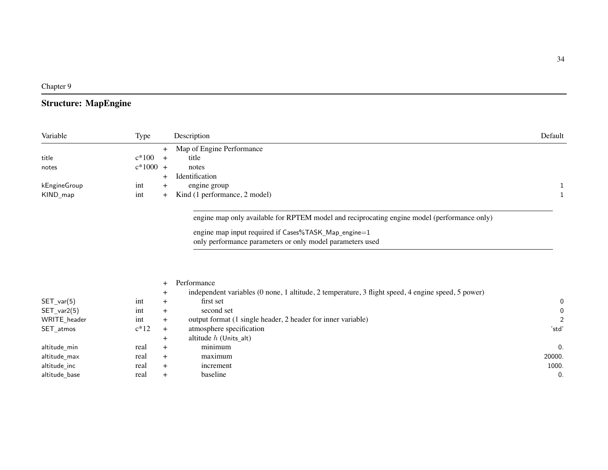## Chapter 9

# **Structure: MapEngine**

| Variable       | Type       |          | Description                                                                                        | Default |
|----------------|------------|----------|----------------------------------------------------------------------------------------------------|---------|
|                |            | $+$      | Map of Engine Performance                                                                          |         |
| title          | $c*100$    | $+$      | title                                                                                              |         |
| notes          | $c*1000 +$ |          | notes                                                                                              |         |
|                |            | $\,{}^+$ | Identification                                                                                     |         |
| kEngineGroup   | int        | $+$      | engine group                                                                                       |         |
| KIND_map       | int        | $+$      | Kind (1 performance, 2 model)                                                                      |         |
|                |            |          | engine map only available for RPTEM model and reciprocating engine model (performance only)        |         |
|                |            |          | engine map input required if Cases%TASK_Map_engine=1                                               |         |
|                |            |          | only performance parameters or only model parameters used                                          |         |
|                |            |          | Performance                                                                                        |         |
|                |            | $\pm$    |                                                                                                    |         |
|                |            | $\pm$    | independent variables (0 none, 1 altitude, 2 temperature, 3 flight speed, 4 engine speed, 5 power) |         |
| $SET_{var(5)}$ | int<br>int | $^{+}$   | first set<br>second set                                                                            |         |
| $SET_var2(5)$  |            | $+$      |                                                                                                    |         |
| WRITE_header   | int        | $+$      | output format (1 single header, 2 header for inner variable)                                       |         |
| SET_atmos      | $c*12$     | $^{+}$   | atmosphere specification                                                                           | 'std'   |
|                |            | $+$      | altitude $h$ (Units_alt)                                                                           |         |
| altitude_min   | real       | $^{+}$   | minimum                                                                                            | 0.      |
| altitude_max   | real       | $+$      | maximum                                                                                            | 20000.  |
| altitude inc   | real       | $^+$     | increment                                                                                          | 1000.   |
| altitude_base  | real       | $\pm$    | baseline                                                                                           | 0.      |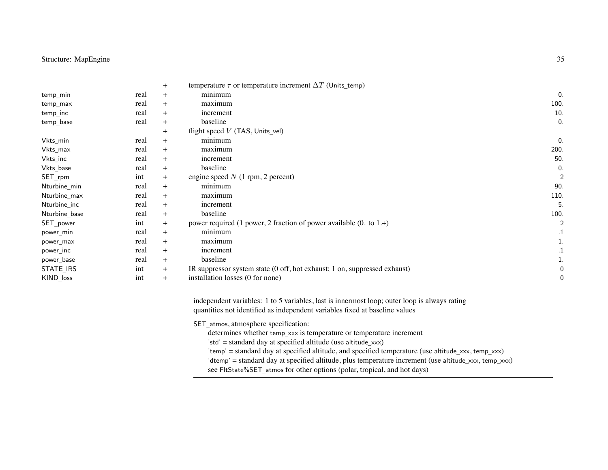#### Structure: MapEngine 35

|               |      | $^{+}$ | temperature $\tau$ or temperature increment $\Delta T$ (Units_temp)       |                |
|---------------|------|--------|---------------------------------------------------------------------------|----------------|
| temp_min      | real | $+$    | minimum                                                                   | 0.             |
| temp_max      | real | $+$    | maximum                                                                   | 100.           |
| temp_inc      | real | $+$    | increment                                                                 | 10.            |
| temp_base     | real | $+$    | baseline                                                                  | 0.             |
|               |      | $+$    | flight speed $V$ (TAS, Units_vel)                                         |                |
| Vkts_min      | real | $+$    | minimum                                                                   | 0.             |
| Vkts_max      | real | $+$    | maximum                                                                   | 200.           |
| Vkts_inc      | real | $+$    | increment                                                                 | 50.            |
| Vkts_base     | real | $+$    | baseline                                                                  | 0.             |
| SET_rpm       | int  | $+$    | engine speed $N$ (1 rpm, 2 percent)                                       | 2              |
| Nturbine_min  | real | $+$    | minimum                                                                   | 90.            |
| Nturbine_max  | real | $+$    | maximum                                                                   | 110.           |
| Nturbine inc  | real | $+$    | increment                                                                 | 5.             |
| Nturbine_base | real | $+$    | baseline                                                                  | 100.           |
| SET_power     | int  | $+$    | power required (1 power, 2 fraction of power available $(0. to 1.+)$      | $\overline{2}$ |
| power_min     | real | $+$    | minimum                                                                   |                |
| power_max     | real | $+$    | maximum                                                                   |                |
| power inc     | real | $+$    | increment                                                                 |                |
| power_base    | real | $+$    | baseline                                                                  |                |
| STATE_IRS     | int  | $+$    | IR suppressor system state (0 off, hot exhaust; 1 on, suppressed exhaust) |                |
| KIND_loss     | int  | $+$    | installation losses (0 for none)                                          | 0              |
|               |      |        |                                                                           |                |

independent variables: 1 to 5 variables, last is innermost loop; outer loop is always rating quantities not identified as independent variables fixed at baseline values

SET \_ atmos, atmosphere specification:

determines whether temp\_xxx is temperature or temperature increment

'std' <sup>=</sup> standard day at specified altitude (use altitude\_xxx)

'temp' = standard day at specified altitude, and specified temperature (use altitude\_xxx, temp\_xxx)

'dtemp' <sup>=</sup> standard day at specified altitude, plus temperature increment (use altitude\_xxx, temp\_xxx)

see FltState%SET \_ atmos for other options (polar, tropical, and hot days)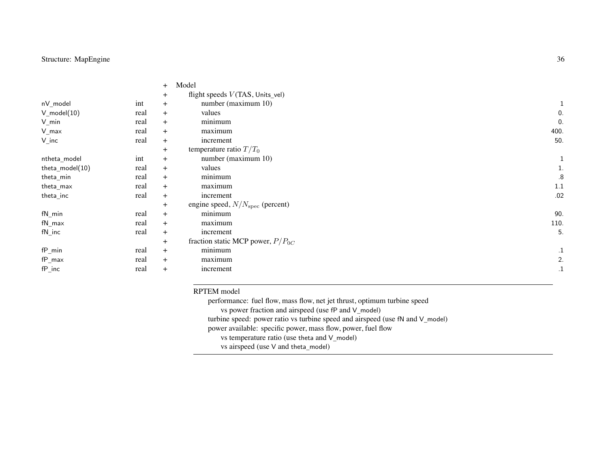#### Structure: MapEngine 36

|                 |      | $+$       | Model                                       |         |
|-----------------|------|-----------|---------------------------------------------|---------|
|                 |      | $\ddot{}$ | flight speeds V(TAS, Units_vel)             |         |
| nV_model        | int  | $+$       | number (maximum 10)                         |         |
| $V_{model}(10)$ | real | $+$       | values                                      | 0.      |
| $V_{min}$       | real | $+$       | minimum                                     | 0.      |
| $V_{max}$       | real | $^{+}$    | maximum                                     | 400.    |
| $V_{inc}$       | real | $+$       | increment                                   | 50.     |
|                 |      | $\ddot{}$ | temperature ratio $T/T_0$                   |         |
| ntheta_model    | int  | $+$       | number (maximum 10)                         |         |
| theta_model(10) | real | $+$       | values                                      |         |
| theta_min       | real | $+$       | minimum                                     | .8      |
| theta_max       | real | $^{+}$    | maximum                                     | 1.1     |
| theta_inc       | real | $\ddot{}$ | increment                                   | .02     |
|                 |      | $^{+}$    | engine speed, $N/N_{\text{spec}}$ (percent) |         |
| $fN_{min}$      | real | $+$       | minimum                                     | 90.     |
| $fN_{max}$      | real | $+$       | maximum                                     | 110.    |
| $fN_{inc}$      | real | $+$       | increment                                   | 5.      |
|                 |      | $+$       | fraction static MCP power, $P/P_{0C}$       |         |
| $fP_{min}$      | real | $+$       | minimum                                     | $\cdot$ |
| $fP_{max}$      | real | $+$       | maximum                                     | 2.      |
| $fP_{inc}$      | real | $\ddot{}$ | increment                                   | $\cdot$ |

RPTEM model

performance: fuel flow, mass flow, net jet thrust, optimum turbine speed vs power fraction and airspeed (use fP and <sup>V</sup>\_model) turbine speed: power ratio vs turbine speed and airspeed (use fN and <sup>V</sup>\_model) power available: specific power, mass flow, power, fuel flow vs temperature ratio (use theta and <sup>V</sup>\_model) vs airspeed (use <sup>V</sup> and theta\_model)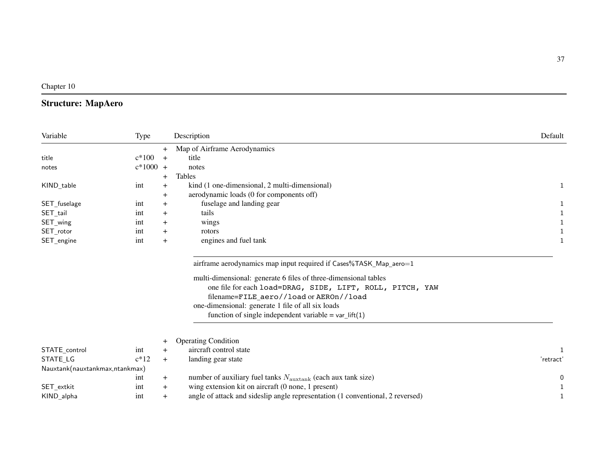# **Structure: MapAero**

| Variable                       | Type       |           | Description                                                                                                                                                                                                                                                                                                                                                    | Default   |
|--------------------------------|------------|-----------|----------------------------------------------------------------------------------------------------------------------------------------------------------------------------------------------------------------------------------------------------------------------------------------------------------------------------------------------------------------|-----------|
|                                |            | $\pm$     | Map of Airframe Aerodynamics                                                                                                                                                                                                                                                                                                                                   |           |
| title                          | $c*100$    | $+$       | title                                                                                                                                                                                                                                                                                                                                                          |           |
| notes                          | $c*1000 +$ |           | notes                                                                                                                                                                                                                                                                                                                                                          |           |
|                                |            | $+$       | <b>Tables</b>                                                                                                                                                                                                                                                                                                                                                  |           |
| KIND_table                     | int        | $\pm$     | kind (1 one-dimensional, 2 multi-dimensional)                                                                                                                                                                                                                                                                                                                  |           |
|                                |            |           | aerodynamic loads (0 for components off)                                                                                                                                                                                                                                                                                                                       |           |
| SET_fuselage                   | int        | $\ddot{}$ | fuselage and landing gear                                                                                                                                                                                                                                                                                                                                      |           |
| SET tail                       | int        | $+$       | tails                                                                                                                                                                                                                                                                                                                                                          |           |
| SET wing                       | int        | $\pm$     | wings                                                                                                                                                                                                                                                                                                                                                          |           |
| SET rotor                      | int        | $\ddot{}$ | rotors                                                                                                                                                                                                                                                                                                                                                         |           |
| SET_engine                     | int        | $+$       | engines and fuel tank                                                                                                                                                                                                                                                                                                                                          |           |
|                                |            |           | airframe aerodynamics map input required if Cases%TASK_Map_aero=1<br>multi-dimensional: generate 6 files of three-dimensional tables<br>one file for each load=DRAG, SIDE, LIFT, ROLL, PITCH, YAW<br>filename=FILE aero//load or AEROn//load<br>one-dimensional: generate 1 file of all six loads<br>function of single independent variable = $var_{diff(1)}$ |           |
|                                |            |           | <b>Operating Condition</b>                                                                                                                                                                                                                                                                                                                                     |           |
| STATE control                  | int        | $+$       | aircraft control state                                                                                                                                                                                                                                                                                                                                         |           |
| <b>STATE LG</b>                | $c*12$     | $+$       | landing gear state                                                                                                                                                                                                                                                                                                                                             | 'retract' |
| Nauxtank(nauxtankmax,ntankmax) |            |           |                                                                                                                                                                                                                                                                                                                                                                |           |
|                                | int        | $+$       | number of auxiliary fuel tanks $N_{\text{aux tank}}$ (each aux tank size)                                                                                                                                                                                                                                                                                      |           |
| SET extkit                     | int        | $\ddot{}$ | wing extension kit on aircraft (0 none, 1 present)                                                                                                                                                                                                                                                                                                             |           |
| KIND_alpha                     | int        | $\ddot{}$ | angle of attack and sideslip angle representation (1 conventional, 2 reversed)                                                                                                                                                                                                                                                                                 |           |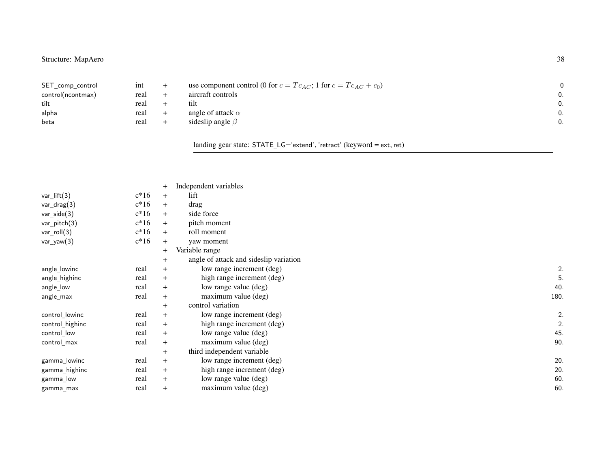### Structure: MapAero 38

| 1nt  | $\div$ |                          |                                                                            |
|------|--------|--------------------------|----------------------------------------------------------------------------|
| real |        | aircraft controls        |                                                                            |
| real |        | tilt                     |                                                                            |
| real |        | angle of attack $\alpha$ |                                                                            |
| real |        | sideslip angle $\beta$   |                                                                            |
|      |        |                          | use component control (0 for $c = T c_{AC}$ ; 1 for $c = T c_{AC} + c_0$ ) |

landing gear state: STATE\_LG='extend', 'retract' (keyword <sup>=</sup> ext, ret)

|                      |        | $+$   | Independent variables                  |      |
|----------------------|--------|-------|----------------------------------------|------|
| $var_l$ lift $(3)$   | $c*16$ | $+$   | lift                                   |      |
| $var_drag(3)$        | $c*16$ | $+$   | drag                                   |      |
| $var\_side(3)$       | $c*16$ | $+$   | side force                             |      |
| var_pitch(3)         | $c*16$ | $+$   | pitch moment                           |      |
| $var_{r}$ roll $(3)$ | $c*16$ | $+$   | roll moment                            |      |
| $var\_yaw(3)$        | $c*16$ | $+$   | yaw moment                             |      |
|                      |        | $\pm$ | Variable range                         |      |
|                      |        | $+$   | angle of attack and sideslip variation |      |
| angle_lowinc         | real   | $+$   | low range increment (deg)              | 2.   |
| angle_highinc        | real   | $+$   | high range increment (deg)             | 5.   |
| angle_low            | real   | $+$   | low range value (deg)                  | 40   |
| angle_max            | real   | $+$   | maximum value (deg)                    | 180. |
|                      |        | $+$   | control variation                      |      |
| control_lowinc       | real   | $+$   | low range increment (deg)              | 2.   |
| control_highinc      | real   | $+$   | high range increment (deg)             | 2.   |
| control_low          | real   | $+$   | low range value (deg)                  | 45   |
| control_max          | real   | $+$   | maximum value (deg)                    | 90   |
|                      |        | $+$   | third independent variable             |      |
| gamma_lowinc         | real   | $+$   | low range increment (deg)              | 20.  |
| gamma_highinc        | real   | $+$   | high range increment (deg)             | 20   |
| gamma_low            | real   | $+$   | low range value (deg)                  | 60   |
| gamma max            | real   | $+$   | maximum value (deg)                    | 60   |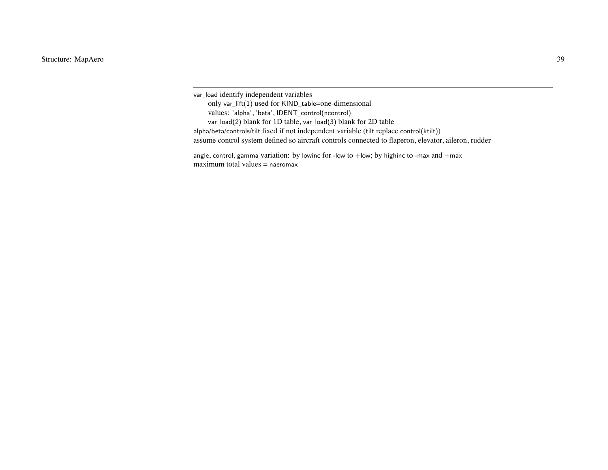var \_ load identify independent variables only var\_lift(1) used for KIND\_table=one-dimensional values: 'alpha', 'beta', IDENT\_control(ncontrol) var \_load(2) blank for 1D table, var\_load(3) blank for 2D table alpha/beta/controls/tilt fixed if not independent variable (tilt replace control(ktilt)) assume control system defined so aircraft controls connected to flaperon, elevator, aileron, rudder angle, control, gamma variation: by lowinc for -low to +low; by highinc to -max and +max

maximum total values <sup>=</sup> naeromax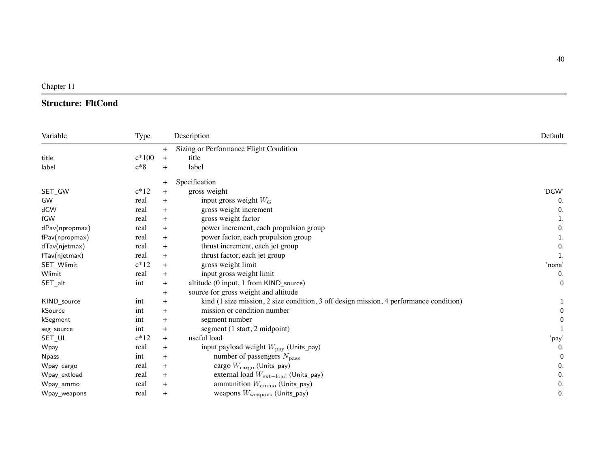## **Structure: FltCond**

| Variable       | Type    |           | Description                                                                            | Default      |
|----------------|---------|-----------|----------------------------------------------------------------------------------------|--------------|
|                |         | $+$       | Sizing or Performance Flight Condition                                                 |              |
| title          | $c*100$ | $+$       | title                                                                                  |              |
| label          | $c*8$   | $\pm$     | label                                                                                  |              |
|                |         | $\pm$     | Specification                                                                          |              |
| SET_GW         | $c*12$  | $\ddot{}$ | gross weight                                                                           | 'DGW'        |
| GW             | real    | $\pm$     | input gross weight $W_G$                                                               | 0.           |
| dGW            | real    | $\ddot{}$ | gross weight increment                                                                 | $\mathbf{0}$ |
| fGW            | real    | $\ddot{}$ | gross weight factor                                                                    | 1.           |
| dPav(npropmax) | real    | $+$       | power increment, each propulsion group                                                 | 0.           |
| fPav(npropmax) | real    | $\ddot{}$ | power factor, each propulsion group                                                    |              |
| dTav(njetmax)  | real    | $+$       | thrust increment, each jet group                                                       | 0.           |
| fTav(njetmax)  | real    | $+$       | thrust factor, each jet group                                                          | 1.           |
| SET_Wlimit     | $c*12$  | $\pm$     | gross weight limit                                                                     | 'none'       |
| Wlimit         | real    | $+$       | input gross weight limit                                                               | 0.           |
| SET_alt        | int     | $+$       | altitude (0 input, 1 from KIND_source)                                                 | $\mathbf 0$  |
|                |         | $+$       | source for gross weight and altitude                                                   |              |
| KIND_source    | int     | $\ddot{}$ | kind (1 size mission, 2 size condition, 3 off design mission, 4 performance condition) |              |
| kSource        | int     | $+$       | mission or condition number                                                            |              |
| kSegment       | int     | $+$       | segment number                                                                         |              |
| seg_source     | int     | $+$       | segment (1 start, 2 midpoint)                                                          |              |
| SET_UL         | $c*12$  | $\ddot{}$ | useful load                                                                            | 'pay'        |
| Wpay           | real    | $\ddot{}$ | input payload weight $W_{\text{pay}}$ (Units_pay)                                      | 0.           |
| Npass          | int     | $+$       | number of passengers $N_{\text{pass}}$                                                 |              |
| Wpay_cargo     | real    | $\pm$     | cargo $W_{\text{cargo}}$ (Units_pay)                                                   | 0.           |
| Wpay_extload   | real    | $+$       | external load $W_{\rm ext-load}$ (Units_pay)                                           | 0.           |
| Wpay ammo      | real    | $\pm$     | ammunition $W_{\text{ammo}}$ (Units_pay)                                               | 0.           |
| Wpay_weapons   | real    | $\pm$     | weapons $W_{\rm weapons}$ (Units_pay)                                                  | 0.           |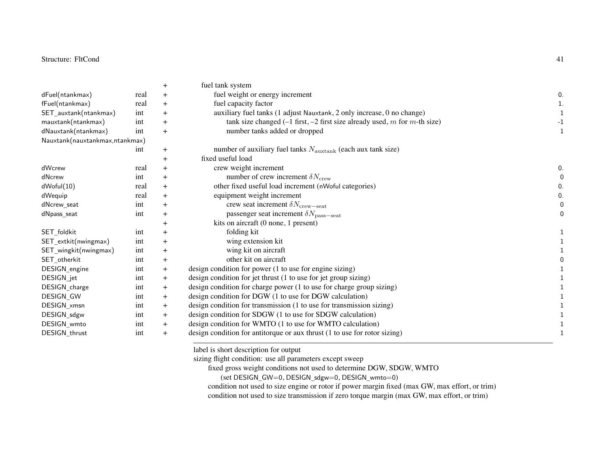### Structure: FltCond 41

|                                |      | $\ddot{}$    | fuel tank system                                                              |    |
|--------------------------------|------|--------------|-------------------------------------------------------------------------------|----|
| dFuel(ntankmax)                | real | $\ddot{}$    | fuel weight or energy increment                                               | 0. |
| fFuel(ntankmax)                | real | $\ddot{}$    | fuel capacity factor                                                          |    |
| SET_auxtank(ntankmax)          | int  | $+$          | auxiliary fuel tanks (1 adjust Nauxtank, 2 only increase, 0 no change)        |    |
| mauxtank(ntankmax)             | int  | $\ddot{}$    | tank size changed $(-1$ first, $-2$ first size already used, m for m-th size) |    |
| dNauxtank(ntankmax)            | int  | $^{+}$       | number tanks added or dropped                                                 |    |
| Nauxtank(nauxtankmax,ntankmax) |      |              |                                                                               |    |
|                                | int  | $\pm$        | number of auxiliary fuel tanks $N_{\text{aux tank}}$ (each aux tank size)     |    |
|                                |      | $\pm$        | fixed useful load                                                             |    |
| dWcrew                         | real | $+$          | crew weight increment                                                         |    |
| dNcrew                         | int  | $\pm$        | number of crew increment $\delta N_{\text{crew}}$                             |    |
| dWoful(10)                     | real | $\ddot{}$    | other fixed useful load increment (nWoful categories)                         | 0. |
| dWequip                        | real | $\ddot{}$    | equipment weight increment                                                    |    |
| dNcrew_seat                    | int  | $\ddot{}$    | crew seat increment $\delta N_{\rm crew-seat}$                                |    |
| dNpass_seat                    | int  | $\ddot{}$    | passenger seat increment $\delta N_{\rm pass-seat}$                           |    |
|                                |      | $\mathrm{+}$ | kits on aircraft (0 none, 1 present)                                          |    |
| SET foldkit                    | int  | $\pm$        | folding kit                                                                   |    |
| SET_extkit(nwingmax)           | int  | $^+$         | wing extension kit                                                            |    |
| SET_wingkit(nwingmax)          | int  | $\pm$        | wing kit on aircraft                                                          |    |
| SET_otherkit                   | int  | $\ddot{}$    | other kit on aircraft                                                         |    |
| DESIGN engine                  | int  | $\ddot{}$    | design condition for power (1 to use for engine sizing)                       |    |
| DESIGN_jet                     | int  | $+$          | design condition for jet thrust (1 to use for jet group sizing)               |    |
| DESIGN_charge                  | int  | $+$          | design condition for charge power (1 to use for charge group sizing)          |    |
| <b>DESIGN GW</b>               | int  | $\ddot{}$    | design condition for DGW (1 to use for DGW calculation)                       |    |
| DESIGN_xmsn                    | int  | $\ddot{}$    | design condition for transmission (1 to use for transmission sizing)          |    |
| DESIGN_sdgw                    | int  | $+$          | design condition for SDGW (1 to use for SDGW calculation)                     |    |
| DESIGN_wmto                    | int  | $\ddot{}$    | design condition for WMTO (1 to use for WMTO calculation)                     |    |
| DESIGN thrust                  | int  | $\ddot{}$    | design condition for antitorque or aux thrust (1 to use for rotor sizing)     |    |

label is short description for output

sizing flight condition: use all parameters excep<sup>t</sup> sweep

fixed gross weight conditions not used to determine DGW, SDGW, WMTO

(set DESIGN\_GW=0, DESIGN\_sdgw=0, DESIGN\_wmto=0)

condition not used to size engine or rotor if power margin fixed (max GW, max effort, or trim)

condition not used to size transmission if zero torque margin (max GW, max effort, or trim)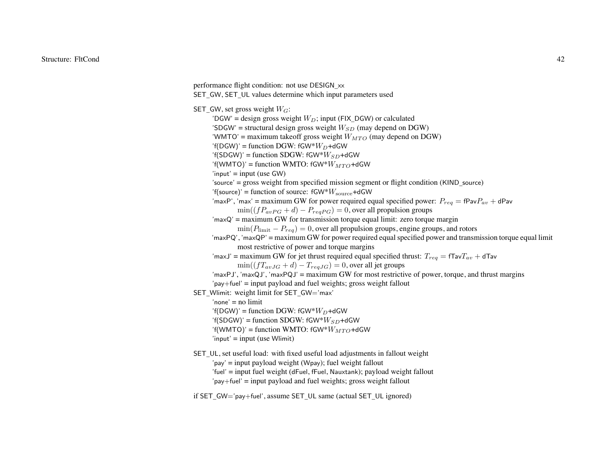performance flight condition: not use DESIGN\_xx SET \_ GW, SET\_UL values determine which input parameters used SET \_ GW, set gross weight *WG*: 'DGW' = design gross weight  $W_D$ ; input (FIX\_DGW) or calculated 'SDGW' = structural design gross weight  $W_{SD}$  (may depend on DGW) 'WMTO' = maximum takeoff gross weight  $W_{MTO}$  (may depend on DGW)  $'f(DGW)'$  = function DGW:  $fGW*W_D + dGW$  $'f(SDGW)'$  = function SDGW:  $fGW*W_{SD}$ +dGW  $'f(WMTO)'$  = function WMTO:  $fGW*W_{MTO}$ +dGW  $'$ input' = input (use GW) 'source' <sup>=</sup> gross weight from specified mission segmen<sup>t</sup> or flight condition (KIND\_source) 'f(source)' = function of source:  $fGW*W_{\text{source}} + dGW$ 'maxP', 'max' = maximum GW for power required equal specified power:  $P_{req}$  = fPav $P_{av}$  + dPav  $\min((fP_{a}P_{G} + d) - P_{req}P_{G}) = 0$ , over all propulsion groups  $\text{'max}Q' = \text{maximum GW}$  for transmission torque equal limit: zero torque margin  $\min(P_{\text{limit}} - P_{\text{real}}) = 0$ , over all propulsion groups, engine groups, and rotors 'maxPQ', 'maxQP' <sup>=</sup> maximum GW for power required equal specified power and transmission torque equal limit most restrictive of power and torque margins 'maxJ' = maximum GW for jet thrust required equal specified thrust:  $T_{req}$  =  $fT_{av} + dT_{av}$  $\min((fT_{avJG} + d) - T_{reqJG}) = 0$ , over all jet groups  $\gamma'$ max $\overline{P}$ , 'max $\overline{P}$ , 'max $\overline{P}$ , 'max $\overline{P}$  = maximum GW for most restrictive of power, torque, and thrust margins 'pay+fuel' <sup>=</sup> input payload and fuel weights; gross weight fallout SET \_ Wlimit: weight limit for SET\_GW='max' 'none' <sup>=</sup> no limit  $'f(DGW)'$  = function DGW:  $fGW*W_D + dGW$ 'f(SDGW)' <sup>=</sup> function SDGW: fGW\**WSD*+dGW  $'f(WMTO)'$  = function WMTO:  $fGW*W_{MTO}$ +dGW  $'$ input' = input (use Wlimit) SET \_ UL, set useful load: with fixed useful load adjustments in fallout weight 'pay' <sup>=</sup> input payload weight (Wpay); fuel weight fallout 'fuel' <sup>=</sup> input fuel weight (dFuel, fFuel, Nauxtank); payload weight fallout  $'$ pay+fuel' = input payload and fuel weights; gross weight fallout if SET \_GW='pay+fuel', assume SET\_UL same (actual SET\_UL ignored)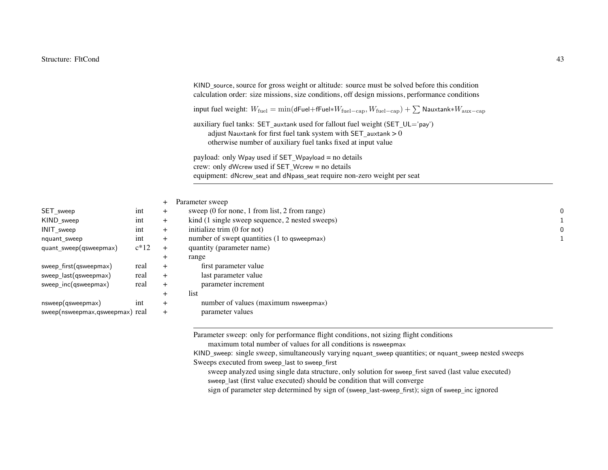KIND \_ source, source for gross weight or altitude: source must be solved before this condition calculation order: size missions, size conditions, off design missions, performance conditions

 $\lim \inf \mathrm{u}$  weight:  $W_\mathrm{fuel} = \min (\mathrm{d}$ Fuel $+$ fFuel $*W_\mathrm{fuel-cap}, W_\mathrm{fuel-cap}) + \sum \mathrm{N}$ auxtank $*W_\mathrm{aux-cap}$ 

auxiliary fuel tanks: SET\_auxtank used for fallout fuel weight (SET\_UL='pay') adjust Nauxtank for first fuel tank system with SET\_auxtank  $> 0$ otherwise number of auxiliary fuel tanks fixed at input value

payload: only Wpay used if SET\_Wpayload <sup>=</sup> no details crew: only dWcrew used if SET\_Wcrew <sup>=</sup> no details equipment: dNcrew\_seat and dNpass\_seat require non-zero weight per seat

|                                  |        | $\pm$     | Parameter sweep                                 |  |
|----------------------------------|--------|-----------|-------------------------------------------------|--|
| SET_sweep                        | int    | $+$       | sweep (0 for none, 1 from list, 2 from range)   |  |
| KIND sweep                       | int    | $+$       | kind (1 single sweep sequence, 2 nested sweeps) |  |
| <b>INIT</b> sweep                | int    | $^+$      | initialize trim (0 for not)                     |  |
| nquant sweep                     | int    | $^{+}$    | number of swept quantities (1 to qsweepmax)     |  |
| quant_sweep(qsweepmax)           | $c*12$ | $\pm$     | quantity (parameter name)                       |  |
|                                  |        | $\pm$     | range                                           |  |
| sweep_first(qsweepmax)           | real   | $^{+}$    | first parameter value                           |  |
| sweep_last(qsweepmax)            | real   | $\pm$     | last parameter value                            |  |
| sweep_inc(qsweepmax)             | real   | $\pm$     | parameter increment                             |  |
|                                  |        | $\pm$     | list                                            |  |
| $n$ sweep(qsweepmax)             | int    | $\pm$     | number of values (maximum nsweepmax)            |  |
| sweep(nsweepmax, gsweepmax) real |        | $\ddot{}$ | parameter values                                |  |
|                                  |        |           |                                                 |  |

Parameter sweep: only for performance flight conditions, not sizing flight conditions

maximum total number of values for all conditions is nsweepmax

KIND \_sweep: single sweep, simultaneously varying nquant\_sweep quantities; or nquant\_sweep nested sweeps Sweeps executed from sweep\_last to sweep\_first

sweep analyzed using single data structure, only solution for sweep\_first saved (last value executed) sweep last (first value executed) should be condition that will converge

sign of parameter step determined by sign of (sweep\_last-sweep\_first); sign of sweep\_inc ignored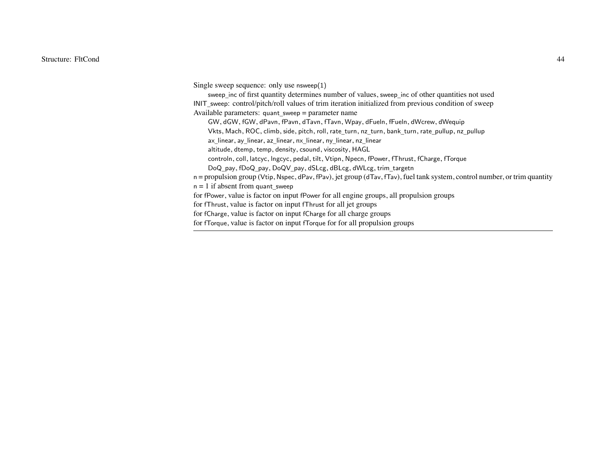Single sweep sequence: only use nsweep(1)

sweep inc of first quantity determines number of values, sweep inc of other quantities not used INIT \_sweep: control/pitch/roll values of trim iteration initialized from previous condition of sweep Available parameters: quant sweep = parameter name

GW, dGW, fGW, dPavn, fPavn, dTavn, fTavn, Wpay, dFueln, fFueln, dWcrew, dWequip

Vkts, Mach, ROC, climb, side, pitch, roll, rate\_turn, nz\_turn, bank\_turn, rate\_pullup, nz\_pullup

ax \_ linear, ay\_linear, az\_linear, nx\_linear, ny\_linear, nz\_linear

altitude, dtemp, temp, density, csound, viscosity, HAGL

controln, coll, latcyc, lngcyc, pedal, tilt, Vtipn, Npecn, fPower, fThrust, fCharge, fTorque

DoQ \_pay, fDoQ\_pay, DoQV\_pay, dSLcg, dBLcg, dWLcg, trim\_targetn

n <sup>=</sup> propulsion group (Vtip, Nspec, dPav, fPav), jet group (dTav, fTav), fuel tank system, control number, or trim quantity

 $n = 1$  if absent from quant sweep

for fPower, value is factor on input fPower for all engine groups, all propulsion groups

for fThrust, value is factor on input fThrust for all jet groups

for fCharge, value is factor on input fCharge for all charge groups

for fTorque, value is factor on input fTorque for for all propulsion groups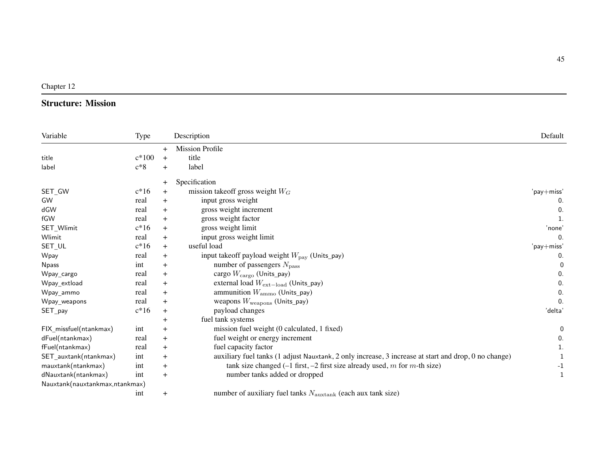## **Structure: Mission**

| Variable                       | Type    |           | Description                                                                                          | Default              |
|--------------------------------|---------|-----------|------------------------------------------------------------------------------------------------------|----------------------|
|                                |         | $\pm$     | <b>Mission Profile</b>                                                                               |                      |
| title                          | $c*100$ | $+$       | title                                                                                                |                      |
| label                          | $c*8$   |           | label                                                                                                |                      |
|                                |         | $\pm$     | Specification                                                                                        |                      |
| SET_GW                         | $c*16$  | $^+$      | mission takeoff gross weight $W_G$                                                                   | 'pay+miss'           |
| GW                             | real    | $+$       | input gross weight                                                                                   |                      |
| dGW                            | real    | $\ddot{}$ | gross weight increment                                                                               |                      |
| fGW                            | real    | $\pm$     | gross weight factor                                                                                  |                      |
| SET_Wlimit                     | $c*16$  | $+$       | gross weight limit                                                                                   | 'none                |
| Wlimit                         | real    | $\pm$     | input gross weight limit                                                                             | 0                    |
| SET_UL                         | $c*16$  | $+$       | useful load                                                                                          | $'$ pay $+$ miss $'$ |
| Wpay                           | real    | $\pm$     | input takeoff payload weight $W_{\text{pay}}$ (Units_pay)                                            |                      |
| <b>Npass</b>                   | int     | $\pm$     | number of passengers $N_{\text{pass}}$                                                               |                      |
| Wpay_cargo                     | real    | $\pm$     | cargo $W_{\text{cargo}}$ (Units_pay)                                                                 | 0.                   |
| Wpay_extload                   | real    | $\pm$     | external load $W_{\rm ext-load}$ (Units_pay)                                                         | $\mathbf{0}$         |
| Wpay_ammo                      | real    | $\pm$     | ammunition $W_{\rm{ammo}}$ (Units_pay)                                                               | 0.                   |
| Wpay weapons                   | real    | $\pm$     | weapons $W_{\text{weapos}}$ (Units_pay)                                                              | $\mathbf{0}$         |
| SET_pay                        | $c*16$  | $+$       | payload changes                                                                                      | 'delta               |
|                                |         | $\pm$     | fuel tank systems                                                                                    |                      |
| FIX_missfuel(ntankmax)         | int     | $\pm$     | mission fuel weight (0 calculated, 1 fixed)                                                          | 0                    |
| dFuel(ntankmax)                | real    | $+$       | fuel weight or energy increment                                                                      | 0.                   |
| fFuel(ntankmax)                | real    | $\ddot{}$ | fuel capacity factor                                                                                 | 1.                   |
| SET_auxtank(ntankmax)          | int     | $\pm$     | auxiliary fuel tanks (1 adjust Nauxtank, 2 only increase, 3 increase at start and drop, 0 no change) |                      |
| mauxtank(ntankmax)             | int     | $+$       | tank size changed $(-1$ first, $-2$ first size already used, m for m-th size)                        | -1                   |
| dNauxtank(ntankmax)            | int     | $+$       | number tanks added or dropped                                                                        |                      |
| Nauxtank(nauxtankmax,ntankmax) |         |           |                                                                                                      |                      |
|                                | int     | $\pm$     | number of auxiliary fuel tanks $N_{\text{aux tank}}$ (each aux tank size)                            |                      |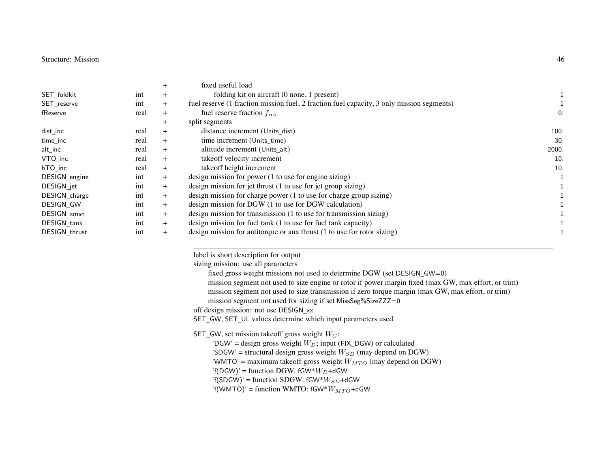#### Structure: Mission 46

|                  |      |                | fixed useful load                                                                         |       |
|------------------|------|----------------|-------------------------------------------------------------------------------------------|-------|
| SET foldkit      | int  | $\pm$          | folding kit on aircraft (0 none, 1 present)                                               |       |
| SET_reserve      | int  | $+$            | fuel reserve (1 fraction mission fuel, 2 fraction fuel capacity, 3 only mission segments) |       |
| fReserve         | real | $\overline{+}$ | fuel reserve fraction $f_{\text{res}}$                                                    | 0.    |
|                  |      | $\pm$          | split segments                                                                            |       |
| dist_inc         | real | $+$            | distance increment (Units dist)                                                           | 100.  |
| time_inc         | real | $+$            | time increment (Units time)                                                               | 30.   |
| alt inc          | real | $+$            | altitude increment (Units alt)                                                            | 2000. |
| VTO_inc          | real | $+$            | takeoff velocity increment                                                                | 10.   |
| $hTO_{inc}$      | real | $+$            | takeoff height increment                                                                  | 10.   |
| DESIGN engine    | int  | $+$            | design mission for power (1 to use for engine sizing)                                     |       |
| DESIGN jet       | int  | $+$            | design mission for jet thrust (1 to use for jet group sizing)                             |       |
| DESIGN_charge    | int  | $+$            | design mission for charge power (1 to use for charge group sizing)                        |       |
| <b>DESIGN GW</b> | int  | $+$            | design mission for DGW (1 to use for DGW calculation)                                     |       |
| DESIGN xmsn      | int  | $+$            | design mission for transmission (1 to use for transmission sizing)                        |       |
| DESIGN tank      | int  | $+$            | design mission for fuel tank (1 to use for fuel tank capacity)                            |       |
| DESIGN thrust    | int  | $+$            | design mission for antitorque or aux thrust (1 to use for rotor sizing)                   |       |

label is short description for output

sizing mission: use all parameters

fixed gross weight missions not used to determine DGW (set DESIGN\_GW=0)

mission segmen<sup>t</sup> not used to size engine or rotor if power margin fixed (max GW, max effort, or trim)

mission segmen<sup>t</sup> not used to size transmission if zero torque margin (max GW, max effort, or trim)

mission segmen<sup>t</sup> not used for sizing if set MissSeg%SizeZZZ=0

off design mission: not use DESIGN\_xx

SET \_ GW, SET\_UL values determine which input parameters used

SET \_ GW, set mission takeoff gross weight *WG*:

'DGW' = design gross weight  $W_D$ ; input (FIX\_DGW) or calculated

'SDGW' = structural design gross weight  $W_{SD}$  (may depend on DGW)

'WMTO' = maximum takeoff gross weight  $W_{MTO}$  (may depend on DGW)

 $'f(DGW)'$  = function DGW:  $fGW*W_D + dGW$ 

 $'f(SDGW)'$  = function SDGW:  $fGW*W_{SD}$ +dGW

 $'f(WMTO)'$  = function WMTO:  $fGW*W_{MTO}$ +dGW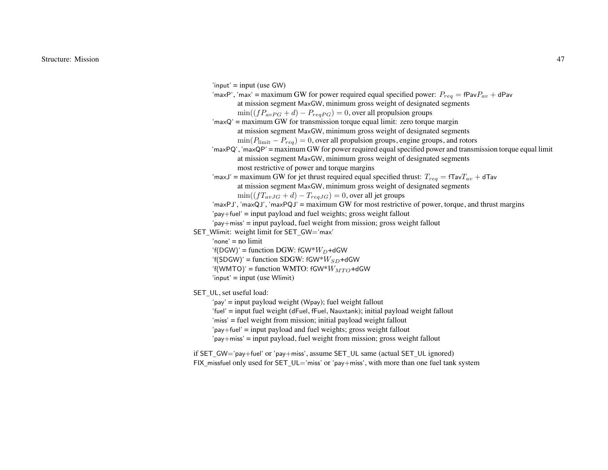$'$ input' = input (use GW) 'maxP', 'max' = maximum GW for power required equal specified power:  $P_{req}$  = fPav $P_{av}$  + dPav at mission segmen<sup>t</sup> MaxGW, minimum gross weight of designated segments  $\min((fP_{a}P_{a} + d) - P_{reqP}G) = 0$ , over all propulsion groups  $\text{'maxQ'} = \text{maximum GW}$  for transmission torque equal limit: zero torque margin at mission segmen<sup>t</sup> MaxGW, minimum gross weight of designated segments  $\min(P_{\text{limit}} - P_{\text{req}}) = 0$ , over all propulsion groups, engine groups, and rotors 'maxPQ', 'maxQP' <sup>=</sup> maximum GW for power required equal specified power and transmission torque equal limit at mission segmen<sup>t</sup> MaxGW, minimum gross weight of designated segments most restrictive of power and torque margins 'maxJ' = maximum GW for jet thrust required equal specified thrust:  $T_{req} = fT_{av}T_{av} + dT_{av}$ at mission segmen<sup>t</sup> MaxGW, minimum gross weight of designated segments  $\min((fT_{avJG} + d) - T_{reqJG}) = 0$ , over all jet groups  $\gamma'$ max $\gamma$ J',  $\gamma'$ max $\gamma$ QJ' = maximum GW for most restrictive of power, torque, and thrust margins  $'$ pay+fuel' = input payload and fuel weights; gross weight fallout 'pay+miss' <sup>=</sup> input payload, fuel weight from mission; gross weight fallout SET \_ Wlimit: weight limit for SET\_GW='max' 'none' <sup>=</sup> no limit  $'f(DGW)'$  = function DGW:  $fGW*W_D + dGW$  $'$ f(SDGW)' = function SDGW: fGW<sup>\*</sup> $W_{SD}$ +dGW  $'f(WMTO)'$  = function WMTO:  $fGW*W_{MTO}$ +dGW  $'$ input' = input (use Wlimit) SET \_ UL, set useful load: 'pay' <sup>=</sup> input payload weight (Wpay); fuel weight fallout 'fuel' <sup>=</sup> input fuel weight (dFuel, fFuel, Nauxtank); initial payload weight fallout 'miss' <sup>=</sup> fuel weight from mission; initial payload weight fallout 'pay+fuel' <sup>=</sup> input payload and fuel weights; gross weight fallout 'pay+miss' <sup>=</sup> input payload, fuel weight from mission; gross weight fallout if SET \_GW='pay+fuel' or 'pay+miss', assume SET\_UL same (actual SET\_UL ignored)

FIX \_ missfuel only used for SET\_UL='miss' or 'pay+miss', with more than one fuel tank system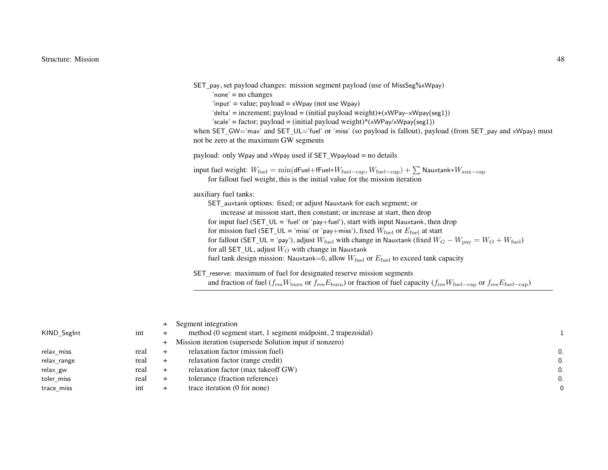| SET pay, set payload changes: mission segment payload (use of MissSeg%xWpay)                                                                                                       |
|------------------------------------------------------------------------------------------------------------------------------------------------------------------------------------|
| 'none' = $no$ changes                                                                                                                                                              |
| $'$ input' = value; payload = xWpay (not use Wpay)                                                                                                                                 |
| 'delta' = increment; payload = (initial payload weight)+( $xWPay$ – $xWpay(seg1)$ )                                                                                                |
|                                                                                                                                                                                    |
| 'scale' = factor; payload = (initial payload weight)*(xWPay/xWpay(seg1))                                                                                                           |
| when SET_GW='max' and SET_UL='fuel' or 'miss' (so payload is fallout), payload (from SET_pay and xWpay) must                                                                       |
| not be zero at the maximum GW segments                                                                                                                                             |
| payload: only Wpay and $xW$ pay used if SET_Wpayload = no details                                                                                                                  |
|                                                                                                                                                                                    |
| input fuel weight: $W_{\text{fuel}} = \min(\text{dFuel} + \text{fFuel} * W_{\text{fuel}-\text{cap}}, W_{\text{fuel}-\text{cap}}) + \sum \text{Nauxtank}*W_{\text{aux}-\text{cap}}$ |
| for fallout fuel weight, this is the initial value for the mission iteration                                                                                                       |
| auxiliary fuel tanks:                                                                                                                                                              |
| SET_auxtank options: fixed; or adjust Nauxtank for each segment; or                                                                                                                |
| increase at mission start, then constant; or increase at start, then drop                                                                                                          |
| for input fuel ( $SET_UL = 'fuel'$ or ' $pay+fuel'$ ), start with input Nauxtank, then drop                                                                                        |
|                                                                                                                                                                                    |
| for mission fuel (SET_UL = 'miss' or 'pay+miss'), fixed $W_{\text{fuel}}$ or $E_{\text{fuel}}$ at start                                                                            |
| for fallout (SET_UL = 'pay'), adjust $W_{\text{fuel}}$ with change in Nauxtank (fixed $W_G - W_{\text{pay}} = W_O + W_{\text{fuel}}$ )                                             |
| for all SET_UL, adjust $W_O$ with change in Nauxtank                                                                                                                               |
| fuel tank design mission: Nauxtank=0, allow $W_{\text{fuel}}$ or $E_{\text{fuel}}$ to exceed tank capacity                                                                         |
| SET_reserve: maximum of fuel for designated reserve mission segments                                                                                                               |
| and fraction of fuel ( $f_{res}W_{burn}$ or $f_{res}E_{burn}$ ) or fraction of fuel capacity ( $f_{res}W_{fuel-cap}$ or $f_{res}E_{fuel-cap}$ )                                    |
|                                                                                                                                                                                    |

| KIND SegInt | 1nt  | $+$   | Segment integration<br>method (0 segment start, 1 segment midpoint, 2 trapezoidal)<br>Mission iteration (supersede Solution input if nonzero) |              |
|-------------|------|-------|-----------------------------------------------------------------------------------------------------------------------------------------------|--------------|
| relax miss  | real | $\pm$ | relaxation factor (mission fuel)                                                                                                              | $\mathbf{0}$ |
| relax range | real | $+$   | relaxation factor (range credit)                                                                                                              | $\mathbf{0}$ |
| relax gw    | real | $+$   | relaxation factor (max takeoff GW)                                                                                                            | $\mathbf{0}$ |
| toler miss  | real | $\pm$ | tolerance (fraction reference)                                                                                                                | 0.           |
| trace miss  | 1nt  |       | trace iteration (0 for none)                                                                                                                  |              |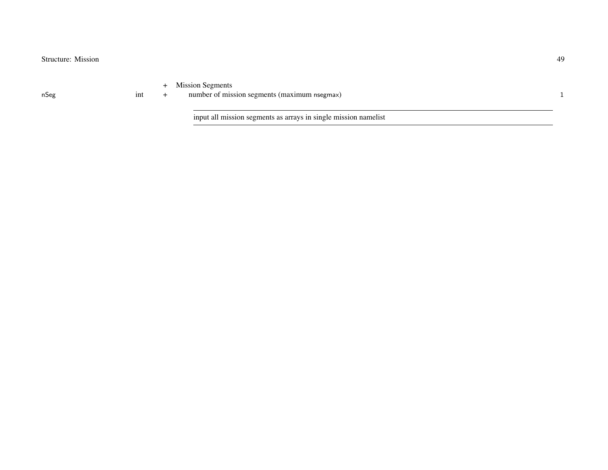Structure: Mission 49

<sup>+</sup> Mission Segments

### nSeg int + number of mission segments (maximum nsegmax) 1

input all mission segments as arrays in single mission namelist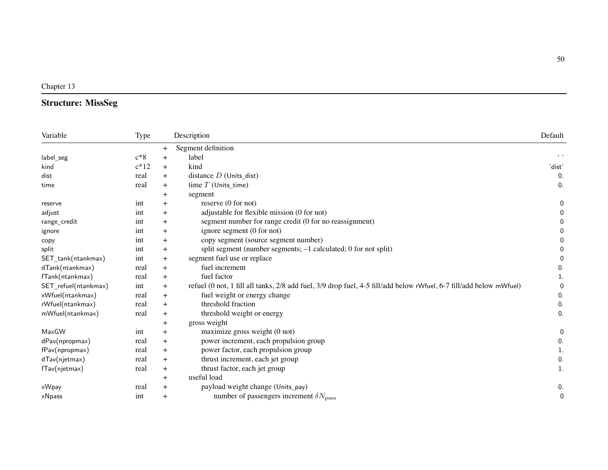| Chapter 13 |  |
|------------|--|
|            |  |

# **Structure: MissSeg**

| Variable             | Type   |                | Description                                                                                                         | Default     |
|----------------------|--------|----------------|---------------------------------------------------------------------------------------------------------------------|-------------|
|                      |        | $+$            | Segment definition                                                                                                  |             |
| label_seg            | $c*8$  | $+$            | label                                                                                                               | $, \cdot$   |
| kind                 | $c*12$ | $+$            | kind                                                                                                                | 'dist'      |
| dist                 | real   | $+$            | distance $D$ (Units dist)                                                                                           | 0.          |
| time                 | real   | $+$            | time $T$ (Units time)                                                                                               | 0.          |
|                      |        | $\pm$          | segment                                                                                                             |             |
| reserve              | int    | $\overline{+}$ | reserve (0 for not)                                                                                                 | 0           |
| adjust               | int    | $+$            | adjustable for flexible mission (0 for not)                                                                         | 0           |
| range credit         | int    | $\pm$          | segment number for range credit (0 for no reassignment)                                                             |             |
| ignore               | int    | $+$            | ignore segment (0 for not)                                                                                          |             |
| copy                 | int    | $+$            | copy segment (source segment number)                                                                                |             |
| split                | int    | $+$            | split segment (number segments; -1 calculated; 0 for not split)                                                     |             |
| SET_tank(ntankmax)   | int    | $\pm$          | segment fuel use or replace                                                                                         |             |
| dTank(ntankmax)      | real   | $+$            | fuel increment                                                                                                      | 0.          |
| fTank(ntankmax)      | real   | $\ddot{}$      | fuel factor                                                                                                         | 1.          |
| SET_refuel(ntankmax) | int    | $\pm$          | refuel (0 not, 1 fill all tanks, 2/8 add fuel, 3/9 drop fuel, 4-5 fill/add below rWfuel, 6-7 fill/add below mWfuel) | 0           |
| xWfuel(ntankmax)     | real   | $\ddot{}$      | fuel weight or energy change                                                                                        | 0.          |
| rWfuel(ntankmax)     | real   | $\pm$          | threshold fraction                                                                                                  | 0.          |
| mWfuel(ntankmax)     | real   | $+$            | threshold weight or energy                                                                                          | 0.          |
|                      |        | $\pm$          | gross weight                                                                                                        |             |
| MaxGW                | int    | $\ddot{}$      | maximize gross weight (0 not)                                                                                       | $\mathbf 0$ |
| dPav(npropmax)       | real   | $\ddot{}$      | power increment, each propulsion group                                                                              | 0.          |
| fPav(npropmax)       | real   | $\ddot{}$      | power factor, each propulsion group                                                                                 | 1.          |
| dTav(njetmax)        | real   | $\pm$          | thrust increment, each jet group                                                                                    | 0.          |
| fTav(njetmax)        | real   | $\ddot{}$      | thrust factor, each jet group                                                                                       | 1.          |
|                      |        | $+$            | useful load                                                                                                         |             |
| xWpay                | real   | $+$            | payload weight change (Units_pay)                                                                                   | 0.          |
| xNpass               | int    | $\,^+$         | number of passengers increment $\delta N_{\rm pass}$                                                                | 0           |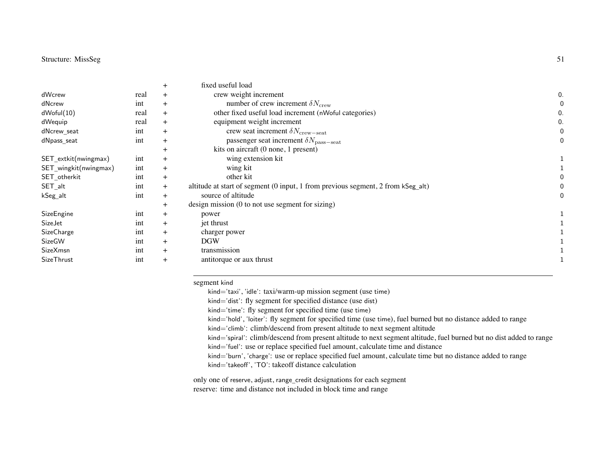#### Structure: MissSeg 51

|                       |      |      | fixed useful load                                                                |    |
|-----------------------|------|------|----------------------------------------------------------------------------------|----|
| dWcrew                | real | $+$  | crew weight increment                                                            | 0. |
| dNcrew                | int  | $+$  | number of crew increment $\delta N_{\text{crew}}$                                |    |
| dWoful(10)            | real | $+$  | other fixed useful load increment (nWoful categories)                            | 0. |
| dWequip               | real | $+$  | equipment weight increment                                                       | 0. |
| dNcrew_seat           | int  | $^+$ | crew seat increment $\delta N_{\rm crew-seat}$                                   |    |
| dNpass_seat           | int  | $+$  | passenger seat increment $\delta N_{\rm pass-seat}$                              |    |
|                       |      |      | kits on aircraft (0 none, 1 present)                                             |    |
| SET_extkit(nwingmax)  | int  | $+$  | wing extension kit                                                               |    |
| SET_wingkit(nwingmax) | int  | $+$  | wing kit                                                                         |    |
| SET_otherkit          | int  | $+$  | other kit                                                                        |    |
| SET <sub>alt</sub>    | int  | $+$  | altitude at start of segment (0 input, 1 from previous segment, 2 from kSeg_alt) |    |
| $kSeg\_alt$           | int  | $^+$ | source of altitude                                                               |    |
|                       |      | $+$  | design mission $(0$ to not use segment for sizing)                               |    |
| SizeEngine            | int  | $+$  | power                                                                            |    |
| SizeJet               | int  | $+$  | jet thrust                                                                       |    |
| SizeCharge            | int  | $+$  | charger power                                                                    |    |
| SizeGW                | int  | $+$  | <b>DGW</b>                                                                       |    |
| SizeXmsn              | int  | $+$  | transmission                                                                     |    |
| SizeThrust            | int  | $+$  | antitorque or aux thrust                                                         |    |

segmen<sup>t</sup> kind

kind='taxi', 'idle': taxi/warm-up mission segmen<sup>t</sup> (use time)

kind='dist': fly segmen<sup>t</sup> for specified distance (use dist)

kind='time': fly segment for specified time (use time)

kind='hold', 'loiter': fly segment for specified time (use time), fuel burned but no distance added to range

kind='climb': climb/descend from present altitude to next segment altitude

kind='spiral': climb/descend from presen<sup>t</sup> altitude to next segmen<sup>t</sup> altitude, fuel burned but no dist added to range

kind='fuel': use or replace specified fuel amount, calculate time and distance

kind='burn', 'charge': use or replace specified fuel amount, calculate time but no distance added to range

kind='takeoff', 'TO': takeoff distance calculation

only one of reserve, adjust, range\_credit designations for each segmen<sup>t</sup> reserve: time and distance not included in block time and range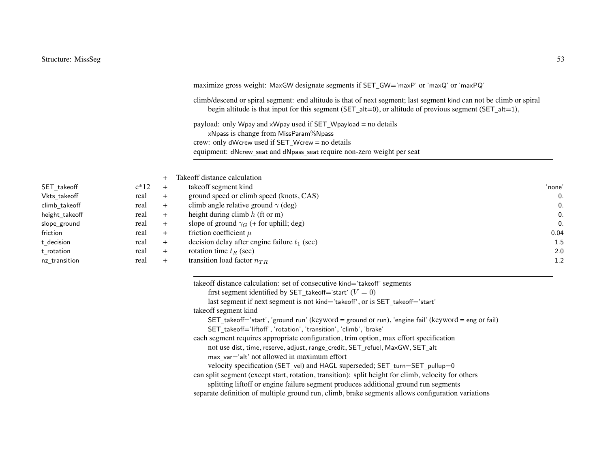maximize gross weight: MaxGW designate segments if SET\_GW='maxP' or 'maxQ' or 'maxPQ'

climb/descend or spiral segment: end altitude is that of next segment; last segmen<sup>t</sup> kind can not be climb or spiral begin altitude is that input for this segmen<sup>t</sup> (SET\_alt=0), or altitude of previous segmen<sup>t</sup> (SET\_alt=1),

payload: only Wpay and xWpay used if SET\_Wpayload <sup>=</sup> no details

xNpass is change from MissParam%Npass

crew: only dWcrew used if SET\_Wcrew <sup>=</sup> no details

equipment: dNcrew\_seat and dNpass\_seat require non-zero weight per seat

|                |        | $+$    | Take off distance calculation                   |        |
|----------------|--------|--------|-------------------------------------------------|--------|
| SET_takeoff    | $c*12$ | $\div$ | take off segment kind                           | 'none' |
| Vkts takeoff   | real   | $^{+}$ | ground speed or climb speed (knots, CAS)        | 0.     |
| climb takeoff  | real   | $+$    | climb angle relative ground $\gamma$ (deg)      | 0.     |
| height takeoff | real   | $+$    | height during climb $h$ (ft or m)               | 0.     |
| slope ground   | real   | $+$    | slope of ground $\gamma_G$ (+ for uphill; deg)  | 0.     |
| friction       | real   | $+$    | friction coefficient $\mu$                      | 0.04   |
| t decision     | real   | $+$    | decision delay after engine failure $t_1$ (sec) | 1.5    |
| t rotation     | real   | $+$    | rotation time $t_R$ (sec)                       | 2.0    |
| nz transition  | real   | $+$    | transition load factor $n_{TR}$                 | 1.2    |

|  |  | take off distance calculation: set of consecutive kind='take off' segments |  |
|--|--|----------------------------------------------------------------------------|--|
|--|--|----------------------------------------------------------------------------|--|

first segment identified by SET\_takeoff='start'  $(V = 0)$ 

last segment if next segment is not kind='takeoff', or is SET\_takeoff='start'

takeoff segmen<sup>t</sup> kind

SET \_ takeoff='start', 'ground run' (keyword <sup>=</sup> ground or run), 'engine fail' (keyword <sup>=</sup> eng or fail)

SET \_ takeoff='liftoff', 'rotation', 'transition', 'climb', 'brake'

each segmen<sup>t</sup> requires appropriate configuration, trim option, max effort specification

not use dist, time, reserve, adjust, range\_credit, SET\_refuel, MaxGW, SET\_alt

max \_ var='alt' not allowed in maximum effort

velocity specification (SET\_vel) and HAGL superseded; SET\_turn=SET\_pullup=0

can split segmen<sup>t</sup> (except start, rotation, transition): split height for climb, velocity for others

splitting liftoff or engine failure segmen<sup>t</sup> produces additional ground run segments

separate definition of multiple ground run, climb, brake segments allows configuration variations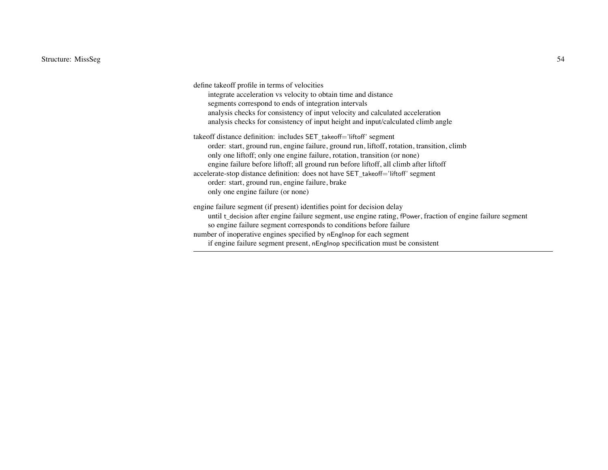| define takeoff profile in terms of velocities                                                                |  |
|--------------------------------------------------------------------------------------------------------------|--|
| integrate acceleration vs velocity to obtain time and distance                                               |  |
| segments correspond to ends of integration intervals                                                         |  |
| analysis checks for consistency of input velocity and calculated acceleration                                |  |
| analysis checks for consistency of input height and input/calculated climb angle                             |  |
| takeoff distance definition: includes SET_takeoff='liftoff' segment                                          |  |
| order: start, ground run, engine failure, ground run, liftoff, rotation, transition, climb                   |  |
| only one liftoff; only one engine failure, rotation, transition (or none)                                    |  |
| engine failure before liftoff; all ground run before liftoff, all climb after liftoff                        |  |
| accelerate-stop distance definition: does not have SET takeoff='liftoff' segment                             |  |
| order: start, ground run, engine failure, brake                                                              |  |
| only one engine failure (or none)                                                                            |  |
| engine failure segment (if present) identifies point for decision delay                                      |  |
| until t decision after engine failure segment, use engine rating, fPower, fraction of engine failure segment |  |
| so engine failure segment corresponds to conditions before failure                                           |  |
| number of inoperative engines specified by nEnglnop for each segment                                         |  |
| if engine failure segment present, nEnglnop specification must be consistent                                 |  |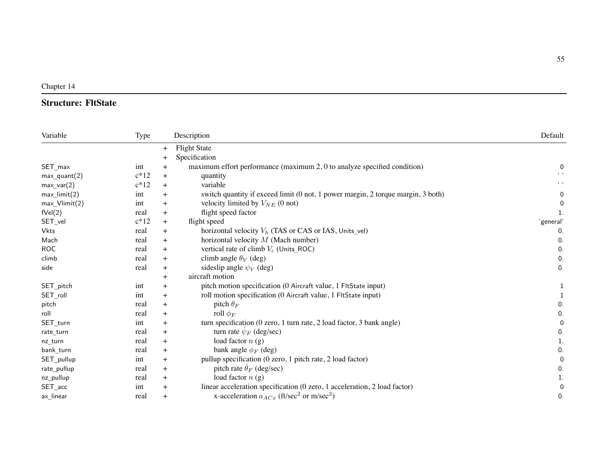# Chapter 14

| Variable            | Type   |           | Description                                                                      | Default      |
|---------------------|--------|-----------|----------------------------------------------------------------------------------|--------------|
|                     |        | $\pm$     | <b>Flight State</b>                                                              |              |
|                     |        |           | Specification                                                                    |              |
| SET max             | int    | $+$       | maximum effort performance (maximum 2, 0 to analyze specified condition)         | 0            |
| $max_$ quant $(2)$  | $c*12$ | $+$       | quantity                                                                         | $, \cdot$    |
| $max_{z}var(2)$     | $c*12$ | $+$       | variable                                                                         | $, \cdot$    |
| $max_l$ limit $(2)$ | int    | $+$       | switch quantity if exceed limit (0 not, 1 power margin, 2 torque margin, 3 both) | 0            |
| max_Vlimit(2)       | int    | $+$       | velocity limited by $V_{NE}$ (0 not)                                             | 0            |
| fVel(2)             | real   | $\ddot{}$ | flight speed factor                                                              | 1.           |
| $SET_{vel}$         | $c*12$ | $\ddot{}$ | flight speed                                                                     | 'general'    |
| <b>Vkts</b>         | real   | $\ddot{}$ | horizontal velocity $Vh$ (TAS or CAS or IAS, Units_vel)                          | 0.           |
| Mach                | real   | $\ddot{}$ | horizontal velocity $M$ (Mach number)                                            | 0.           |
| <b>ROC</b>          | real   | $+$       | vertical rate of climb $V_c$ (Units_ROC)                                         | 0.           |
| climb               | real   | $\pm$     | climb angle $\theta_V$ (deg)                                                     | 0.           |
| side                | real   | $\ddot{}$ | sideslip angle $\psi_V$ (deg)                                                    | 0.           |
|                     |        | $+$       | aircraft motion                                                                  |              |
| SET_pitch           | int    | $+$       | pitch motion specification (0 Aircraft value, 1 FltState input)                  |              |
| SET_roll            | int    | $\pm$     | roll motion specification (0 Aircraft value, 1 FltState input)                   |              |
| pitch               | real   | $\ddot{}$ | pitch $\theta_F$                                                                 | 0.           |
| roll                | real   | $+$       | roll $\phi_F$                                                                    | 0.           |
| $SET$ _turn         | int    | $+$       | turn specification (0 zero, 1 turn rate, 2 load factor, 3 bank angle)            | $\Omega$     |
| rate_turn           | real   | $\pm$     | turn rate $\psi_F$ (deg/sec)                                                     | 0.           |
| nz turn             | real   | $+$       | load factor $n(g)$                                                               | 1.           |
| bank turn           | real   | $\pm$     | bank angle $\phi_F$ (deg)                                                        | 0.           |
| SET_pullup          | int    | $+$       | pullup specification (0 zero, 1 pitch rate, 2 load factor)                       | 0            |
| rate_pullup         | real   | $\ddot{}$ | pitch rate $\theta_F$ (deg/sec)                                                  | 0.           |
| nz_pullup           | real   | $\ddot{}$ | load factor $n(g)$                                                               | 1.           |
| SET_acc             | int    | $+$       | linear acceleration specification (0 zero, 1 acceleration, 2 load factor)        | 0            |
| ax linear           | real   | $\pm$     | x-acceleration $a_{ACx}$ (ft/sec <sup>2</sup> or m/sec <sup>2</sup> )            | $\mathbf{0}$ |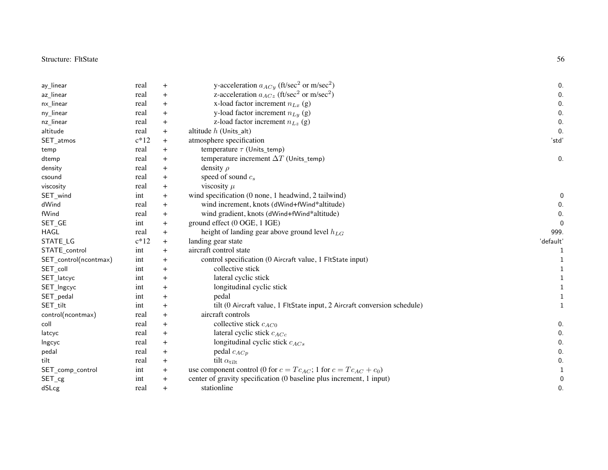| ay_linear             | real   | $\pm$          | y-acceleration $a_{ACy}$ (ft/sec <sup>2</sup> or m/sec <sup>2</sup> )     | 0.           |
|-----------------------|--------|----------------|---------------------------------------------------------------------------|--------------|
| az_linear             | real   | $\pm$          | z-acceleration $a_{ACz}$ (ft/sec <sup>2</sup> or m/sec <sup>2</sup> )     | 0.           |
| nx_linear             | real   | $\pm$          | x-load factor increment $n_{Lx}$ (g)                                      | 0.           |
| ny_linear             | real   | $\pm$          | y-load factor increment $n_{Ly}$ (g)                                      | 0.           |
| nz_linear             | real   | $\pm$          | z-load factor increment $n_{Lz}$ (g)                                      | 0.           |
| altitude              | real   | $\pm$          | altitude $h$ (Units_alt)                                                  | 0.           |
| $\mathsf{SET\_atmos}$ | $c*12$ | $\pm$          | atmosphere specification                                                  | 'std         |
| temp                  | real   | $\pm$          | temperature $\tau$ (Units_temp)                                           |              |
| dtemp                 | real   | $\ddot{}$      | temperature increment $\Delta T$ (Units_temp)                             | $\mathbf{0}$ |
| density               | real   | $\pm$          | density $\rho$                                                            |              |
| csound                | real   | $+$            | speed of sound $c_s$                                                      |              |
| viscosity             | real   | $\pm$          | viscosity $\mu$                                                           |              |
| SET_wind              | int    | $\ddot{}$      | wind specification (0 none, 1 headwind, 2 tailwind)                       | $\mathbf 0$  |
| dWind                 | real   | $+$            | wind increment, knots (dWind+fWind*altitude)                              | $\mathbf{0}$ |
| fWind                 | real   | $\pm$          | wind gradient, knots (dWind+fWind*altitude)                               | 0            |
| SET_GE                | int    | $+$            | ground effect (0 OGE, 1 IGE)                                              | 0            |
| <b>HAGL</b>           | real   | $\ddot{}$      | height of landing gear above ground level $h_{LG}$                        | 999.         |
| STATE_LG              | $c*12$ | $+$            | landing gear state                                                        | 'default     |
| STATE control         | int    | $+$            | aircraft control state                                                    |              |
| SET_control(ncontmax) | int    | $\overline{+}$ | control specification (0 Aircraft value, 1 FltState input)                |              |
| SET_coll              | int    | $\pm$          | collective stick                                                          |              |
| SET_latcyc            | int    | $\pm$          | lateral cyclic stick                                                      |              |
| SET_Ingcyc            | int    | $\ddot{}$      | longitudinal cyclic stick                                                 |              |
| SET_pedal             | int    | $+$            | pedal                                                                     |              |
| SET_tilt              | int    | $\pm$          | tilt (0 Aircraft value, 1 FltState input, 2 Aircraft conversion schedule) |              |
| control(ncontmax)     | real   | $^+$           | aircraft controls                                                         |              |
| coll                  | real   | $\mathrm{+}$   | collective stick $c_{AC0}$                                                | 0.           |
| latcyc                | real   | $\pm$          | lateral cyclic stick $c_{ACc}$                                            | 0.           |
| Ingcyc                | real   | $\ddot{}$      | longitudinal cyclic stick $c_{ACs}$                                       | 0.           |
| pedal                 | real   | $\pm$          | pedal $c_{A C p}$                                                         | 0.           |
| tilt                  | real   | $\ddot{}$      | tilt $\alpha_{\rm tilt}$                                                  | 0.           |
| SET_comp_control      | int    | $\pm$          | use component control (0 for $c = Tc_{AC}$ ; 1 for $c = Tc_{AC} + c_0$ )  |              |
| $\mathsf{SET\_cg}$    | int    | $+$            | center of gravity specification (0 baseline plus increment, 1 input)      | 0            |
| dSLcg                 | real   | $^{+}$         | stationline                                                               | $\mathbf{0}$ |
|                       |        |                |                                                                           |              |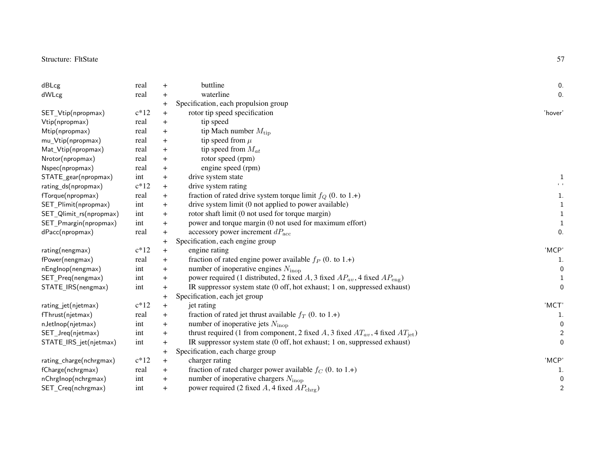| dBLcg                   | real   | $+$       | buttline                                                                                      | 0.               |
|-------------------------|--------|-----------|-----------------------------------------------------------------------------------------------|------------------|
| dWLcg                   | real   | $\ddot{}$ | waterline                                                                                     | 0.               |
|                         |        | $\ddot{}$ | Specification, each propulsion group                                                          |                  |
| SET_Vtip(npropmax)      | $c*12$ | $\ddot{}$ | rotor tip speed specification                                                                 | 'hover'          |
| Vtip(npropmax)          | real   | $\ddot{}$ | tip speed                                                                                     |                  |
| Mtip(npropmax)          | real   | $\ddot{}$ | tip Mach number $M_{\text{tip}}$                                                              |                  |
| mu_Vtip(npropmax)       | real   | $\ddot{}$ | tip speed from $\mu$                                                                          |                  |
| Mat_Vtip(npropmax)      | real   | $\ddot{}$ | tip speed from $M_{at}$                                                                       |                  |
| Nrotor(npropmax)        | real   | $\pm$     | rotor speed (rpm)                                                                             |                  |
| Nspec(npropmax)         | real   | $\ddot{}$ | engine speed (rpm)                                                                            |                  |
| STATE_gear(npropmax)    | int    | $+$       | drive system state                                                                            | $\mathbf 1$      |
| rating_ds(npropmax)     | $c*12$ | $\ddot{}$ | drive system rating                                                                           | $\qquad \qquad$  |
| fTorque(npropmax)       | real   | $\ddot{}$ | fraction of rated drive system torque limit $f_Q$ (0. to 1.+)                                 | $\mathbf{1}$     |
| SET_Plimit(npropmax)    | int    | $+$       | drive system limit (0 not applied to power available)                                         | $\mathbf{1}$     |
| SET_Qlimit_rs(npropmax) | int    | $\ddot{}$ | rotor shaft limit (0 not used for torque margin)                                              | $\mathbf{1}$     |
| SET_Pmargin(npropmax)   | int    | $+$       | power and torque margin (0 not used for maximum effort)                                       | 1                |
| dPacc(npropmax)         | real   | $+$       | accessory power increment $dP_{\text{acc}}$                                                   | 0.               |
|                         |        | $\ddot{}$ | Specification, each engine group                                                              |                  |
| rating(nengmax)         | $c*12$ | $\ddot{}$ | engine rating                                                                                 | 'MCP'            |
| fPower(nengmax)         | real   | $+$       | fraction of rated engine power available $f_P$ (0. to 1.+)                                    | 1.               |
| nEngInop(nengmax)       | int    | $+$       | number of inoperative engines $N_{\text{inop}}$                                               | 0                |
| SET_Preq(nengmax)       | int    | $+$       | power required (1 distributed, 2 fixed A, 3 fixed $AP_{av}$ , 4 fixed $AP_{eng}$ )            | 1                |
| STATE_IRS(nengmax)      | int    | $\ddot{}$ | IR suppressor system state (0 off, hot exhaust; 1 on, suppressed exhaust)                     | $\mathbf 0$      |
|                         |        | $\ddot{}$ | Specification, each jet group                                                                 |                  |
| rating_jet(njetmax)     | $c*12$ | $\ddot{}$ | jet rating                                                                                    | 'MCT'            |
| fThrust(njetmax)        | real   | $+$       | fraction of rated jet thrust available $f_T$ (0. to 1.+)                                      | 1.               |
| nJetInop(njetmax)       | int    | $+$       | number of inoperative jets $N_{\text{inop}}$                                                  | 0                |
| SET_Jreq(njetmax)       | int    | $\ddot{}$ | thrust required (1 from component, 2 fixed A, 3 fixed $AT_{av}$ , 4 fixed $AT_{\text{jet}}$ ) | $\overline{c}$   |
| STATE_IRS_jet(njetmax)  | int    | $\ddot{}$ | IR suppressor system state (0 off, hot exhaust; 1 on, suppressed exhaust)                     | 0                |
|                         |        | $\ddot{}$ | Specification, each charge group                                                              |                  |
| rating_charge(nchrgmax) | $c*12$ | $\ddot{}$ | charger rating                                                                                | 'MCP'            |
| fCharge(nchrgmax)       | real   | $+$       | fraction of rated charger power available $f_C$ (0. to 1.+)                                   | 1.               |
| nChrgInop(nchrgmax)     | int    | $+$       | number of inoperative chargers $N_{\text{inop}}$                                              | $\boldsymbol{0}$ |
| SET Creq(nchrgmax)      | int    | $+$       | power required (2 fixed $A$ , 4 fixed $AP_{\text{chrg}}$ )                                    | $\overline{c}$   |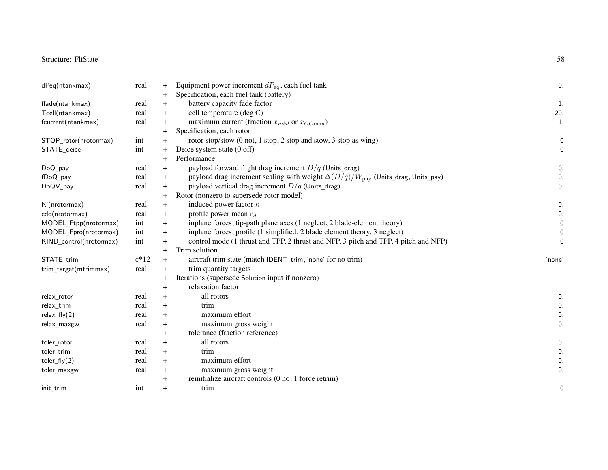| dPeq(ntankmax)          | real   | $\ddot{}$                        | Equipment power increment $dP_{eq}$ , each fuel tank<br>Specification, each fuel tank (battery) | $\mathbf{0}$ |
|-------------------------|--------|----------------------------------|-------------------------------------------------------------------------------------------------|--------------|
| ffade(ntankmax)         | real   | $\ddot{}$<br>$\ddot{}$           | battery capacity fade factor                                                                    | $\mathbf 1$  |
| Tcell(ntankmax)         | real   | $+$                              | cell temperature (deg C)                                                                        | 20.          |
| fcurrent(ntankmax)      | real   |                                  |                                                                                                 |              |
|                         |        | $\ddot{}$                        | maximum current (fraction $x_{mbd}$ or $x_{CCmax}$ )<br>Specification, each rotor               | $\mathbf{1}$ |
| STOP rotor(nrotormax)   | int    | $\ddot{}$<br>$+$                 | rotor stop/stow (0 not, 1 stop, 2 stop and stow, 3 stop as wing)                                |              |
| STATE deice             | int    | $\ddot{}$                        | Deice system state (0 off)                                                                      |              |
|                         |        | $\ddot{}$                        | Performance                                                                                     |              |
| DoQ_pay                 | real   | $\begin{array}{c} + \end{array}$ | payload forward flight drag increment $D/q$ (Units_drag)                                        | 0.           |
| fDoQ_pay                | real   | $+$                              | payload drag increment scaling with weight $\Delta(D/q)/W_{\text{pay}}$ (Units_drag, Units_pay) | 0.           |
| DoQV_pay                | real   | $\begin{array}{c} + \end{array}$ | payload vertical drag increment $D/q$ (Units_drag)                                              | 0.           |
|                         |        | $\begin{array}{c} + \end{array}$ | Rotor (nonzero to supersede rotor model)                                                        |              |
|                         | real   |                                  |                                                                                                 |              |
| Ki(nrotormax)           |        | $+$                              | induced power factor $\kappa$                                                                   | 0.           |
| cdo(nrotormax)          | real   | $+$                              | profile power mean $c_d$                                                                        | 0.           |
| MODEL_Ftpp(nrotormax)   | int    | $+$                              | inplane forces, tip-path plane axes (1 neglect, 2 blade-element theory)                         |              |
| MODEL_Fpro(nrotormax)   | int    | $+$                              | inplane forces, profile (1 simplified, 2 blade element theory, 3 neglect)                       |              |
| KIND_control(nrotormax) | int    | $\ddot{}$                        | control mode (1 thrust and TPP, 2 thrust and NFP, 3 pitch and TPP, 4 pitch and NFP)             |              |
|                         |        | $\ddot{}$                        | Trim solution                                                                                   |              |
| STATE_trim              | $c*12$ | $+$                              | aircraft trim state (match IDENT_trim, 'none' for no trim)                                      | 'none'       |
| trim_target(mtrimmax)   | real   | $+$                              | trim quantity targets                                                                           |              |
|                         |        | $\ddot{}$                        | Iterations (supersede Solution input if nonzero)                                                |              |
|                         |        | $\ddot{}$                        | relaxation factor                                                                               |              |
| relax_rotor             | real   | $\ddot{}$                        | all rotors                                                                                      | 0.           |
| relax_trim              | real   | $+$                              | trim                                                                                            | 0.           |
| $relax_fly(2)$          | real   | $\begin{array}{c} + \end{array}$ | maximum effort                                                                                  | 0.           |
| relax maxgw             | real   | $\ddot{}$                        | maximum gross weight                                                                            | 0.           |
|                         |        | $+$                              | tolerance (fraction reference)                                                                  |              |
| toler rotor             | real   | $\ddot{}$                        | all rotors                                                                                      | 0.           |
| toler_trim              | real   | $\ddot{}$                        | trim                                                                                            | $\mathbf{0}$ |
| toler_fly $(2)$         | real   | $\ddot{}$                        | maximum effort                                                                                  | 0.           |
| toler_maxgw             | real   | $+$                              | maximum gross weight                                                                            | $\mathbf{0}$ |
|                         |        | $\ddot{}$                        | reinitialize aircraft controls (0 no, 1 force retrim)                                           |              |
| init trim               | int    | $\ddot{}$                        | trim                                                                                            |              |
|                         |        |                                  |                                                                                                 |              |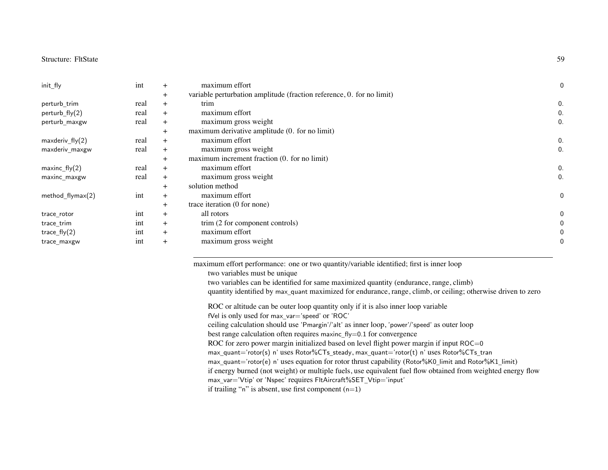| init_fly          | int  |                | maximum effort                                                        |    |
|-------------------|------|----------------|-----------------------------------------------------------------------|----|
|                   |      | $+$            | variable perturbation amplitude (fraction reference, 0. for no limit) |    |
| perturb_trim      | real | $+$            | trim                                                                  | 0. |
| perturb_fly(2)    | real | $+$            | maximum effort                                                        |    |
| perturb maxgw     | real | $+$            | maximum gross weight                                                  | 0. |
|                   |      | $\pm$          | maximum derivative amplitude (0. for no limit)                        |    |
| $maxderiv_fly(2)$ | real |                | maximum effort                                                        | 0. |
| maxderiv_maxgw    | real | $\pm$          | maximum gross weight                                                  | 0. |
|                   |      | $\pm$          | maximum increment fraction (0. for no limit)                          |    |
| $maxinc_fly(2)$   | real |                | maximum effort                                                        | 0. |
| maxinc maxgw      | real | $\overline{+}$ | maximum gross weight                                                  | 0. |
|                   |      |                | solution method                                                       |    |
| method_flymax(2)  | int  |                | maximum effort                                                        | 0  |
|                   |      | $\pm$          | trace iteration (0 for none)                                          |    |
| trace rotor       | int  | $^{+}$         | all rotors                                                            |    |
| trace trim        | int  | $+$            | trim (2 for component controls)                                       |    |
| $trace_fly(2)$    | int  | $^{+}$         | maximum effort                                                        |    |
| trace maxgw       | int  |                | maximum gross weight                                                  |    |

maximum effort performance: one or two quantity/variable identified; first is inner loop

two variables must be unique

two variables can be identified for same maximized quantity (endurance, range, climb) quantity identified by max\_quant maximized for endurance, range, climb, or ceiling; otherwise driven to zero

ROC or altitude can be outer loop quantity only if it is also inner loop variable fVel is only used for max\_var='speed' or 'ROC' ceiling calculation should use 'Pmargin'/'alt' as inner loop, 'power'/'speed' as outer loop best range calculation often requires maxinc\_fly=0.1 for convergence ROC for zero power margin initialized based on level flight power margin if input ROC=0 max \_quant='rotor(s) <sup>n</sup>' uses Rotor%CTs\_steady, max\_quant='rotor(t) <sup>n</sup>' uses Rotor%CTs\_tran max \_quant='rotor(e) <sup>n</sup>' uses equation for rotor thrust capability (Rotor%K0\_limit and Rotor%K1\_limit) if energy burned (not weight) or multiple fuels, use equivalent fuel flow obtained from weighted energy flow max \_var='Vtip' or 'Nspec' requires FltAircraft%SET\_Vtip='input'

if trailing "n" is absent, use first component  $(n=1)$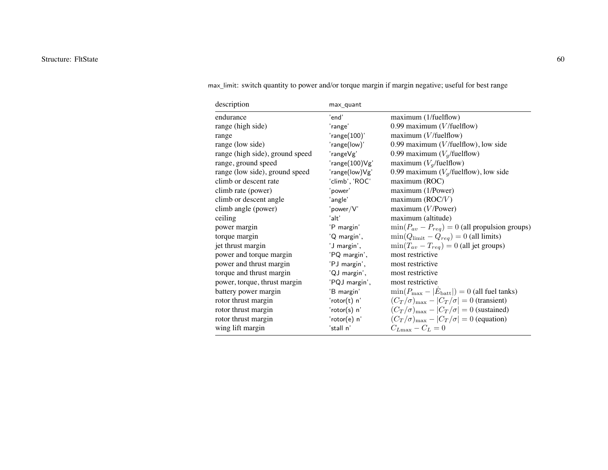| description                     | max quant             |                                                                 |
|---------------------------------|-----------------------|-----------------------------------------------------------------|
| endurance                       | 'end'                 | maximum (1/fuelflow)                                            |
| range (high side)               | 'range'               | 0.99 maximum ( $V$ /fuelflow)                                   |
| range                           | $'$ range $(100)'$    | maximum $(V/\text{fuelflow})$                                   |
| range (low side)                | 'range(low)'          | 0.99 maximum ( $V$ /fuelflow), low side                         |
| range (high side), ground speed | 'rangeVg'             | 0.99 maximum ( $V_q$ /fuelflow)                                 |
| range, ground speed             | $'$ range $(100)$ Vg' | maximum ( $V_q$ /fuelflow)                                      |
| range (low side), ground speed  | 'range(low)Vg'        | 0.99 maximum ( $V_q$ /fuelflow), low side                       |
| climb or descent rate           | 'climb', 'ROC'        | maximum (ROC)                                                   |
| climb rate (power)              | 'power'               | maximum (1/Power)                                               |
| climb or descent angle          | 'angle'               | maximum ( $ROC/V$ )                                             |
| climb angle (power)             | 'power/V'             | maximum $(V/Power)$                                             |
| ceiling                         | 'alt'                 | maximum (altitude)                                              |
| power margin                    | 'P margin'            | $\min(P_{av} - P_{req}) = 0$ (all propulsion groups)            |
| torque margin                   | 'Q margin',           | $\min(Q_{\text{limit}} - Q_{req}) = 0$ (all limits)             |
| jet thrust margin               | 'J margin',           | $\min(T_{av} - T_{req}) = 0$ (all jet groups)                   |
| power and torque margin         | 'PQ margin',          | most restrictive                                                |
| power and thrust margin         | 'PJ margin',          | most restrictive                                                |
| torque and thrust margin        | 'QJ margin',          | most restrictive                                                |
| power, torque, thrust margin    | 'PQJ margin',         | most restrictive                                                |
| battery power margin            | 'B margin'            | $\min(P_{\text{max}} -  E_{\text{batt}} ) = 0$ (all fuel tanks) |
| rotor thrust margin             | ' $rotor(t)$ n'       | $(C_T/\sigma)_{\text{max}} -  C_T/\sigma  = 0$ (transient)      |
| rotor thrust margin             | 'rotor(s) n'          | $(C_T/\sigma)_{\text{max}} -  C_T/\sigma  = 0$ (sustained)      |
| rotor thrust margin             | ' $rotor(e)$ n'       | $(C_T/\sigma)_{\text{max}} -  C_T/\sigma  = 0$ (equation)       |
| wing lift margin                | 'stall n'             | $C_{L\text{max}} - C_L = 0$                                     |

max \_ limit: switch quantity to power and/or torque margin if margin negative; useful for best range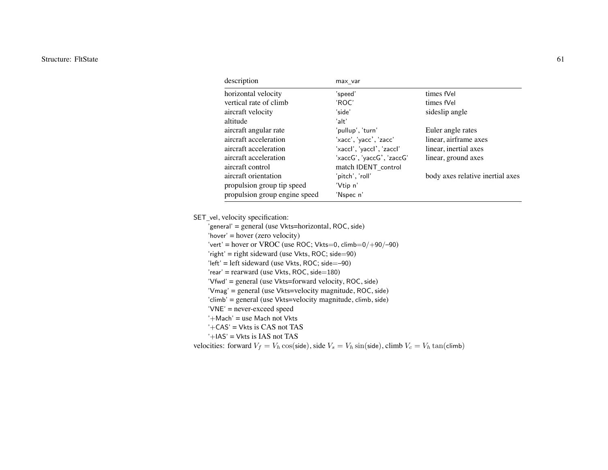| description                   | max var                   |                                  |
|-------------------------------|---------------------------|----------------------------------|
| horizontal velocity           | 'speed'                   | times fVel                       |
| vertical rate of climb        | 'ROC'                     | times fVel                       |
| aircraft velocity             | 'side'                    | sideslip angle                   |
| altitude                      | 'alt'                     |                                  |
| aircraft angular rate         | 'pullup', 'turn'          | Euler angle rates                |
| aircraft acceleration         | 'xacc', 'yacc', 'zacc'    | linear, airframe axes            |
| aircraft acceleration         | 'xaccl', 'yaccl', 'zaccl' | linear, inertial axes            |
| aircraft acceleration         | 'xaccG', 'yaccG', 'zaccG' | linear, ground axes              |
| aircraft control              | match IDENT control       |                                  |
| aircraft orientation          | 'pitch', 'roll'           | body axes relative inertial axes |
| propulsion group tip speed    | 'Vtip n'                  |                                  |
| propulsion group engine speed | 'Nspec n'                 |                                  |

SET \_ vel, velocity specification:

'general' <sup>=</sup> general (use Vkts=horizontal, ROC, side)

'hover' <sup>=</sup> hover (zero velocity)

'vert' = hover or VROC (use ROC; Vkts=0, climb= $0/+90/-90$ )

 $'right' = right$  sideward (use Vkts, ROC; side=90)

 $'$ left' = left sideward (use Vkts, ROC; side=–90)

'rear' <sup>=</sup> rearward (use Vkts, ROC, side=180)

'Vfwd' <sup>=</sup> general (use Vkts=forward velocity, ROC, side)

'Vmag' <sup>=</sup> general (use Vkts=velocity magnitude, ROC, side)

'climb' <sup>=</sup> general (use Vkts=velocity magnitude, climb, side)

'VNE' <sup>=</sup> never-exceed speed

 $'+Mach' =$ use Mach not Vkts

 $'+CAS'$  = Vkts is CAS not TAS

 $'+IAS'$  = Vkts is IAS not TAS

velocities: forward  $V_f = V_h \cos(\text{side})$ , side  $V_s = V_h \sin(\text{side})$ , climb  $V_c = V_h \tan(\text{climb})$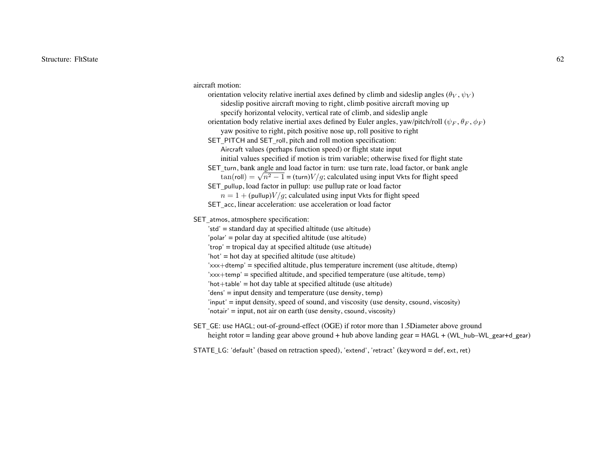aircraft motion:

| orientation velocity relative inertial axes defined by climb and sideslip angles $(\theta_V, \psi_V)$<br>sideslip positive aircraft moving to right, climb positive aircraft moving up         |
|------------------------------------------------------------------------------------------------------------------------------------------------------------------------------------------------|
| specify horizontal velocity, vertical rate of climb, and sideslip angle                                                                                                                        |
| orientation body relative inertial axes defined by Euler angles, yaw/pitch/roll ( $\psi_F$ , $\theta_F$ , $\phi_F$ )<br>yaw positive to right, pitch positive nose up, roll positive to right  |
| SET_PITCH and SET_roll, pitch and roll motion specification:                                                                                                                                   |
| Aircraft values (perhaps function speed) or flight state input                                                                                                                                 |
| initial values specified if motion is trim variable; otherwise fixed for flight state                                                                                                          |
| SET_turn, bank angle and load factor in turn: use turn rate, load factor, or bank angle                                                                                                        |
| $tan(roll) = \sqrt{n^2 - 1}$ = $(turn)V/g$ ; calculated using input Vkts for flight speed                                                                                                      |
| SET_pullup, load factor in pullup: use pullup rate or load factor                                                                                                                              |
| $n = 1 + ($ pullup) $V/g$ ; calculated using input Vkts for flight speed                                                                                                                       |
| SET_acc, linear acceleration: use acceleration or load factor                                                                                                                                  |
| SET_atmos, atmosphere specification:                                                                                                                                                           |
| 'std' = standard day at specified altitude (use altitude)                                                                                                                                      |
| 'polar' = polar day at specified altitude (use altitude)                                                                                                                                       |
| 'trop' = tropical day at specified altitude (use altitude)                                                                                                                                     |
| 'hot' = hot day at specified altitude (use altitude)                                                                                                                                           |
| $'xxx + dtemp'$ = specified altitude, plus temperature increment (use altitude, dtemp)                                                                                                         |
| 'xxx+temp' = specified altitude, and specified temperature (use altitude, temp)                                                                                                                |
| 'hot+table' = hot day table at specified altitude (use altitude)                                                                                                                               |
| 'dens' = input density and temperature (use density, temp)                                                                                                                                     |
| 'input' = input density, speed of sound, and viscosity (use density, csound, viscosity)                                                                                                        |
| 'notair' = input, not air on earth (use density, csound, viscosity)                                                                                                                            |
| SET_GE: use HAGL; out-of-ground-effect (OGE) if rotor more than 1.5Diameter above ground<br>height rotor = landing gear above ground + hub above landing gear = HAGL + (WL_hub-WL_gear+d_gear) |
|                                                                                                                                                                                                |

STATE \_ LG: 'default' (based on retraction speed), 'extend', 'retract' (keyword <sup>=</sup> def, ext, ret)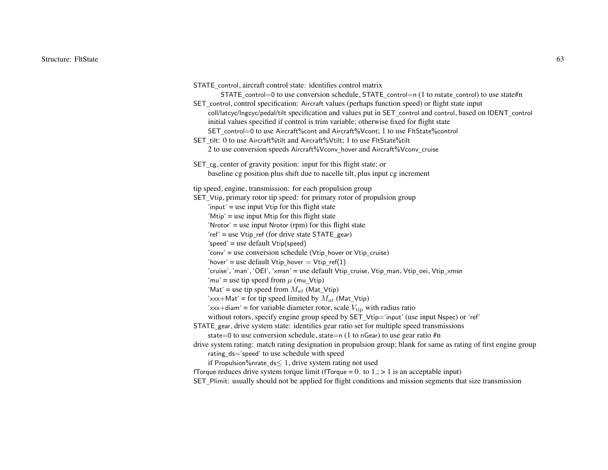| STATE_control, aircraft control state: identifies control matrix<br>STATE control=0 to use conversion schedule, STATE control=n (1 to nstate control) to use state#n<br>SET_control, control specification: Aircraft values (perhaps function speed) or flight state input<br>coll/latcyc/lngcyc/pedal/tilt specification and values put in SET_control and control, based on IDENT_control<br>initial values specified if control is trim variable; otherwise fixed for flight state<br>SET_control=0 to use Aircraft%cont and Aircraft%Vcont; 1 to use FltState%control<br>SET_tilt: 0 to use Aircraft%tilt and Aircraft%Vtilt; 1 to use FltState%tilt<br>2 to use conversion speeds Aircraft%Vconv hover and Aircraft%Vconv cruise |
|---------------------------------------------------------------------------------------------------------------------------------------------------------------------------------------------------------------------------------------------------------------------------------------------------------------------------------------------------------------------------------------------------------------------------------------------------------------------------------------------------------------------------------------------------------------------------------------------------------------------------------------------------------------------------------------------------------------------------------------|
| SET_cg, center of gravity position: input for this flight state; or<br>baseline cg position plus shift due to nacelle tilt, plus input cg increment                                                                                                                                                                                                                                                                                                                                                                                                                                                                                                                                                                                   |
| tip speed, engine, transmission: for each propulsion group<br>SET_Vtip, primary rotor tip speed: for primary rotor of propulsion group<br>$'$ input' = use input $V$ tip for this flight state<br>'Mtip' = use input Mtip for this flight state<br>'Nrotor' = use input Nrotor (rpm) for this flight state                                                                                                                                                                                                                                                                                                                                                                                                                            |
| 'ref' = use Vtip_ref (for drive state STATE_gear)<br>'speed' = use default $Vtip(speed)$                                                                                                                                                                                                                                                                                                                                                                                                                                                                                                                                                                                                                                              |
| 'conv' = use conversion schedule (Vtip_hover or Vtip_cruise)<br>'hover' = use default Vtip_hover = $Vtip_ref(1)$                                                                                                                                                                                                                                                                                                                                                                                                                                                                                                                                                                                                                      |
| 'cruise', 'man', 'OEI', 'xmsn' = use default Vtip_cruise, Vtip_man, Vtip_oei, Vtip_xmsn                                                                                                                                                                                                                                                                                                                                                                                                                                                                                                                                                                                                                                               |
| 'mu' = use tip speed from $\mu$ (mu Vtip)                                                                                                                                                                                                                                                                                                                                                                                                                                                                                                                                                                                                                                                                                             |
| 'Mat' = use tip speed from $M_{at}$ (Mat_Vtip)                                                                                                                                                                                                                                                                                                                                                                                                                                                                                                                                                                                                                                                                                        |
| 'xxx+Mat' = for tip speed limited by $M_{at}$ (Mat_Vtip)                                                                                                                                                                                                                                                                                                                                                                                                                                                                                                                                                                                                                                                                              |
| 'xxx+diam' = for variable diameter rotor, scale $V_{\text{tip}}$ with radius ratio                                                                                                                                                                                                                                                                                                                                                                                                                                                                                                                                                                                                                                                    |
| without rotors, specify engine group speed by SET_Vtip='input' (use input Nspec) or 'ref'                                                                                                                                                                                                                                                                                                                                                                                                                                                                                                                                                                                                                                             |
| STATE_gear, drive system state: identifies gear ratio set for multiple speed transmissions<br>state=0 to use conversion schedule, state=n (1 to nGear) to use gear ratio $#n$                                                                                                                                                                                                                                                                                                                                                                                                                                                                                                                                                         |
| drive system rating: match rating designation in propulsion group; blank for same as rating of first engine group                                                                                                                                                                                                                                                                                                                                                                                                                                                                                                                                                                                                                     |
| rating_ds='speed' to use schedule with speed                                                                                                                                                                                                                                                                                                                                                                                                                                                                                                                                                                                                                                                                                          |
| if Propulsion%nrate_ds $\leq 1$ , drive system rating not used                                                                                                                                                                                                                                                                                                                                                                                                                                                                                                                                                                                                                                                                        |
| forque reduces drive system torque limit (forque = 0. to 1.; > 1 is an acceptable input)                                                                                                                                                                                                                                                                                                                                                                                                                                                                                                                                                                                                                                              |
| SET_Plimit: usually should not be applied for flight conditions and mission segments that size transmission                                                                                                                                                                                                                                                                                                                                                                                                                                                                                                                                                                                                                           |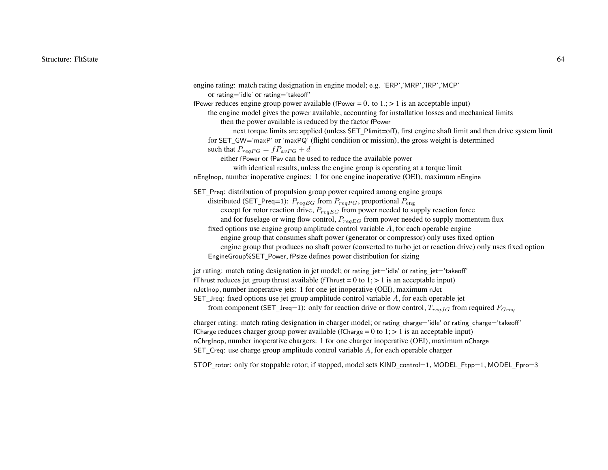engine rating: match rating designation in engine model; e.g. 'ERP','MRP','IRP','MCP' or rating='idle' or rating='takeoff' fPower reduces engine group power available (fPower = 0. to  $1$ ;  $> 1$  is an acceptable input) the engine model gives the power available, accounting for installation losses and mechanical limits then the power available is reduced by the factor fPower next torque limits are applied (unless SET\_Plimit=off), first engine shaft limit and then drive system limit for SET \_ GW='maxP' or 'maxPQ' (flight condition or mission), the gross weight is determined such that  $P_{reqPG} = fP_{avPG} + d$ either fPower or fPav can be used to reduce the available power with identical results, unless the engine group is operating at <sup>a</sup> torque limit nEngInop, number inoperative engines: 1 for one engine inoperative (OEI), maximum nEngine SET \_Preq: distribution of propulsion group power required among engine groups distributed (SET\_Preq=1): *<sup>P</sup>reqEG* from *<sup>P</sup>reqPG*, proportional *<sup>P</sup>*eng except for rotor reaction drive,  $P_{reqEG}$  from power needed to supply reaction force and for fuselage or wing flow control,  $P_{reaEG}$  from power needed to supply momentum flux fixed options use engine group amplitude control variable *A*, for each operable engine engine group that consumes shaft power (generator or compressor) only uses fixed option engine group that produces no shaft power (converted to turbo jet or reaction drive) only uses fixed option EngineGroup%SET\_Power, fPsize defines power distribution for sizing jet rating: match rating designation in jet model; or rating  $jet='idle'$  or rating  $jet='takeoff'$ fThrust reduces jet group thrust available (fThrust = 0 to 1;  $> 1$  is an acceptable input) nJetInop, number inoperative jets: 1 for one jet inoperative (OEI), maximum nJet SET \_Jreq: fixed options use jet group amplitude control variable *A*, for each operable jet from component (SET\_Jreq=1): only for reaction drive or flow control,  $T_{req, IG}$  from required  $F_{Gre}$ charger rating: match rating designation in charger model; or rating\_charge='idle' or rating\_charge='takeoff' fCharge reduces charger group power available (fCharge = 0 to  $1$ ; > 1 is an acceptable input) nChrgInop, number inoperative chargers: 1 for one charger inoperative (OEI), maximum nCharge SET \_Creq: use charge group amplitude control variable *A*, for each operable charger

STOP \_ rotor: only for stoppable rotor; if stopped, model sets KIND\_control=1, MODEL\_Ftpp=1, MODEL\_Fpro=3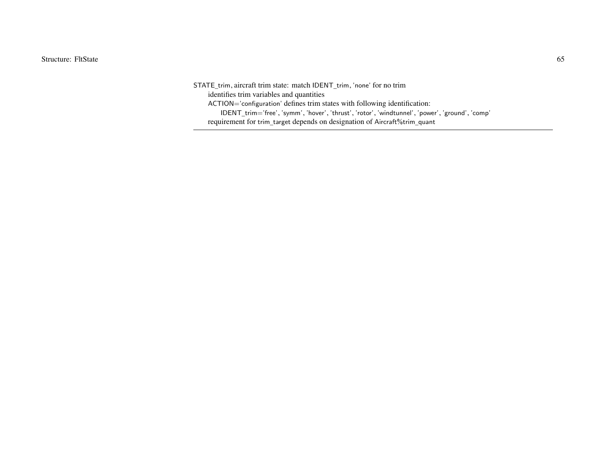STATE \_ trim, aircraft trim state: match IDENT\_trim, 'none' for no trim identifies trim variables and quantities ACTION='configuration' defines trim states with following identification: IDENT \_ trim='free', 'symm', 'hover', 'thrust', 'rotor', 'windtunnel', 'power', 'ground', 'comp' requirement for trim\_target depends on designation of Aircraft%trim\_quant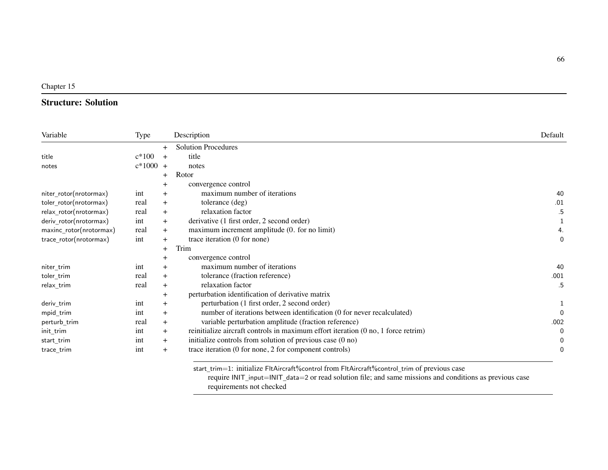### Chapter 15

## **Structure: Solution**

| Variable                | Type       |                | Description                                                                       | Default     |
|-------------------------|------------|----------------|-----------------------------------------------------------------------------------|-------------|
|                         |            | $^{+}$         | <b>Solution Procedures</b>                                                        |             |
| title                   | $c*100$    | $+$            | title                                                                             |             |
| notes                   | $c*1000 +$ |                | notes                                                                             |             |
|                         |            | $\ddot{}$      | Rotor                                                                             |             |
|                         |            | ÷              | convergence control                                                               |             |
| niter_rotor(nrotormax)  | int        | $+$            | maximum number of iterations                                                      | 40          |
| toler_rotor(nrotormax)  | real       | $+$            | tolerance (deg)                                                                   | .01         |
| relax_rotor(nrotormax)  | real       | $+$            | relaxation factor                                                                 | .5          |
| deriv_rotor(nrotormax)  | int        | $+$            | derivative (1 first order, 2 second order)                                        |             |
| maxinc_rotor(nrotormax) | real       | $+$            | maximum increment amplitude (0. for no limit)                                     | 4.          |
| trace_rotor(nrotormax)  | int        | $+$            | trace iteration (0 for none)                                                      | 0           |
|                         |            | $\ddot{}$      | Trim                                                                              |             |
|                         |            | $\pm$          | convergence control                                                               |             |
| niter_trim              | int        | $\overline{+}$ | maximum number of iterations                                                      | 40          |
| toler trim              | real       | $+$            | tolerance (fraction reference)                                                    | .001        |
| relax_trim              | real       | $\ddot{}$      | relaxation factor                                                                 | .5          |
|                         |            | $\ddot{}$      | perturbation identification of derivative matrix                                  |             |
| deriv_trim              | int        | $+$            | perturbation (1 first order, 2 second order)                                      |             |
| mpid_trim               | int        | $\pm$          | number of iterations between identification (0 for never recalculated)            | $\Omega$    |
| perturb_trim            | real       | $+$            | variable perturbation amplitude (fraction reference)                              | .002        |
| init_trim               | int        | $+$            | reinitialize aircraft controls in maximum effort iteration (0 no, 1 force retrim) | $\mathbf 0$ |
| start trim              | int        | $^{+}$         | initialize controls from solution of previous case (0 no)                         | 0           |
| trace_trim              | int        | $^{+}$         | trace iteration (0 for none, 2 for component controls)                            | 0           |
|                         |            |                |                                                                                   |             |

start \_ trim=1: initialize FltAircraft%control from FltAircraft%control \_ trim of previous case

require INIT\_input=INIT\_data=2 or read solution file; and same missions and conditions as previous case requirements not checked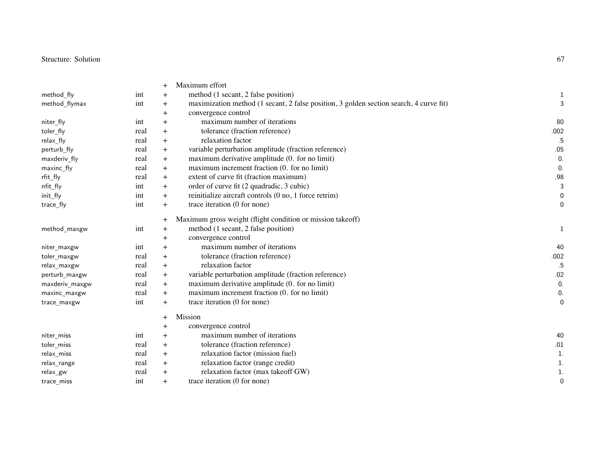### Structure: Solution 67

|                |      |           | Maximum effort                                                                         |              |
|----------------|------|-----------|----------------------------------------------------------------------------------------|--------------|
| method fly     | int  | $+$       | method (1 secant, 2 false position)                                                    | $\mathbf{1}$ |
| method_flymax  | int  | $\ddot{}$ | maximization method (1 secant, 2 false position, 3 golden section search, 4 curve fit) | 3            |
|                |      | $\ddot{}$ | convergence control                                                                    |              |
| niter_fly      | int  | $\ddot{}$ | maximum number of iterations                                                           | 80           |
| toler_fly      | real | $\ddot{}$ | tolerance (fraction reference)                                                         | .002         |
| relax_fly      | real | $+$       | relaxation factor                                                                      | $.5\,$       |
| perturb_fly    | real | $+$       | variable perturbation amplitude (fraction reference)                                   | .05          |
| maxderiv fly   | real | $+$       | maximum derivative amplitude (0. for no limit)                                         | 0.           |
| maxinc_fly     | real | $+$       | maximum increment fraction (0. for no limit)                                           | 0.           |
| rfit_fly       | real | $+$       | extent of curve fit (fraction maximum)                                                 | .98          |
| nfit_fly       | int  | $\ddot{}$ | order of curve fit (2 quadradic, 3 cubic)                                              | 3            |
| init fly       | int  | $+$       | reinitialize aircraft controls (0 no, 1 force retrim)                                  | 0            |
| trace_fly      | int  | $+$       | trace iteration (0 for none)                                                           | 0            |
|                |      | $\ddot{}$ | Maximum gross weight (flight condition or mission takeoff)                             |              |
| method_maxgw   | int  | $\ddot{}$ | method (1 secant, 2 false position)                                                    | 1            |
|                |      | $+$       | convergence control                                                                    |              |
| niter maxgw    | int  | $+$       | maximum number of iterations                                                           | 40           |
| toler_maxgw    | real | $\ddot{}$ | tolerance (fraction reference)                                                         | .002         |
| relax_maxgw    | real | $+$       | relaxation factor                                                                      | $.5\,$       |
| perturb_maxgw  | real | $+$       | variable perturbation amplitude (fraction reference)                                   | .02          |
| maxderiv_maxgw | real | $+$       | maximum derivative amplitude (0. for no limit)                                         | 0.           |
| maxinc_maxgw   | real | $+$       | maximum increment fraction (0. for no limit)                                           | 0.           |
| trace maxgw    | int  | $+$       | trace iteration (0 for none)                                                           | $\mathbf 0$  |
|                |      |           | Mission                                                                                |              |
|                |      |           | convergence control                                                                    |              |
| niter_miss     | int  | $+$       | maximum number of iterations                                                           | 40           |
| toler_miss     | real | $+$       | tolerance (fraction reference)                                                         | $.01\,$      |
| relax_miss     | real | $+$       | relaxation factor (mission fuel)                                                       | 1.           |
| relax_range    | real | $+$       | relaxation factor (range credit)                                                       | 1.           |
| relax_gw       | real | $+$       | relaxation factor (max takeoff GW)                                                     | 1.           |
| trace miss     | int  | $+$       | trace iteration (0 for none)                                                           | 0            |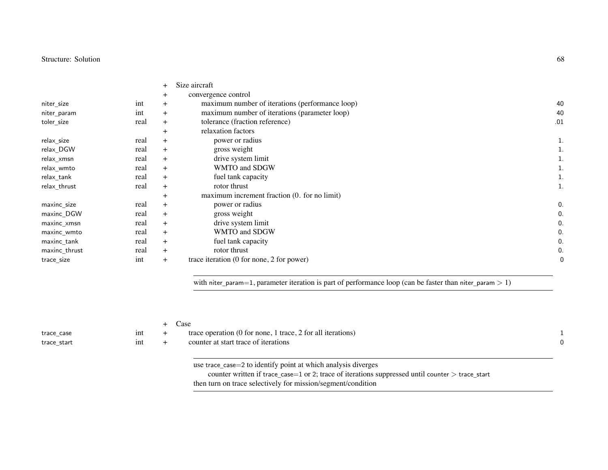#### Structure: Solution 68

|               |      | $\pm$  | Size aircraft                                   |     |
|---------------|------|--------|-------------------------------------------------|-----|
|               |      | $^+$   | convergence control                             |     |
| niter_size    | int  | $+$    | maximum number of iterations (performance loop) | 40  |
| niter_param   | int  | $+$    | maximum number of iterations (parameter loop)   | 40  |
| toler_size    | real | $+$    | tolerance (fraction reference)                  | .01 |
|               |      | $+$    | relaxation factors                              |     |
| relax_size    | real | $+$    | power or radius                                 |     |
| relax_DGW     | real | $^{+}$ | gross weight                                    |     |
| relax_xmsn    | real | $^{+}$ | drive system limit                              |     |
| relax_wmto    | real | $+$    | WMTO and SDGW                                   |     |
| relax_tank    | real | $+$    | fuel tank capacity                              |     |
| relax_thrust  | real | $+$    | rotor thrust                                    |     |
|               |      | $\pm$  | maximum increment fraction (0, for no limit)    |     |
| maxinc size   | real | $+$    | power or radius                                 | 0.  |
| maxinc_DGW    | real | $+$    | gross weight                                    | 0.  |
| maxinc xmsn   | real | $+$    | drive system limit                              | 0.  |
| maxinc_wmto   | real | $+$    | WMTO and SDGW                                   | 0.  |
| maxinc_tank   | real | $+$    | fuel tank capacity                              | 0.  |
| maxinc_thrust | real | $^+$   | rotor thrust                                    | 0.  |
| trace size    | int  | $+$    | trace iteration (0 for none, 2 for power)       |     |

with niter \_param=1, parameter iteration is par<sup>t</sup> of performance loop (can be faster than niter\_param *<sup>&</sup>gt;* 1)

|             |     |        | Case                                                        |  |
|-------------|-----|--------|-------------------------------------------------------------|--|
| trace case  | 1nt | $\div$ | trace operation (0 for none, 1 trace, 2 for all iterations) |  |
| trace start | 1nt | ÷      | counter at start trace of iterations                        |  |
|             |     |        |                                                             |  |

use trace \_ case=2 to identify point at which analysis diverges counter written if trace \_ case=1 or <sup>2</sup>; trace of iterations suppressed until counter *<sup>&</sup>gt;* trace\_start then turn on trace selectively for mission/segment/condition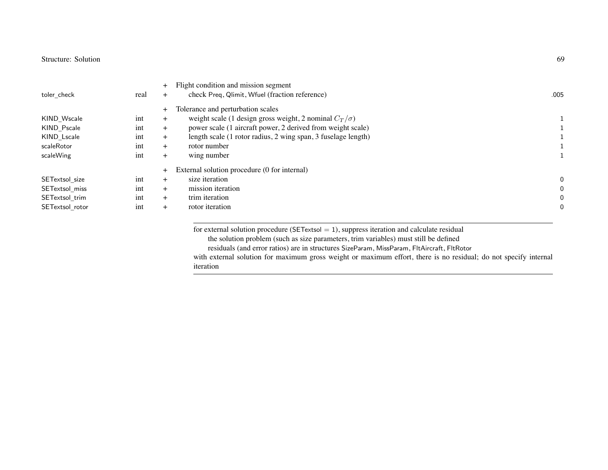#### Structure: Solution 69

|                    |      | $+$            | Flight condition and mission segment                          |             |
|--------------------|------|----------------|---------------------------------------------------------------|-------------|
| toler check        | real | $+$            | check Preq, Qlimit, Wfuel (fraction reference)                | .005        |
|                    |      | $+$            | Tolerance and perturbation scales                             |             |
| KIND_Wscale        | int  | $+$            | weight scale (1 design gross weight, 2 nominal $C_T/\sigma$ ) |             |
| <b>KIND Pscale</b> | int  | $+$            | power scale (1 aircraft power, 2 derived from weight scale)   |             |
| KIND_Lscale        | int  | $+$            | length scale (1 rotor radius, 2 wing span, 3 fuselage length) |             |
| scaleRotor         | int  | $+$            | rotor number                                                  |             |
| scaleWing          | int  | $+$            | wing number                                                   |             |
|                    |      | $\overline{+}$ | External solution procedure (0 for internal)                  |             |
| SETextsol size     | int  | $+$            | size iteration                                                | $\mathbf 0$ |
| SETextsol miss     | int  | $+$            | mission iteration                                             | $\mathbf 0$ |
| SETextsol trim     | int  | $+$            | trim iteration                                                | $\mathbf 0$ |
| SETextsol rotor    | int  | $+$            | rotor iteration                                               | $\mathbf 0$ |
|                    |      |                |                                                               |             |
|                    |      |                |                                                               |             |

for external solution procedure ( $SETextcol = 1$ ), suppress iteration and calculate residual

the solution problem (such as size parameters, trim variables) must still be defined

residuals (and error ratios) are in structures SizeParam, MissParam, FltAircraft, FltRotor

with external solution for maximum gross weight or maximum effort, there is no residual; do not specify internal iteration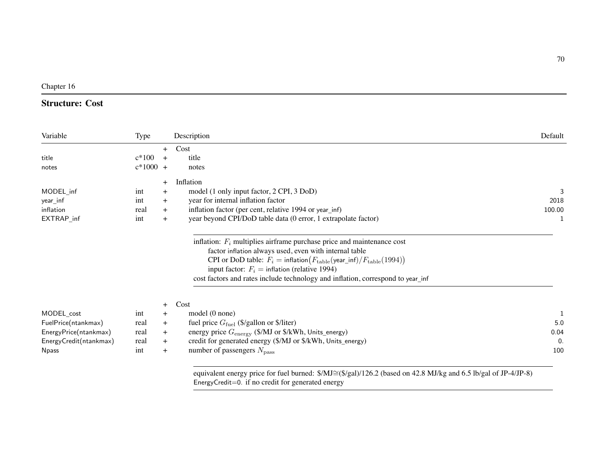| Variable               | Type       |       | Description                                                                                                                                                                                                                                                                                                                                                                       | Default |
|------------------------|------------|-------|-----------------------------------------------------------------------------------------------------------------------------------------------------------------------------------------------------------------------------------------------------------------------------------------------------------------------------------------------------------------------------------|---------|
|                        |            | $\pm$ | Cost                                                                                                                                                                                                                                                                                                                                                                              |         |
| title                  | $c*100$    | $+$   | title                                                                                                                                                                                                                                                                                                                                                                             |         |
| notes                  | $c*1000 +$ |       | notes                                                                                                                                                                                                                                                                                                                                                                             |         |
|                        |            | $+$   | Inflation                                                                                                                                                                                                                                                                                                                                                                         |         |
| MODEL_inf              | int        | $\pm$ | model (1 only input factor, 2 CPI, 3 DoD)                                                                                                                                                                                                                                                                                                                                         | 3       |
| year_inf               | int        | $+$   | year for internal inflation factor                                                                                                                                                                                                                                                                                                                                                | 2018    |
| inflation              | real       | $+$   | inflation factor (per cent, relative 1994 or year_inf)                                                                                                                                                                                                                                                                                                                            | 100.00  |
| EXTRAP_inf             | int        | $+$   | year beyond CPI/DoD table data (0 error, 1 extrapolate factor)                                                                                                                                                                                                                                                                                                                    | 1       |
|                        |            |       | inflation: $F_i$ multiplies airframe purchase price and maintenance cost<br>factor inflation always used, even with internal table<br>CPI or DoD table: $F_i = \text{inflation}(F_{\text{table}}(\text{year\_inf})/F_{\text{table}}(1994))$<br>input factor: $F_i$ = inflation (relative 1994)<br>cost factors and rates include technology and inflation, correspond to year_inf |         |
|                        |            | $+$   | Cost                                                                                                                                                                                                                                                                                                                                                                              |         |
| MODEL_cost             | int        | $+$   | model (0 none)                                                                                                                                                                                                                                                                                                                                                                    |         |
| FuelPrice(ntankmax)    | real       | $+$   | fuel price $G_{\text{fuel}}$ (\$/gallon or \$/liter)                                                                                                                                                                                                                                                                                                                              | 5.0     |
| EnergyPrice(ntankmax)  | real       | $+$   | energy price $G_{\text{energy}}$ (\$/MJ or \$/kWh, Units_energy)                                                                                                                                                                                                                                                                                                                  | 0.04    |
| EnergyCredit(ntankmax) | real       | $+$   | credit for generated energy (\$/MJ or \$/kWh, Units_energy)                                                                                                                                                                                                                                                                                                                       | 0.      |
| Npass                  | int        | $+$   | number of passengers $N_{\text{pass}}$                                                                                                                                                                                                                                                                                                                                            | 100     |
|                        |            |       |                                                                                                                                                                                                                                                                                                                                                                                   |         |

equivalent energy price for fuel burned: \$/MJ≅(\$/gal)/126.2 (based on 42.8 MJ/kg and 6.5 lb/gal of JP-4/JP-8) EnergyCredit=0. if no credit for generated energy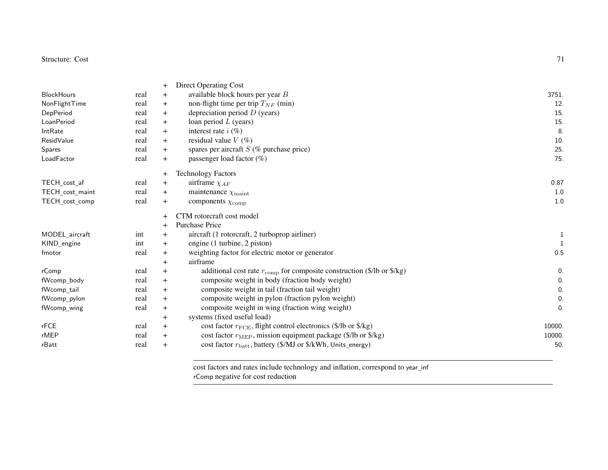|                   |      | $+$   | Direct Operating Cost                                                           |              |
|-------------------|------|-------|---------------------------------------------------------------------------------|--------------|
| <b>BlockHours</b> | real | $+$   | available block hours per year $B$                                              | 3751.        |
| NonFlightTime     | real | $\pm$ | non-flight time per trip $T_{NF}$ (min)                                         | 12.          |
| DepPeriod         | real | $+$   | depreciation period $D$ (years)                                                 | 15.          |
| LoanPeriod        | real | $+$   | loan period $L$ (years)                                                         | 15.          |
| IntRate           | real | $+$   | interest rate $i$ (%)                                                           | 8.           |
| ResidValue        | real | $+$   | residual value $V(\%)$                                                          | 10.          |
| <b>Spares</b>     | real | $+$   | spares per aircraft $S$ (% purchase price)                                      | 25.          |
| LoadFactor        | real | $+$   | passenger load factor $(\%)$                                                    | 75.          |
|                   |      | $\pm$ | <b>Technology Factors</b>                                                       |              |
| TECH_cost_af      | real | $\pm$ | airframe $\chi_{AF}$                                                            | 0.87         |
| TECH_cost_maint   | real | $+$   | maintenance $\chi_{\rm maint}$                                                  | 1.0          |
| TECH cost comp    | real | $+$   | components $\chi_{\text{comp}}$                                                 | 1.0          |
|                   |      |       | CTM rotorcraft cost model                                                       |              |
|                   |      |       | <b>Purchase Price</b>                                                           |              |
| MODEL aircraft    | int  | $\pm$ | aircraft (1 rotorcraft, 2 turboprop airliner)                                   | $\mathbf{1}$ |
| KIND_engine       | int  | $+$   | engine (1 turbine, 2 piston)                                                    |              |
| fmotor            | real | $\pm$ | weighting factor for electric motor or generator                                | 0.5          |
|                   |      | $+$   | airframe                                                                        |              |
| rComp             | real | $\pm$ | additional cost rate $r_{\rm comp}$ for composite construction (\$/lb or \$/kg) | 0.           |
| fWcomp_body       | real | $+$   | composite weight in body (fraction body weight)                                 | 0.           |
| fWcomp_tail       | real | $+$   | composite weight in tail (fraction tail weight)                                 | 0.           |
| fWcomp_pylon      | real | $\pm$ | composite weight in pylon (fraction pylon weight)                               | 0.           |
| fWcomp_wing       | real | $\pm$ | composite weight in wing (fraction wing weight)                                 | 0.           |
|                   |      | $\pm$ | systems (fixed useful load)                                                     |              |
| rFCE              | real | $\pm$ | cost factor $r_{\text{FCE}}$ , flight control electronics (\$/lb or \$/kg)      | 10000.       |
| rMEP              | real | $+$   | cost factor $r_{\text{MEP}}$ , mission equipment package (\$/lb or \$/kg)       | 10000.       |
| rBatt             | real | $\pm$ | cost factor $r_{\text{batt}}$ , battery (\$/MJ or \$/kWh, Units_energy)         | 50.          |
|                   |      |       |                                                                                 |              |

cost factors and rates include technology and inflation, correspond to year\_inf rComp negative for cost reduction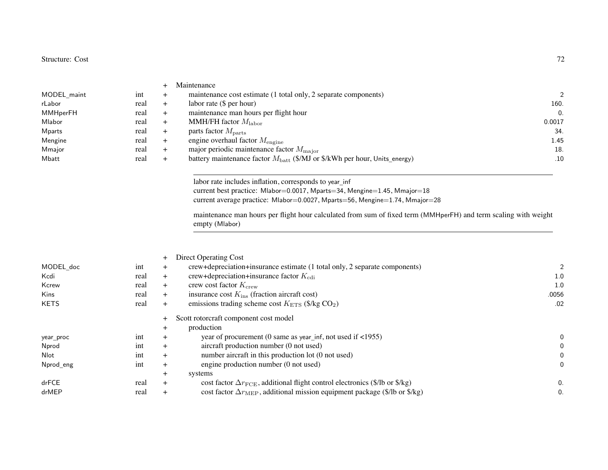|                 |      | $\pm$  | Maintenance                                                                           |               |
|-----------------|------|--------|---------------------------------------------------------------------------------------|---------------|
| MODEL maint     | int  | $+$    | maintenance cost estimate (1 total only, 2 separate components)                       | $\mathcal{P}$ |
| rLabor          | real | $\pm$  | labor rate $(\$$ per hour)                                                            | 160.          |
| <b>MMHperFH</b> | real | $+$    | maintenance man hours per flight hour                                                 | 0.            |
| Mlabor          | real | $+$    | MMH/FH factor $M_{\text{labor}}$                                                      | 0.0017        |
| Mparts          | real | $^{+}$ | parts factor $M_{\text{parts}}$                                                       | 34.           |
| Mengine         | real | $\pm$  | engine overhaul factor $M_{\text{engine}}$                                            | 1.45          |
| Mmajor          | real | $\pm$  | major periodic maintenance factor $M_{\text{major}}$                                  | 18.           |
| Mbatt           | real | $\pm$  | battery maintenance factor $M_{\text{batt}}$ (\$/MJ or \$/kWh per hour, Units_energy) | .10           |
|                 |      |        |                                                                                       |               |
|                 |      |        | labor rate includes inflation, corresponds to year_inf                                |               |

current best practice: Mlabor=0.0017, Mparts=34, Mengine=1.45, Mmajor=18 current average practice: Mlabor=0.0027, Mparts=56, Mengine=1.74, Mmajor=28

maintenance man hours per flight hour calculated from sum of fixed term (MMHperFH) and term scaling with weight empty (Mlabor)

|             |      | $+$ | <b>Direct Operating Cost</b>                                                                 |          |
|-------------|------|-----|----------------------------------------------------------------------------------------------|----------|
| MODEL doc   | int  | $+$ | crew+depreciation+insurance estimate (1 total only, 2 separate components)                   |          |
| Kcdi        | real | $+$ | crew+depreciation+insurance factor $K_{\text{cdi}}$                                          | 1.0      |
| Kcrew       | real | $+$ | crew cost factor $K_{\text{crew}}$                                                           | 1.0      |
| <b>Kins</b> | real | $+$ | insurance cost $K_{ins}$ (fraction aircraft cost)                                            | .0056    |
| <b>KETS</b> | real | $+$ | emissions trading scheme cost $K_{\text{ETS}}$ (\$/kg CO <sub>2</sub> )                      | .02      |
|             |      | $+$ | Scott rotorcraft component cost model                                                        |          |
|             |      | $+$ | production                                                                                   |          |
| year_proc   | int  | $+$ | year of procurement (0 same as year_inf, not used if $\langle$ 1955)                         |          |
| Nprod       | int  | $+$ | aircraft production number (0 not used)                                                      | $\Omega$ |
| Nlot        | int  | $+$ | number aircraft in this production lot (0 not used)                                          |          |
| Nprod eng   | int  | $+$ | engine production number (0 not used)                                                        | 0        |
|             |      | $+$ | systems                                                                                      |          |
| drFCE       | real | $+$ | cost factor $\Delta r_{\text{FCE}}$ , additional flight control electronics (\$/lb or \$/kg) | 0.       |
| drMEP       | real |     | cost factor $\Delta r_{\text{MEP}}$ , additional mission equipment package (\$/lb or \$/kg)  | 0.       |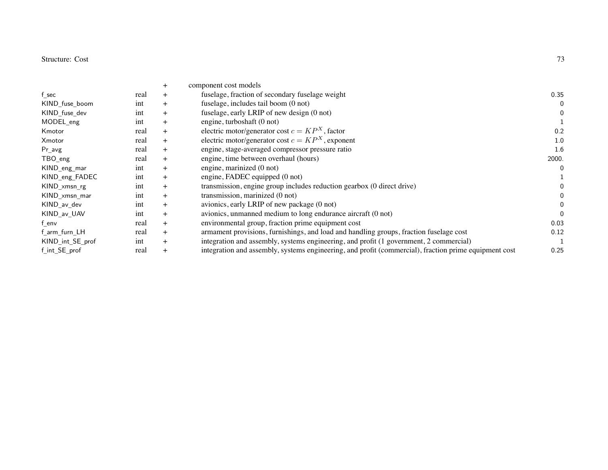|                       |      | $+$    | component cost models                                                                                 |       |
|-----------------------|------|--------|-------------------------------------------------------------------------------------------------------|-------|
| f sec                 | real | $\pm$  | fuselage, fraction of secondary fuselage weight                                                       | 0.35  |
| KIND_fuse_boom        | int  | $+$    | fuselage, includes tail boom (0 not)                                                                  | 0     |
| KIND fuse dev         | int  | $+$    | fuselage, early LRIP of new design (0 not)                                                            |       |
| MODEL eng             | int  | $+$    | engine, turboshaft $(0$ not)                                                                          |       |
| Kmotor                | real | $+$    | electric motor/generator cost $c = KP^X$ , factor                                                     | 0.2   |
| Xmotor                | real | $+$    | electric motor/generator cost $c = KP^X$ , exponent                                                   | 1.0   |
| $Pr$ <sub>_</sub> avg | real | $+$    | engine, stage-averaged compressor pressure ratio                                                      | 1.6   |
| TBO_eng               | real | $+$    | engine, time between overhaul (hours)                                                                 | 2000. |
| KIND_eng_mar          | int  | $+$    | engine, marinized (0 not)                                                                             | 0     |
| KIND_eng_FADEC        | int  | $+$    | engine, FADEC equipped (0 not)                                                                        |       |
| KIND_xmsn_rg          | int  | $+$    | transmission, engine group includes reduction gearbox (0 direct drive)                                |       |
| KIND_xmsn_mar         | int  | $+$    | transmission, marinized (0 not)                                                                       |       |
| KIND av dev           | int  | $+$    | avionics, early LRIP of new package (0 not)                                                           |       |
| KIND av UAV           | int  | $^{+}$ | avionics, unmanned medium to long endurance aircraft (0 not)                                          | 0     |
| t env                 | real | $+$    | environmental group, fraction prime equipment cost                                                    | 0.03  |
| f arm furn LH         | real | $+$    | armament provisions, furnishings, and load and handling groups, fraction fuselage cost                | 0.12  |
| KIND int SE prof      | int  |        | integration and assembly, systems engineering, and profit (1 government, 2 commercial)                |       |
| f int SE prof         | real |        | integration and assembly, systems engineering, and profit (commercial), fraction prime equipment cost | 0.25  |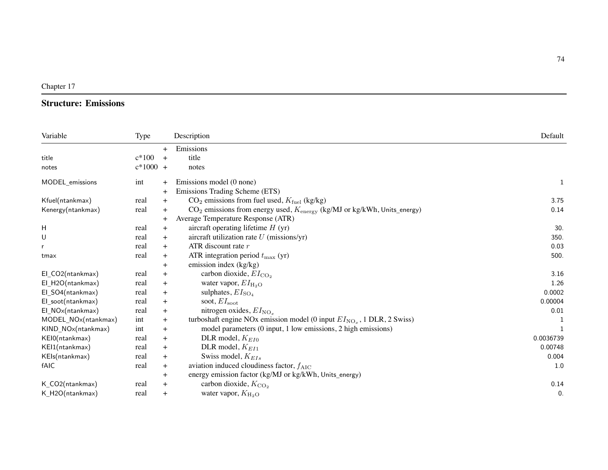# Chapter 17

# **Structure: Emissions**

| Variable                      | Type       |                | Description                                                                           | Default   |
|-------------------------------|------------|----------------|---------------------------------------------------------------------------------------|-----------|
|                               |            | $\pm$          | Emissions                                                                             |           |
| title                         | $c*100$    | $+$            | title                                                                                 |           |
| notes                         | $c*1000 +$ |                | notes                                                                                 |           |
| MODEL_emissions               | int        | $+$            | Emissions model (0 none)                                                              | 1         |
|                               |            |                | Emissions Trading Scheme (ETS)                                                        |           |
| Kfuel(ntankmax)               | real       | $+$            | $CO2$ emissions from fuel used, $Kfuel$ (kg/kg)                                       | 3.75      |
| Kenergy(ntankmax)             | real       | $\ddot{}$      | $CO2$ emissions from energy used, $K_{\text{energy}}$ (kg/MJ or kg/kWh, Units_energy) | 0.14      |
|                               |            | $\overline{+}$ | Average Temperature Response (ATR)                                                    |           |
| H                             | real       | $\ddot{}$      | aircraft operating lifetime $H(yr)$                                                   | 30.       |
| U                             | real       | $+$            | aircraft utilization rate $U$ (missions/yr)                                           | 350.      |
| r                             | real       | $+$            | ATR discount rate $r$                                                                 | 0.03      |
| tmax                          | real       | $+$            | ATR integration period $t_{\text{max}}$ (yr)                                          | 500.      |
|                               |            | $+$            | emission index (kg/kg)                                                                |           |
| EI_CO2(ntankmax)              | real       | $+$            | carbon dioxide, $EI_{CO_2}$                                                           | 3.16      |
| El H2O(ntankmax)              | real       | $\ddot{}$      | water vapor, $EI_{H_2O}$                                                              | 1.26      |
| El SO4(ntankmax)              | real       | $\ddot{}$      | sulphates, $EI_{SO_4}$                                                                | 0.0002    |
| El_soot(ntankmax)             | real       | $+$            | soot, $EI_{\text{soot}}$                                                              | 0.00004   |
| El NO <sub>x</sub> (ntankmax) | real       | $+$            | nitrogen oxides, $EI_{NO_{\infty}}$                                                   | 0.01      |
| MODEL_NOx(ntankmax)           | int        | $\ddot{}$      | turboshaft engine NOx emission model (0 input $EI_{NO_x}$ , 1 DLR, 2 Swiss)           |           |
| KIND NOx(ntankmax)            | int        | $\ddot{}$      | model parameters (0 input, 1 low emissions, 2 high emissions)                         |           |
| KEI0(ntankmax)                | real       | $+$            | DLR model, $K_{EIO}$                                                                  | 0.0036739 |
| KEI1(ntankmax)                | real       | $+$            | DLR model, $K_{EII}$                                                                  | 0.00748   |
| KEIs(ntankmax)                | real       | $+$            | Swiss model, $K_{EIs}$                                                                | 0.004     |
| fAIC                          | real       | $\ddot{}$      | aviation induced cloudiness factor, $f_{\text{AIC}}$                                  | 1.0       |
|                               |            | $+$            | energy emission factor (kg/MJ or kg/kWh, Units_energy)                                |           |
| K_CO2(ntankmax)               | real       | $+$            | carbon dioxide, $K_{CO_2}$                                                            | 0.14      |
| K_H2O(ntankmax)               | real       | $\pm$          | water vapor, $K_{H_2O}$                                                               | 0.        |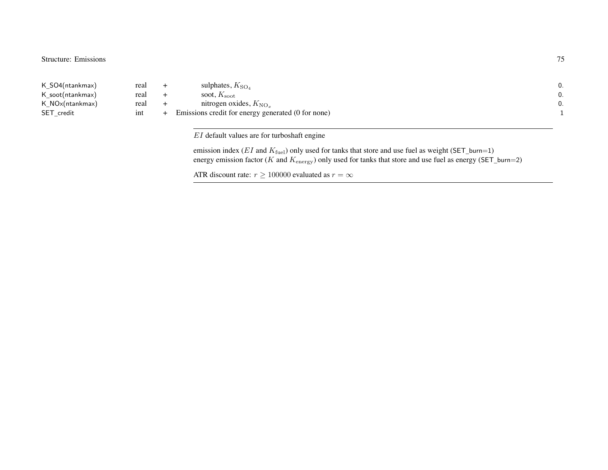#### Structure: Emissions 75

| K_SO4(ntankmax)  | real | sulphates, $K_{SO_4}$                              |  |
|------------------|------|----------------------------------------------------|--|
| K_soot(ntankmax) | real | soot, $K_{\text{soot}}$                            |  |
| K_NOx(ntankmax)  | real | nitrogen oxides, $K_{\text{NO}_r}$                 |  |
| SET credit       | ınt  | Emissions credit for energy generated (0 for none) |  |

*EI* default values are for turboshaft engine

emission index (*EI* and  $K_{\text{fuel}}$ ) only used for tanks that store and use fuel as weight (SET\_burn=1) energy emission factor (*K* and  $K_{\text{energy}}$ ) only used for tanks that store and use fuel as energy (SET\_burn=2)

ATR discount rate:  $r \ge 100000$  evaluated as  $r = \infty$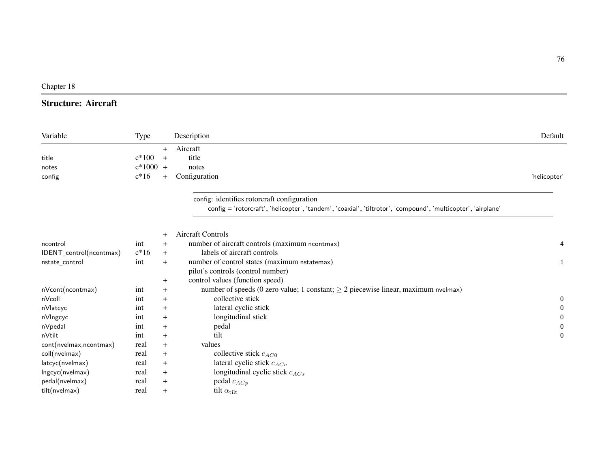| Variable                | Type       |              | Description                                                                                                                                                 | Default      |
|-------------------------|------------|--------------|-------------------------------------------------------------------------------------------------------------------------------------------------------------|--------------|
|                         |            | $\pm$        | Aircraft                                                                                                                                                    |              |
| title                   | $c*100$    | $+$          | title                                                                                                                                                       |              |
| notes                   | $c*1000 +$ |              | notes                                                                                                                                                       |              |
| config                  | $c*16$     | $^{+}$       | Configuration                                                                                                                                               | 'helicopter' |
|                         |            |              | config: identifies rotorcraft configuration<br>config = 'rotorcraft', 'helicopter', 'tandem', 'coaxial', 'tiltrotor', 'compound', 'multicopter', 'airplane' |              |
|                         |            | $\pm$        | <b>Aircraft Controls</b>                                                                                                                                    |              |
| ncontrol                | int        | $+$          | number of aircraft controls (maximum ncontmax)                                                                                                              |              |
| IDENT_control(ncontmax) | $c*16$     | $+$          | labels of aircraft controls                                                                                                                                 |              |
| nstate control          | int        | $\pm$        | number of control states (maximum nstatemax)                                                                                                                |              |
|                         |            |              | pilot's controls (control number)                                                                                                                           |              |
|                         |            | $\ddot{}$    | control values (function speed)                                                                                                                             |              |
| nVcont(ncontmax)        | int        | $\pm$        | number of speeds (0 zero value; 1 constant; $\geq 2$ piecewise linear, maximum nvelmax)                                                                     |              |
| nVcoll                  | int        | $\pm$        | collective stick                                                                                                                                            | 0            |
| nVlatcyc                | int        | $+$          | lateral cyclic stick                                                                                                                                        |              |
| nVIngcyc                | int        | $+$          | longitudinal stick                                                                                                                                          |              |
| nVpedal                 | int        | $+$          | pedal                                                                                                                                                       |              |
| nVtilt                  | int        | $+$          | tilt                                                                                                                                                        | 0            |
| cont(nvelmax,ncontmax)  | real       | $+$          | values                                                                                                                                                      |              |
| coll(nvelmax)           | real       | $\pm$        | collective stick $c_{AC0}$                                                                                                                                  |              |
| latcyc(nvelmax)         | real       | $\pm$        | lateral cyclic stick $c_{ACc}$                                                                                                                              |              |
| Ingcyc(nvelmax)         | real       | $+$          | longitudinal cyclic stick $c_{ACs}$                                                                                                                         |              |
| pedal(nvelmax)          | real       | $\pm$        | pedal $c_{ACp}$                                                                                                                                             |              |
| tilt(nvelmax)           | real       | $\mathrm{+}$ | tilt $\alpha_{\rm tilt}$                                                                                                                                    |              |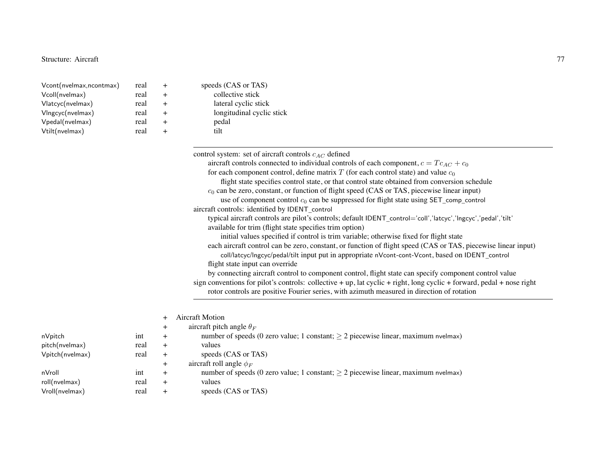| Vcont(nvelmax,ncontmax) | real | speeds (C |
|-------------------------|------|-----------|
| Vcoll(nvelmax)          | real | colled    |
| Vlatcyc(nvelmax)        | real | latera    |
| VIngcyc(nvelmax)        | real | longi     |
| Vpedal(nvelmax)         | real | pedal     |
| Vtilt(nvelmax)          | real | tilt      |
|                         |      |           |

beeds (CAS or TAS) collective stick lateral cyclic stick longitudinal cyclic stick

control system: set of aircraft controls *<sup>c</sup>AC* defined aircraft controls connected to individual controls of each component,  $c = Tc_{AC} + c_0$ for each component control, define matrix  $T$  (for each control state) and value  $c_0$ flight state specifies control state, or that control state obtained from conversion schedule *<sup>c</sup>*<sup>0</sup> can be zero, constant, or function of flight speed (CAS or TAS, piecewise linear input) use of component control  $c_0$  can be suppressed for flight state using SET\_comp\_control aircraft controls: identified by IDENT\_control typical aircraft controls are pilot's controls; default IDENT\_control='coll','latcyc','lngcyc','pedal','tilt' available for trim (flight state specifies trim option) initial values specified if control is trim variable; otherwise fixed for flight state each aircraft control can be zero, constant, or function of flight speed (CAS or TAS, piecewise linear input) coll/latcyc/lngcyc/pedal/tilt input pu<sup>t</sup> in appropriate nVcont-cont-Vcont, based on IDENT\_control flight state input can override by connecting aircraft control to componen<sup>t</sup> control, flight state can specify componen<sup>t</sup> control value sign conventions for pilot's controls: collective <sup>+</sup> up, lat cyclic <sup>+</sup> right, long cyclic <sup>+</sup> forward, pedal <sup>+</sup> nose right rotor controls are positive Fourier series, with azimuth measured in direction of rotation + Aircraft Motion

|                  |      | $^+$      | aircraft pitch angle $\theta_F$                                                         |
|------------------|------|-----------|-----------------------------------------------------------------------------------------|
| nVpitch          | 1nt  | $\ddot{}$ | number of speeds (0 zero value; 1 constant; $\geq$ 2 piecewise linear, maximum nvelmax) |
| pitch(nvelmax)   | real |           | values                                                                                  |
| Vpitch (nvelmax) | real |           | speeds (CAS or TAS)                                                                     |
|                  |      | $+$       | aircraft roll angle $\phi_F$                                                            |
| nVroll           | 1nt  | $\ddot{}$ | number of speeds (0 zero value; 1 constant; $\geq$ 2 piecewise linear, maximum nvelmax) |
| roll(nvelmax)    | real |           | values                                                                                  |
| Vroll(nvelmax)   | real |           | speeds (CAS or TAS)                                                                     |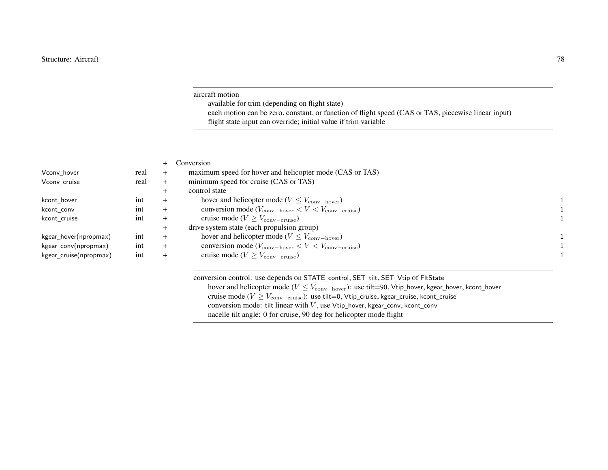| available for trim (depending on flight state)                                                      |  |
|-----------------------------------------------------------------------------------------------------|--|
|                                                                                                     |  |
| each motion can be zero, constant, or function of flight speed (CAS or TAS, piecewise linear input) |  |
| flight state input can override; initial value if trim variable                                     |  |

|                                |      |      | Conversion                                                                             |  |
|--------------------------------|------|------|----------------------------------------------------------------------------------------|--|
| Vconv hover                    | real |      | maximum speed for hover and helicopter mode (CAS or TAS)                               |  |
| Vconv cruise                   | real | $+$  | minimum speed for cruise (CAS or TAS)                                                  |  |
|                                |      | $^+$ | control state                                                                          |  |
| kcont hover                    | int  | $+$  | hover and helicopter mode ( $V \leq V_{\text{conv-hover}}$ )                           |  |
| kcont conv                     | int  | $+$  | conversion mode ( $V_{\text{conv}-\text{hover}} < V < V_{\text{conv}-\text{cruise}}$ ) |  |
| kcont cruise                   | int  | $+$  | cruise mode ( $V \geq V_{\text{conv-cruise}}$ )                                        |  |
|                                |      | $+$  | drive system state (each propulsion group)                                             |  |
| kgear hover(npropmax)          | int  | $+$  | hover and helicopter mode ( $V \leq V_{\text{conv-hover}}$ )                           |  |
| $kgear \text{ conv}(npropmax)$ | int  | $+$  | conversion mode ( $V_{\text{conv}-\text{hover}} < V < V_{\text{conv}-\text{cruise}}$ ) |  |
| kgear cruise(npropmax)         | int  | $+$  | cruise mode ( $V \geq V_{\text{conv-cruise}}$ )                                        |  |
|                                |      |      |                                                                                        |  |

| conversion control: use depends on STATE_control, SET_tilt, SET_Vtip of FltState                                |
|-----------------------------------------------------------------------------------------------------------------|
| hover and helicopter mode ( $V \leq V_{\text{conv-hover}}$ ): use tilt=90, Vtip hover, kgear hover, kcont hover |
| cruise mode ( $V \geq V_{\text{conv-cruise}}$ ): use tilt=0, Vtip cruise, kgear cruise, kcont cruise            |
| conversion mode: tilt linear with $V$ , use Vtip hover, kgear conv, kcont conv                                  |
| nacelle tilt angle: 0 for cruise, 90 deg for helicopter mode flight                                             |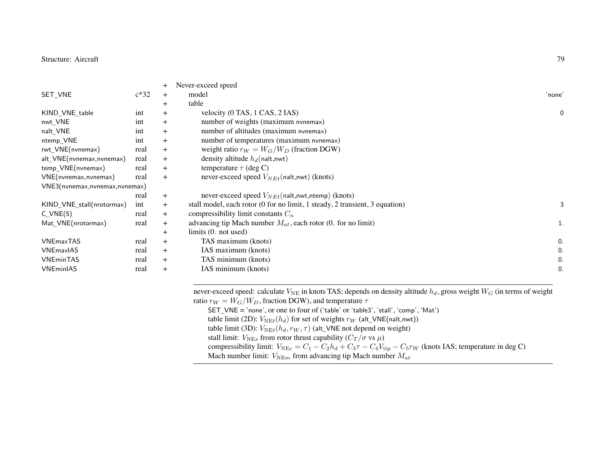|                               |        | $+$    | Never-exceed speed                                                          |        |
|-------------------------------|--------|--------|-----------------------------------------------------------------------------|--------|
| SET_VNE                       | $c*32$ | $+$    | model                                                                       | 'none' |
|                               |        | $+$    | table                                                                       |        |
| KIND_VNE_table                | int    | $+$    | velocity (0 TAS, 1 CAS, 2 IAS)                                              | 0      |
| nwt_VNE                       | int    | $+$    | number of weights (maximum nvnemax)                                         |        |
| nalt_VNE                      | int    | $+$    | number of altitudes (maximum nvnemax)                                       |        |
| ntemp_VNE                     | int    | $+$    | number of temperatures (maximum nvnemax)                                    |        |
| rwt_VNE(nvnemax)              | real   | $+$    | weight ratio $r_W = W_G/W_D$ (fraction DGW)                                 |        |
| alt_VNE(nvnemax,nvnemax)      | real   | $^{+}$ | density altitude $h_d$ (nalt, nwt)                                          |        |
| temp VNE(nvnemax)             | real   | $+$    | temperature $\tau$ (deg C)                                                  |        |
| VNE(nvnemax,nvnemax)          | real   | $+$    | never-exceed speed $V_{NEt}$ (nalt, nwt) (knots)                            |        |
| VNE3(nvnemax,nvnemax,nvnemax) |        |        |                                                                             |        |
|                               | real   | $+$    | never-exceed speed $V_{NEt}$ (nalt, nwt, ntemp) (knots)                     |        |
| KIND VNE stall(nrotormax)     | int    | $+$    | stall model, each rotor (0 for no limit, 1 steady, 2 transient, 3 equation) | 3      |
| $C_VNE(5)$                    | real   | $+$    | compressibility limit constants $C_n$                                       |        |
| Mat_VNE(nrotormax)            | real   | $^{+}$ | advancing tip Mach number $M_{at}$ , each rotor (0. for no limit)           | 1.     |
|                               |        | $+$    | limits(0. not used)                                                         |        |
| <b>VNEmaxTAS</b>              | real   | $+$    | TAS maximum (knots)                                                         | 0.     |
| VNEmaxIAS                     | real   | $+$    | IAS maximum (knots)                                                         | 0.     |
| VNEminTAS                     | real   | $+$    | TAS minimum (knots)                                                         | 0.     |
| <b>VNEminIAS</b>              | real   | $+$    | IAS minimum (knots)                                                         | 0.     |

never-exceed speed: calculate  $V_{\text{NE}}$  in knots TAS; depends on density altitude  $h_d$ , gross weight  $W_G$  (in terms of weight ratio  $r_W = W_G/W_D$ , fraction DGW), and temperature  $\tau$ 

SET \_ VNE <sup>=</sup> 'none', or one to four of ('table' or 'table3', 'stall', 'comp', 'Mat') table limit (2D):  $V_{\text{NE}t}(h_d)$  for set of weights  $r_W$  (alt\_VNE(nalt,nwt)) table limit (3D):  $V_{\text{NE}t}(h_d, r_W, \tau)$  (alt\_VNE not depend on weight) stall limit:  $V_{\text{NE}_s}$  from rotor thrust capability  $(C_T / \sigma \text{ vs } \mu)$ compressibility limit:  $V_{NEc} = C_1 - C_2h_d + C_3\tau - C_4V_{tip} - C_5r_W$  (knots IAS; temperature in deg C) Mach number limit:  $V_{NEm}$  from advancing tip Mach number  $M_{at}$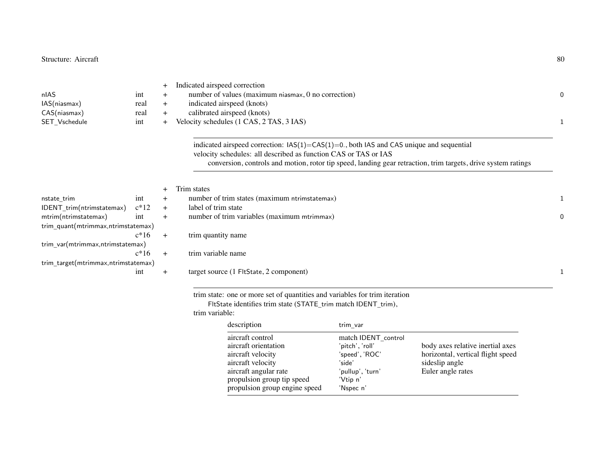| nIAS<br>IAS(niasmax)<br>CAS(niasmax)<br>SET_Vschedule | int<br>real<br>real<br>int | $\pm$<br>$+$<br>$+$<br>$+$ | Indicated airspeed correction<br>number of values (maximum niasmax, 0 no correction)<br>indicated airspeed (knots)<br>calibrated airspeed (knots)<br>Velocity schedules (1 CAS, 2 TAS, 3 IAS)                                                                                  | 0 |
|-------------------------------------------------------|----------------------------|----------------------------|--------------------------------------------------------------------------------------------------------------------------------------------------------------------------------------------------------------------------------------------------------------------------------|---|
|                                                       |                            |                            | indicated airspeed correction: $IAS(1)=CAS(1)=0$ ., both IAS and CAS unique and sequential<br>velocity schedules: all described as function CAS or TAS or IAS<br>conversion, controls and motion, rotor tip speed, landing gear retraction, trim targets, drive system ratings |   |
|                                                       |                            |                            | Trim states                                                                                                                                                                                                                                                                    |   |
| nstate trim                                           | int                        | $\pm$                      | number of trim states (maximum ntrimstatemax)                                                                                                                                                                                                                                  |   |
| IDENT_trim(ntrimstatemax)                             | $c*12$                     | $+$                        | label of trim state                                                                                                                                                                                                                                                            |   |
| mtrim(ntrimstatemax)                                  | int                        | $+$                        | number of trim variables (maximum mtrimmax)                                                                                                                                                                                                                                    |   |
| trim_quant(mtrimmax,ntrimstatemax)                    |                            |                            |                                                                                                                                                                                                                                                                                |   |
|                                                       | $c*16$                     | $+$                        | trim quantity name                                                                                                                                                                                                                                                             |   |
| trim_var(mtrimmax,ntrimstatemax)                      |                            |                            |                                                                                                                                                                                                                                                                                |   |
|                                                       | $c*16$                     | $+$                        | trim variable name                                                                                                                                                                                                                                                             |   |
| trim_target(mtrimmax,ntrimstatemax)                   |                            |                            |                                                                                                                                                                                                                                                                                |   |
|                                                       | int                        | $\pm$                      | target source (1 FltState, 2 component)                                                                                                                                                                                                                                        |   |

trim state: one or more set of quantities and variables for trim iteration

FltState identifies trim state (STATE\_trim match IDENT\_trim),

trim variable:

| description                                                                                                                                                                | trim var                                                                                                        |                                                                                                              |
|----------------------------------------------------------------------------------------------------------------------------------------------------------------------------|-----------------------------------------------------------------------------------------------------------------|--------------------------------------------------------------------------------------------------------------|
| aircraft control<br>aircraft orientation<br>aircraft velocity<br>aircraft velocity<br>aircraft angular rate<br>propulsion group tip speed<br>propulsion group engine speed | match IDENT control<br>'pitch', 'roll'<br>'speed', 'ROC'<br>'side'<br>'pullup', 'turn'<br>'Vtip n'<br>'Nspec n' | body axes relative inertial axes<br>horizontal, vertical flight speed<br>sideslip angle<br>Euler angle rates |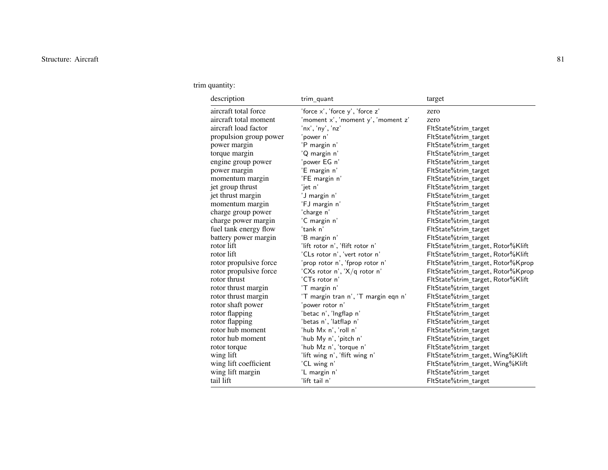## trim quantity:

| description            | trim quant                          | target                            |
|------------------------|-------------------------------------|-----------------------------------|
| aircraft total force   | 'force x', 'force y', 'force z'     | zero                              |
| aircraft total moment  | 'moment x', 'moment y', 'moment z'  | zero                              |
| aircraft load factor   | 'nx', 'ny', 'nz'                    | FltState%trim_target              |
| propulsion group power | 'power n'                           | FltState%trim_target              |
| power margin           | 'P margin n'                        | FltState%trim target              |
| torque margin          | 'Q margin n'                        | FltState%trim_target              |
| engine group power     | 'power EG n'                        | FltState%trim target              |
| power margin           | 'E margin n'                        | FltState%trim_target              |
| momentum margin        | 'FE margin n'                       | FltState%trim_target              |
| jet group thrust       | 'jet n'                             | FltState%trim_target              |
| jet thrust margin      | 'J margin n'                        | FltState%trim_target              |
| momentum margin        | 'FJ margin n'                       | FltState%trim_target              |
| charge group power     | 'charge n'                          | FltState%trim_target              |
| charge power margin    | 'C margin n'                        | FltState%trim_target              |
| fuel tank energy flow  | 'tank n'                            | FltState%trim_target              |
| battery power margin   | 'B margin n'                        | FltState%trim_target              |
| rotor lift             | 'lift rotor n', 'flift rotor n'     | FltState%trim_target, Rotor%Klift |
| rotor lift             | 'CLs rotor n', 'vert rotor n'       | FltState%trim_target, Rotor%Klift |
| rotor propulsive force | 'prop rotor n', 'fprop rotor n'     | FltState%trim_target, Rotor%Kprop |
| rotor propulsive force | 'CXs rotor n', 'X/q rotor n'        | FltState%trim target, Rotor%Kprop |
| rotor thrust           | 'CTs rotor n'                       | FltState%trim_target, Rotor%Klift |
| rotor thrust margin    | 'T margin n'                        | FltState%trim_target              |
| rotor thrust margin    | 'T margin tran n', 'T margin eqn n' | FltState%trim_target              |
| rotor shaft power      | 'power rotor n'                     | FltState%trim_target              |
| rotor flapping         | 'betac n', 'Ingflap n'              | FltState%trim target              |
| rotor flapping         | 'betas n', 'latflap n'              | FltState%trim_target              |
| rotor hub moment       | 'hub Mx n', 'roll n'                | FltState%trim_target              |
| rotor hub moment       | 'hub My n', 'pitch n'               | FltState%trim target              |
| rotor torque           | 'hub Mz n', 'torque n'              | FltState%trim_target              |
| wing lift              | 'lift wing n', 'flift wing n'       | FltState%trim_target, Wing%Klift  |
| wing lift coefficient  | 'CL wing n'                         | FltState%trim_target, Wing%Klift  |
| wing lift margin       | 'L margin n'                        | FltState%trim_target              |
| tail lift              | 'lift tail n'                       | FltState%trim target              |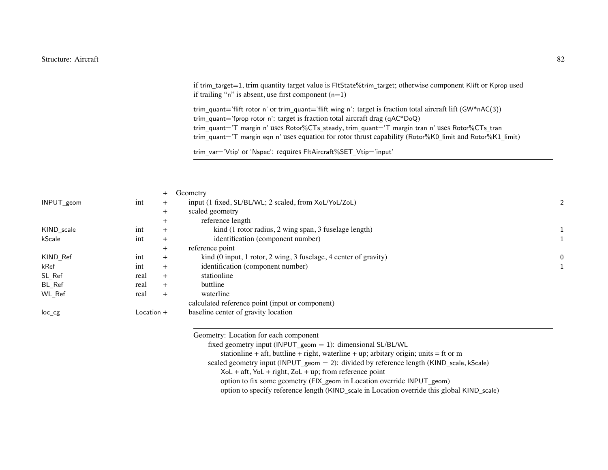if trim \_target=1, trim quantity target value is FltState%trim\_target; otherwise componen<sup>t</sup> Klift or Kprop used if trailing "n" is absent, use first component  $(n=1)$ 

trim \_quant='flift rotor <sup>n</sup>' or trim\_quant='flift wing <sup>n</sup>': target is fraction total aircraft lift (GW\*nAC(3)) trim \_quant='fprop rotor <sup>n</sup>': target is fraction total aircraft drag (qAC\*DoQ) trim \_quant='T margin <sup>n</sup>' uses Rotor%CTs\_steady, trim\_quant='T margin tran <sup>n</sup>' uses Rotor%CTs\_tran trim \_quant='T margin eqn <sup>n</sup>' uses equation for rotor thrust capability (Rotor%K0\_limit and Rotor%K1\_limit)

trim \_var='Vtip' or 'Nspec': requires FltAircraft%SET\_Vtip='input'

|            |              | $+$    | Geometry                                                         |  |
|------------|--------------|--------|------------------------------------------------------------------|--|
| INPUT geom | int          |        | input (1 fixed, SL/BL/WL; 2 scaled, from XoL/YoL/ZoL)            |  |
|            |              | $^{+}$ | scaled geometry                                                  |  |
|            |              | $+$    | reference length                                                 |  |
| KIND_scale | int          | $+$    | kind (1 rotor radius, 2 wing span, 3 fuselage length)            |  |
| kScale     | int          |        | identification (component number)                                |  |
|            |              | $+$    | reference point                                                  |  |
| KIND Ref   | int          | $+$    | kind (0 input, 1 rotor, 2 wing, 3 fuselage, 4 center of gravity) |  |
| kRef       | int          | $+$    | identification (component number)                                |  |
| SL_Ref     | real         | $+$    | stationline                                                      |  |
| BL Ref     | real         | $^{+}$ | buttline                                                         |  |
| WL Ref     | real         | $+$    | waterline                                                        |  |
|            |              |        | calculated reference point (input or component)                  |  |
| loc cg     | $Location +$ |        | baseline center of gravity location                              |  |

Geometry: Location for each componen<sup>t</sup>

fixed geometry input (INPUT\_geom <sup>=</sup> <sup>1</sup>): dimensional SL/BL/WL stationline + aft, buttline + right, waterline + up; arbitary origin; units = ft or m scaled geometry input (INPUT\_geom <sup>=</sup> <sup>2</sup>): divided by reference length (KIND\_scale, kScale)  $Xol + aft$ ,  $Yol + right$ ,  $Zol + up$ ; from reference point option to fix some geometry (FIX\_geom in Location override INPUT\_geom) option to specify reference length (KIND\_scale in Location override this global KIND\_scale)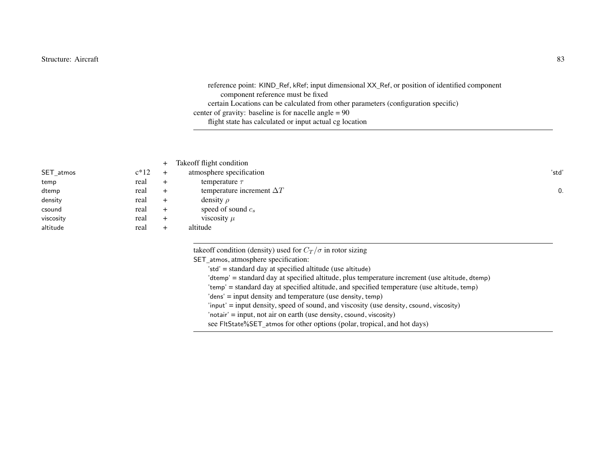| reference point: KIND Ref, kRef; input dimensional XX Ref, or position of identified component |
|------------------------------------------------------------------------------------------------|
| component reference must be fixed                                                              |
| certain Locations can be calculated from other parameters (configuration specific)             |
| center of gravity: baseline is for nacelle angle $= 90$                                        |
| flight state has calculated or input actual cg location                                        |

|             |        | $+$   | Takeoff flight condition         |              |
|-------------|--------|-------|----------------------------------|--------------|
| $SET_atmos$ | $c*12$ | +     | atmosphere specification         | 'std         |
| temp        | real   | $^+$  | temperature $\tau$               |              |
| dtemp       | real   | $+$   | temperature increment $\Delta T$ | $\mathbf{0}$ |
| density     | real   | $+$   | density $\rho$                   |              |
| csound      | real   | $+$   | speed of sound $c_s$             |              |
| viscosity   | real   | $\pm$ | viscosity $\mu$                  |              |
| altitude    | real   |       | altitude                         |              |

takeoff condition (density) used for  $C_T/\sigma$  in rotor sizing

SET \_ atmos, atmosphere specification:

'std' <sup>=</sup> standard day at specified altitude (use altitude)

'dtemp' <sup>=</sup> standard day at specified altitude, plus temperature increment (use altitude, dtemp)

'temp' = standard day at specified altitude, and specified temperature (use altitude, temp)

'dens' <sup>=</sup> input density and temperature (use density, temp)

'input' <sup>=</sup> input density, speed of sound, and viscosity (use density, csound, viscosity)

'notair' = input, not air on earth (use density, csound, viscosity)

see FltState%SET \_ atmos for other options (polar, tropical, and hot days)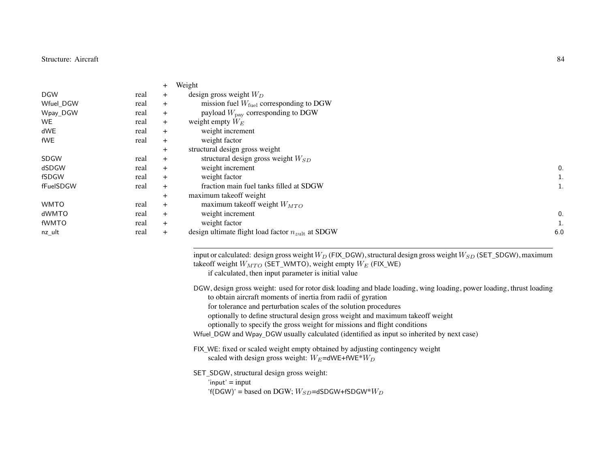|             |      | $+$    | Weight                                                       |     |
|-------------|------|--------|--------------------------------------------------------------|-----|
| <b>DGW</b>  | real | $+$    | design gross weight $W_D$                                    |     |
| Wfuel_DGW   | real | $+$    | mission fuel $W_{\text{fuel}}$ corresponding to DGW          |     |
| Wpay_DGW    | real | $^{+}$ | payload $W_{\text{pay}}$ corresponding to DGW                |     |
| WE.         | real | $^{+}$ | weight empty $W_E$                                           |     |
| dWE         | real | $+$    | weight increment                                             |     |
| fWE         | real | $+$    | weight factor                                                |     |
|             |      | $+$    | structural design gross weight                               |     |
| SDGW        | real | $+$    | structural design gross weight $W_{SD}$                      |     |
| dSDGW       | real | $+$    | weight increment                                             | 0.  |
| fSDGW       | real | $+$    | weight factor                                                |     |
| fFuelSDGW   | real | $+$    | fraction main fuel tanks filled at SDGW                      | 1.  |
|             |      | $+$    | maximum takeoff weight                                       |     |
| <b>WMTO</b> | real | $+$    | maximum takeoff weight $W_{MTO}$                             |     |
| dWMTO       | real | $+$    | weight increment                                             | 0.  |
| fWMTO       | real | $+$    | weight factor                                                | 1.  |
| nz_ult      | real | $+$    | design ultimate flight load factor $n_{\text{zult}}$ at SDGW | 6.0 |

input or calculated: design gross weight *W<sup>D</sup>* (FIX\_DGW), structural design gross weight *WSD* (SET\_SDGW), maximum takeoff weight  $W_{MTO}$  (SET\_WMTO), weight empty  $W_E$  (FIX\_WE)

if calculated, then input parameter is initial value

DGW, design gross weight: used for rotor disk loading and blade loading, wing loading, power loading, thrust loading to obtain aircraft moments of inertia from radii of gyration for tolerance and perturbation scales of the solution procedures optionally to define structural design gross weight and maximum takeoff weight

optionally to specify the gross weight for missions and flight conditions

Wfuel \_ DGW and Wpay\_DGW usually calculated (identified as input so inherited by next case)

FIX \_ WE: fixed or scaled weight empty obtained by adjusting contingency weight scaled with design gross weight: *WE*<sup>=</sup>dWE+fWE\**W<sup>D</sup>*

SET \_ SDGW, structural design gross weight:

 $'$ input' = input

'f(DGW)' = based on DGW;  $W_{SD}$ =dSDGW+fSDGW\* $W_D$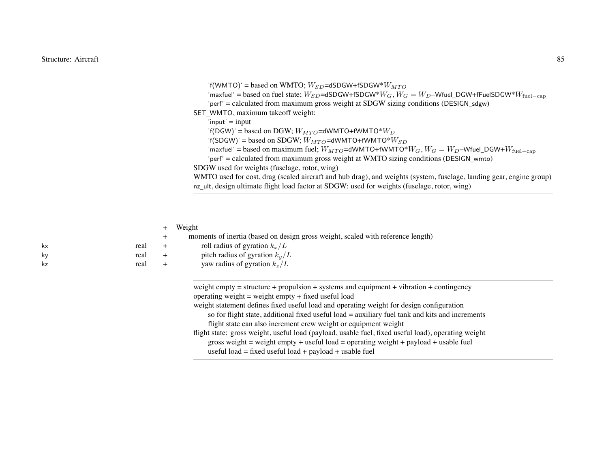| 'f(WMTO)' = based on WMTO; $W_{SD}$ =dSDGW+fSDGW* $W_{MTO}$                                                             |
|-------------------------------------------------------------------------------------------------------------------------|
| 'maxfuel' = based on fuel state; $W_{SD}$ =dSDGW+fSDGW* $W_G$ , $W_G = W_D$ -Wfuel_DGW+fFuelSDGW* $W_{\text{fuel-cap}}$ |
| 'perf' = calculated from maximum gross weight at SDGW sizing conditions (DESIGN sdgw)                                   |
| SET WMTO, maximum take off weight:                                                                                      |
| $'$ input' = input                                                                                                      |
| 'f(DGW)' = based on DGW; $W_{MTO}$ =dWMTO+fWMTO* $W_D$                                                                  |
| 'f(SDGW)' = based on SDGW; $W_{MTO}$ =dWMTO+fWMTO* $W_{SD}$                                                             |
| 'maxfuel' = based on maximum fuel; $W_{MTO}$ =dWMTO+fWMTO* $W_G$ , $W_G = W_D$ —Wfuel_DGW+ $W_{\text{fuel-cap}}$        |
| 'perf' = calculated from maximum gross weight at WMTO sizing conditions (DESIGN wmto)                                   |
| SDGW used for weights (fuselage, rotor, wing)                                                                           |
| WMTO used for cost, drag (scaled aircraft and hub drag), and weights (system, fuselage, landing gear, engine group)     |
| nz ult, design ultimate flight load factor at SDGW: used for weights (fuselage, rotor, wing)                            |
|                                                                                                                         |

| kx | real<br>real | Weight<br>moments of inertia (based on design gross weight, scaled with reference length)<br>roll radius of gyration $k_x/L$<br>pitch radius of gyration $k_y/L$ |
|----|--------------|------------------------------------------------------------------------------------------------------------------------------------------------------------------|
|    |              |                                                                                                                                                                  |
| kΖ | real         | yaw radius of gyration $k_z/L$                                                                                                                                   |

weight empty <sup>=</sup> structure <sup>+</sup> propulsion <sup>+</sup> systems and equipment <sup>+</sup> vibration <sup>+</sup> contingency operating weight <sup>=</sup> weight empty <sup>+</sup> fixed useful load

weight statement defines fixed useful load and operating weight for design configuration

so for flight state, additional fixed useful load <sup>=</sup> auxiliary fuel tank and kits and increments

flight state can also increment crew weight or equipment weight

flight state: gross weight, useful load (payload, usable fuel, fixed useful load), operating weight gross weight <sup>=</sup> weight empty <sup>+</sup> useful load <sup>=</sup> operating weight <sup>+</sup> payload <sup>+</sup> usable fuel useful load <sup>=</sup> fixed useful load <sup>+</sup> payload <sup>+</sup> usable fuel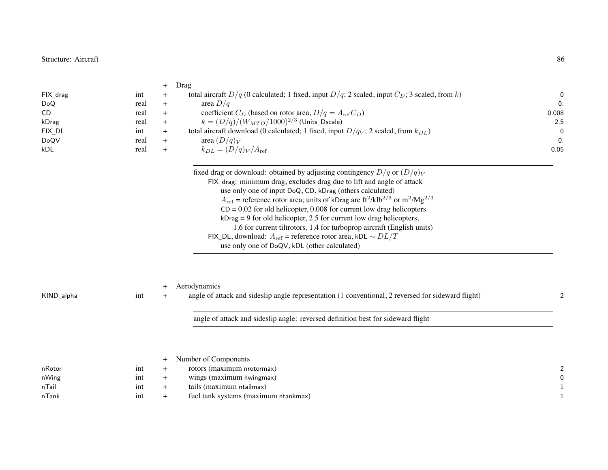| FIX_drag<br>DoQ<br>CD<br>kDrag<br>FIX_DL<br>DoQV<br>kDL | int<br>real<br>real<br>real<br>int<br>real<br>real | $\overline{+}$<br>$\pm$<br>$\ddot{}$<br>$\ddot{}$<br>$+$<br>$^{+}$<br>$+$ | Drag<br>total aircraft $D/q$ (0 calculated; 1 fixed, input $D/q$ ; 2 scaled, input $C_D$ ; 3 scaled, from k)<br>area $D/q$<br>coefficient $C_D$ (based on rotor area, $D/q = A_{\text{ref}} C_D$ )<br>$k = (D/q)/(W_{MTO}/1000)^{2/3}$ (Units_Dscale)<br>total aircraft download (0 calculated; 1 fixed, input $D/q_V$ ; 2 scaled, from $k_{DL}$ )<br>area $(D/q)V$<br>$k_{DL} = (D/q)_V/A_{\text{ref}}$                                                                                                                                                                                                                                                                                                     | 0<br>0.<br>0.008<br>2.5<br>$\Omega$<br>0.<br>0.05 |
|---------------------------------------------------------|----------------------------------------------------|---------------------------------------------------------------------------|--------------------------------------------------------------------------------------------------------------------------------------------------------------------------------------------------------------------------------------------------------------------------------------------------------------------------------------------------------------------------------------------------------------------------------------------------------------------------------------------------------------------------------------------------------------------------------------------------------------------------------------------------------------------------------------------------------------|---------------------------------------------------|
|                                                         |                                                    |                                                                           | fixed drag or download: obtained by adjusting contingency $D/q$ or $(D/q)V$<br>FIX_drag: minimum drag, excludes drag due to lift and angle of attack<br>use only one of input DoQ, CD, kDrag (others calculated)<br>$A_{\text{ref}}$ = reference rotor area; units of kDrag are ft <sup>2</sup> /klb <sup>2/3</sup> or m <sup>2</sup> /Mg <sup>2/3</sup><br>$CD = 0.02$ for old helicopter, 0.008 for current low drag helicopters<br>$kDrag = 9$ for old helicopter, 2.5 for current low drag helicopters,<br>1.6 for current tiltrotors, 1.4 for turboprop aircraft (English units)<br>FIX_DL, download: $A_{ref}$ = reference rotor area, kDL $\sim DL/T$<br>use only one of DoQV, kDL (other calculated) |                                                   |
| KIND_alpha                                              | int                                                | $\pm$<br>$+$                                                              | Aerodynamics<br>angle of attack and sideslip angle representation (1 conventional, 2 reversed for sideward flight)<br>angle of attack and sideslip angle: reversed definition best for sideward flight                                                                                                                                                                                                                                                                                                                                                                                                                                                                                                       | $\overline{2}$                                    |
| nRotor<br>nWing<br>n Tail<br>nTank                      | int<br>int<br>int<br>int                           | $\ddot{}$<br>$^+$<br>$+$<br>$+$                                           | Number of Components<br>rotors (maximum nrotormax)<br>wings (maximum nwingmax)<br>tails (maximum ntailmax)<br>fuel tank systems (maximum ntankmax)                                                                                                                                                                                                                                                                                                                                                                                                                                                                                                                                                           | 0<br>1<br>$\mathbf{1}$                            |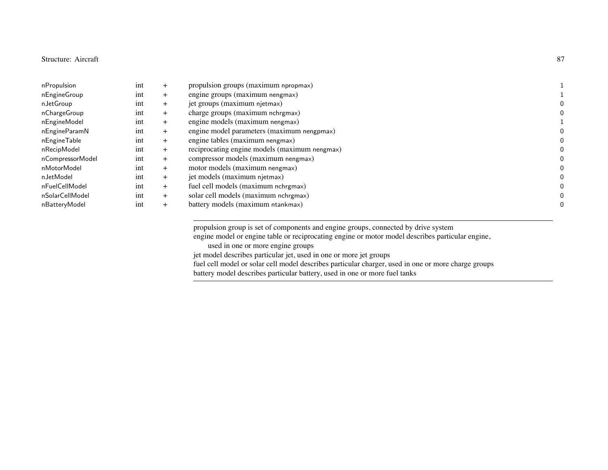| nPropulsion      | int | $+$ | propulsion groups (maximum npropmax)          |  |
|------------------|-----|-----|-----------------------------------------------|--|
| nEngineGroup     | int | $+$ | engine groups (maximum nengmax)               |  |
| nJetGroup        | int | $+$ | jet groups (maximum njetmax)                  |  |
| nChargeGroup     | int | $+$ | charge groups (maximum nchrgmax)              |  |
| nEngineModel     | int | $+$ | engine models (maximum nengmax)               |  |
| nEngineParamN    | int | $+$ | engine model parameters (maximum nengpmax)    |  |
| nEngineTable     | int | $+$ | engine tables (maximum nengmax)               |  |
| nRecipModel      | int | $+$ | reciprocating engine models (maximum nengmax) |  |
| nCompressorModel | int | $+$ | compressor models (maximum nengmax)           |  |
| nMotorModel      | int | $+$ | motor models (maximum nengmax)                |  |
| nJetModel        | int | $+$ | jet models (maximum njetmax)                  |  |
| nFuelCellModel   | int | $+$ | fuel cell models (maximum nchrgmax)           |  |
| nSolarCellModel  | int | $+$ | solar cell models (maximum nchrgmax)          |  |
| nBatteryModel    | int | $+$ | battery models (maximum ntankmax)             |  |
|                  |     |     |                                               |  |

propulsion group is set of components and engine groups, connected by drive system

engine model or engine table or reciprocating engine or motor model describes particular engine,

used in one or more engine groups

jet model describes particular jet, used in one or more jet groups

fuel cell model or solar cell model describes particular charger, used in one or more charge groups

battery model describes particular battery, used in one or more fuel tanks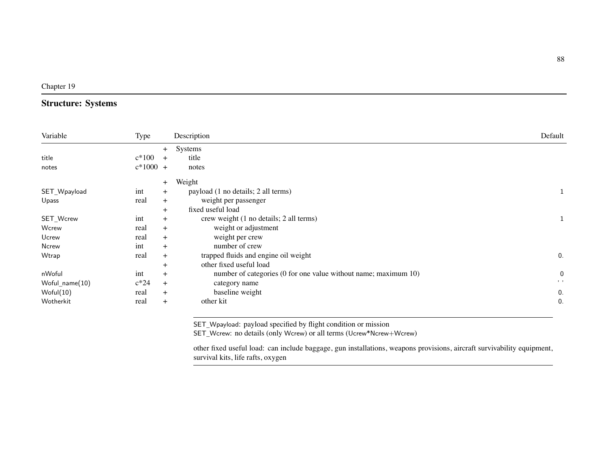| Variable       | Type       |        | Description                                                     | Default   |
|----------------|------------|--------|-----------------------------------------------------------------|-----------|
|                |            | $+$    | Systems                                                         |           |
| title          | $c*100$    | $+$    | title                                                           |           |
| notes          | $c*1000 +$ |        | notes                                                           |           |
|                |            | $+$    | Weight                                                          |           |
| SET_Wpayload   | int        | $+$    | payload (1 no details; 2 all terms)                             |           |
| Upass          | real       | $+$    | weight per passenger                                            |           |
|                |            | $\pm$  | fixed useful load                                               |           |
| SET_Wcrew      | int        | $+$    | crew weight (1 no details; 2 all terms)                         |           |
| Wcrew          | real       | $+$    | weight or adjustment                                            |           |
| Ucrew          | real       | $+$    | weight per crew                                                 |           |
| Ncrew          | int        | $+$    | number of crew                                                  |           |
| Wtrap          | real       | $+$    | trapped fluids and engine oil weight                            | 0.        |
|                |            | $^{+}$ | other fixed useful load                                         |           |
| nWoful         | int        | $+$    | number of categories (0 for one value without name; maximum 10) | 0         |
| Woful_name(10) | $c*24$     | $+$    | category name                                                   | $, \cdot$ |
| Woful(10)      | real       | $+$    | baseline weight                                                 | 0.        |
| Wotherkit      | real       | $\pm$  | other kit                                                       | 0.        |

SET \_Wpayload: payload specified by flight condition or mission

SET \_ Wcrew: no details (only Wcrew) or all terms (Ucrew\*Ncrew+Wcrew)

other fixed useful load: can include baggage, gun installations, weapons provisions, aircraft survivability equipment, survival kits, life rafts, oxygen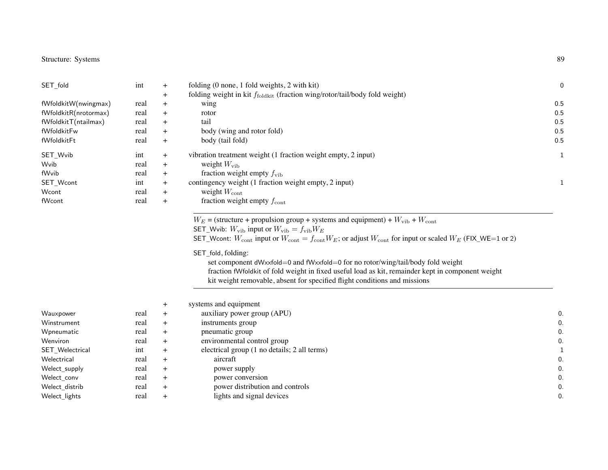| SET_fold              | int  | $\ddot{}$ | folding (0 none, 1 fold weights, 2 with kit)                                                                                                                                                                                                                                                                                                                                                                                                     | $\pmb{0}$    |
|-----------------------|------|-----------|--------------------------------------------------------------------------------------------------------------------------------------------------------------------------------------------------------------------------------------------------------------------------------------------------------------------------------------------------------------------------------------------------------------------------------------------------|--------------|
|                       |      | $\ddot{}$ | folding weight in kit $f_{\text{foldkit}}$ (fraction wing/rotor/tail/body fold weight)                                                                                                                                                                                                                                                                                                                                                           |              |
| fWfoldkitW(nwingmax)  | real | $\ddot{}$ | wing                                                                                                                                                                                                                                                                                                                                                                                                                                             | 0.5          |
| fWfoldkitR(nrotormax) | real | $+$       | rotor                                                                                                                                                                                                                                                                                                                                                                                                                                            | 0.5          |
| fWfoldkitT(ntailmax)  | real | $+$       | tail                                                                                                                                                                                                                                                                                                                                                                                                                                             | 0.5          |
| fWfoldkitFw           | real | $+$       | body (wing and rotor fold)                                                                                                                                                                                                                                                                                                                                                                                                                       | 0.5          |
| fWfoldkitFt           | real | $\ddot{}$ | body (tail fold)                                                                                                                                                                                                                                                                                                                                                                                                                                 | 0.5          |
| SET_Wvib              | int  | $\ddot{}$ | vibration treatment weight (1 fraction weight empty, 2 input)                                                                                                                                                                                                                                                                                                                                                                                    | $\mathbf{1}$ |
| Wvib                  | real | $\ddot{}$ | weight $W_{\text{vib}}$                                                                                                                                                                                                                                                                                                                                                                                                                          |              |
| fWvib                 | real | $+$       | fraction weight empty $f_{\text{vib}}$                                                                                                                                                                                                                                                                                                                                                                                                           |              |
| SET_Wcont             | int  | $+$       | contingency weight (1 fraction weight empty, 2 input)                                                                                                                                                                                                                                                                                                                                                                                            | 1            |
| Wcont                 | real | $+$       | weight $W_{\text{cont}}$                                                                                                                                                                                                                                                                                                                                                                                                                         |              |
| fWcont                | real | $+$       | fraction weight empty $f_{\text{cont}}$                                                                                                                                                                                                                                                                                                                                                                                                          |              |
|                       |      |           | SET_Wcont: $W_{\text{cont}}$ input or $W_{\text{cont}} = f_{\text{cont}} W_E$ ; or adjust $W_{\text{cont}}$ for input or scaled $W_E$ (FIX_WE=1 or 2)<br>SET_fold, folding:<br>set component dWxxfold=0 and fWxxfold=0 for no rotor/wing/tail/body fold weight<br>fraction fWfoldkit of fold weight in fixed useful load as kit, remainder kept in component weight<br>kit weight removable, absent for specified flight conditions and missions |              |
|                       |      | $\ddot{}$ | systems and equipment                                                                                                                                                                                                                                                                                                                                                                                                                            |              |
| Wauxpower             | real | $+$       | auxiliary power group (APU)                                                                                                                                                                                                                                                                                                                                                                                                                      | 0.           |
| Winstrument           | real | $+$       | instruments group                                                                                                                                                                                                                                                                                                                                                                                                                                | 0.           |
| Wpneumatic            | real | $\ddot{}$ | pneumatic group                                                                                                                                                                                                                                                                                                                                                                                                                                  | 0.           |
| Wenviron              | real | $\ddot{}$ | environmental control group                                                                                                                                                                                                                                                                                                                                                                                                                      | 0.           |
| SET_Welectrical       | int  | $+$       | electrical group (1 no details; 2 all terms)                                                                                                                                                                                                                                                                                                                                                                                                     | 1            |
| Welectrical           | real | $+$       | aircraft                                                                                                                                                                                                                                                                                                                                                                                                                                         | 0.           |
| Welect_supply         | real | $+$       | power supply                                                                                                                                                                                                                                                                                                                                                                                                                                     | 0.           |
| Welect_conv           | real | $\ddot{}$ | power conversion                                                                                                                                                                                                                                                                                                                                                                                                                                 | 0.           |
| Welect distrib        | real | $\ddot{}$ | power distribution and controls                                                                                                                                                                                                                                                                                                                                                                                                                  | 0.           |
| Welect lights         | real | $+$       | lights and signal devices                                                                                                                                                                                                                                                                                                                                                                                                                        | 0.           |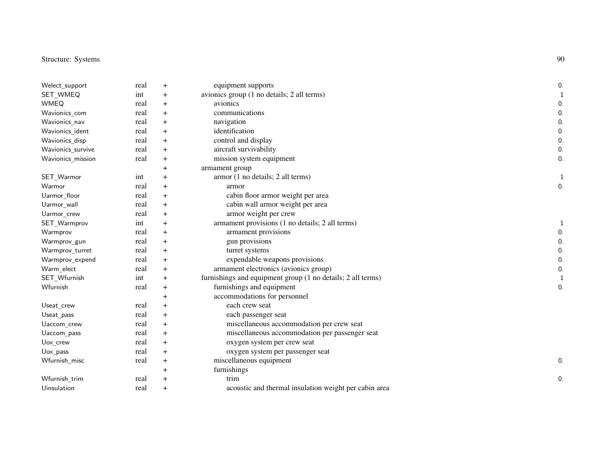| Welect_support    | real | $\ddot{}$ | equipment supports                                          | 0.           |
|-------------------|------|-----------|-------------------------------------------------------------|--------------|
| SET_WMEQ          | int  | $+$       | avionics group (1 no details; 2 all terms)                  |              |
| <b>WMEQ</b>       | real | $\pm$     | avionics                                                    | 0.           |
| Wavionics_com     | real | $+$       | communications                                              | 0.           |
| Wavionics nav     | real | $\ddot{}$ | navigation                                                  | 0.           |
| Wavionics ident   | real | $\ddot{}$ | identification                                              | 0.           |
| Wavionics_disp    | real | $+$       | control and display                                         | 0.           |
| Wavionics_survive | real | $\ddot{}$ | aircraft survivability                                      | 0.           |
| Wavionics_mission | real | $\ddot{}$ | mission system equipment                                    | 0.           |
|                   |      | $\pm$     | armament group                                              |              |
| SET_Warmor        | int  | $\pm$     | armor (1 no details; 2 all terms)                           |              |
| Warmor            | real | $\ddot{}$ | armor                                                       | 0.           |
| Uarmor floor      | real | $\ddot{}$ | cabin floor armor weight per area                           |              |
| Uarmor_wall       | real | $\ddot{}$ | cabin wall armor weight per area                            |              |
| Uarmor_crew       | real | $\pm$     | armor weight per crew                                       |              |
| SET_Warmprov      | int  | $\ddot{}$ | armament provisions (1 no details; 2 all terms)             |              |
| Warmprov          | real | $\ddot{}$ | armament provisions                                         | 0.           |
| Warmprov_gun      | real | $\pm$     | gun provisions                                              | $\mathbf{0}$ |
| Warmprov_turret   | real | $\pm$     | turret systems                                              | 0.           |
| Warmprov_expend   | real | $+$       | expendable weapons provisions                               | 0.           |
| Warm_elect        | real | $\ddot{}$ | armament electronics (avionics group)                       | 0.           |
| SET_Wfurnish      | int  | $+$       | furnishings and equipment group (1 no details; 2 all terms) |              |
| Wfurnish          | real | $\pm$     | furnishings and equipment                                   | 0.           |
|                   |      | $\pm$     | accommodations for personnel                                |              |
| Useat_crew        | real | $\ddot{}$ | each crew seat                                              |              |
| Useat_pass        | real | $\ddot{}$ | each passenger seat                                         |              |
| Uaccom crew       | real | $\ddot{}$ | miscellaneous accommodation per crew seat                   |              |
| Uaccom_pass       | real | $\pm$     | miscellaneous accommodation per passenger seat              |              |
| Uox_crew          | real | $\pm$     | oxygen system per crew seat                                 |              |
| Uox_pass          | real | $+$       | oxygen system per passenger seat                            |              |
| Wfurnish_misc     | real | $\pm$     | miscellaneous equipment                                     | 0.           |
|                   |      | $+$       | furnishings                                                 |              |
| Wfurnish trim     | real | $\pm$     | trim                                                        | $\mathbf{0}$ |
| Uinsulation       | real | $+$       | acoustic and thermal insulation weight per cabin area       |              |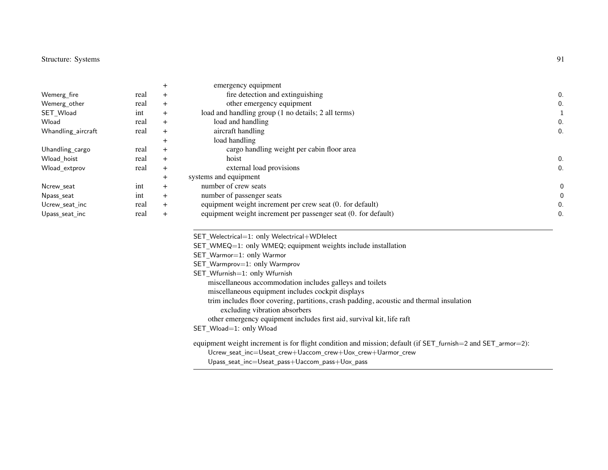|                    |      |                | emergency equipment                                            |    |
|--------------------|------|----------------|----------------------------------------------------------------|----|
| Wemerg_fire        | real | $\ddot{}$      | fire detection and extinguishing                               | 0. |
| Wemerg_other       | real | $\pm$          | other emergency equipment                                      | 0. |
| SET Wload          | int  | $^{+}$         | load and handling group (1 no details; 2 all terms)            |    |
| Wload              | real | $\ddot{}$      | load and handling                                              | 0. |
| Whandling_aircraft | real | $\overline{+}$ | aircraft handling                                              | 0. |
|                    |      |                | load handling                                                  |    |
| Uhandling_cargo    | real | $\overline{+}$ | cargo handling weight per cabin floor area                     |    |
| Wload hoist        | real | $\pm$          | hoist                                                          | 0. |
| Wload extprov      | real | $\pm$          | external load provisions                                       | 0. |
|                    |      | $\pm$          | systems and equipment                                          |    |
| Ncrew seat         | int  | $^+$           | number of crew seats                                           |    |
| Npass seat         | int  | $+$            | number of passenger seats                                      |    |
| Ucrew seat inc     | real | $+$            | equipment weight increment per crew seat (0. for default)      | 0. |
| Upass seat inc     | real |                | equipment weight increment per passenger seat (0. for default) | 0. |

SET \_ Welectrical=1: only Welectrical+WDIelect

SET \_ WMEQ=1: only WMEQ; equipment weights include installation

SET \_ Warmor=1: only Warmor

SET \_Warmprov=1: only Warmprov

SET \_ Wfurnish=1: only Wfurnish

miscellaneous accommodation includes galleys and toilets

miscellaneous equipment includes cockpit displays

trim includes floor covering, partitions, crash padding, acoustic and thermal insulation

excluding vibration absorbers

other emergency equipment includes first aid, survival kit, life raft

<code>SET\_W</code>load $=$ 1: <code>only</code> Wload

equipment weight increment is for flight condition and mission; default (if SET\_furnish=2 and SET\_armor=2):

Ucrew\_seat\_inc=Useat\_crew+Uaccom\_crew+Uox\_crew+Uarmor\_crew

Upass\_seat\_inc=Useat\_pass+Uaccom\_pass+Uox\_pass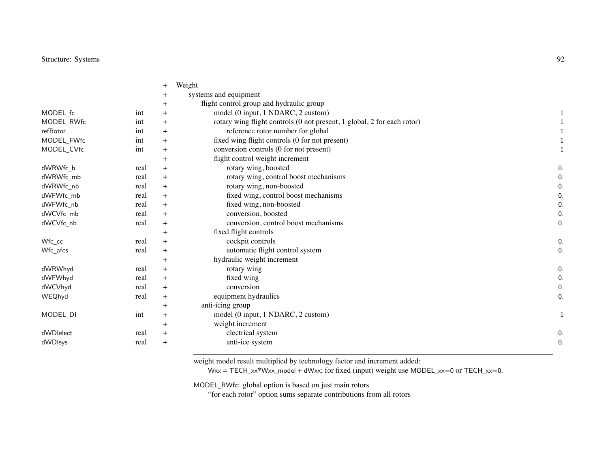|      |       | Weight                                                                  |              |
|------|-------|-------------------------------------------------------------------------|--------------|
|      |       | systems and equipment                                                   |              |
|      | $\pm$ | flight control group and hydraulic group                                |              |
| int  | $\pm$ | model (0 input, 1 NDARC, 2 custom)                                      |              |
| int  | $+$   | rotary wing flight controls (0 not present, 1 global, 2 for each rotor) |              |
| int  | $\pm$ | reference rotor number for global                                       |              |
| int  | $+$   | fixed wing flight controls (0 for not present)                          |              |
| int  | $\pm$ | conversion controls (0 for not present)                                 |              |
|      | $^+$  | flight control weight increment                                         |              |
| real | $+$   | rotary wing, boosted                                                    | $\mathbf{0}$ |
| real | $\pm$ | rotary wing, control boost mechanisms                                   | 0.           |
| real | $\pm$ | rotary wing, non-boosted                                                | 0.           |
| real | $\pm$ | fixed wing, control boost mechanisms                                    | 0.           |
| real | $+$   | fixed wing, non-boosted                                                 | 0.           |
| real | $\pm$ | conversion, boosted                                                     | 0.           |
| real | $\pm$ | conversion, control boost mechanisms                                    | 0.           |
|      | $\pm$ | fixed flight controls                                                   |              |
| real | $\pm$ | cockpit controls                                                        | 0.           |
| real | $\pm$ | automatic flight control system                                         | 0.           |
|      | $\pm$ | hydraulic weight increment                                              |              |
| real | $+$   | rotary wing                                                             | 0.           |
| real | $\pm$ | fixed wing                                                              | 0.           |
| real | $\pm$ | conversion                                                              | 0.           |
| real | $\pm$ | equipment hydraulics                                                    | 0.           |
|      |       | anti-icing group                                                        |              |
| int  | $\pm$ | model (0 input, 1 NDARC, 2 custom)                                      |              |
|      | $\pm$ | weight increment                                                        |              |
| real | $\pm$ | electrical system                                                       | $\mathbf{0}$ |
| real | $\pm$ | anti-ice system                                                         | $\mathbf{0}$ |
|      |       |                                                                         |              |

weight model result multiplied by technology factor and increment added:

Wxx = TECH\_xx\*Wxx\_model + dWxx; for fixed (input) weight use MODEL\_xx=0 or TECH\_xx=0.

MODEL \_ RWfc: global option is based on just main rotors

"for each rotor" option sums separate contributions from all rotors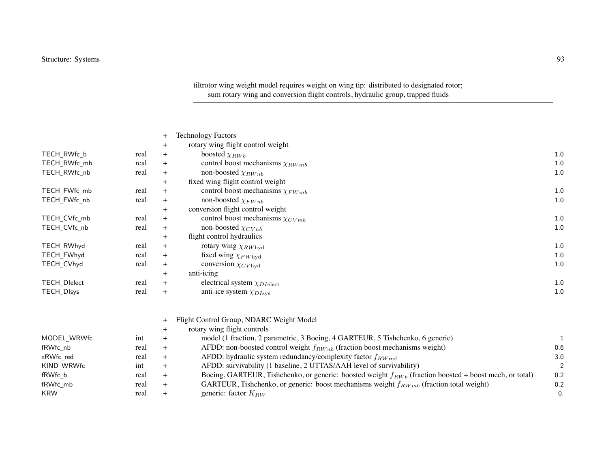#### tiltrotor wing weight model requires weight on wing tip: distributed to designated rotor; sum rotary wing and conversion flight controls, hydraulic group, trapped fluids

|                      |      | $+$            | <b>Technology Factors</b>                                                                                   |                |
|----------------------|------|----------------|-------------------------------------------------------------------------------------------------------------|----------------|
|                      |      | $\ddot{}$      | rotary wing flight control weight                                                                           |                |
| TECH RWfc b          | real | $\ddot{}$      | boosted $\chi_{RWh}$                                                                                        | 1.0            |
| TECH RWfc mb         | real | $\pm$          | control boost mechanisms $\chi_{RWmb}$                                                                      | 1.0            |
| TECH RWfc nb         | real | $+$            | non-boosted $\chi_{RWhb}$                                                                                   | 1.0            |
|                      |      | $+$            | fixed wing flight control weight                                                                            |                |
| TECH FWfc mb         | real | $+$            | control boost mechanisms $\chi_{FWmb}$                                                                      | 1.0            |
| TECH FWfc nb         | real | $\pm$          | non-boosted $\chi_{FWnb}$                                                                                   | 1.0            |
|                      |      | $+$            | conversion flight control weight                                                                            |                |
| TECH CVfc mb         | real | $+$            | control boost mechanisms $\chi_{C V m b}$                                                                   | 1.0            |
| TECH_CVfc_nb         | real | $\pmb{+}$      | non-boosted $\chi_{C V n b}$                                                                                | 1.0            |
|                      |      | $\pm$          | flight control hydraulics                                                                                   |                |
| <b>TECH RWhyd</b>    | real | $+$            | rotary wing $\chi_{RW\text{hyd}}$                                                                           | 1.0            |
| <b>TECH FWhyd</b>    | real | $^{+}$         | fixed wing $\chi_{FWhyd}$                                                                                   | 1.0            |
| <b>TECH CVhyd</b>    | real | $\,^+$         | conversion $\chi_{CVhyd}$                                                                                   | 1.0            |
|                      |      | $\overline{+}$ | anti-icing                                                                                                  |                |
| <b>TECH Dielect</b>  | real | $\ddot{}$      | electrical system $\chi_{D\text{Ielect}}$                                                                   | 1.0            |
| <b>TECH DIsys</b>    | real | $\pm$          | anti-ice system $\chi_{D I \text{sys}}$                                                                     | 1.0            |
|                      |      | $\pm$          | Flight Control Group, NDARC Weight Model                                                                    |                |
|                      |      | $\ddot{}$      | rotary wing flight controls                                                                                 |                |
| MODEL WRWfc          | int  | $\ddot{}$      | model (1 fraction, 2 parametric, 3 Boeing, 4 GARTEUR, 5 Tishchenko, 6 generic)                              |                |
| fRWfc_nb             | real | $\pm$          | AFDD: non-boosted control weight $f_{RWh}$ (fraction boost mechanisms weight)                               | 0.6            |
| xRWfc red            | real | $\pm$          | AFDD: hydraulic system redundancy/complexity factor $f_{RW \text{red}}$                                     | 3.0            |
| KIND_WRWfc           | int  | $+$            | AFDD: survivability (1 baseline, 2 UTTAS/AAH level of survivability)                                        | $\overline{2}$ |
| fRWfc b              | real | $\ddot{}$      | Boeing, GARTEUR, Tishchenko, or generic: boosted weight $f_{RWb}$ (fraction boosted + boost mech, or total) | 0.2            |
| $\mathsf{fRWfc\_mb}$ | real |                | GARTEUR, Tishchenko, or generic: boost mechanisms weight $f_{RWmb}$ (fraction total weight)                 | 0.2            |
| <b>KRW</b>           | real | $+$            | generic: factor $K_{RW}$                                                                                    | $\mathbf{0}$   |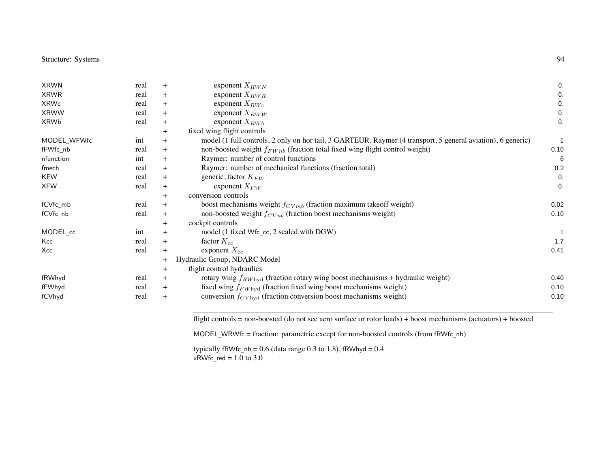| <b>XRWN</b> | real |        | exponent $X_{RWN}$                                                                                          | 0.   |
|-------------|------|--------|-------------------------------------------------------------------------------------------------------------|------|
| <b>XRWR</b> | real |        | exponent $X_{RWR}$                                                                                          | 0.   |
| <b>XRWc</b> | real | $+$    | exponent $X_{RWC}$                                                                                          | 0.   |
| <b>XRWW</b> | real | $^{+}$ | exponent $X_{RWW}$                                                                                          | 0.   |
| <b>XRWb</b> | real | $+$    | exponent $X_{RWb}$                                                                                          | 0.   |
|             |      | $+$    | fixed wing flight controls                                                                                  |      |
| MODEL_WFWfc | int  | $+$    | model (1 full controls, 2 only on hor tail, 3 GARTEUR, Raymer (4 transport, 5 general aviation), 6 generic) |      |
| fFWfc_nb    | real | $+$    | non-boosted weight $f_{FWnb}$ (fraction total fixed wing flight control weight)                             | 0.10 |
| nfunction   | int  | $^{+}$ | Raymer: number of control functions                                                                         | 6    |
| fmech       | real | $+$    | Raymer: number of mechanical functions (fraction total)                                                     | 0.2  |
| <b>KFW</b>  | real | $+$    | generic, factor $K_{FW}$                                                                                    | 0.   |
| <b>XFW</b>  | real | $+$    | exponent $X_{FW}$                                                                                           | 0.   |
|             |      | $+$    | conversion controls                                                                                         |      |
| fCVfc_mb    | real | $+$    | boost mechanisms weight $f_{C V m b}$ (fraction maximum takeoff weight)                                     | 0.02 |
| fCVfc_nb    | real | $+$    | non-boosted weight $f_{C V n b}$ (fraction boost mechanisms weight)                                         | 0.10 |
|             |      | $\pm$  | cockpit controls                                                                                            |      |
| MODEL cc    | int  | $+$    | model (1 fixed Wfc_cc, 2 scaled with DGW)                                                                   |      |
| Kcc         | real | $+$    | factor $K_{cc}$                                                                                             | 1.7  |
| Xcc         | real | $+$    | exponent $X_{cc}$                                                                                           | 0.41 |
|             |      | $\pm$  | Hydraulic Group, NDARC Model                                                                                |      |
|             |      | $+$    | flight control hydraulics                                                                                   |      |
| fRWhyd      | real | $+$    | rotary wing $f_{RWhvd}$ (fraction rotary wing boost mechanisms + hydraulic weight)                          | 0.40 |
| fFWhyd      | real | $+$    | fixed wing $f_{FW$ <sub>hyd</sub> (fraction fixed wing boost mechanisms weight)                             | 0.10 |
| fCVhyd      | real | $\pm$  | conversion $f_{CV$ <sub>hyd</sub> (fraction conversion boost mechanisms weight)                             | 0.10 |
|             |      |        |                                                                                                             |      |
|             |      |        |                                                                                                             |      |

flight controls <sup>=</sup> non-boosted (do not see aero surface or rotor loads) <sup>+</sup> boost mechanisms (actuators) <sup>+</sup> boosted

MODEL \_ WRWfc <sup>=</sup> fraction: parametric excep<sup>t</sup> for non-boosted controls (from fRWfc\_nb)

typically  $fRWfc_nb = 0.6$  (data range 0.3 to 1.8),  $fRWhyd = 0.4$  $\times$ RWfc\_red =  $1.0$  to  $3.0$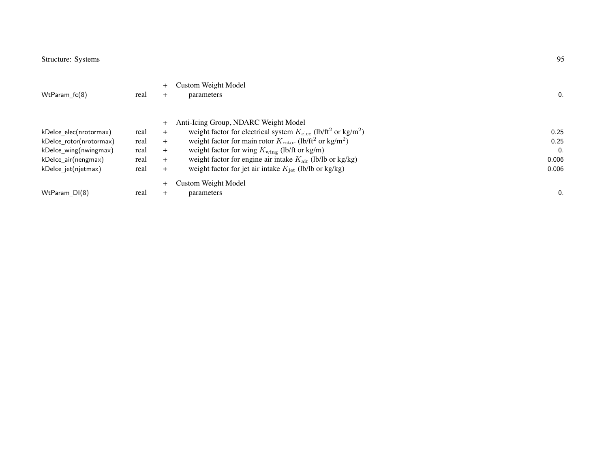| WtParam $fc(8)$         | real | $+$<br>$\pm$ | Custom Weight Model<br>parameters                                                                | 0.    |
|-------------------------|------|--------------|--------------------------------------------------------------------------------------------------|-------|
|                         |      |              |                                                                                                  |       |
|                         |      | $+$          | Anti-Icing Group, NDARC Weight Model                                                             |       |
| kDelce elec(nrotormax)  | real | $+$          | weight factor for electrical system $K_{\text{elec}}$ (lb/ft <sup>2</sup> or kg/m <sup>2</sup> ) | 0.25  |
| kDelce rotor(nrotormax) | real | $\pm$        | weight factor for main rotor $K_{\text{rotor}}$ (lb/ft <sup>2</sup> or kg/m <sup>2</sup> )       | 0.25  |
| kDelce_wing(nwingmax)   | real |              | weight factor for wing $K_{\text{wing}}$ (lb/ft or kg/m)                                         | 0.    |
| kDelce air(nengmax)     | real | $^{+}$       | weight factor for engine air intake $K_{\text{air}}$ (lb/lb or kg/kg)                            | 0.006 |
| kDelce jet(njetmax)     | real | $+$          | weight factor for jet air intake $K_{\text{iet}}$ (lb/lb or kg/kg)                               | 0.006 |
|                         |      |              | <b>Custom Weight Model</b>                                                                       |       |
| WtParam_DI(8)           | real |              | parameters                                                                                       | 0.    |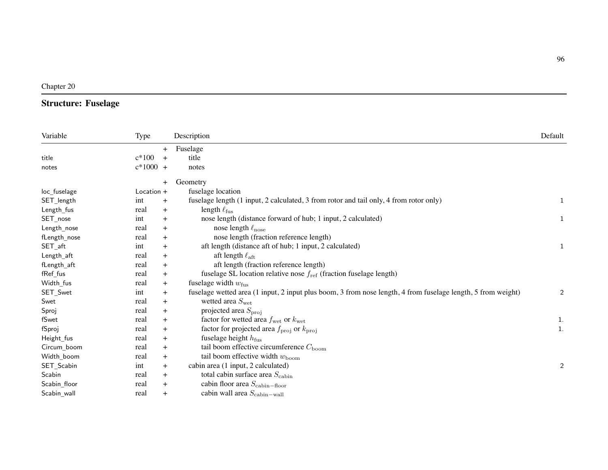## Chapter 20

# **Structure: Fuselage**

| Variable           | Type       |                | Description                                                                                                  | Default        |
|--------------------|------------|----------------|--------------------------------------------------------------------------------------------------------------|----------------|
|                    |            | $+$            | Fuselage                                                                                                     |                |
| title              | $c*100$    | $+$            | title                                                                                                        |                |
| notes              | $c*1000 +$ |                | notes                                                                                                        |                |
|                    |            | $\pm$          | Geometry                                                                                                     |                |
| loc_fuselage       | Location + |                | fuselage location                                                                                            |                |
| SET_length         | int        | $+$            | fuselage length (1 input, 2 calculated, 3 from rotor and tail only, 4 from rotor only)                       |                |
| Length_fus         | real       | $\ddot{}$      | length $\ell_{\rm fus}$                                                                                      |                |
| $SET\_nose$        | int        | $\pm$          | nose length (distance forward of hub; 1 input, 2 calculated)                                                 |                |
| Length_nose        | real       | $+$            | nose length $\ell_{\text{nose}}$                                                                             |                |
| fLength_nose       | real       | $\pm$          | nose length (fraction reference length)                                                                      |                |
| SET <sub>aft</sub> | int        | $\pm$          | aft length (distance aft of hub; 1 input, 2 calculated)                                                      |                |
| Length_aft         | real       | $\pm$          | aft length $\ell_{\rm aft}$                                                                                  |                |
| fLength_aft        | real       | $\pm$          | aft length (fraction reference length)                                                                       |                |
| fRef_fus           | real       | $+$            | fuselage SL location relative nose $f_{ref}$ (fraction fuselage length)                                      |                |
| Width fus          | real       | $\pm$          | fuselage width $w_{\text{fus}}$                                                                              |                |
| SET_Swet           | int        | $+$            | fuselage wetted area (1 input, 2 input plus boom, 3 from nose length, 4 from fuselage length, 5 from weight) | $\overline{c}$ |
| Swet               | real       | $\ddot{}$      | wetted area $S_{\text{wet}}$                                                                                 |                |
| Sproj              | real       | $\pm$          | projected area $S_{\text{proj}}$                                                                             |                |
| fSwet              | real       | $\pm$          | factor for wetted area $f_{\text{wet}}$ or $k_{\text{wet}}$                                                  | 1.             |
| fSproj             | real       | $\overline{+}$ | factor for projected area $f_{\text{proj}}$ or $k_{\text{proj}}$                                             | 1.             |
| Height fus         | real       | $\pm$          | fuselage height $h_{\text{fus}}$                                                                             |                |
| Circum boom        | real       | $\pm$          | tail boom effective circumference $C_{\text{boom}}$                                                          |                |
| Width boom         | real       | $\pm$          | tail boom effective width $w_{\text{boom}}$                                                                  |                |
| SET_Scabin         | int        | $\pm$          | cabin area (1 input, 2 calculated)                                                                           | $\overline{c}$ |
| Scabin             | real       | $\pm$          | total cabin surface area $S_{\text{cabin}}$                                                                  |                |
| Scabin floor       | real       | $\pm$          | cabin floor area $S_{\rm cabin-floor}$                                                                       |                |
| Scabin_wall        | real       | $\pm$          | cabin wall area $S_{\rm cabin-wall}$                                                                         |                |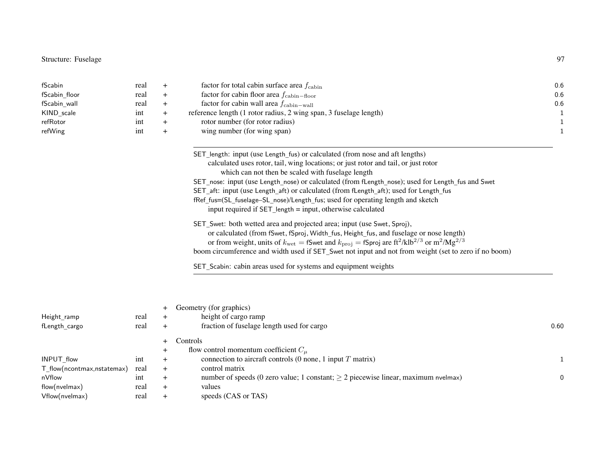## Structure: Fuselage 97

| fScabin                    | real | $\pm$     | factor for total cabin surface area $f_{\text{cabin}}$                                                                                                             | 0.6          |
|----------------------------|------|-----------|--------------------------------------------------------------------------------------------------------------------------------------------------------------------|--------------|
| fScabin_floor              | real | $\ddot{}$ | factor for cabin floor area $f_{\text{cabin-floor}}$                                                                                                               | 0.6          |
| fScabin_wall               | real | $+$       | factor for cabin wall area $f_{\text{cabin-wall}}$                                                                                                                 | 0.6          |
| KIND_scale                 | int  | $\pm$     | reference length (1 rotor radius, 2 wing span, 3 fuselage length)                                                                                                  | 1            |
| refRotor                   | int  | $+$       | rotor number (for rotor radius)                                                                                                                                    | $\mathbf{1}$ |
| refWing                    | int  | $+$       | wing number (for wing span)                                                                                                                                        | $\mathbf{1}$ |
|                            |      |           | SET length: input (use Length fus) or calculated (from nose and aft lengths)<br>calculated uses rotor, tail, wing locations; or just rotor and tail, or just rotor |              |
|                            |      |           | which can not then be scaled with fuselage length                                                                                                                  |              |
|                            |      |           | SET_nose: input (use Length_nose) or calculated (from fLength_nose); used for Length_fus and Swet                                                                  |              |
|                            |      |           | SET_aft: input (use Length_aft) or calculated (from fLength_aft); used for Length_fus                                                                              |              |
|                            |      |           | fRef_fus=(SL_fuselage-SL_nose)/Length_fus; used for operating length and sketch                                                                                    |              |
|                            |      |           | input required if SET_length = input, otherwise calculated                                                                                                         |              |
|                            |      |           | SET_Swet: both wetted area and projected area; input (use Swet, Sproj),                                                                                            |              |
|                            |      |           | or calculated (from fSwet, fSproj, Width_fus, Height_fus, and fuselage or nose length)                                                                             |              |
|                            |      |           | or from weight, units of $k_{\text{wet}} =$ fSwet and $k_{\text{proj}} =$ fSproj are ft <sup>2</sup> /klb <sup>2/3</sup> or m <sup>2</sup> /Mg <sup>2/3</sup>      |              |
|                            |      |           | boom circumference and width used if SET Swet not input and not from weight (set to zero if no boom)                                                               |              |
|                            |      |           | SET_Scabin: cabin areas used for systems and equipment weights                                                                                                     |              |
|                            |      |           |                                                                                                                                                                    |              |
|                            |      |           | Geometry (for graphics)                                                                                                                                            |              |
| Height_ramp                | real | $+$       | height of cargo ramp                                                                                                                                               |              |
| fLength_cargo              | real | $\pm$     | fraction of fuselage length used for cargo                                                                                                                         | 0.60         |
|                            |      | $^{+}$    | Controls                                                                                                                                                           |              |
|                            |      | $\ddot{}$ | flow control momentum coefficient $C_u$                                                                                                                            |              |
| <b>INPUT</b> flow          | int  | $+$       | connection to aircraft controls $(0 \text{ none}, 1 \text{ input } T \text{ matrix})$                                                                              | 1            |
| T_flow(ncontmax,nstatemax) | real | $+$       | control matrix                                                                                                                                                     |              |
| nVflow                     | int  | $\pm$     | number of speeds (0 zero value; 1 constant; $\geq 2$ piecewise linear, maximum nvelmax)                                                                            | $\mathbf 0$  |
| flow(nvelmax)              | real | $\ddot{}$ | values                                                                                                                                                             |              |
| Vflow(nvelmax)             | real | $+$       | speeds (CAS or TAS)                                                                                                                                                |              |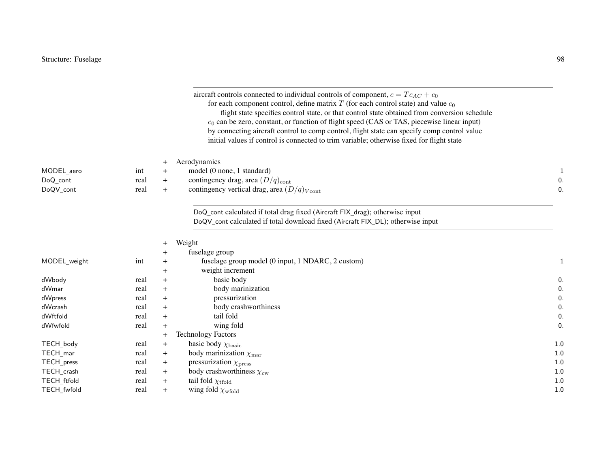|                        |              |                                     | aircraft controls connected to individual controls of component, $c = Tc_{AC} + c_0$<br>for each component control, define matrix T (for each control state) and value $c_0$<br>flight state specifies control state, or that control state obtained from conversion schedule<br>$c_0$ can be zero, constant, or function of flight speed (CAS or TAS, piecewise linear input)<br>by connecting aircraft control to comp control, flight state can specify comp control value<br>initial values if control is connected to trim variable; otherwise fixed for flight state |              |
|------------------------|--------------|-------------------------------------|----------------------------------------------------------------------------------------------------------------------------------------------------------------------------------------------------------------------------------------------------------------------------------------------------------------------------------------------------------------------------------------------------------------------------------------------------------------------------------------------------------------------------------------------------------------------------|--------------|
|                        |              | $\pm$                               | Aerodynamics                                                                                                                                                                                                                                                                                                                                                                                                                                                                                                                                                               |              |
| MODEL aero             | int          | $+$                                 | model (0 none, 1 standard)                                                                                                                                                                                                                                                                                                                                                                                                                                                                                                                                                 |              |
| DoQ_cont               | real         | $+$                                 | contingency drag, area $(D/q)_{\text{cont}}$                                                                                                                                                                                                                                                                                                                                                                                                                                                                                                                               | 0.           |
| DoQV_cont              | real         | $+$                                 | contingency vertical drag, area $(D/q)_{V\text{cont}}$                                                                                                                                                                                                                                                                                                                                                                                                                                                                                                                     | $\mathbf{0}$ |
|                        |              |                                     | DoQ_cont calculated if total drag fixed (Aircraft FIX_drag); otherwise input<br>DoQV cont calculated if total download fixed (Aircraft FIX DL); otherwise input                                                                                                                                                                                                                                                                                                                                                                                                            |              |
| MODEL_weight           | int          | $\ddot{}$<br>$\ddot{}$<br>$\ddot{}$ | Weight<br>fuselage group<br>fuselage group model (0 input, 1 NDARC, 2 custom)                                                                                                                                                                                                                                                                                                                                                                                                                                                                                              |              |
|                        |              | $\ddot{}$                           | weight increment                                                                                                                                                                                                                                                                                                                                                                                                                                                                                                                                                           |              |
| dWbody                 | real         | $\ddot{}$                           | basic body                                                                                                                                                                                                                                                                                                                                                                                                                                                                                                                                                                 | 0.           |
| dWmar                  | real         | $\ddot{}$                           | body marinization                                                                                                                                                                                                                                                                                                                                                                                                                                                                                                                                                          | 0.           |
| dWpress                | real         | $\ddot{}$                           | pressurization                                                                                                                                                                                                                                                                                                                                                                                                                                                                                                                                                             | 0.           |
| dWcrash                | real         | $\ddot{}$                           | body crashworthiness                                                                                                                                                                                                                                                                                                                                                                                                                                                                                                                                                       | 0.           |
| dWftfold               | real         | $+$                                 | tail fold                                                                                                                                                                                                                                                                                                                                                                                                                                                                                                                                                                  | 0.           |
| dWfwfold               | real         | $+$                                 | wing fold                                                                                                                                                                                                                                                                                                                                                                                                                                                                                                                                                                  | 0.           |
|                        |              | $\ddot{}$                           | <b>Technology Factors</b>                                                                                                                                                                                                                                                                                                                                                                                                                                                                                                                                                  |              |
| TECH body              | real         | $\ddot{}$                           | basic body $\chi_{\rm basic}$                                                                                                                                                                                                                                                                                                                                                                                                                                                                                                                                              | 1.0          |
| TECH mar<br>TECH press | real         | $\ddot{}$                           | body marinization $\chi_{\text{mar}}$                                                                                                                                                                                                                                                                                                                                                                                                                                                                                                                                      | 1.0          |
| TECH crash             | real<br>real | $\ddot{}$<br>$\ddot{}$              | pressurization $\chi_{\rm press}$<br>body crashworthiness $\chi_{\rm cw}$                                                                                                                                                                                                                                                                                                                                                                                                                                                                                                  | 1.0<br>1.0   |
| <b>TECH ftfold</b>     | real         | $+$                                 | tail fold $\chi_{\text{tfold}}$                                                                                                                                                                                                                                                                                                                                                                                                                                                                                                                                            | 1.0          |
| <b>TECH</b> fwfold     | real         | $\ddot{}$                           | wing fold $\chi_{\rm{wfold}}$                                                                                                                                                                                                                                                                                                                                                                                                                                                                                                                                              | 1.0          |
|                        |              |                                     |                                                                                                                                                                                                                                                                                                                                                                                                                                                                                                                                                                            |              |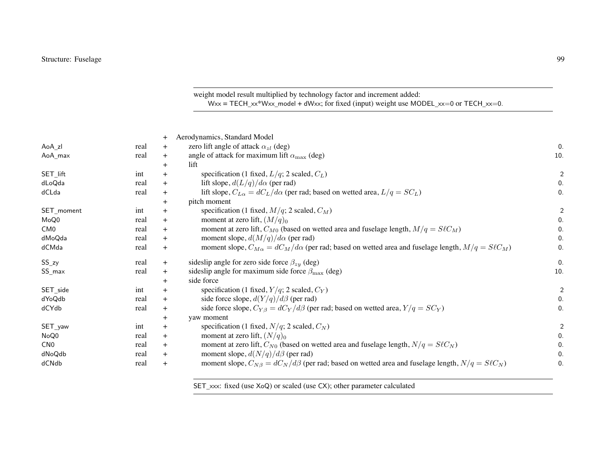| weight model result multiplied by technology factor and increment added:                |
|-----------------------------------------------------------------------------------------|
| $Wxx = TECH_xx*Wxx$ model + dWxx; for fixed (input) weight use MODEL_xx=0 or TECH_xx=0. |

|                 |      | $+$       | Aerodynamics, Standard Model                                                                                       |          |
|-----------------|------|-----------|--------------------------------------------------------------------------------------------------------------------|----------|
| AoA zl          | real | $+$       | zero lift angle of attack $\alpha_{zl}$ (deg)                                                                      | 0.       |
| AoA_max         | real | $+$       | angle of attack for maximum lift $\alpha_{\text{max}}$ (deg)                                                       | 10.      |
|                 |      | $+$       | lift                                                                                                               |          |
| SET lift        | int  | $+$       | specification (1 fixed, $L/q$ ; 2 scaled, $C_L$ )                                                                  |          |
| dLoQda          | real | $+$       | lift slope, $d(L/q)/d\alpha$ (per rad)                                                                             |          |
| dCLda           | real | $\ddot{}$ | lift slope, $C_{L\alpha} = dC_L/d\alpha$ (per rad; based on wetted area, $L/q = SC_L$ )                            |          |
|                 |      | $\ddot{}$ | pitch moment                                                                                                       |          |
| SET_moment      | int  | $+$       | specification (1 fixed, $M/q$ ; 2 scaled, $C_M$ )                                                                  |          |
| MoQ0            | real | $^{+}$    | moment at zero lift, $(M/q)_0$                                                                                     |          |
| CM <sub>0</sub> | real | $+$       | moment at zero lift, $C_{M0}$ (based on wetted area and fuselage length, $M/q = S\ell C_M$ )                       |          |
| dMoQda          | real | $+$       | moment slope, $d(M/q)/d\alpha$ (per rad)                                                                           |          |
| dCMda           | real | $+$       | moment slope, $C_{M\alpha} = dC_M/d\alpha$ (per rad; based on wetted area and fuselage length, $M/q = S\ell C_M$ ) |          |
| SS_zy           | real | $+$       | sideslip angle for zero side force $\beta_{zy}$ (deg)                                                              | $\Omega$ |
| SS_max          | real | $\pm$     | sideslip angle for maximum side force $\beta_{\text{max}}$ (deg)                                                   | 10.      |
|                 |      | $^{+}$    | side force                                                                                                         |          |
| SET_side        | int  | $+$       | specification (1 fixed, $Y/q$ ; 2 scaled, $C_Y$ )                                                                  |          |
| dYoQdb          | real | $+$       | side force slope, $d(Y/q)/d\beta$ (per rad)                                                                        |          |
| dCYdb           | real | $\ddot{}$ | side force slope, $C_{Y\beta} = dC_Y/d\beta$ (per rad; based on wetted area, $Y/q = SC_Y$ )                        |          |
|                 |      | $+$       | yaw moment                                                                                                         |          |
| SET_yaw         | int  | $+$       | specification (1 fixed, $N/q$ ; 2 scaled, $C_N$ )                                                                  |          |
| NoQ0            | real | $+$       | moment at zero lift, $(N/q)_0$                                                                                     |          |
| CN <sub>0</sub> | real | $+$       | moment at zero lift, $C_{N0}$ (based on wetted area and fuselage length, $N/q = S\ell C_N$ )                       |          |
| dNoQdb          | real | $+$       | moment slope, $d(N/q)/d\beta$ (per rad)                                                                            |          |
| dCNdb           | real | $^+$      | moment slope, $C_{N\beta} = dC_N/d\beta$ (per rad; based on wetted area and fuselage length, $N/q = S\ell C_N$ )   |          |

SET \_ xxx: fixed (use XoQ) or scaled (use CX); other parameter calculated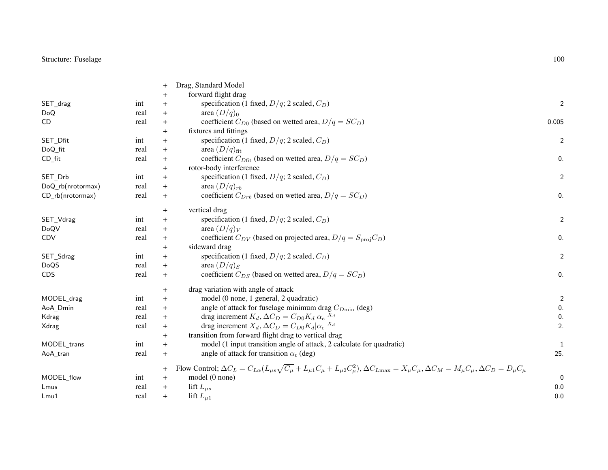|                   |      | $+$       | Drag, Standard Model                                                                                                                                                                                                |                |
|-------------------|------|-----------|---------------------------------------------------------------------------------------------------------------------------------------------------------------------------------------------------------------------|----------------|
|                   |      | $+$       | forward flight drag                                                                                                                                                                                                 |                |
| SET_drag          | int  | $+$       | specification (1 fixed, $D/q$ ; 2 scaled, $C_D$ )                                                                                                                                                                   | $\overline{c}$ |
| DoQ               | real | $+$       | area $(D/q)_0$                                                                                                                                                                                                      |                |
| CD                | real | $\ddot{}$ | coefficient $C_{D0}$ (based on wetted area, $D/q = SC_D$ )                                                                                                                                                          | 0.005          |
|                   |      | $\ddot{}$ | fixtures and fittings                                                                                                                                                                                               |                |
| SET Dfit          | int  | $+$       | specification (1 fixed, $D/q$ ; 2 scaled, $C_D$ )                                                                                                                                                                   | $\overline{2}$ |
| DoQ_fit           | real | $+$       | area $(D/q)_{\text{fit}}$                                                                                                                                                                                           |                |
| $CD_{fit}$        | real | $+$       | coefficient $C_{Dfit}$ (based on wetted area, $D/q = SC_D$ )                                                                                                                                                        | 0.             |
|                   |      | $+$       | rotor-body interference                                                                                                                                                                                             |                |
| SET_Drb           | int  | $+$       | specification (1 fixed, $D/q$ ; 2 scaled, $C_D$ )                                                                                                                                                                   | $\overline{2}$ |
| DoQ_rb(nrotormax) | real | $+$       | area $(D/q)_{rb}$                                                                                                                                                                                                   |                |
| CD_rb(nrotormax)  | real | $+$       | coefficient $C_{Drb}$ (based on wetted area, $D/q = SC_D$ )                                                                                                                                                         | 0.             |
|                   |      | $+$       | vertical drag                                                                                                                                                                                                       |                |
| SET_Vdrag         | int  | $+$       | specification (1 fixed, $D/q$ ; 2 scaled, $C_D$ )                                                                                                                                                                   | $\overline{2}$ |
| DoQV              | real | $+$       | area $(D/q)V$                                                                                                                                                                                                       |                |
| CDV               | real | $+$       | coefficient $C_{DV}$ (based on projected area, $D/q = S_{\text{proj}}C_D$ )                                                                                                                                         | 0.             |
|                   |      | $\ddot{}$ | sideward drag                                                                                                                                                                                                       |                |
| SET_Sdrag         | int  | $+$       | specification (1 fixed, $D/q$ ; 2 scaled, $C_D$ )                                                                                                                                                                   | 2              |
| DoQS              | real | $+$       | area $(D/q)_S$                                                                                                                                                                                                      |                |
| <b>CDS</b>        | real | $+$       | coefficient $C_{DS}$ (based on wetted area, $D/q = SC_D$ )                                                                                                                                                          | 0.             |
|                   |      | $+$       | drag variation with angle of attack                                                                                                                                                                                 |                |
| MODEL_drag        | int  | $+$       | model (0 none, 1 general, 2 quadratic)                                                                                                                                                                              | $\overline{2}$ |
| AoA_Dmin          | real | $+$       | angle of attack for fuselage minimum drag $C_{D\text{min}}$ (deg)                                                                                                                                                   | 0.             |
| Kdrag             | real | $+$       | drag increment $K_d$ , $\Delta C_D = C_{D0} K_d  \alpha_e ^{X_d}$                                                                                                                                                   | 0.             |
| Xdrag             | real | $+$       | drag increment $X_d$ , $\Delta C_D = C_{D0} K_d  \alpha_e ^{X_d}$                                                                                                                                                   | 2.             |
|                   |      | $+$       | transition from forward flight drag to vertical drag                                                                                                                                                                |                |
| MODEL trans       | int  | $+$       | model (1 input transition angle of attack, 2 calculate for quadratic)                                                                                                                                               | 1              |
| AoA_tran          | real | $+$       | angle of attack for transition $\alpha_t$ (deg)                                                                                                                                                                     | 25.            |
|                   |      | $+$       | Flow Control; $\Delta C_L = C_{L\alpha} (L_{\mu s} \sqrt{C_{\mu}} + L_{\mu 1} C_{\mu} + L_{\mu 2} C_{\mu}^2), \Delta C_{L\text{max}} = X_{\mu} C_{\mu}, \Delta C_M = M_{\mu} C_{\mu}, \Delta C_D = D_{\mu} C_{\mu}$ |                |
| MODEL flow        | int  | $+$       | model (0 none)                                                                                                                                                                                                      | $\overline{0}$ |
| Lmus              | real | $+$       | lift $L_{\mu s}$                                                                                                                                                                                                    | 0.0            |
| Lmu1              | real | $+$       | lift $L_{\mu 1}$                                                                                                                                                                                                    | 0.0            |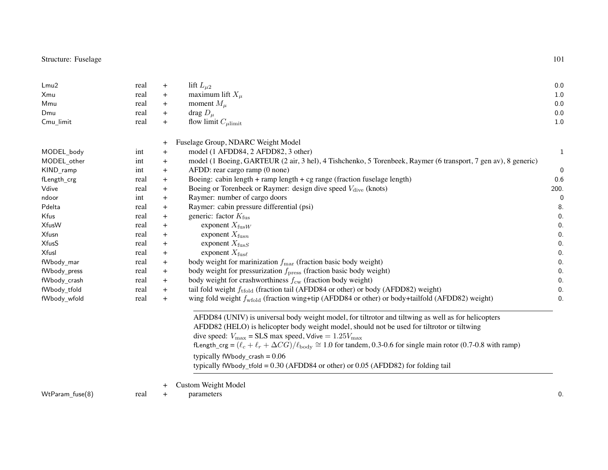# Structure: Fuselage 101

| real | $+$       | lift $L_{\mu 2}$                                                                                                                                                                                   | 0.0          |
|------|-----------|----------------------------------------------------------------------------------------------------------------------------------------------------------------------------------------------------|--------------|
| real | $+$       | maximum lift $X_\mu$                                                                                                                                                                               | 1.0          |
| real | $\ddot{}$ | moment $M_{\mu}$                                                                                                                                                                                   | 0.0          |
| real | $+$       | drag $D_\mu$                                                                                                                                                                                       | 0.0          |
| real | $+$       | flow limit $C_{\mu\text{limit}}$                                                                                                                                                                   | 1.0          |
|      |           | Fuselage Group, NDARC Weight Model                                                                                                                                                                 |              |
| int  | $+$       | model (1 AFDD84, 2 AFDD82, 3 other)                                                                                                                                                                | 1            |
| int  | $\ddot{}$ | model (1 Boeing, GARTEUR (2 air, 3 hel), 4 Tishchenko, 5 Torenbeek, Raymer (6 transport, 7 gen av), 8 generic)                                                                                     |              |
| int  | $+$       | AFDD: rear cargo ramp (0 none)                                                                                                                                                                     |              |
| real | $+$       | Boeing: cabin length $+$ ramp length $+$ cg range (fraction fuselage length)                                                                                                                       | 0.6          |
| real | $+$       | Boeing or Torenbeek or Raymer: design dive speed $V_{\text{dive}}$ (knots)                                                                                                                         | 200.         |
| int  | $+$       | Raymer: number of cargo doors                                                                                                                                                                      |              |
| real | $+$       | Raymer: cabin pressure differential (psi)                                                                                                                                                          | 8            |
| real | $+$       | generic: factor $K_{\text{fus}}$                                                                                                                                                                   | 0.           |
| real | $+$       | exponent $X_{\text{fus}W}$                                                                                                                                                                         | $\mathbf{0}$ |
| real | $+$       | exponent $X_{\text{fus}n}$                                                                                                                                                                         | 0.           |
| real | $\ddot{}$ | exponent $X_{fuss}$                                                                                                                                                                                | 0.           |
| real | $+$       | exponent $X_{\text{fus}\ell}$                                                                                                                                                                      | 0.           |
| real | $\ddot{}$ | body weight for marinization $f_{\text{mar}}$ (fraction basic body weight)                                                                                                                         |              |
| real | $\ddot{}$ | body weight for pressurization $fpress$ (fraction basic body weight)                                                                                                                               | 0.           |
| real | $+$       | body weight for crashworthiness $f_{\text{cw}}$ (fraction body weight)                                                                                                                             | 0.           |
| real | $+$       | tail fold weight $f_{\text{tfold}}$ (fraction tail (AFDD84 or other) or body (AFDD82) weight)                                                                                                      | 0.           |
| real | $+$       | wing fold weight $f_{\text{wfold}}$ (fraction wing+tip (AFDD84 or other) or body+tailfold (AFDD82) weight)                                                                                         | 0.           |
|      |           | AFDD84 (UNIV) is universal body weight model, for tiltrotor and tiltwing as well as for helicopters<br>AFDD82 (HELO) is helicopter body weight model, should not be used for tiltrotor or tiltwing |              |
|      |           | dive speed: $V_{\text{max}}$ = SLS max speed, Vdive = 1.25 $V_{\text{max}}$                                                                                                                        |              |
|      |           | fLength_crg = $(\ell_c + \ell_r + \Delta CG)/\ell_{body} \cong 1.0$ for tandem, 0.3-0.6 for single main rotor (0.7-0.8 with ramp)                                                                  |              |
|      |           | typically fWbody crash = $0.06$                                                                                                                                                                    |              |
|      |           | typically fWbody_tfold = $0.30$ (AFDD84 or other) or $0.05$ (AFDD82) for folding tail                                                                                                              |              |
|      |           |                                                                                                                                                                                                    |              |

+ Custom Weight Model<br>+ parameters

WtParam\_fuse(8)

\_fuse(8) real <sup>+</sup> parameters 0.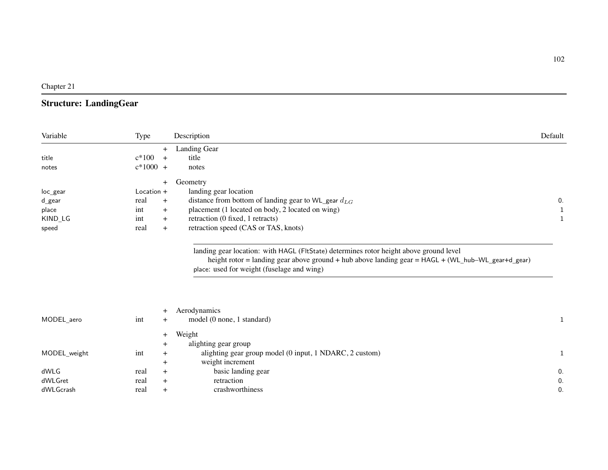# **Structure: LandingGear**

| Variable     | Type       |       | Description                                                                                                                                                                                                                                | Default |
|--------------|------------|-------|--------------------------------------------------------------------------------------------------------------------------------------------------------------------------------------------------------------------------------------------|---------|
|              |            | $+$   | Landing Gear                                                                                                                                                                                                                               |         |
| title        | $c*100$    | $+$   | title                                                                                                                                                                                                                                      |         |
| notes        | $c*1000 +$ |       | notes                                                                                                                                                                                                                                      |         |
|              |            | $\pm$ | Geometry                                                                                                                                                                                                                                   |         |
| loc_gear     | Location + |       | landing gear location                                                                                                                                                                                                                      |         |
| d_gear       | real       | $\pm$ | distance from bottom of landing gear to WL_gear $d_{LG}$                                                                                                                                                                                   | 0.      |
| place        | int        | $\pm$ | placement (1 located on body, 2 located on wing)                                                                                                                                                                                           |         |
| KIND_LG      | int        | $+$   | retraction (0 fixed, 1 retracts)                                                                                                                                                                                                           |         |
| speed        | real       | $+$   | retraction speed (CAS or TAS, knots)                                                                                                                                                                                                       |         |
|              |            |       | landing gear location: with HAGL (FltState) determines rotor height above ground level<br>height rotor = landing gear above ground + hub above landing gear = HAGL + (WL_hub-WL_gear+d_gear)<br>place: used for weight (fuselage and wing) |         |
|              |            | $\pm$ | Aerodynamics                                                                                                                                                                                                                               |         |
| MODEL aero   | int        | $^+$  | model (0 none, 1 standard)                                                                                                                                                                                                                 | 1       |
|              |            | $\pm$ | Weight                                                                                                                                                                                                                                     |         |
|              |            | $\pm$ | alighting gear group                                                                                                                                                                                                                       |         |
| MODEL_weight | int        | $\pm$ | alighting gear group model (0 input, 1 NDARC, 2 custom)                                                                                                                                                                                    |         |
|              |            | $\pm$ | weight increment                                                                                                                                                                                                                           |         |
| dWLG         | real       | $\pm$ | basic landing gear                                                                                                                                                                                                                         | 0.      |
| dWLGret      | real       | $\pm$ | retraction                                                                                                                                                                                                                                 | 0.      |
| dWLGcrash    | real       | $\pm$ | crashworthiness                                                                                                                                                                                                                            | 0.      |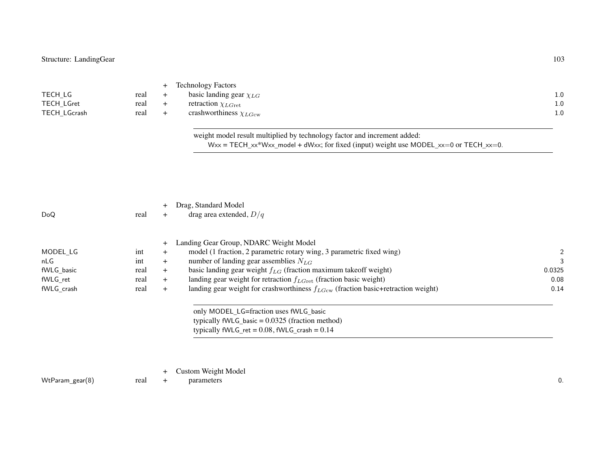| Structure: LandingGear |      |            |                                                                                                                                                                           | 103            |
|------------------------|------|------------|---------------------------------------------------------------------------------------------------------------------------------------------------------------------------|----------------|
|                        |      | $\ddot{}$  | <b>Technology Factors</b>                                                                                                                                                 |                |
| TECH LG                | real | $+$        | basic landing gear $\chi_{LG}$                                                                                                                                            | $1.0\,$        |
| TECH_LGret             | real | $\ddot{}$  | retraction $\chi_{LGret}$                                                                                                                                                 | 1.0            |
| TECH_LGcrash           | real | $+$        | crashworthiness $\chi_{LGew}$                                                                                                                                             | 1.0            |
|                        |      |            | weight model result multiplied by technology factor and increment added:<br>$Wxx = TECH_xxx*Wxx$ model + dWxx; for fixed (input) weight use MODEL $xx=0$ or TECH $xx=0$ . |                |
| DoQ                    | real | $+$<br>$+$ | Drag, Standard Model<br>drag area extended, $D/q$                                                                                                                         |                |
|                        |      | $\ddot{}$  | Landing Gear Group, NDARC Weight Model                                                                                                                                    |                |
| MODEL_LG               | int  | $+$        | model (1 fraction, 2 parametric rotary wing, 3 parametric fixed wing)                                                                                                     | $\overline{2}$ |
| nLG                    | int  | $+$        | number of landing gear assemblies $N_{LG}$                                                                                                                                | 3              |
| fWLG basic             | real | $+$        | basic landing gear weight $f_{LG}$ (fraction maximum takeoff weight)                                                                                                      | 0.0325         |
| fWLG_ret               | real | $+$        | landing gear weight for retraction $f_{LGret}$ (fraction basic weight)                                                                                                    | 0.08           |
| fWLG_crash             | real | $+$        | landing gear weight for crashworthiness $f_{LG}$ (fraction basic+retraction weight)                                                                                       | 0.14           |
|                        |      |            | only MODEL LG=fraction uses fWLG basic<br>typically $fWLG_b$ basic = 0.0325 (fraction method)                                                                             |                |
| WtParam_gear(8)        | real |            | typically fWLG ret = $0.08$ , fWLG crash = $0.14$<br><b>Custom Weight Model</b><br>parameters                                                                             |                |
|                        |      | $\ddot{}$  |                                                                                                                                                                           | 0.             |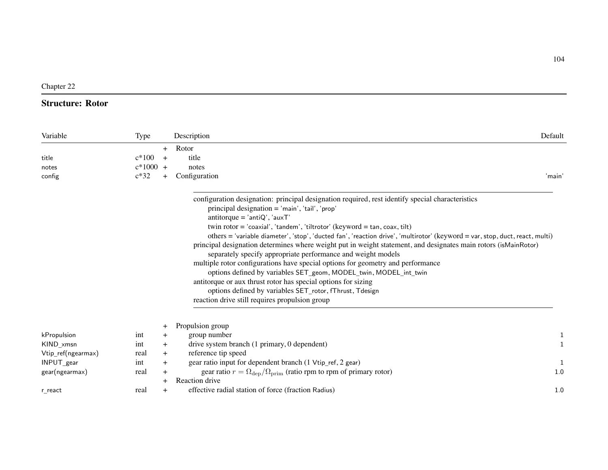| Variable           | Type       |       | Description                                                                                                                                                                                               | Default |
|--------------------|------------|-------|-----------------------------------------------------------------------------------------------------------------------------------------------------------------------------------------------------------|---------|
|                    |            | $+$   | Rotor                                                                                                                                                                                                     |         |
| title              | $c*100$    | $+$   | title                                                                                                                                                                                                     |         |
| notes              | $c*1000 +$ |       | notes                                                                                                                                                                                                     |         |
| config             | $c*32$     | $+$   | Configuration                                                                                                                                                                                             | 'main'  |
|                    |            |       | configuration designation: principal designation required, rest identify special characteristics                                                                                                          |         |
|                    |            |       | principal designation = 'main', 'tail', 'prop'                                                                                                                                                            |         |
|                    |            |       | $antitorque = 'antiQ', 'auxT'$                                                                                                                                                                            |         |
|                    |            |       | twin rotor = 'coaxial', 'tandem', 'tiltrotor' (keyword = tan, coax, tilt)<br>others = 'variable diameter', 'stop', 'ducted fan', 'reaction drive', 'multirotor' (keyword = var, stop, duct, react, multi) |         |
|                    |            |       | principal designation determines where weight put in weight statement, and designates main rotors (isMainRotor)                                                                                           |         |
|                    |            |       | separately specify appropriate performance and weight models                                                                                                                                              |         |
|                    |            |       | multiple rotor configurations have special options for geometry and performance                                                                                                                           |         |
|                    |            |       | options defined by variables SET_geom, MODEL_twin, MODEL_int_twin                                                                                                                                         |         |
|                    |            |       | antitorque or aux thrust rotor has special options for sizing                                                                                                                                             |         |
|                    |            |       | options defined by variables SET_rotor, fThrust, Tdesign                                                                                                                                                  |         |
|                    |            |       | reaction drive still requires propulsion group                                                                                                                                                            |         |
|                    |            | $\pm$ | Propulsion group                                                                                                                                                                                          |         |
| kPropulsion        | int        | $\pm$ | group number                                                                                                                                                                                              |         |
| KIND xmsn          | int        | $+$   | drive system branch (1 primary, 0 dependent)                                                                                                                                                              |         |
| Vtip_ref(ngearmax) | real       | $+$   | reference tip speed                                                                                                                                                                                       |         |
| $INPUT\_gear$      | int        | $+$   | gear ratio input for dependent branch (1 Vtip_ref, 2 gear)                                                                                                                                                |         |
| gear(ngearmax)     | real       | $\pm$ | gear ratio $r = \Omega_{\rm dep}/\Omega_{\rm prim}$ (ratio rpm to rpm of primary rotor)                                                                                                                   | 1.0     |
|                    |            |       | Reaction drive                                                                                                                                                                                            |         |
| r react            | real       |       | effective radial station of force (fraction Radius)                                                                                                                                                       | 1.0     |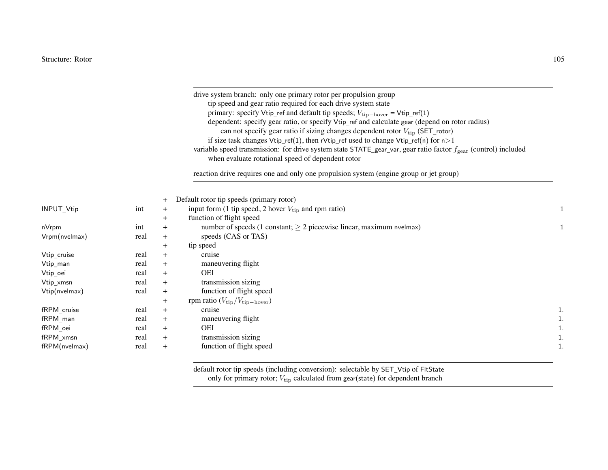|                   |      |                | drive system branch: only one primary rotor per propulsion group                                                           |              |
|-------------------|------|----------------|----------------------------------------------------------------------------------------------------------------------------|--------------|
|                   |      |                | tip speed and gear ratio required for each drive system state                                                              |              |
|                   |      |                | primary: specify Vtip_ref and default tip speeds; $V_{\text{tip}-\text{hover}} = \text{Vtip\_ref}(1)$                      |              |
|                   |      |                | dependent: specify gear ratio, or specify Vtip_ref and calculate gear (depend on rotor radius)                             |              |
|                   |      |                | can not specify gear ratio if sizing changes dependent rotor $V_{\text{tip}}$ (SET_rotor)                                  |              |
|                   |      |                | if size task changes Vtip_ref(1), then rVtip_ref used to change Vtip_ref(n) for $n>1$                                      |              |
|                   |      |                | variable speed transmission: for drive system state STATE_gear_var, gear ratio factor $f_{\text{gear}}$ (control) included |              |
|                   |      |                | when evaluate rotational speed of dependent rotor                                                                          |              |
|                   |      |                | reaction drive requires one and only one propulsion system (engine group or jet group)                                     |              |
|                   |      | $\overline{+}$ | Default rotor tip speeds (primary rotor)                                                                                   |              |
| <b>INPUT Vtip</b> | int  | $\pm$          | input form (1 tip speed, 2 hover $V_{\text{tip}}$ and rpm ratio)                                                           |              |
|                   |      | $+$            | function of flight speed                                                                                                   |              |
| nVrpm             | int  | $+$            | number of speeds (1 constant; $\geq 2$ piecewise linear, maximum nvelmax)                                                  |              |
| Vrpm(nvelmax)     | real | $\ddot{}$      | speeds (CAS or TAS)                                                                                                        |              |
|                   |      | $\ddot{}$      | tip speed                                                                                                                  |              |
| Vtip_cruise       | real | $+$            | cruise                                                                                                                     |              |
| Vtip_man          | real | $+$            | maneuvering flight                                                                                                         |              |
| Vtip oei          | real | $\ddot{}$      | <b>OEI</b>                                                                                                                 |              |
| Vtip_xmsn         | real | $+$            | transmission sizing                                                                                                        |              |
| Vtip(nvelmax)     | real | $\ddot{}$      | function of flight speed                                                                                                   |              |
|                   |      | $\pm$          | rpm ratio $(V_{\text{tip}}/V_{\text{tip-hover}})$                                                                          |              |
| fRPM cruise       | real | $\ddot{}$      | cruise                                                                                                                     | $\mathbf{1}$ |
| fRPM man          | real | $+$            | maneuvering flight                                                                                                         | 1.           |
| fRPM oei          | real | $+$            | <b>OEI</b>                                                                                                                 |              |
| fRPM xmsn         | real | $\ddot{}$      | transmission sizing                                                                                                        | $\mathbf 1$  |
| fRPM(nvelmax)     | real | $\ddot{}$      | function of flight speed                                                                                                   | 1.           |
|                   |      |                |                                                                                                                            |              |

default rotor tip speeds (including conversion): selectable by SET\_Vtip of FltState only for primary rotor;  $V_{\rm tip}$  calculated from gear(state) for dependent branch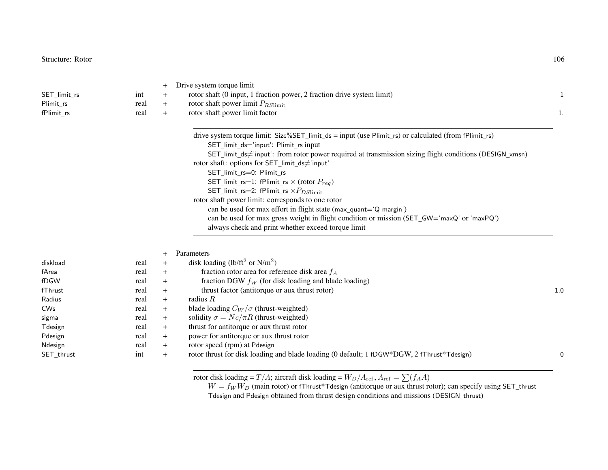| SET_limit_rs<br>Plimit_rs<br>fPlimit rs | int<br>real<br>real | $\pm$<br>$\ddot{}$<br>$+$<br>$\ddot{}$ | Drive system torque limit<br>rotor shaft (0 input, 1 fraction power, 2 fraction drive system limit)<br>rotor shaft power limit $P_{RS}$ limit<br>rotor shaft power limit factor                                                                                                                                                                                                                                                                                                                                                                                                                                                                                                                                                  | 1.  |
|-----------------------------------------|---------------------|----------------------------------------|----------------------------------------------------------------------------------------------------------------------------------------------------------------------------------------------------------------------------------------------------------------------------------------------------------------------------------------------------------------------------------------------------------------------------------------------------------------------------------------------------------------------------------------------------------------------------------------------------------------------------------------------------------------------------------------------------------------------------------|-----|
|                                         |                     |                                        | drive system torque limit: Size%SET_limit_ds = input (use Plimit_rs) or calculated (from fPlimit_rs)<br>SET_limit_ds='input': Plimit_rs input<br>SET_limit_ds≠'input': from rotor power required at transmission sizing flight conditions (DESIGN_xmsn)<br>rotor shaft: options for SET_limit_ds≠'input'<br>SET limit rs=0: Plimit rs<br>SET_limit_rs=1: fPlimit_rs $\times$ (rotor $P_{req}$ )<br>SET_limit_rs=2: fPlimit_rs $\times P_{DSlimit}$<br>rotor shaft power limit: corresponds to one rotor<br>can be used for max effort in flight state (max_quant='Q margin')<br>can be used for max gross weight in flight condition or mission (SET_GW='maxQ' or 'maxPQ')<br>always check and print whether exceed torque limit |     |
|                                         |                     |                                        | Parameters                                                                                                                                                                                                                                                                                                                                                                                                                                                                                                                                                                                                                                                                                                                       |     |
| diskload                                | real                | $+$                                    | disk loading (lb/ft <sup>2</sup> or $N/m^2$ )                                                                                                                                                                                                                                                                                                                                                                                                                                                                                                                                                                                                                                                                                    |     |
| fArea                                   | real                | $\ddot{}$                              | fraction rotor area for reference disk area $f_A$                                                                                                                                                                                                                                                                                                                                                                                                                                                                                                                                                                                                                                                                                |     |
| fDGW                                    | real                | $\ddot{}$                              | fraction DGW $f_W$ (for disk loading and blade loading)                                                                                                                                                                                                                                                                                                                                                                                                                                                                                                                                                                                                                                                                          |     |
| fThrust                                 | real                | $\ddot{}$                              | thrust factor (antitorque or aux thrust rotor)                                                                                                                                                                                                                                                                                                                                                                                                                                                                                                                                                                                                                                                                                   | 1.0 |
| Radius                                  | real                | $+$                                    | radius $R$                                                                                                                                                                                                                                                                                                                                                                                                                                                                                                                                                                                                                                                                                                                       |     |
| <b>CWs</b>                              | real                | $+$                                    | blade loading $C_W/\sigma$ (thrust-weighted)                                                                                                                                                                                                                                                                                                                                                                                                                                                                                                                                                                                                                                                                                     |     |
| sigma                                   | real                | $\pm$                                  | solidity $\sigma = Nc/\pi R$ (thrust-weighted)                                                                                                                                                                                                                                                                                                                                                                                                                                                                                                                                                                                                                                                                                   |     |
| Tdesign                                 | real                | $\ddot{}$                              | thrust for antitorque or aux thrust rotor                                                                                                                                                                                                                                                                                                                                                                                                                                                                                                                                                                                                                                                                                        |     |
| Pdesign                                 | real                | $\ddot{}$                              | power for antitorque or aux thrust rotor                                                                                                                                                                                                                                                                                                                                                                                                                                                                                                                                                                                                                                                                                         |     |
| Ndesign                                 | real                | $+$                                    | rotor speed (rpm) at Pdesign                                                                                                                                                                                                                                                                                                                                                                                                                                                                                                                                                                                                                                                                                                     |     |
| SET_thrust                              | int                 | $+$                                    | rotor thrust for disk loading and blade loading (0 default; 1 fDGW*DGW, 2 fThrust*Tdesign)                                                                                                                                                                                                                                                                                                                                                                                                                                                                                                                                                                                                                                       | 0   |

rotor disk loading =  $T/A$ ; aircraft disk loading =  $W_D/A_{\rm ref}$  ,  $A_{\rm ref} = \sum (f_A A)$ 

 $W = f_W W_D$  (main rotor) or fThrust\*Tdesign (antitorque or aux thrust rotor); can specify using SET\_thrust Tdesign and Pdesign obtained from thrust design conditions and missions (DESIGN\_thrust)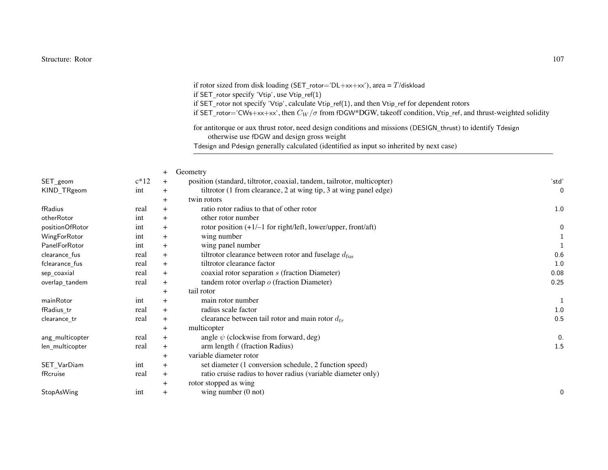if rotor sized from disk loading (SET\_rotor='DL+xx+xx'), area <sup>=</sup> *T*/diskload if SET \_ rotor specify 'Vtip', use Vtip\_ref(1) if SET \_ rotor not specify 'Vtip', calculate Vtip\_ref(1), and then Vtip\_ref for dependent rotors if SET \_ rotor='CWs+xx+xx', then *C<sup>W</sup> /σ* from fDGW\*DGW, takeoff condition, Vtip\_ref, and thrust-weighted solidity for antitorque or aux thrust rotor, need design conditions and missions (DESIGN\_thrust) to identify Tdesign otherwise use fDGW and design gross weight

Tdesign and Pdesign generally calculated (identified as input so inherited by next case)

|                 |        | $+$       | Geometry                                                                |              |
|-----------------|--------|-----------|-------------------------------------------------------------------------|--------------|
| SET_geom        | $c*12$ | $+$       | position (standard, tiltrotor, coaxial, tandem, tailrotor, multicopter) | 'std'        |
| KIND_TRgeom     | int    | $+$       | tiltrotor (1 from clearance, 2 at wing tip, 3 at wing panel edge)       |              |
|                 |        | $\ddot{}$ | twin rotors                                                             |              |
| fRadius         | real   | $\ddot{}$ | ratio rotor radius to that of other rotor                               | 1.0          |
| otherRotor      | int    | $+$       | other rotor number                                                      |              |
| positionOfRotor | int    | $+$       | rotor position $(+1/-1$ for right/left, lower/upper, front/aft)         |              |
| WingForRotor    | int    | $+$       | wing number                                                             |              |
| PanelForRotor   | int    | $+$       | wing panel number                                                       |              |
| clearance fus   | real   | $\ddot{}$ | tiltrotor clearance between rotor and fuselage $d_{\text{fus}}$         | 0.6          |
| fclearance fus  | real   | $+$       | tiltrotor clearance factor                                              | 1.0          |
| sep coaxial     | real   | $\ddot{}$ | coaxial rotor separation s (fraction Diameter)                          | 0.08         |
| overlap_tandem  | real   | $\ddot{}$ | tandem rotor overlap $o$ (fraction Diameter)                            | 0.25         |
|                 |        | $\pm$     | tail rotor                                                              |              |
| mainRotor       | int    | $\ddot{}$ | main rotor number                                                       |              |
| fRadius_tr      | real   | $+$       | radius scale factor                                                     | 1.0          |
| clearance tr    | real   | $\ddot{}$ | clearance between tail rotor and main rotor $d_{tr}$                    | 0.5          |
|                 |        | $\ddot{}$ | multicopter                                                             |              |
| ang_multicopter | real   | $\ddot{}$ | angle $\psi$ (clockwise from forward, deg)                              | $\mathbf{0}$ |
| len_multicopter | real   | $\ddot{}$ | arm length $\ell$ (fraction Radius)                                     | 1.5          |
|                 |        | $\ddot{}$ | variable diameter rotor                                                 |              |
| SET_VarDiam     | int    | $+$       | set diameter (1 conversion schedule, 2 function speed)                  |              |
| fRcruise        | real   | $+$       | ratio cruise radius to hover radius (variable diameter only)            |              |
|                 |        | $+$       | rotor stopped as wing                                                   |              |
| StopAsWing      | int    | $\pm$     | wing number $(0$ not)                                                   |              |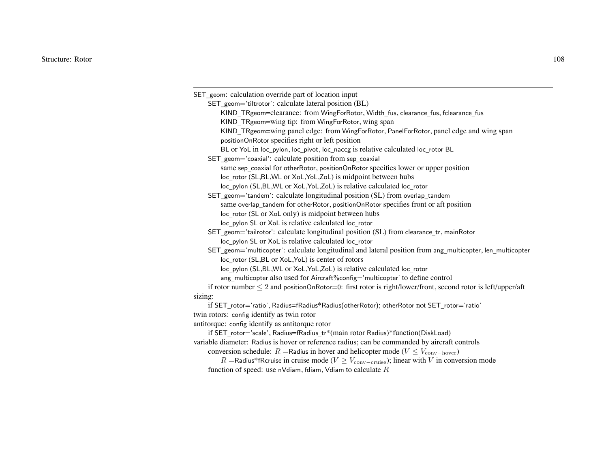| SET geom: calculation override part of location input                                                              |
|--------------------------------------------------------------------------------------------------------------------|
| SET_geom='tiltrotor': calculate lateral position (BL)                                                              |
| KIND_TRgeom=clearance: from WingForRotor, Width_fus, clearance_fus, fclearance_fus                                 |
| KIND_TRgeom=wing tip: from WingForRotor, wing span                                                                 |
| KIND_TRgeom=wing panel edge: from WingForRotor, PanelForRotor, panel edge and wing span                            |
| positionOnRotor specifies right or left position                                                                   |
| BL or YoL in loc_pylon, loc_pivot, loc_naccg is relative calculated loc_rotor BL                                   |
| SET_geom='coaxial': calculate position from sep_coaxial                                                            |
| same sep coaxial for otherRotor, positionOnRotor specifies lower or upper position                                 |
| loc_rotor (SL,BL,WL or XoL,YoL,ZoL) is midpoint between hubs                                                       |
| loc_pylon (SL,BL,WL or XoL,YoL,ZoL) is relative calculated loc_rotor                                               |
| SET_geom='tandem': calculate longitudinal position (SL) from overlap_tandem                                        |
| same overlap tandem for otherRotor, positionOnRotor specifies front or aft position                                |
| loc_rotor (SL or XoL only) is midpoint between hubs                                                                |
| loc_pylon SL or XoL is relative calculated loc_rotor                                                               |
| SET_geom='tailrotor': calculate longitudinal position (SL) from clearance_tr, mainRotor                            |
| loc pylon SL or XoL is relative calculated loc rotor                                                               |
| SET_geom='multicopter': calculate longitudinal and lateral position from ang_multicopter, len_multicopter          |
| loc_rotor (SL,BL or XoL,YoL) is center of rotors                                                                   |
| loc_pylon (SL,BL,WL or XoL,YoL,ZoL) is relative calculated loc_rotor                                               |
| ang multicopter also used for Aircraft%config='multicopter' to define control                                      |
| if rotor number $\leq 2$ and position On Rotor=0: first rotor is right/lower/front, second rotor is left/upper/aft |
| sizing:                                                                                                            |
| if SET_rotor='ratio', Radius=fRadius*Radius(otherRotor); otherRotor not SET_rotor='ratio'                          |
| twin rotors: config identify as twin rotor                                                                         |
| antitorque: config identify as antitorque rotor                                                                    |
| if SET_rotor='scale', Radius=fRadius_tr*(main rotor Radius)*function(DiskLoad)                                     |
| variable diameter: Radius is hover or reference radius; can be commanded by aircraft controls                      |
| conversion schedule: $R$ = Radius in hover and helicopter mode ( $V \leq V_{\text{conv-hover}}$ )                  |
| $R$ = Radius*fRcruise in cruise mode ( $V \geq V_{\text{conv-cruise}}$ ); linear with V in conversion mode         |
| function of speed: use nVdiam, fdiam, Vdiam to calculate $R$                                                       |
|                                                                                                                    |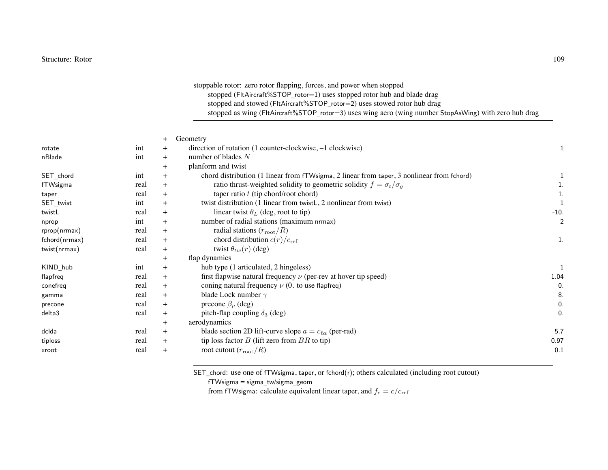stoppable rotor: zero rotor flapping, forces, and power when stopped stopped (FltAircraft%STOP\_rotor=1) uses stopped rotor hub and blade drag

stopped and stowed (FltAircraft%STOP\_rotor=2) uses stowed rotor hub drag

stopped as wing (FltAircraft%STOP\_rotor=3) uses wing aero (wing number StopAsWing) with zero hub drag

|      | $+$ | Geometry                                                                                  |                                                                                                                      |
|------|-----|-------------------------------------------------------------------------------------------|----------------------------------------------------------------------------------------------------------------------|
| int  | $+$ | direction of rotation (1 counter-clockwise, -1 clockwise)                                 |                                                                                                                      |
| int  | $+$ |                                                                                           |                                                                                                                      |
|      | $+$ | planform and twist                                                                        |                                                                                                                      |
| int  | $+$ | chord distribution (1 linear from fTWsigma, 2 linear from taper, 3 nonlinear from fchord) |                                                                                                                      |
| real | $+$ | ratio thrust-weighted solidity to geometric solidity $f = \sigma_t / \sigma_q$            |                                                                                                                      |
| real | $+$ | taper ratio $t$ (tip chord/root chord)                                                    |                                                                                                                      |
| int  | $+$ | twist distribution (1 linear from twistL, 2 nonlinear from twist)                         |                                                                                                                      |
| real | $+$ | linear twist $\theta_L$ (deg, root to tip)                                                | $-10.$                                                                                                               |
| int  | $+$ | number of radial stations (maximum nrmax)                                                 |                                                                                                                      |
| real | $+$ | radial stations $(r_{\rm root}/R)$                                                        |                                                                                                                      |
| real | $+$ | chord distribution $c(r)/c_{ref}$                                                         | 1.                                                                                                                   |
| real | $+$ | twist $\theta_{tw}(r)$ (deg)                                                              |                                                                                                                      |
|      | $+$ | flap dynamics                                                                             |                                                                                                                      |
| int  | $+$ | hub type (1 articulated, 2 hingeless)                                                     |                                                                                                                      |
| real | $+$ |                                                                                           | 1.04                                                                                                                 |
| real | $+$ | coning natural frequency $\nu$ (0. to use flapfreq)                                       | $\mathbf{0}$                                                                                                         |
| real | $+$ | blade Lock number $\gamma$                                                                | 8.                                                                                                                   |
| real | $+$ |                                                                                           | 0.                                                                                                                   |
| real | $+$ | pitch-flap coupling $\delta_3$ (deg)                                                      | 0.                                                                                                                   |
|      | $+$ | aerodynamics                                                                              |                                                                                                                      |
| real | $+$ | blade section 2D lift-curve slope $a = c_{\ell \alpha}$ (per-rad)                         | 5.7                                                                                                                  |
| real | $+$ | tip loss factor $B$ (lift zero from $BR$ to tip)                                          | 0.97                                                                                                                 |
| real | $+$ | root cutout $(r_{\rm root}/R)$                                                            | 0.1                                                                                                                  |
|      |     |                                                                                           | number of blades N<br>first flapwise natural frequency $\nu$ (per-rev at hover tip speed)<br>precone $\beta_p$ (deg) |

SET \_ chord: use one of fTWsigma, taper, or fchord(r); others calculated (including root cutout)

fTWsigma <sup>=</sup> sigma\_tw/sigma\_geom

from fTWsigma: calculate equivalent linear taper, and  $f_c = c/c_{\text{ref}}$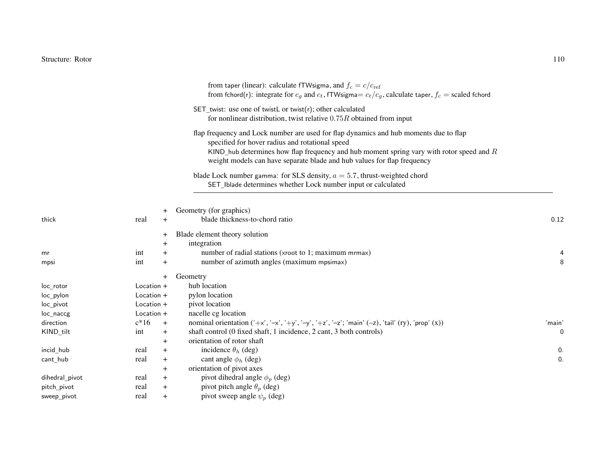|                |              |              | from taper (linear): calculate fTWsigma, and $f_c = c/c_{ref}$<br>from fchord(r): integrate for $c_q$ and $c_t$ , fTWsigma= $c_t/c_q$ , calculate taper, $f_c$ = scaled fchord                                                                                                                                    |             |
|----------------|--------------|--------------|-------------------------------------------------------------------------------------------------------------------------------------------------------------------------------------------------------------------------------------------------------------------------------------------------------------------|-------------|
|                |              |              | SET_twist: use one of twistL or twist(r); other calculated<br>for nonlinear distribution, twist relative $0.75R$ obtained from input                                                                                                                                                                              |             |
|                |              |              | flap frequency and Lock number are used for flap dynamics and hub moments due to flap<br>specified for hover radius and rotational speed<br>KIND_hub determines how flap frequency and hub moment spring vary with rotor speed and $R$<br>weight models can have separate blade and hub values for flap frequency |             |
|                |              |              | blade Lock number gamma: for SLS density, $a = 5.7$ , thrust-weighted chord<br>SET_Iblade determines whether Lock number input or calculated                                                                                                                                                                      |             |
|                |              |              | Geometry (for graphics)                                                                                                                                                                                                                                                                                           |             |
| thick          | real         |              | blade thickness-to-chord ratio                                                                                                                                                                                                                                                                                    | 0.12        |
|                |              | $\,^+$       | Blade element theory solution                                                                                                                                                                                                                                                                                     |             |
|                |              |              | integration                                                                                                                                                                                                                                                                                                       |             |
| mr             | int          | $^{+}$       | number of radial stations (xroot to 1; maximum mrmax)                                                                                                                                                                                                                                                             |             |
| mpsi           | int          | $\bf{+}$     | number of azimuth angles (maximum mpsimax)                                                                                                                                                                                                                                                                        |             |
|                |              | $^{+}$       | Geometry                                                                                                                                                                                                                                                                                                          |             |
| loc_rotor      | Location +   |              | hub location                                                                                                                                                                                                                                                                                                      |             |
| loc_pylon      | Location +   |              | pylon location                                                                                                                                                                                                                                                                                                    |             |
| loc_pivot      | Location $+$ |              | pivot location                                                                                                                                                                                                                                                                                                    |             |
| loc_naccg      | Location +   |              | nacelle cg location                                                                                                                                                                                                                                                                                               |             |
| direction      | $c*16$       | $+$          | nominal orientation $('+x', '+x', '+y', '+y', '+z', '+z'; 'main' (-z), 'tail' (ry), 'prop' (x))$                                                                                                                                                                                                                  | 'main'      |
| KIND_tilt      | int          | $\ddot{}$    | shaft control (0 fixed shaft, 1 incidence, 2 cant, 3 both controls)                                                                                                                                                                                                                                               | $\mathbf 0$ |
|                |              | $\ddot{}$    | orientation of rotor shaft                                                                                                                                                                                                                                                                                        |             |
| incid_hub      | real         | $\ddot{}$    | incidence $\theta_h$ (deg)                                                                                                                                                                                                                                                                                        | 0.          |
| cant_hub       | real         | $\ddot{}$    | cant angle $\phi_h$ (deg)                                                                                                                                                                                                                                                                                         | 0.          |
|                |              | $\ddot{}$    | orientation of pivot axes                                                                                                                                                                                                                                                                                         |             |
| dihedral_pivot | real         | $\ddot{}$    | pivot dihedral angle $\phi_p$ (deg)                                                                                                                                                                                                                                                                               |             |
| pitch_pivot    | real         | $\mathrm{+}$ | pivot pitch angle $\theta_p$ (deg)                                                                                                                                                                                                                                                                                |             |
| sweep pivot    | real         | $\ddot{}$    | pivot sweep angle $\psi_p$ (deg)                                                                                                                                                                                                                                                                                  |             |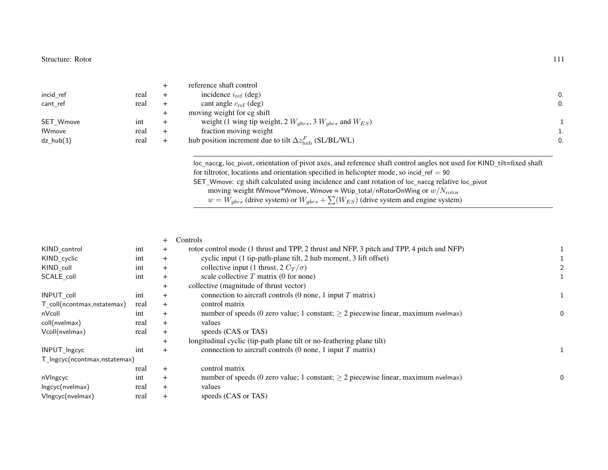|             |      | reference shaft control                                                 |                |
|-------------|------|-------------------------------------------------------------------------|----------------|
| incid_ref   | real | incidence $i_{ref}$ (deg)                                               | $\mathbf{0}$ . |
| cant ref    | real | cant angle $c_{ref}$ (deg)                                              | 0.             |
|             |      | moving weight for cg shift                                              |                |
| SET Wmove   | 1nt  | weight (1 wing tip weight, 2 $W_{gbrs}$ , 3 $W_{gbrs}$ and $W_{ES}$ )   |                |
| fWmove      | real | fraction moving weight                                                  |                |
| $dz_hub(3)$ | real | hub position increment due to tilt $\Delta z_{\text{hub}}^F$ (SL/BL/WL) | 0.             |

loc \_naccg, loc\_pivot, orientation of pivot axes, and reference shaft control angles not used for KIND\_tilt=fixed shaft for tiltrotor, locations and orientation specified in helicopter mode, so incid\_ref  $= 90$ SET \_ Wmove: cg shift calculated using incidence and cant rotation of loc\_naccg relative loc\_pivot moving weight fWmove\*Wmove, Wmove = Wtip\_total/nRotorOnWing or  $w/N_\mathrm{rotor}$  $w = W_{gbrs}$  (drive system) or  $W_{gbrs} + \sum (W_{ES})$  (drive system and engine system)

|                              |      |        | Controls                                                                                  |   |
|------------------------------|------|--------|-------------------------------------------------------------------------------------------|---|
| KIND_control                 | int  | $+$    | rotor control mode (1 thrust and TPP, 2 thrust and NFP, 3 pitch and TPP, 4 pitch and NFP) |   |
| KIND_cyclic                  | int  | $+$    | cyclic input (1 tip-path-plane tilt, 2 hub moment, 3 lift offset)                         |   |
| KIND coll                    | int  | $+$    | collective input (1 thrust, $2 C_T / \sigma$ )                                            |   |
| SCALE coll                   | int  | $+$    | scale collective $T$ matrix (0 for none)                                                  |   |
|                              |      | $+$    | collective (magnitude of thrust vector)                                                   |   |
| INPUT coll                   | int  | $+$    | connection to aircraft controls (0 none, 1 input $T$ matrix)                              |   |
| T_coll(ncontmax,nstatemax)   | real | $^{+}$ | control matrix                                                                            |   |
| nVcoll                       | int  | $^{+}$ | number of speeds (0 zero value; 1 constant; $\geq 2$ piecewise linear, maximum nvelmax)   | 0 |
| coll(nvelmax)                | real | $+$    | values                                                                                    |   |
| Vcoll(nvelmax)               | real | $+$    | speeds (CAS or TAS)                                                                       |   |
|                              |      | $^{+}$ | longitudinal cyclic (tip-path plane tilt or no-feathering plane tilt)                     |   |
| INPUT_Ingcyc                 | int  | $+$    | connection to aircraft controls (0 none, 1 input $T$ matrix)                              |   |
| T_Ingcyc(ncontmax,nstatemax) |      |        |                                                                                           |   |
|                              | real | $^{+}$ | control matrix                                                                            |   |
| nVIngcyc                     | int  | $+$    | number of speeds (0 zero value; 1 constant; $\geq 2$ piecewise linear, maximum nvelmax)   |   |
| Ingcyc(nvelmax)              | real | $^{+}$ | values                                                                                    |   |
| VIngcyc(nvelmax)             | real |        | speeds (CAS or TAS)                                                                       |   |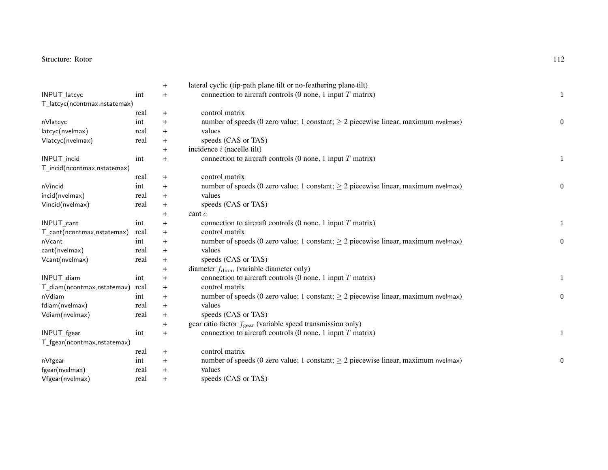|                              |      | $+$   | lateral cyclic (tip-path plane tilt or no-feathering plane tilt)                        |              |
|------------------------------|------|-------|-----------------------------------------------------------------------------------------|--------------|
| <b>INPUT</b> latcyc          | int  | $+$   | connection to aircraft controls (0 none, 1 input $T$ matrix)                            | 1            |
| T_latcyc(ncontmax,nstatemax) |      |       |                                                                                         |              |
|                              | real | $+$   | control matrix                                                                          |              |
| nVlatcyc                     | int  | $+$   | number of speeds (0 zero value; 1 constant; $\geq 2$ piecewise linear, maximum nvelmax) | 0            |
| latcyc(nvelmax)              | real | $+$   | values                                                                                  |              |
| Vlatcyc(nvelmax)             | real | $+$   | speeds (CAS or TAS)                                                                     |              |
|                              |      | $+$   | incidence $i$ (nacelle tilt)                                                            |              |
| <b>INPUT</b> incid           | int  | $+$   | connection to aircraft controls (0 none, 1 input $T$ matrix)                            | 1            |
| T_incid(ncontmax,nstatemax)  |      |       |                                                                                         |              |
|                              | real | $+$   | control matrix                                                                          |              |
| nVincid                      | int  | $+$   | number of speeds (0 zero value; 1 constant; $\geq 2$ piecewise linear, maximum nvelmax) | $\mathbf 0$  |
| incid(nvelmax)               | real | $+$   | values                                                                                  |              |
| Vincid(nvelmax)              | real | $+$   | speeds (CAS or TAS)                                                                     |              |
|                              |      | $\pm$ | cant $c$                                                                                |              |
| INPUT cant                   | int  | $+$   | connection to aircraft controls (0 none, 1 input $T$ matrix)                            | 1            |
| T_cant(ncontmax,nstatemax)   | real | $+$   | control matrix                                                                          |              |
| nVcant                       | int  | $+$   | number of speeds (0 zero value; 1 constant; $\geq 2$ piecewise linear, maximum nvelmax) | $\mathbf 0$  |
| cant(nvelmax)                | real | $+$   | values                                                                                  |              |
| Vcant(nvelmax)               | real | $+$   | speeds (CAS or TAS)                                                                     |              |
|                              |      | $+$   | diameter $f_{\text{diam}}$ (variable diameter only)                                     |              |
| INPUT diam                   | int  | $+$   | connection to aircraft controls (0 none, 1 input $T$ matrix)                            | 1            |
| T_diam(ncontmax,nstatemax)   | real | $+$   | control matrix                                                                          |              |
| nVdiam                       | int  | $+$   | number of speeds (0 zero value; 1 constant; $\geq 2$ piecewise linear, maximum nvelmax) | 0            |
| fdiam(nvelmax)               | real | $+$   | values                                                                                  |              |
| Vdiam(nvelmax)               | real | $\pm$ | speeds (CAS or TAS)                                                                     |              |
|                              |      | $\pm$ | gear ratio factor $f_{\text{gear}}$ (variable speed transmission only)                  |              |
| INPUT_fgear                  | int  | $+$   | connection to aircraft controls (0 none, 1 input $T$ matrix)                            | $\mathbf{1}$ |
| T_fgear(ncontmax,nstatemax)  |      |       |                                                                                         |              |
|                              | real | $+$   | control matrix                                                                          |              |
| nVfgear                      | int  | $+$   | number of speeds (0 zero value; 1 constant; $\geq 2$ piecewise linear, maximum nvelmax) | 0            |
| fgear(nvelmax)               | real | $+$   | values                                                                                  |              |
| Vfgear(nvelmax)              | real | $+$   | speeds (CAS or TAS)                                                                     |              |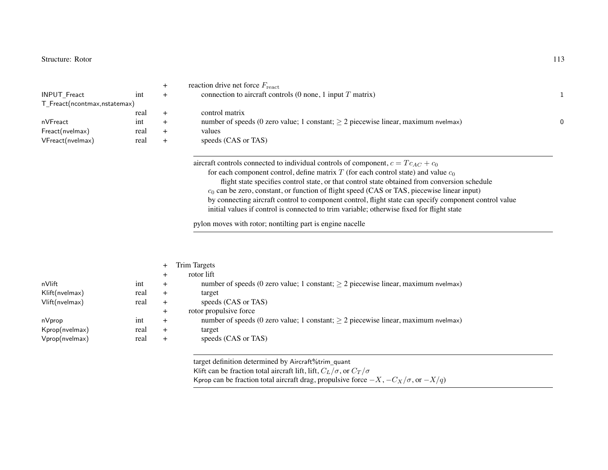|                               |      | $^{+}$ | reaction drive net force $F_{\text{react}}$                                                           |  |
|-------------------------------|------|--------|-------------------------------------------------------------------------------------------------------|--|
| <b>INPUT Freact</b>           | 1nt  | $+$    | connection to aircraft controls (0 none, 1 input $T$ matrix)                                          |  |
| T Freact(ncontmax, nstatemax) |      |        |                                                                                                       |  |
|                               | real | $\pm$  | control matrix                                                                                        |  |
| nVFreact                      | int  | $+$    | number of speeds (0 zero value; 1 constant; $\geq 2$ piecewise linear, maximum nvelmax)               |  |
| Freact(nvelmax)               | real | $+$    | values                                                                                                |  |
| VFreact(nvelmax)              | real | $\pm$  | speeds (CAS or TAS)                                                                                   |  |
|                               |      |        |                                                                                                       |  |
|                               |      |        | aircraft controls connected to individual controls of component, $c = T c_{AC} + c_0$                 |  |
|                               |      |        | for each component control, define matrix T (for each control state) and value $c_0$                  |  |
|                               |      |        | flight state specifies control state, or that control state obtained from conversion schedule         |  |
|                               |      |        | $c_0$ can be zero, constant, or function of flight speed (CAS or TAS, piecewise linear input)         |  |
|                               |      |        | by connecting aircraft control to component control, flight state can specify component control value |  |
|                               |      |        | initial values if control is connected to trim variable; otherwise fixed for flight state             |  |
|                               |      |        |                                                                                                       |  |

pylon moves with rotor; nontilting par<sup>t</sup> is engine nacelle

|                |      | $^+$           | Trim Targets<br>rotor lift                                                              |
|----------------|------|----------------|-----------------------------------------------------------------------------------------|
| nVlift         | 1nt  | $\overline{+}$ | number of speeds (0 zero value; 1 constant; $\geq 2$ piecewise linear, maximum nvelmax) |
| Klift(nvelmax) | real | $\overline{+}$ | target                                                                                  |
| Vlift(nvelmax) | real | $+$            | speeds (CAS or TAS)                                                                     |
|                |      | $^+$           | rotor propulsive force                                                                  |
| nVprop         | 1nt  | $+$            | number of speeds (0 zero value; 1 constant; $\geq$ 2 piecewise linear, maximum nvelmax) |
| Kprop(nvelmax) | real | $\pm$          | target                                                                                  |
| Vprop(nvelmax) | real | $\ddot{}$      | speeds (CAS or TAS)                                                                     |

target definition determined by Aircraft%trim\_quant Klift can be fraction total aircraft lift, lift, *CL/σ*, or *C<sup>T</sup> /σ* Kprop can be fraction total aircraft drag, propulsive force <sup>−</sup>*X*, <sup>−</sup>*CX/σ*, or <sup>−</sup>*X/q*)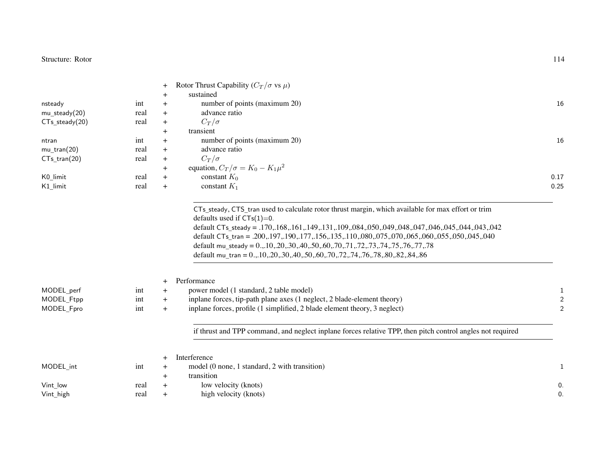| Rotor Thrust Capability ( $C_T/\sigma$ vs $\mu$ )<br>$\pm$                                                                                                                                                                                                                                                                                                                                                                                                                                                                    |                |
|-------------------------------------------------------------------------------------------------------------------------------------------------------------------------------------------------------------------------------------------------------------------------------------------------------------------------------------------------------------------------------------------------------------------------------------------------------------------------------------------------------------------------------|----------------|
| sustained<br>$\ddot{}$                                                                                                                                                                                                                                                                                                                                                                                                                                                                                                        |                |
| number of points (maximum 20)<br>nsteady<br>int<br>$+$                                                                                                                                                                                                                                                                                                                                                                                                                                                                        | 16             |
| advance ratio<br>mu_steady(20)<br>real<br>$+$                                                                                                                                                                                                                                                                                                                                                                                                                                                                                 |                |
| $C_T/\sigma$<br>$CTs$ _steady $(20)$<br>real<br>$\pm$                                                                                                                                                                                                                                                                                                                                                                                                                                                                         |                |
| transient<br>$\ddot{}$                                                                                                                                                                                                                                                                                                                                                                                                                                                                                                        |                |
| number of points (maximum 20)<br>int<br>$+$<br>ntran                                                                                                                                                                                                                                                                                                                                                                                                                                                                          | 16             |
| advance ratio<br>$mu_{tran}(20)$<br>real<br>$+$                                                                                                                                                                                                                                                                                                                                                                                                                                                                               |                |
| $C_T/\sigma$<br>$CTs_{tran}(20)$<br>real<br>$\pm$                                                                                                                                                                                                                                                                                                                                                                                                                                                                             |                |
| equation, $C_T/\sigma = K_0 - K_1 \mu^2$<br>$+$                                                                                                                                                                                                                                                                                                                                                                                                                                                                               |                |
| constant $K_0$<br>K0_limit<br>real<br>$+$                                                                                                                                                                                                                                                                                                                                                                                                                                                                                     | 0.17           |
| K1 limit<br>constant $K_1$<br>real<br>$+$                                                                                                                                                                                                                                                                                                                                                                                                                                                                                     | 0.25           |
| CTs steady, CTS tran used to calculate rotor thrust margin, which available for max effort or trim<br>defaults used if $CTs(1)=0$ .<br>default CTs_steady = .170,.168,.161,.149,.131,.109,.084,.050,.049,.048,.047,.046,.045,.044,.043,.042<br>default CTs_tran = .200,.197,.190,.177,.156,.135,.110,.080,.075,.070,.065,.060,.055,.050,.045,.040<br>default mu steady = $0., 10, 20, 30, 40, 50, 60, 70, 71, 72, 73, 74, 75, 76, 77, 78$<br>default mu tran = 0., 10, 20, 30, 40, 50, 60, 70, 72, 74, 76, 78, 80, 82, 84, 86 |                |
| Performance<br>$+$                                                                                                                                                                                                                                                                                                                                                                                                                                                                                                            |                |
| power model (1 standard, 2 table model)<br>MODEL_perf<br>int<br>$+$                                                                                                                                                                                                                                                                                                                                                                                                                                                           |                |
| inplane forces, tip-path plane axes (1 neglect, 2 blade-element theory)<br>MODEL Ftpp<br>int<br>$+$                                                                                                                                                                                                                                                                                                                                                                                                                           | 2              |
| inplane forces, profile (1 simplified, 2 blade element theory, 3 neglect)<br>MODEL Fpro<br>int<br>$+$                                                                                                                                                                                                                                                                                                                                                                                                                         |                |
|                                                                                                                                                                                                                                                                                                                                                                                                                                                                                                                               | $\overline{2}$ |
| if thrust and TPP command, and neglect inplane forces relative TPP, then pitch control angles not required                                                                                                                                                                                                                                                                                                                                                                                                                    |                |
| Interference<br>$+$                                                                                                                                                                                                                                                                                                                                                                                                                                                                                                           |                |
| model (0 none, 1 standard, 2 with transition)<br>MODEL_int<br>int<br>$\pm$                                                                                                                                                                                                                                                                                                                                                                                                                                                    |                |
| transition<br>$+$                                                                                                                                                                                                                                                                                                                                                                                                                                                                                                             |                |
| low velocity (knots)<br>Vint low<br>real<br>$+$                                                                                                                                                                                                                                                                                                                                                                                                                                                                               | 0.             |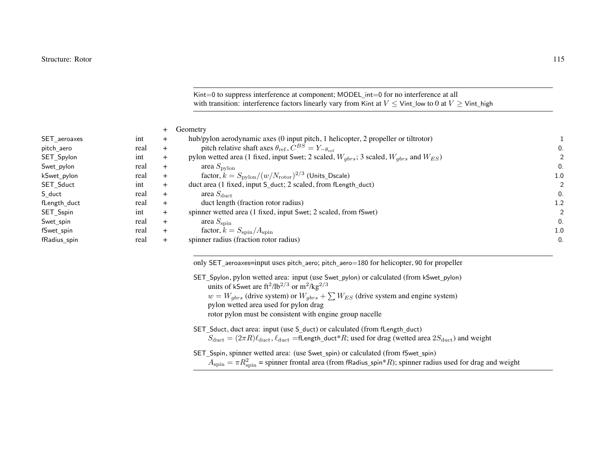|      |       | with transition: interference factors linearly vary from Kint at $V \leq$ Vint low to 0 at $V \geq$ Vint high   |
|------|-------|-----------------------------------------------------------------------------------------------------------------|
|      |       | Geometry                                                                                                        |
| int  | $^+$  | hub/pylon aerodynamic axes (0 input pitch, 1 helicopter, 2 propeller or tiltrotor)                              |
| real | $^+$  | pitch relative shaft axes $\theta_{\text{ref}}$ , $C^{BS} = Y_{-\theta_{\text{ref}}}$                           |
| int  | ÷.    | pylon wetted area (1 fixed, input Swet; 2 scaled, $W_{\text{obrs}}$ ; 3 scaled, $W_{\text{obs}}$ and $W_{ES}$ ) |
| real | +     | area $S_{\text{pvlon}}$                                                                                         |
| real | $\pm$ | factor, $k = S_{\text{pylon}}/(w/N_{\text{rotor}})^{2/3}$ (Units_Dscale)                                        |
| 1nt. |       | duct area (1 fixed, input S duct: 2 scaled, from fl ength duct)                                                 |

Kint=0 to suppress interference at component; MODEL int=0 for no interference at all

|              |      | ÷         | Geometry                                                                                           |          |
|--------------|------|-----------|----------------------------------------------------------------------------------------------------|----------|
| SET aeroaxes | int  | $+$       | hub/pylon aerodynamic axes (0 input pitch, 1 helicopter, 2 propeller or tiltrotor)                 |          |
| pitch aero   | real | $+$       | pitch relative shaft axes $\theta_{ref}$ , $C^{BS} = Y_{-\theta_{ref}}$                            | $\bf{0}$ |
| SET_Spylon   | int  | $^+$      | pylon wetted area (1 fixed, input Swet; 2 scaled, $W_{gbrs}$ ; 3 scaled, $W_{gbrs}$ and $W_{ES}$ ) |          |
| Swet pylon   | real |           | area $S_{\text{pvlon}}$                                                                            | 0.       |
| kSwet pylon  | real |           | factor, $k = S_{\text{pylon}}/(w/N_{\text{rotor}})^{2/3}$ (Units_Dscale)                           | 1.0      |
| SET Sduct    | int  | $+$       | duct area (1 fixed, input S_duct; 2 scaled, from fLength duct)                                     |          |
| S duct       | real |           | area $S_{\text{duct}}$                                                                             | 0.       |
| fLength duct | real | $+$       | duct length (fraction rotor radius)                                                                | 1.2      |
| SET Sspin    | int  | $+$       | spinner wetted area (1 fixed, input Swet; 2 scaled, from fSwet)                                    |          |
| Swet spin    | real | $^+$      | area $S_{\rm spin}$                                                                                | 0.       |
| fSwet spin   | real | $\ddot{}$ | factor, $k = S_{\rm spin}/A_{\rm spin}$                                                            | 1.0      |
| fRadius spin | real |           | spinner radius (fraction rotor radius)                                                             | 0.       |
|              |      |           |                                                                                                    |          |

only SET\_aeroaxes=input uses pitch\_aero; pitch\_aero=180 for helicopter, <sup>90</sup> for propeller

SET \_Spylon, pylon wetted area: input (use Swet\_pylon) or calculated (from kSwet\_pylon) units of kSwet are  $ft^2/lb^{2/3}$  or  $m^2/kg^{2/3}$ 

 $w = W_{gbrs}$  (drive system) or  $W_{gbrs} + \sum W_{ES}$  (drive system and engine system) pylon wetted area used for pylon drag

rotor pylon must be consistent with engine group nacelle

SET \_ Sduct, duct area: input (use S\_duct) or calculated (from fLength\_duct)

 $S_{\text{duct}} = (2\pi R)\ell_{\text{duct}}$ ,  $\ell_{\text{duct}} =$  fLength\_duct\**R*; used for drag (wetted area  $2S_{\text{duct}}$ ) and weight

SET \_Sspin, spinner wetted area: (use Swet\_spin) or calculated (from fSwet\_spin)

 $A_{\rm spin} = \pi R_{\rm spin}^2$  = spinner frontal area (from fRadius\_spin\**R*); spinner radius used for drag and weight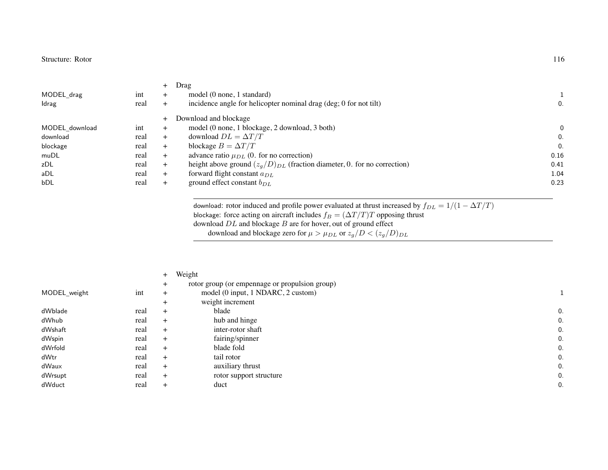|                 |      | $+$ | Drag                                                                         |          |
|-----------------|------|-----|------------------------------------------------------------------------------|----------|
| MODEL drag      | int  | $+$ | model (0 none, 1 standard)                                                   |          |
| ldrag           | real | $+$ | incidence angle for helicopter nominal drag (deg; 0 for not tilt)            | 0.       |
|                 |      | $+$ | Download and blockage                                                        |          |
| MODEL download  | int  | $+$ | model (0 none, 1 blockage, 2 download, 3 both)                               | $\Omega$ |
| download        | real | $+$ | download $DL = \Delta T/T$                                                   | 0.       |
| blockage        | real | $+$ | blockage $B = \Delta T/T$                                                    | 0.       |
| muDL            | real | $+$ | advance ratio $\mu_{DL}$ (0. for no correction)                              | 0.16     |
| zDL             | real | $+$ | height above ground $(z_q/D)_{DL}$ (fraction diameter, 0. for no correction) | 0.41     |
| aDL             | real | $+$ | forward flight constant $a_{DL}$                                             | 1.04     |
| b <sub>DL</sub> | real |     | ground effect constant $b_{DL}$                                              | 0.23     |

download: rotor induced and profile power evaluated at thrust increased by *fDL* <sup>=</sup> <sup>1</sup>*/*(1 <sup>−</sup> Δ*T/T*) blockage: force acting on aircraft includes  $f_B = (\Delta T/T)T$  opposing thrust download *DL* and blockage *B* are for hover, out of ground effect

download and blockage zero for  $\mu > \mu_{DL}$  or  $z_g/D < (z_g/D)_{DL}$ 

|              |      | $+$    | Weight                                         |    |
|--------------|------|--------|------------------------------------------------|----|
|              |      | $\pm$  | rotor group (or empennage or propulsion group) |    |
| MODEL weight | int  | $+$    | model (0 input, 1 NDARC, 2 custom)             |    |
|              |      | $\pm$  | weight increment                               |    |
| dWblade      | real | $+$    | blade                                          | 0. |
| dWhub        | real | $+$    | hub and hinge                                  | 0. |
| dWshaft      | real | $\pm$  | inter-rotor shaft                              | 0. |
| dWspin       | real | $^{+}$ | fairing/spinner                                | 0. |
| dWrfold      | real | $^{+}$ | blade fold                                     | 0. |
| dWtr         | real | $+$    | tail rotor                                     | 0. |
| dWaux        | real | $+$    | auxiliary thrust                               | 0. |
| dWrsupt      | real | $^{+}$ | rotor support structure                        | 0. |
| dWduct       | real |        | duct                                           | 0. |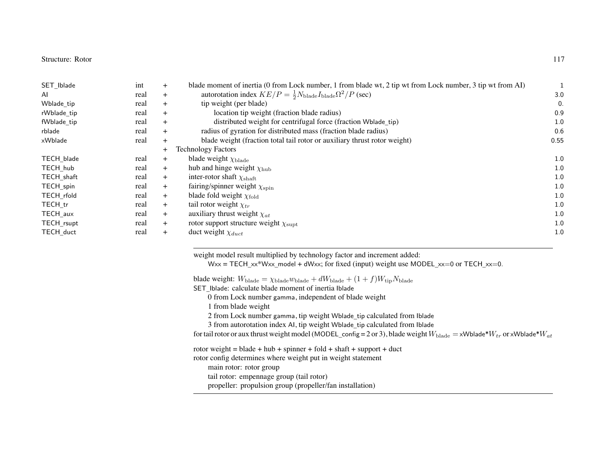| SET Iblade  | int  | $+$ | blade moment of inertia (0 from Lock number, 1 from blade wt, 2 tip wt from Lock number, 3 tip wt from AI) |      |
|-------------|------|-----|------------------------------------------------------------------------------------------------------------|------|
| AI          | real | $+$ | autorotation index $KE/P = \frac{1}{2} N_{\text{black}} L_{\text{black}} \Omega^2 / P$ (sec)               | 3.0  |
| Wblade tip  | real | $+$ | tip weight (per blade)                                                                                     | 0.   |
| rWblade tip | real | $+$ | location tip weight (fraction blade radius)                                                                | 0.9  |
| fWblade tip | real | $+$ | distributed weight for centrifugal force (fraction Wblade tip)                                             | 1.0  |
| rblade      | real | $+$ | radius of gyration for distributed mass (fraction blade radius)                                            | 0.6  |
| xWblade     | real | $+$ | blade weight (fraction total tail rotor or auxiliary thrust rotor weight)                                  | 0.55 |
|             |      | $+$ | <b>Technology Factors</b>                                                                                  |      |
| TECH blade  | real | $+$ | blade weight $\chi_{\rm blade}$                                                                            | 1.0  |
| TECH hub    | real | $+$ | hub and hinge weight $\chi$ <sub>hub</sub>                                                                 | 1.0  |
| TECH_shaft  | real | $+$ | inter-rotor shaft $\chi_{\text{shaft}}$                                                                    | 1.0  |
| TECH_spin   | real | $+$ | fairing/spinner weight $\chi_{\rm spin}$                                                                   | 1.0  |
| TECH rfold  | real | $+$ | blade fold weight $\chi_{\text{fold}}$                                                                     | 1.0  |
| TECH tr     | real | $+$ | tail rotor weight $\chi_{tr}$                                                                              | 1.0  |
| TECH aux    | real | $+$ | auxiliary thrust weight $\chi_{at}$                                                                        | 1.0  |
| TECH_rsupt  | real | $+$ | rotor support structure weight $\chi_{\text{subt}}$                                                        | 1.0  |
| TECH_duct   | real | $+$ | duct weight $\chi_{duct}$                                                                                  | 1.0  |

weight model result multiplied by technology factor and increment added:

Wxx = TECH\_xx\*Wxx\_model + dWxx; for fixed (input) weight use MODEL\_xx=0 or TECH\_xx=0.

blade weight:  $W_{\text{black}} = \chi_{\text{black}} w_{\text{black}} + dW_{\text{black}} + (1 + f)W_{\text{tip}}N_{\text{black}}$ 

SET \_ Iblade: calculate blade moment of inertia Iblade

- 0 from Lock number gamma, independent of blade weight
- 1 from blade weight
- 2 from Lock number gamma, tip weight Wblade\_tip calculated from Iblade

3 from autorotation index AI, tip weight Wblade\_tip calculated from Iblade

for tail rotor or aux thrust weight model (MODEL\_config = 2 or 3), blade weight  $W_{\text{black}} = x$ Wblade\* $W_{tr}$  or xWblade\* $W_{at}$ 

rotor weight = blade + hub + spinner + fold + shaft + support + duct

rotor config determines where weight pu<sup>t</sup> in weight statement

main rotor: rotor group

tail rotor: empennage group (tail rotor)

propeller: propulsion group (propeller/fan installation)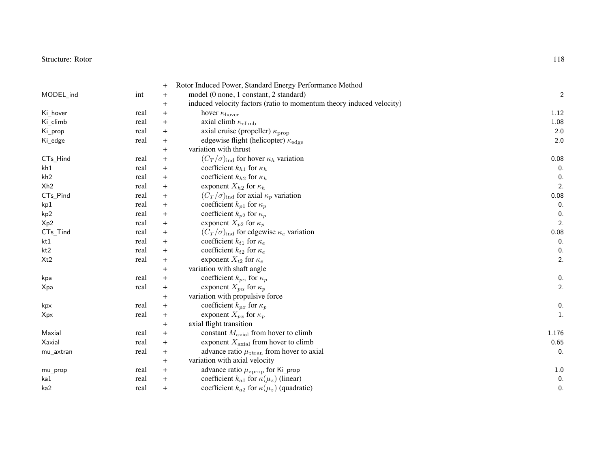|                  |      | $^+$      | Rotor Induced Power, Standard Energy Performance Method              |                |
|------------------|------|-----------|----------------------------------------------------------------------|----------------|
| MODEL ind        | int  | $\ddot{}$ | model (0 none, 1 constant, 2 standard)                               | $\overline{2}$ |
|                  |      | $\pm$     | induced velocity factors (ratio to momentum theory induced velocity) |                |
| Ki hover         | real | $+$       | hover $\kappa_{\text{hover}}$                                        | 1.12           |
| Ki_climb         | real | $+$       | axial climb $\kappa_{\text{climb}}$                                  | 1.08           |
| Ki_prop          | real | $^{+}$    | axial cruise (propeller) $\kappa_{\text{prop}}$                      | 2.0            |
| Ki_edge          | real | $\pm$     | edgewise flight (helicopter) $\kappa_{\rm edge}$                     | 2.0            |
|                  |      | $\ddot{}$ | variation with thrust                                                |                |
| CTs_Hind         | real | $\ddot{}$ | $(C_T/\sigma)_{\text{ind}}$ for hover $\kappa_h$ variation           | 0.08           |
| kh1              | real | $+$       | coefficient $k_{h1}$ for $\kappa_h$                                  | 0.             |
| kh <sub>2</sub>  | real | $^{+}$    | coefficient $k_{h2}$ for $\kappa_h$                                  | 0.             |
| Xh2              | real | $^{+}$    | exponent $X_{h2}$ for $\kappa_h$                                     | 2.             |
| CTs_Pind         | real | $\ddot{}$ | $(C_T/\sigma)_{\text{ind}}$ for axial $\kappa_p$ variation           | 0.08           |
| kp1              | real | $\ddot{}$ | coefficient $k_{p1}$ for $\kappa_p$                                  | 0.             |
| kp2              | real | $+$       | coefficient $k_{p2}$ for $\kappa_p$                                  | 0.             |
| X <sub>p</sub> 2 | real | $+$       | exponent $X_{p2}$ for $\kappa_p$                                     | 2.             |
| CTs_Tind         | real | $^{+}$    | $(C_T/\sigma)_{\text{ind}}$ for edgewise $\kappa_e$ variation        | 0.08           |
| kt1              | real | $^{+}$    | coefficient $k_{t1}$ for $\kappa_e$                                  | 0.             |
| kt2              | real | $\ddot{}$ | coefficient $k_{t2}$ for $\kappa_e$                                  | $\mathbf{0}$   |
| Xt2              | real | $+$       | exponent $X_{t2}$ for $\kappa_e$                                     | 2.             |
|                  |      | $+$       | variation with shaft angle                                           |                |
| kpa              | real | $+$       | coefficient $k_{p\alpha}$ for $\kappa_p$                             | 0.             |
| Xpa              | real | $\pm$     | exponent $X_{p\alpha}$ for $\kappa_p$                                | 2.             |
|                  |      | $\ddot{}$ | variation with propulsive force                                      |                |
| kpx              | real | $\pm$     | coefficient $k_{px}$ for $\kappa_p$                                  | 0.             |
| Xpx              | real | $\ddot{}$ | exponent $X_{px}$ for $\kappa_p$                                     | 1.             |
|                  |      | $\ddot{}$ | axial flight transition                                              |                |
| Maxial           | real | $+$       | constant $M_{\text{axial}}$ from hover to climb                      | 1.176          |
| Xaxial           | real | $^{+}$    | exponent $X_{\text{axial}}$ from hover to climb                      | 0.65           |
| mu_axtran        | real | $\ddot{}$ | advance ratio $\mu_{z\text{tran}}$ from hover to axial               | 0.             |
|                  |      | $\pm$     | variation with axial velocity                                        |                |
| mu_prop          | real | $+$       | advance ratio $\mu_{\text{zprop}}$ for Ki_prop                       | 1.0            |
| ka1              | real | $^{+}$    | coefficient $k_{a1}$ for $\kappa(\mu_z)$ (linear)                    | $\mathbf 0$    |
| ka2              | real | $\pm$     | coefficient $k_{a2}$ for $\kappa(\mu_z)$ (quadratic)                 | 0.             |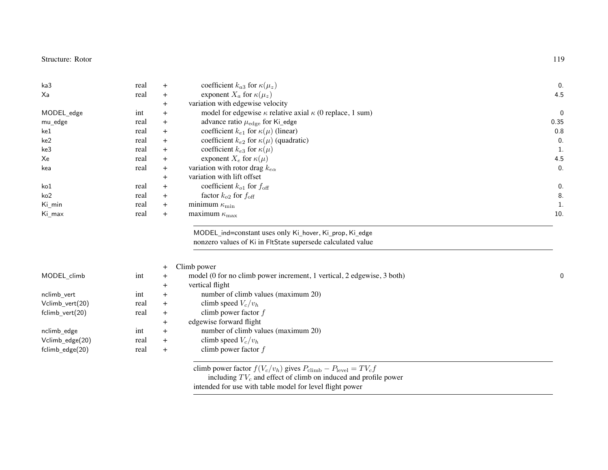| ka3             | real | $+$       | coefficient $k_{a3}$ for $\kappa(\mu_z)$                                             | 0.             |
|-----------------|------|-----------|--------------------------------------------------------------------------------------|----------------|
| Xa              | real | $\ddot{}$ | exponent $X_a$ for $\kappa(\mu_z)$                                                   | 4.5            |
|                 |      | $\ddot{}$ | variation with edgewise velocity                                                     |                |
| MODEL_edge      | int  | $+$       | model for edgewise $\kappa$ relative axial $\kappa$ (0 replace, 1 sum)               | $\mathbf 0$    |
| mu_edge         | real | $\ddot{}$ | advance ratio $\mu_{\text{edge}}$ for Ki_edge                                        | 0.35           |
| ke1             | real | $\ddot{}$ | coefficient $k_{e1}$ for $\kappa(\mu)$ (linear)                                      | 0.8            |
| ke2             | real | $+$       | coefficient $k_{e2}$ for $\kappa(\mu)$ (quadratic)                                   | 0.             |
| ke3             | real | $+$       | coefficient $k_{e3}$ for $\kappa(\mu)$                                               | 1.             |
| Xe              | real | $+$       | exponent $X_e$ for $\kappa(\mu)$                                                     | 4.5            |
| kea             | real | $\ddot{}$ | variation with rotor drag $k_{e\alpha}$                                              | 0.             |
|                 |      | $\ddot{}$ | variation with lift offset                                                           |                |
| ko1             | real | $\ddot{}$ | coefficient $k_{o1}$ for $f_{\text{off}}$                                            | $\mathbf{0}$   |
| ko <sub>2</sub> | real | $\ddot{}$ | factor $k_{o2}$ for $f_{\text{off}}$                                                 | 8.             |
| $Ki_{min}$      | real | $\ddot{}$ | minimum $\kappa_{\min}$                                                              | $\mathbf{1}$ . |
| Ki_max          | real | $+$       | maximum $\kappa_{\text{max}}$                                                        | 10.            |
|                 |      |           | nonzero values of Ki in FltState supersede calculated value                          |                |
|                 |      | $\pm$     | Climb power                                                                          |                |
| MODEL climb     | int  | $+$       | model (0 for no climb power increment, 1 vertical, 2 edgewise, 3 both)               |                |
|                 |      | $\ddot{}$ | vertical flight                                                                      |                |
| nclimb_vert     | int  | $+$       | number of climb values (maximum 20)                                                  |                |
| Vclimb_vert(20) | real | $\ddot{}$ | climb speed $V_c/v_h$                                                                |                |
| fclimb_vert(20) | real | $\ddot{}$ | climb power factor $f$                                                               |                |
|                 |      | $\ddot{}$ | edgewise forward flight                                                              |                |
| nclimb_edge     | int  | $\ddot{}$ | number of climb values (maximum 20)                                                  |                |
| Vclimb_edge(20) | real | $\ddot{}$ | climb speed $V_c/v_h$                                                                |                |
| fclimb_edge(20) | real | $\ddot{}$ | climb power factor $f$                                                               |                |
|                 |      |           |                                                                                      |                |
|                 |      |           | climb power factor $f(V_c/v_h)$ gives $P_{\text{climb}} - P_{\text{level}} = TV_c f$ |                |
|                 |      |           | including $TV_c$ and effect of climb on induced and profile power                    |                |

intended for use with table model for level flight power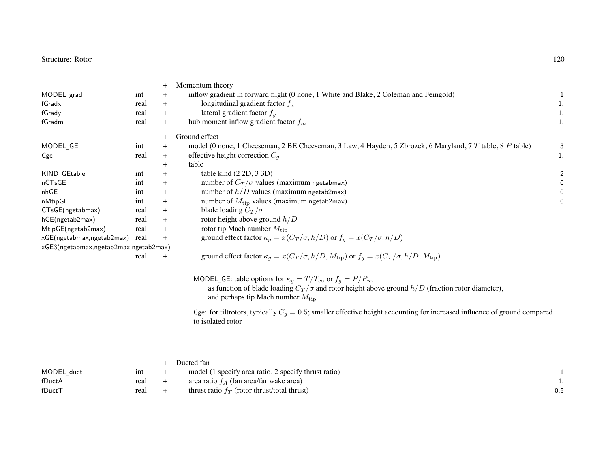|                                       |      | $+$ | Momentum theory                                                                                                    |    |
|---------------------------------------|------|-----|--------------------------------------------------------------------------------------------------------------------|----|
| MODEL grad                            | int  | $+$ | inflow gradient in forward flight (0 none, 1 White and Blake, 2 Coleman and Feingold)                              |    |
| fGradx                                | real | $+$ | longitudinal gradient factor $f_x$                                                                                 |    |
| fGrady                                | real | $+$ | lateral gradient factor $f_y$                                                                                      |    |
| fGradm                                | real | $+$ | hub moment inflow gradient factor $f_m$                                                                            | 1. |
|                                       |      | $+$ | Ground effect                                                                                                      |    |
| MODEL GE                              | int  | $+$ | model (0 none, 1 Cheeseman, 2 BE Cheeseman, 3 Law, 4 Hayden, 5 Zbrozek, 6 Maryland, 7 T table, 8 P table)          |    |
| Cge                                   | real | $+$ | effective height correction $C_q$                                                                                  |    |
|                                       |      | $+$ | table                                                                                                              |    |
| KIND GEtable                          | int  | $+$ | table kind $(2 2D, 3 3D)$                                                                                          |    |
| nCTsGE                                | int  | $+$ | number of $C_T/\sigma$ values (maximum ngetabmax)                                                                  |    |
| nhGE                                  | int  | $+$ | number of $h/D$ values (maximum ngetab2max)                                                                        |    |
| nMtipGE                               | int  | $+$ | number of $M_{\text{tip}}$ values (maximum ngetab2max)                                                             |    |
| CTsGE(ngetabmax)                      | real | $+$ | blade loading $C_T/\sigma$                                                                                         |    |
| hGE(ngetab2max)                       | real | $+$ | rotor height above ground $h/D$                                                                                    |    |
| MtipGE(ngetab2max)                    | real | $+$ | rotor tip Mach number $M_{\text{tip}}$                                                                             |    |
| xGE(ngetabmax,ngetab2max)             | real | $+$ | ground effect factor $\kappa_q = x(C_T/\sigma, h/D)$ or $f_q = x(C_T/\sigma, h/D)$                                 |    |
| xGE3(ngetabmax,ngetab2max,ngetab2max) |      |     |                                                                                                                    |    |
|                                       | real |     | ground effect factor $\kappa_q = x(C_T/\sigma, h/D, M_{\text{tip}})$ or $f_q = x(C_T/\sigma, h/D, M_{\text{tip}})$ |    |

MODEL\_GE: table options for  $\kappa_g = T/T_\infty$  or  $f_g = P/P_\infty$ 

as function of blade loading *C<sup>T</sup> /σ* and rotor height above groun<sup>d</sup> *h/D* (fraction rotor diameter), and perhaps tip Mach number  $M_{\text{tip}}$ 

Cge: for tiltrotors, typically  $C_g = 0.5$ ; smaller effective height accounting for increased influence of ground compared to isolated rotor

|            |      | Ducted fan                                           |         |
|------------|------|------------------------------------------------------|---------|
| MODEL duct | 1nt  | model (1 specify area ratio, 2 specify thrust ratio) |         |
| fDuctA     | real | area ratio $f_A$ (fan area/far wake area)            |         |
| fDuctT     | real | thrust ratio $f_T$ (rotor thrust/total thrust)       | $0.5\,$ |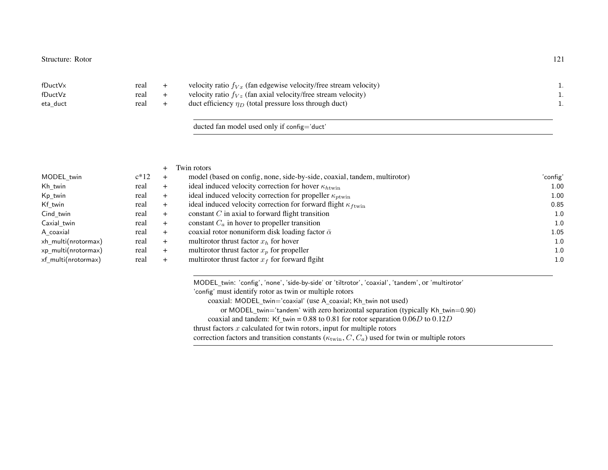| fDuctVx  | real | velocity ratio $f_{Vx}$ (fan edgewise velocity/free stream velocity) |  |
|----------|------|----------------------------------------------------------------------|--|
| fDuctVz  | real | velocity ratio $f_{Vz}$ (fan axial velocity/free stream velocity)    |  |
| eta duct | real | duct efficiency $\eta_D$ (total pressure loss through duct)          |  |

ducted fan model used only if config='duct'

|                     |        |     | Twin rotors                                                              |          |
|---------------------|--------|-----|--------------------------------------------------------------------------|----------|
| MODEL twin          | $c*12$ | $+$ | model (based on config, none, side-by-side, coaxial, tandem, multirotor) | 'config' |
| Kh twin             | real   | $+$ | ideal induced velocity correction for hover $\kappa_{h\text{twin}}$      | 1.00     |
| Kp twin             | real   | $+$ | ideal induced velocity correction for propeller $\kappa_{\text{ptwin}}$  | 1.00     |
| Kf twin             | real   | $+$ | ideal induced velocity correction for forward flight $\kappa_{ftwin}$    | 0.85     |
| Cind twin           | real   | $+$ | constant $C$ in axial to forward flight transition                       | 1.0      |
| Caxial_twin         | real   | $+$ | constant $C_a$ in hover to propeller transition                          | 1.0      |
| A coaxial           | real   | $+$ | coaxial rotor nonuniform disk loading factor $\bar{\alpha}$              | 1.05     |
| xh multi(nrotormax) | real   | $+$ | multirotor thrust factor $x_h$ for hover                                 | 1.0      |
| xp_multi(nrotormax) | real   | $+$ | multirotor thrust factor $x_p$ for propeller                             | 1.0      |
| xf multi(nrotormax) | real   |     | multirotor thrust factor $x_f$ for forward fight                         | 1.0      |

| MODEL twin: 'config', 'none', 'side-by-side' or 'tiltrotor', 'coaxial', 'tandem', or 'multirotor'                           |
|-----------------------------------------------------------------------------------------------------------------------------|
| 'config' must identify rotor as twin or multiple rotors                                                                     |
| coaxial: MODEL_twin='coaxial' (use A_coaxial; Kh_twin not used)                                                             |
| or MODEL twin='tandem' with zero horizontal separation (typically Kh twin=0.90)                                             |
| coaxial and tandem: Kf twin = 0.88 to 0.81 for rotor separation $0.06D$ to $0.12D$                                          |
| thrust factors $x$ calculated for twin rotors, input for multiple rotors                                                    |
| correction factors and transition constants ( $\kappa_{\text{twin}}$ , C, C <sub>a</sub> ) used for twin or multiple rotors |
|                                                                                                                             |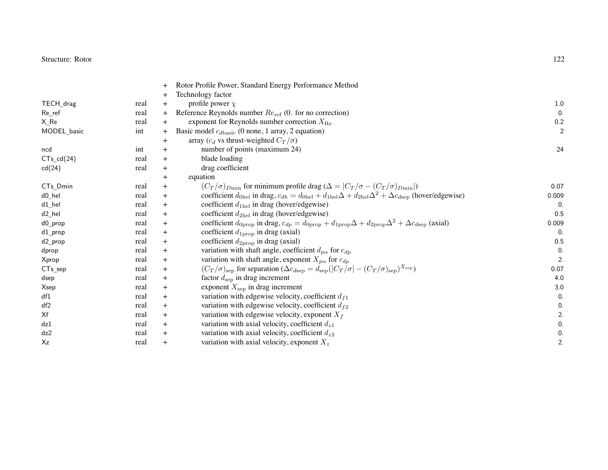|                    |      | $\pm$     | Rotor Profile Power, Standard Energy Performance Method                                                                                                       |                |
|--------------------|------|-----------|---------------------------------------------------------------------------------------------------------------------------------------------------------------|----------------|
|                    |      |           | Technology factor                                                                                                                                             |                |
| TECH drag          | real | $+$       | profile power $\chi$                                                                                                                                          | 1.0            |
| Re_ref             | real | $+$       | Reference Reynolds number $Re_{ref}$ (0. for no correction)                                                                                                   | 0.             |
| X_Re               | real | $+$       | exponent for Reynolds number correction $X_{\text{Re}}$                                                                                                       | 0.2            |
| MODEL basic        | int  | $+$       | Basic model $c_{d\text{basic}}$ (0 none, 1 array, 2 equation)                                                                                                 | $\overline{2}$ |
|                    |      | $+$       | array ( $c_d$ vs thrust-weighted $C_T/\sigma$ )                                                                                                               |                |
| ncd                | int  | $\pm$     | number of points (maximum 24)                                                                                                                                 | 24             |
| $CTs_cdd(24)$      | real | $\pm$     | blade loading                                                                                                                                                 |                |
| cd(24)             | real | $\pm$     | drag coefficient                                                                                                                                              |                |
|                    |      | $+$       | equation                                                                                                                                                      |                |
| CTs_Dmin           | real | $\pm$     | $(C_T/\sigma)_{D\text{min}}$ for minimum profile drag ( $\Delta =  C_T/\sigma - (C_T/\sigma)_{D\text{min}} $ )                                                | 0.07           |
| d <sub>0</sub> hel | real | $+$       | coefficient $d_{0\text{hel}}$ in drag, $c_{dh} = d_{0\text{hel}} + d_{1\text{hel}}\Delta + d_{2\text{hel}}\Delta^2 + \Delta c_{d\text{sep}}$ (hover/edgewise) | 0.009          |
| $d1$ _hel          | real | $\pm$     | coefficient $d_{\text{1hel}}$ in drag (hover/edgewise)                                                                                                        | 0.             |
| d <sub>2_hel</sub> | real | $\ddot{}$ | coefficient $d_{2\text{hel}}$ in drag (hover/edgewise)                                                                                                        | 0.5            |
| d0_prop            | real | $\pm$     | coefficient $d_{0\text{prop}}$ in drag, $c_{dp} = d_{0\text{prop}} + d_{1\text{prop}}\Delta + d_{2\text{prop}}\Delta^2 + \Delta c_{d\text{sep}}$ (axial)      | 0.009          |
| $d1$ prop          | real | $\pm$     | coefficient $d_{1\text{prop}}$ in drag (axial)                                                                                                                | 0.             |
| $d2$ prop          | real | $\pm$     | coefficient $d_{\text{2prop}}$ in drag (axial)                                                                                                                | 0.5            |
| dprop              | real | $\pm$     | variation with shaft angle, coefficient $d_{p\alpha}$ for $c_{dp}$                                                                                            | 0.             |
| Xprop              | real | $+$       | variation with shaft angle, exponent $X_{p\alpha}$ for $c_{dp}$                                                                                               | 2.             |
| $CTs$ _sep         | real | $\pm$     | $(C_T/\sigma)_{\rm sep}$ for separation $(\Delta c_{d\rm sep} = d_{\rm sep}( C_T/\sigma  - (C_T/\sigma)_{\rm sep})^{X_{\rm sep}})$                            | 0.07           |
| dsep               | real | $\ddot{}$ | factor $d_{\text{sep}}$ in drag increment                                                                                                                     | 4.0            |
| Xsep               | real | $+$       | exponent $X_{\text{sep}}$ in drag increment                                                                                                                   | 3.0            |
| df1                | real | $\pm$     | variation with edgewise velocity, coefficient $d_{f1}$                                                                                                        | 0.             |
| df <sub>2</sub>    | real | $\pm$     | variation with edgewise velocity, coefficient $d_{f2}$                                                                                                        | 0.             |
| Xf                 | real | $\pm$     | variation with edgewise velocity, exponent $X_f$                                                                                                              | 2.             |
| dz1                | real | $+$       | variation with axial velocity, coefficient $d_{z1}$                                                                                                           | 0.             |
| dz2                | real | $+$       | variation with axial velocity, coefficient $d_{z2}$                                                                                                           | 0.             |
| Xz                 | real | $\pm$     | variation with axial velocity, exponent $X_z$                                                                                                                 | 2.             |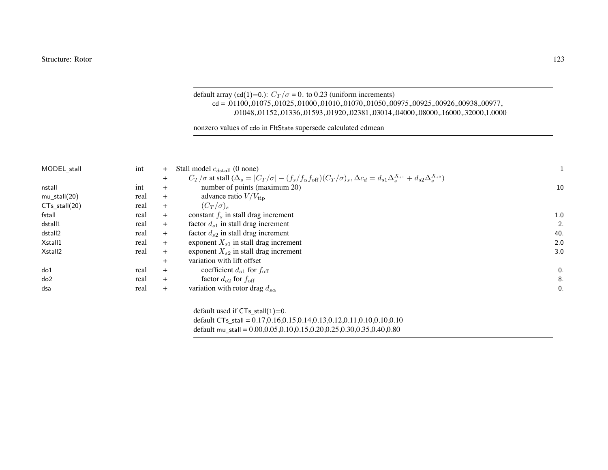### default array (cd(1)=0.):  $C_T / \sigma = 0$ . to 0.23 (uniform increments)  $cd = .01100, .01075, .01025, .01000, .01010, .01070, .01050, .00975, .00925, .00926, .00938, .00977,$ .01048,.01152,.01336,.01593,.01920,.02381,.03014,.04000,.08000,.16000,.32000,1.0000

nonzero values of cdo in FltState supersede calculated cdmean

| MODEL stall        | int  | $+$ | Stall model $c_{dstall}$ (0 none)                                                                                                                                 |     |
|--------------------|------|-----|-------------------------------------------------------------------------------------------------------------------------------------------------------------------|-----|
|                    |      | $+$ | $C_T/\sigma$ at stall $(\Delta_s =  C_T/\sigma  - (f_s/f_\alpha f_{\text{off}})(C_T/\sigma)_s$ , $\Delta c_d = d_{s1}\Delta_s^{X_{s1}} + d_{s2}\Delta_s^{X_{s2}}$ |     |
| nstall             | int  | $+$ | number of points (maximum 20)                                                                                                                                     | 10  |
| $mu\_stall(20)$    | real | $+$ | advance ratio $V/V_{\text{tip}}$                                                                                                                                  |     |
| $CTs$ stall $(20)$ | real | $+$ | $(C_T/\sigma)_s$                                                                                                                                                  |     |
| fstall             | real | $+$ | constant $f_s$ in stall drag increment                                                                                                                            | 1.0 |
| dstall1            | real | $+$ | factor $d_{s1}$ in stall drag increment                                                                                                                           | 2.  |
| dstall2            | real | $+$ | factor $d_{s2}$ in stall drag increment                                                                                                                           | 40. |
| Xstall1            | real | $+$ | exponent $X_{s1}$ in stall drag increment                                                                                                                         | 2.0 |
| Xstall2            | real | $+$ | exponent $X_{s2}$ in stall drag increment                                                                                                                         | 3.0 |
|                    |      | $+$ | variation with lift offset                                                                                                                                        |     |
| do1                | real | $+$ | coefficient $d_{o1}$ for $f_{\text{off}}$                                                                                                                         | 0.  |
| do2                | real | $+$ | factor $d_{o2}$ for $f_{\text{off}}$                                                                                                                              | 8.  |
| dsa                | real | $+$ | variation with rotor drag $d_{s\alpha}$                                                                                                                           | 0.  |
|                    |      |     |                                                                                                                                                                   |     |
|                    |      |     | default used if $CTs$ stall $(1)=0$ .                                                                                                                             |     |

| default used if $CTs$ stall $(1)=0$ .                                            |
|----------------------------------------------------------------------------------|
| default CTs stall = $0.17, 0.16, 0.15, 0.14, 0.13, 0.12, 0.11, 0.10, 0.10, 0.10$ |
| default mu stall = $0.00, 0.05, 0.10, 0.15, 0.20, 0.25, 0.30, 0.35, 0.40, 0.80$  |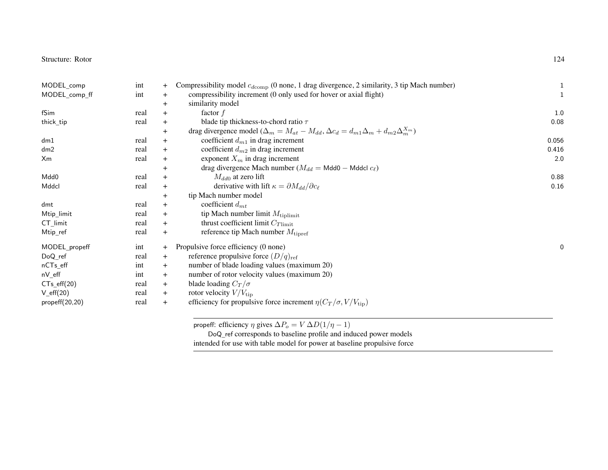| MODEL_comp        | int  | $+$       | Compressibility model $c_{dcomp}$ (0 none, 1 drag divergence, 2 similarity, 3 tip Mach number)                  |       |
|-------------------|------|-----------|-----------------------------------------------------------------------------------------------------------------|-------|
| MODEL_comp_ff     | int  | $\ddot{}$ | compressibility increment (0 only used for hover or axial flight)                                               |       |
|                   |      | $\pm$     | similarity model                                                                                                |       |
| fSim              | real | $+$       | factor $f$                                                                                                      | 1.0   |
| thick_tip         | real | $+$       | blade tip thickness-to-chord ratio $\tau$                                                                       | 0.08  |
|                   |      | $\ddot{}$ | drag divergence model ( $\Delta_m = M_{at} - M_{dd}$ , $\Delta c_d = d_{m1} \Delta_m + d_{m2} \Delta_m^{X_m}$ ) |       |
| dm1               | real | $+$       | coefficient $d_{m1}$ in drag increment                                                                          | 0.056 |
| dm2               | real | $+$       | coefficient $d_{m2}$ in drag increment                                                                          | 0.416 |
| Xm                | real |           | exponent $X_m$ in drag increment                                                                                | 2.0   |
|                   |      |           | drag divergence Mach number ( $M_{dd}$ = Mdd0 – Mddcl $c_{\ell}$ )                                              |       |
| Mdd0              | real |           | $M_{dd0}$ at zero lift                                                                                          | 0.88  |
| Mddcl             | real | $+$       | derivative with lift $\kappa = \partial M_{dd}/\partial c_{\ell}$                                               | 0.16  |
|                   |      |           | tip Mach number model                                                                                           |       |
| dmt               | real | $+$       | coefficient $d_{mt}$                                                                                            |       |
| Mtip_limit        | real | $+$       | tip Mach number limit $M_{\text{tiplimit}}$                                                                     |       |
| CT_limit          | real | $+$       | thrust coefficient limit $C_{T\text{limit}}$                                                                    |       |
| Mtip_ref          | real | $+$       | reference tip Mach number $M_{\text{tipref}}$                                                                   |       |
| MODEL_propeff     | int  |           | Propulsive force efficiency (0 none)                                                                            |       |
| DoQ_ref           | real | $+$       | reference propulsive force $(D/q)_{ref}$                                                                        |       |
| nCTs_eff          | int  | $+$       | number of blade loading values (maximum 20)                                                                     |       |
| nV_eff            | int  | $+$       | number of rotor velocity values (maximum 20)                                                                    |       |
| $CTs_{eff}(20)$   | real | $+$       | blade loading $C_T/\sigma$                                                                                      |       |
| $V_{eff}(20)$     | real | $+$       | rotor velocity $V/V_{\text{tip}}$                                                                               |       |
| proper(f(20, 20)) | real | $^{+}$    | efficiency for propulsive force increment $\eta(C_T/\sigma, V/V_{\text{tip}})$                                  |       |

propeff: efficiency *<sup>η</sup>* <sup>g</sup>ives Δ*P<sup>o</sup>* <sup>=</sup> *V* Δ*D*(1*/η* <sup>−</sup> 1)

DoQ \_ ref corresponds to baseline profile and induced power models

intended for use with table model for power at baseline propulsive force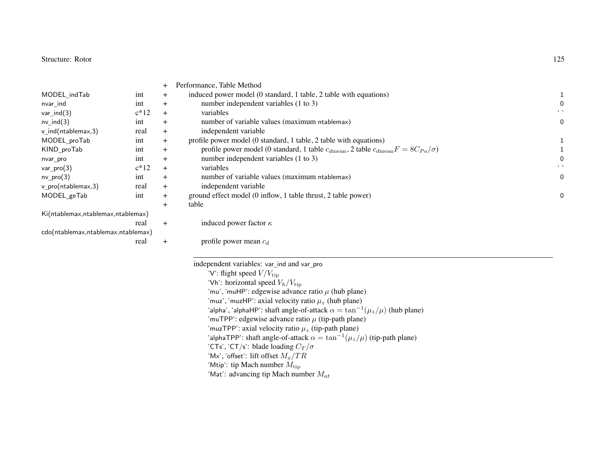|                                     |        |        | Performance, Table Method                                                                      |             |
|-------------------------------------|--------|--------|------------------------------------------------------------------------------------------------|-------------|
| MODEL indTab                        | int    | $+$    | induced power model (0 standard, 1 table, 2 table with equations)                              |             |
| nvar ind                            | int    | $+$    | number independent variables (1 to 3)                                                          | $\mathbf 0$ |
| $var\_ind(3)$                       | $c*12$ | $+$    | variables                                                                                      | $, \cdot$   |
| $nv\_ind(3)$                        | int    | $+$    | number of variable values (maximum ntablemax)                                                  | $\mathbf 0$ |
| v_ind(ntablemax,3)                  | real   | $+$    | independent variable                                                                           |             |
| MODEL_proTab                        | int    | $+$    | profile power model (0 standard, 1 table, 2 table with equations)                              |             |
| KIND_proTab                         | int    | $+$    | profile power model (0 standard, 1 table $c_{dmean}$ , 2 table $c_{dmean}F = 8C_{Po}/\sigma$ ) |             |
| nvar_pro                            | int    | $+$    | number independent variables (1 to 3)                                                          | 0           |
| $var\_pro(3)$                       | $c*12$ | $\pm$  | variables                                                                                      | $, \cdot$   |
| $nv\_pro(3)$                        | int    | $+$    | number of variable values (maximum ntablemax)                                                  | 0           |
| v_pro(ntablemax,3)                  | real   | $+$    | independent variable                                                                           |             |
| MODEL_geTab                         | int    | $+$    | ground effect model (0 inflow, 1 table thrust, 2 table power)                                  | $\mathbf 0$ |
|                                     |        | $^{+}$ | table                                                                                          |             |
| Ki(ntablemax, ntablemax, ntablemax) |        |        |                                                                                                |             |
|                                     | real   | $^{+}$ | induced power factor $\kappa$                                                                  |             |
| cdo(ntablemax,ntablemax,ntablemax)  |        |        |                                                                                                |             |
|                                     | real   |        | profile power mean $c_d$                                                                       |             |

independent variables: var\_ind and var\_pro 'V': flight speed  $V/V_{\text{tip}}$ 'Vh': horizontal speed  $V_h/V_{\text{tip}}$ 'mu', 'muHP': edgewise advance ratio *μ* (hub plane) 'muz', 'muzHP': axial velocity ratio *μ<sup>z</sup>* (hub plane) 'alpha', 'alphaHP': shaft angle-of-attack  $\alpha = \tan^{-1}(\mu_z/\mu)$  (hub plane) 'muTPP': edgewise advance ratio *μ* (tip-path plane) 'muzTPP': axial velocity ratio *μ<sup>z</sup>* (tip-path plane) 'alphaTPP': shaft angle-of-attack  $\alpha = \tan^{-1}(\mu_z/\mu)$  (tip-path plane) 'CTs', 'CT/s': blade loading *C<sup>T</sup> /σ* 'Mx', 'offset': lift offset *<sup>M</sup>x/TR* 'Mtip': tip Mach number  $M_{\text{tip}}$ 'Mat': advancing tip Mach number *Mat*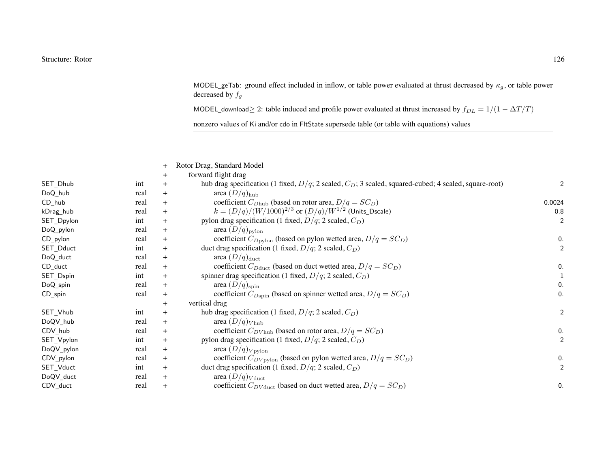MODEL \_geTab: ground effect included in inflow, or table power evaluated at thrust decreased by *<sup>κ</sup>g*, or table power decreased by  $f_g$ 

MODEL \_ download≥ <sup>2</sup>: table induced and profile power evaluated at thrust increased by *fDL* <sup>=</sup> <sup>1</sup>*/*(1 <sup>−</sup> Δ*T/T*)

nonzero values of Ki and/or cdo in FltState supersede table (or table with equations) values

|            |      | $+$       | Rotor Drag, Standard Model                                                                                 |                |
|------------|------|-----------|------------------------------------------------------------------------------------------------------------|----------------|
|            |      | $\ddot{}$ | forward flight drag                                                                                        |                |
| SET_Dhub   | int  | $\pm$     | hub drag specification (1 fixed, $D/q$ ; 2 scaled, $C_D$ ; 3 scaled, squared-cubed; 4 scaled, square-root) |                |
| DoQ_hub    | real | $+$       | area $(D/q)_{\text{hub}}$                                                                                  |                |
| CD hub     | real | $+$       | coefficient $C_{Dhub}$ (based on rotor area, $D/q = SC_D$ )                                                | 0.0024         |
| kDrag_hub  | real | $+$       | $k = (D/q)/(W/1000)^{2/3}$ or $(D/q)/W^{1/2}$ (Units_Dscale)                                               | 0.8            |
| SET_Dpylon | int  | $+$       | pylon drag specification (1 fixed, $D/q$ ; 2 scaled, $C_D$ )                                               | 2              |
| DoQ_pylon  | real | $+$       | area $(D/q)_{\text{pvlon}}$                                                                                |                |
| CD_pylon   | real | $^{+}$    | coefficient $C_{Dpvlon}$ (based on pylon wetted area, $D/q = SC_D$ )                                       | 0.             |
| SET_Dduct  | int  | $+$       | duct drag specification (1 fixed, $D/q$ ; 2 scaled, $C_D$ )                                                | $\overline{2}$ |
| DoQ_duct   | real | $+$       | area $(D/q)_{\text{duct}}$                                                                                 |                |
| CD_duct    | real | $+$       | coefficient $C_{D\text{duct}}$ (based on duct wetted area, $D/q = SC_D$ )                                  | 0.             |
| SET_Dspin  | int  | $+$       | spinner drag specification (1 fixed, $D/q$ ; 2 scaled, $C_D$ )                                             |                |
| DoQ_spin   | real | $+$       | area $(D/q)_{\text{spin}}$                                                                                 | 0.             |
| $CD$ _spin | real | $\ddot{}$ | coefficient $C_{D\text{spin}}$ (based on spinner wetted area, $D/q = SC_D$ )                               | 0.             |
|            |      | $\ddot{}$ | vertical drag                                                                                              |                |
| SET_Vhub   | int  | $\pm$     | hub drag specification (1 fixed, $D/q$ ; 2 scaled, $C_D$ )                                                 | 2              |
| DoQV_hub   | real | $+$       | area $(D/q)_{V \text{hub}}$                                                                                |                |
| CDV_hub    | real | $+$       | coefficient $C_{DVhub}$ (based on rotor area, $D/q = SC_D$ )                                               | 0.             |
| SET_Vpylon | int  | $+$       | pylon drag specification (1 fixed, $D/q$ ; 2 scaled, $C_D$ )                                               | $\overline{2}$ |
| DoQV_pylon | real | $\pm$     | area $(D/q)_{V \text{pylon}}$                                                                              |                |
| CDV_pylon  | real | $+$       | coefficient $C_{DV}$ <sub>pylon</sub> (based on pylon wetted area, $D/q = SC_D$ )                          | 0.             |
| SET_Vduct  | int  | $+$       | duct drag specification (1 fixed, $D/q$ ; 2 scaled, $C_D$ )                                                | 2              |
| DoQV_duct  | real | $+$       | area $(D/q)_{V\text{duct}}$                                                                                |                |
| CDV_duct   | real | $+$       | coefficient $C_{DV \text{duct}}$ (based on duct wetted area, $D/q = SC_D$ )                                | 0.             |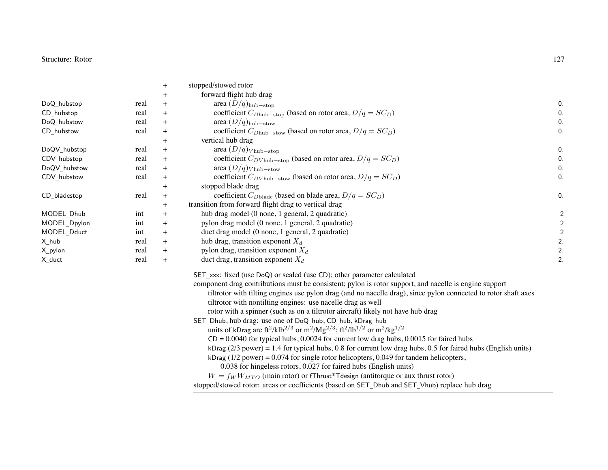|              |      | $\pm$ | stopped/stowed rotor                                                  |    |
|--------------|------|-------|-----------------------------------------------------------------------|----|
|              |      | $\pm$ | forward flight hub drag                                               |    |
| DoQ_hubstop  | real | $+$   | area $(D/q)_{\rm hub-stop}$                                           | 0. |
| CD_hubstop   | real | $+$   | coefficient $C_{Dhub-stop}$ (based on rotor area, $D/q = SC_D$ )      | 0. |
| DoQ_hubstow  | real | $\pm$ | area $(D/q)_{\text{hub-stow}}$                                        | 0. |
| CD hubstow   | real | $\pm$ | coefficient $C_{Dhub-stow}$ (based on rotor area, $D/q = SC_D$ )      | 0. |
|              |      | $\pm$ | vertical hub drag                                                     |    |
| DoQV_hubstop | real |       | area $(D/q)_{V\mathrm{hub-stop}}$                                     | 0. |
| CDV hubstop  | real | $\pm$ | coefficient $C_{DVhub-stop}$ (based on rotor area, $D/q = SC_D$ )     | 0. |
| DoQV hubstow | real | $\pm$ | area $(D/q)_{V \text{hub-stow}}$                                      | 0. |
| CDV hubstow  | real | $+$   | coefficient $C_{DVhub-stow}$ (based on rotor area, $D/q = SC_D$ )     | 0. |
|              |      | $\pm$ | stopped blade drag                                                    |    |
| CD bladestop | real | $\pm$ | coefficient $C_{Db \text{lade}}$ (based on blade area, $D/q = SC_D$ ) | 0. |
|              |      | $+$   | transition from forward flight drag to vertical drag                  |    |
| MODEL Dhub   | int  | $+$   | hub drag model (0 none, 1 general, 2 quadratic)                       |    |
| MODEL Dpylon | int  | $+$   | pylon drag model (0 none, 1 general, 2 quadratic)                     |    |
| MODEL Dduct  | int  | $+$   | duct drag model (0 none, 1 general, 2 quadratic)                      |    |
| X hub        | real | $+$   | hub drag, transition exponent $X_d$                                   |    |
| X_pylon      | real | $+$   | pylon drag, transition exponent $X_d$                                 |    |
| X duct       | real | $\pm$ | duct drag, transition exponent $X_d$                                  |    |

SET \_ xxx: fixed (use DoQ) or scaled (use CD); other parameter calculated

componen<sup>t</sup> drag contributions must be consistent; pylon is rotor support, and nacelle is engine suppor<sup>t</sup>

tiltrotor with tilting engines use pylon drag (and no nacelle drag), since pylon connected to rotor shaft axes

tiltrotor with nontilting engines: use nacelle drag as well

rotor with <sup>a</sup> spinner (such as on <sup>a</sup> tiltrotor aircraft) likely not have hub drag

SET \_ Dhub, hub drag: use one of DoQ\_hub, CD\_hub, kDrag\_hub

units of kDrag are  $ft^2/klb^{2/3}$  or  $m^2/Mg^{2/3}$ ;  $ft^2/lb^{1/2}$  or  $m^2/kg^{1/2}$ 

 $CD = 0.0040$  for typical hubs, 0.0024 for current low drag hubs, 0.0015 for faired hubs

kDrag (2/3 power) <sup>=</sup> 1.4 for typical hubs, 0.8 for current low drag hubs, 0.5 for faired hubs (English units)

kDrag  $(1/2$  power) = 0.074 for single rotor helicopters, 0.049 for tandem helicopters,

0.038 for hingeless rotors, 0.027 for faired hubs (English units)

 $W = f_W W_{MTO}$  (main rotor) or fThrust\*Tdesign (antitorque or aux thrust rotor)

stopped/stowed rotor: areas or coefficients (based on SET\_Dhub and SET\_Vhub) replace hub drag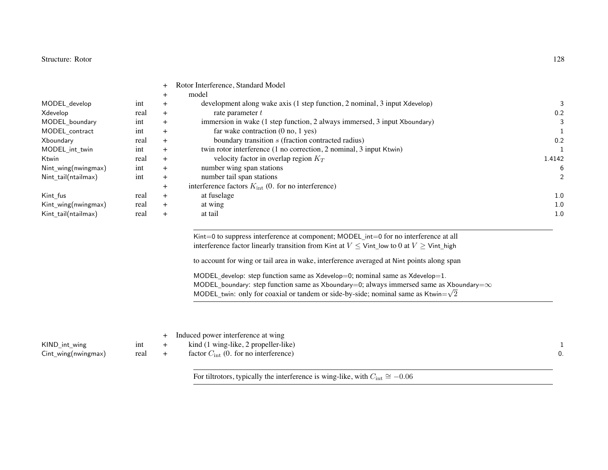|                     |      | $+$    | Rotor Interference, Standard Model                                         |        |
|---------------------|------|--------|----------------------------------------------------------------------------|--------|
|                     |      | $+$    | model                                                                      |        |
| MODEL develop       | int  | $+$    | development along wake axis (1 step function, 2 nominal, 3 input Xdevelop) | 3      |
| Xdevelop            | real | $+$    | rate parameter t                                                           | 0.2    |
| MODEL_boundary      | int  | $+$    | immersion in wake (1 step function, 2 always immersed, 3 input Xboundary)  | 3      |
| MODEL contract      | int  | $+$    | far wake contraction $(0 \text{ no}, 1 \text{ yes})$                       |        |
| Xboundary           | real | $+$    | boundary transition s (fraction contracted radius)                         | 0.2    |
| MODEL_int_twin      | int  | $+$    | twin rotor interference (1 no correction, 2 nominal, 3 input Ktwin)        |        |
| Ktwin               | real | $+$    | velocity factor in overlap region $K_T$                                    | 1.4142 |
| Nint wing(nwingmax) | int  | $+$    | number wing span stations                                                  | 6      |
| Nint tail(ntailmax) | int  | $+$    | number tail span stations                                                  | 2      |
|                     |      | $^{+}$ | interference factors $K_{\text{int}}$ (0. for no interference)             |        |
| Kint fus            | real | $+$    | at fuselage                                                                | 1.0    |
| Kint_wing(nwingmax) | real | $+$    | at wing                                                                    | 1.0    |
| Kint tail(ntailmax) | real |        | at tail                                                                    | 1.0    |

Kint=0 to suppress interference at component; MODEL int=0 for no interference at all interference factor linearly transition from Kint at  $V \leq$  Vint\_low to 0 at  $V \geq$  Vint\_high

to account for wing or tail area in wake, interference averaged at Nint points along span

MODEL \_develop: step function same as Xdevelop=0; nominal same as Xdevelop=1. <code>MODEL\_boundary:</code> step function same as <code>Xboundary=0;</code> always immersed same as <code>Xboundary= $\infty$ </code> MODEL\_twin: only for coaxial or tandem or side-by-side; nominal same as Ktwin= $\sqrt{2}$ 

|                     |      | + Induced power interference at wing             |  |
|---------------------|------|--------------------------------------------------|--|
| KIND int wing       | 1nt. | kind (1 wing-like, 2 propeller-like)             |  |
| Cint_wing(nwingmax) | real | factor $C_{\text{int}}$ (0. for no interference) |  |
|                     |      |                                                  |  |

For tiltrotors, typically the interference is wing-like, with  $C_{\text{int}} \approx -0.06$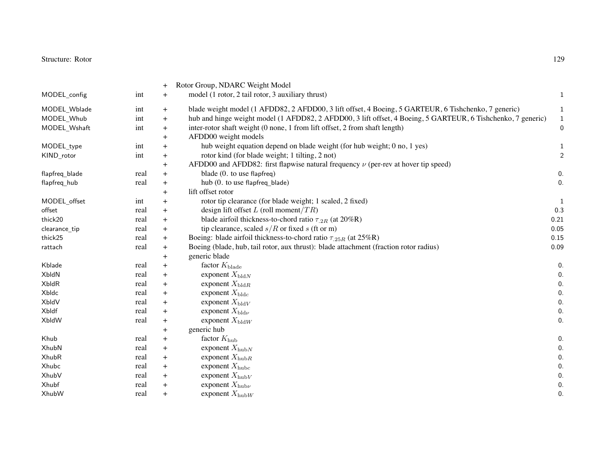|                |      |           | Rotor Group, NDARC Weight Model                                                                              |                |
|----------------|------|-----------|--------------------------------------------------------------------------------------------------------------|----------------|
| MODEL_config   | int  | $\ddot{}$ | model (1 rotor, 2 tail rotor, 3 auxiliary thrust)                                                            | $\mathbf{1}$   |
| MODEL_Wblade   | int  | $+$       | blade weight model (1 AFDD82, 2 AFDD00, 3 lift offset, 4 Boeing, 5 GARTEUR, 6 Tishchenko, 7 generic)         | 1              |
| MODEL_Whub     | int  | $+$       | hub and hinge weight model (1 AFDD82, 2 AFDD00, 3 lift offset, 4 Boeing, 5 GARTEUR, 6 Tishchenko, 7 generic) | $\mathbf{1}$   |
| MODEL Wshaft   | int  | $+$       | inter-rotor shaft weight (0 none, 1 from lift offset, 2 from shaft length)                                   | $\mathbf 0$    |
|                |      | $+$       | AFDD00 weight models                                                                                         |                |
| MODEL_type     | int  | $+$       | hub weight equation depend on blade weight (for hub weight; 0 no, 1 yes)                                     | 1              |
| KIND_rotor     | int  | $\ddot{}$ | rotor kind (for blade weight; 1 tilting, 2 not)                                                              | $\overline{c}$ |
|                |      | $+$       | AFDD00 and AFDD82: first flapwise natural frequency $\nu$ (per-rev at hover tip speed)                       |                |
| flapfreq blade | real | $+$       | blade (0. to use flapfreq)                                                                                   | 0.             |
| flapfreq_hub   | real | $\ddot{}$ | hub (0. to use flapfreq_blade)                                                                               | 0.             |
|                |      | $+$       | lift offset rotor                                                                                            |                |
| MODEL_offset   | int  | $\ddot{}$ | rotor tip clearance (for blade weight; 1 scaled, 2 fixed)                                                    | 1              |
| offset         | real | $+$       | design lift offset $L$ (roll moment/ $TR$ )                                                                  | 0.3            |
| thick20        | real | $\ddot{}$ | blade airfoil thickness-to-chord ratio $\tau_{2R}$ (at 20%R)                                                 | 0.21           |
| clearance_tip  | real | $+$       | tip clearance, scaled $s/R$ or fixed s (ft or m)                                                             | 0.05           |
| thick25        | real | $+$       | Boeing: blade airfoil thickness-to-chord ratio $\tau_{.25R}$ (at 25%R)                                       | 0.15           |
| rattach        | real | $+$       | Boeing (blade, hub, tail rotor, aux thrust): blade attachment (fraction rotor radius)                        | 0.09           |
|                |      | $+$       | generic blade                                                                                                |                |
| Kblade         | real | $+$       | factor $K_{\text{black}}$                                                                                    | 0.             |
| XbldN          | real | $+$       | exponent $X_{\text{bld}N}$                                                                                   | 0.             |
| <b>XbldR</b>   | real | $+$       | exponent $X_{\text{bldR}}$                                                                                   | 0.             |
| Xbldc          | real | $\ddot{}$ | exponent $X_{\text{bldc}}$                                                                                   | 0.             |
| XbldV          | real | $+$       | exponent $X_{\text{bldV}}$                                                                                   | 0.             |
| Xbldf          | real | $+$       | exponent $X_{\text{bld}\nu}$                                                                                 | 0.             |
| XbldW          | real | $\ddot{}$ | exponent $X_{\text{bld}W}$                                                                                   | 0.             |
|                |      | $\ddot{}$ | generic hub                                                                                                  |                |
| Khub           | real | $\ddot{}$ | factor $K_{\text{hub}}$                                                                                      | 0.             |
| XhubN          | real | $+$       | exponent $X_{\text{hub}N}$                                                                                   | 0.             |
| <b>XhubR</b>   | real | $\ddot{}$ | exponent $X_{\text{hubR}}$                                                                                   | 0.             |
| Xhubc          | real | $\ddot{}$ | exponent $X_{\text{hubc}}$                                                                                   | 0.             |
| XhubV          | real | $+$       | exponent $X_{\text{hub}V}$                                                                                   | 0.             |
| Xhubf          | real | $\ddot{}$ | exponent $X_{\text{hub}\nu}$                                                                                 | 0.             |
| XhubW          | real | $\ddot{}$ | exponent $X_{\text{hub}W}$                                                                                   | 0.             |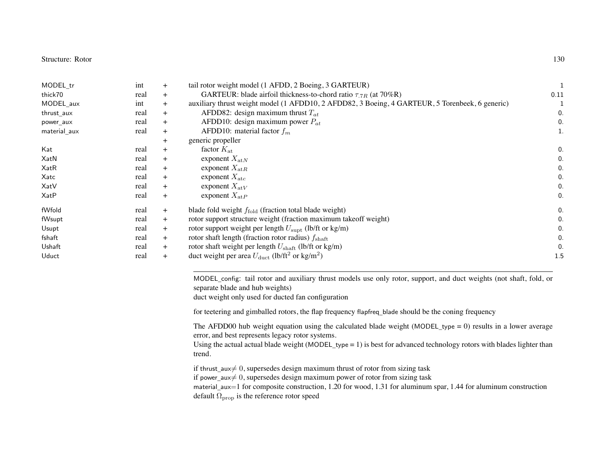| MODEL tr     | int  | $+$    | tail rotor weight model (1 AFDD, 2 Boeing, 3 GARTEUR)                                           |      |
|--------------|------|--------|-------------------------------------------------------------------------------------------------|------|
| thick70      | real | $+$    | GARTEUR: blade airfoil thickness-to-chord ratio $\tau_{7R}$ (at 70%R)                           | 0.11 |
| MODEL aux    | int  | $+$    | auxiliary thrust weight model (1 AFDD10, 2 AFDD82, 3 Boeing, 4 GARTEUR, 5 Torenbeek, 6 generic) |      |
| thrust aux   | real | $+$    | AFDD82: design maximum thrust $T_{at}$                                                          | 0.   |
| power aux    | real | $^{+}$ | AFDD10: design maximum power $P_{at}$                                                           | 0.   |
| material_aux | real | $^{+}$ | AFDD10: material factor $f_m$                                                                   |      |
|              |      | $+$    | generic propeller                                                                               |      |
| Kat          | real | $+$    | factor $K_{\text{at}}$                                                                          | 0.   |
| XatN         | real | $^+$   | exponent $X_{atN}$                                                                              | 0.   |
| XatR         | real | $+$    | exponent $X_{\text{at }R}$                                                                      | 0.   |
| Xatc         | real | $+$    | exponent $X_{\text{atc}}$                                                                       | 0.   |
| XatV         | real |        | exponent $X_{\text{at}}V$                                                                       | 0.   |
| XatP         | real | $\pm$  | exponent $X_{\text{at}}P$                                                                       | 0.   |
| fWfold       | real | $+$    | blade fold weight $f_{\text{fold}}$ (fraction total blade weight)                               | 0.   |
| fWsupt       | real | $+$    | rotor support structure weight (fraction maximum takeoff weight)                                | 0.   |
| Usupt        | real | $+$    | rotor support weight per length $U_{\text{surf}}$ (lb/ft or kg/m)                               | 0.   |
| fshaft       | real | $+$    | rotor shaft length (fraction rotor radius) $f_{\text{shaft}}$                                   | 0.   |
| Ushaft       | real | $+$    | rotor shaft weight per length $U_{\text{shaff}}$ (lb/ft or kg/m)                                | 0.   |
| Uduct        | real | $+$    | duct weight per area $U_{\text{duct}}$ (lb/ft <sup>2</sup> or kg/m <sup>2</sup> )               | 1.5  |

MODEL \_config: tail rotor and auxiliary thrust models use only rotor, support, and duct weights (not shaft, fold, or separate blade and hub weights)

duct weight only used for ducted fan configuration

for teetering and gimballed rotors, the flap frequency flapfreq\_blade should be the coning frequency

The AFDD00 hub weight equation using the calculated blade weight (MODEL\_type = 0) results in a lower average error, and best represents legacy rotor systems.

Using the actual actual blade weight (MODEL\_type = 1) is best for advanced technology rotors with blades lighter than trend.

if thrust\_aux $\neq 0$ , supersedes design maximum thrust of rotor from sizing task

if power  $aux \neq 0$ , supersedes design maximum power of rotor from sizing task

material \_ aux=1 for composite construction, 1.20 for wood, 1.31 for aluminum spar, 1.44 for aluminum construction default  $\Omega_{\text{prop}}$  is the reference rotor speed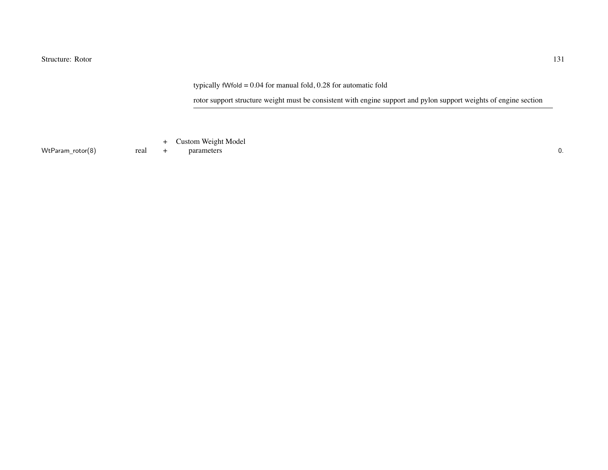typically fWfold <sup>=</sup> 0.04 for manual fold, 0.28 for automatic fold

rotor suppor<sup>t</sup> structure weight must be consistent with engine suppor<sup>t</sup> and pylon suppor<sup>t</sup> weights of engine section

WtParam\_rotor(8) \_rotor(8) real <sup>+</sup> parameters 0.

<sup>+</sup> Custom Weight Model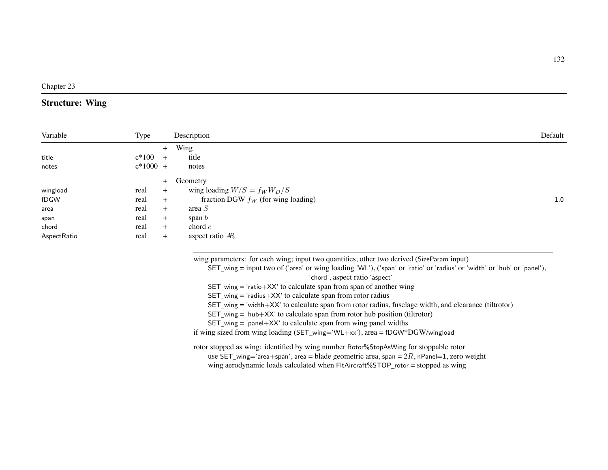## **Structure: Wing**

| Variable    | Type       |     | Description                           | Default |
|-------------|------------|-----|---------------------------------------|---------|
|             |            | $+$ | Wing                                  |         |
| title       | $c*100 +$  |     | title                                 |         |
| notes       | $c*1000 +$ |     | notes                                 |         |
|             |            | $+$ | Geometry                              |         |
| wingload    | real       | $+$ | wing loading $W/S = f_W W_D/S$        |         |
| fDGW        | real       | $+$ | fraction DGW $f_W$ (for wing loading) | 1.0     |
| area        | real       | $+$ | area $S$                              |         |
| span        | real       | $+$ | span $b$                              |         |
| chord       | real       | $+$ | chord $c$                             |         |
| AspectRatio | real       | $+$ | aspect ratio $AR$                     |         |

wing parameters: for each wing; input two quantities, other two derived (SizeParam input)

SET \_wing <sup>=</sup> input two of ('area' or wing loading 'WL'), ('span' or 'ratio' or 'radius' or 'width' or 'hub' or 'panel'),

|  |  |  | 'chord', aspect ratio 'aspect' |
|--|--|--|--------------------------------|
|--|--|--|--------------------------------|

SET \_wing <sup>=</sup> 'ratio+XX' to calculate span from span of another wing

SET \_wing <sup>=</sup> 'radius+XX' to calculate span from rotor radius

SET \_wing <sup>=</sup> 'width+XX' to calculate span from rotor radius, fuselage width, and clearance (tiltrotor)

SET \_wing <sup>=</sup> 'hub+XX' to calculate span from rotor hub position (tiltrotor)

SET \_wing <sup>=</sup> 'panel+XX' to calculate span from wing panel widths

if wing sized from wing loading (SET\_wing='WL+xx'), area <sup>=</sup> fDGW\*DGW/wingload

rotor stopped as wing: identified by wing number Rotor%StopAsWing for stoppable rotor

use  ${\sf SET\_wing} =$ 'area $+$ span', area  $=$  blade geometric  $\text{area}, \text{span} = 2R,$  <code>nPanel $=$ 1</code>, zero weight

wing aerodynamic loads calculated when FltAircraft%STOP\_rotor = stopped as wing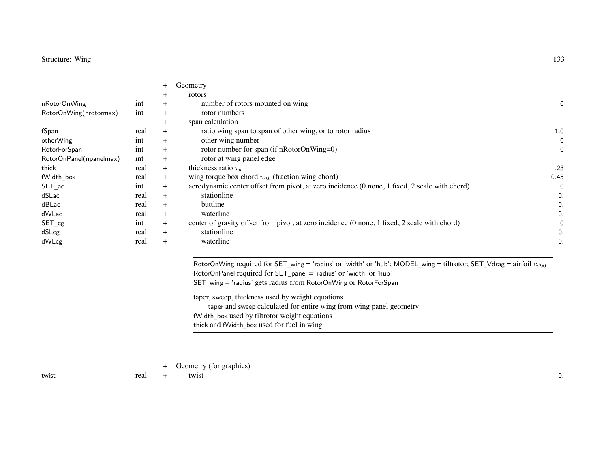#### Structure: Wing 133

|                         |      | $+$            | Geometry                                                                                      |          |
|-------------------------|------|----------------|-----------------------------------------------------------------------------------------------|----------|
|                         |      | $\pm$          | rotors                                                                                        |          |
| nRotorOnWing            | int  | $+$            | number of rotors mounted on wing                                                              | 0        |
| RotorOnWing(nrotormax)  | int  | $+$            | rotor numbers                                                                                 |          |
|                         |      | $\overline{+}$ | span calculation                                                                              |          |
| fSpan                   | real | $+$            | ratio wing span to span of other wing, or to rotor radius                                     | 1.0      |
| otherWing               | int  | $+$            | other wing number                                                                             | $\Omega$ |
| RotorForSpan            | int  | $+$            | rotor number for span (if nRotorOnWing=0)                                                     | 0        |
| RotorOnPanel(npanelmax) | int  | $+$            | rotor at wing panel edge                                                                      |          |
| thick                   | real | $+$            | thickness ratio $\tau_w$                                                                      | .23      |
| fWidth box              | real | $+$            | wing torque box chord $w_{tb}$ (fraction wing chord)                                          | 0.45     |
| $SET$ <sub>2</sub> c    | int  | $+$            | aerodynamic center offset from pivot, at zero incidence (0 none, 1 fixed, 2 scale with chord) | 0        |
| dSLac                   | real | $+$            | stationline                                                                                   | 0.       |
| dBLac                   | real | $+$            | buttline                                                                                      | 0.       |
| dWLac                   | real | $+$            | waterline                                                                                     | 0.       |
| $SET_{cg}$              | int  | $+$            | center of gravity offset from pivot, at zero incidence (0 none, 1 fixed, 2 scale with chord)  |          |
| dSLcg                   | real | $+$            | stationline                                                                                   | 0.       |
| dWLcg                   | real | $\ddot{}$      | waterline                                                                                     | 0.       |

RotorOnWing required for SET\_wing <sup>=</sup> 'radius' or 'width' or 'hub'; MODEL\_wing <sup>=</sup> tiltrotor; SET\_Vdrag <sup>=</sup> airfoil *<sup>c</sup>d*<sup>90</sup> RotorOnPanel required for SET\_panel <sup>=</sup> 'radius' or 'width' or 'hub' SET \_wing <sup>=</sup> 'radius' gets radius from RotorOnWing or RotorForSpan

taper, sweep, thickness used by weight equations

taper and sweep calculated for entire wing from wing panel geometry

fWidth \_ box used by tiltrotor weight equations

thick and fWidth \_ box used for fuel in wing

<sup>+</sup> Geometry (for graphics)

twist real + twist 0.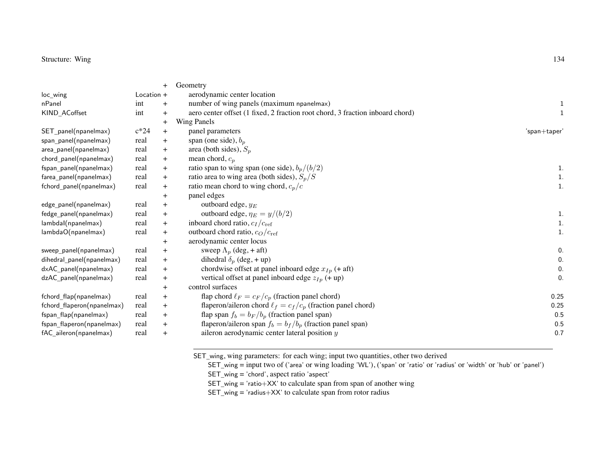### Structure: Wing 134

|                            |            | $+$       | Geometry                                                                      |              |
|----------------------------|------------|-----------|-------------------------------------------------------------------------------|--------------|
| loc_wing                   | Location + |           | aerodynamic center location                                                   |              |
| nPanel                     | int        | $+$       | number of wing panels (maximum npanelmax)                                     |              |
| KIND_ACoffset              | int        | $+$       | aero center offset (1 fixed, 2 fraction root chord, 3 fraction inboard chord) |              |
|                            |            | $\ddot{}$ | <b>Wing Panels</b>                                                            |              |
| SET_panel(npanelmax)       | $c*24$     | $\ddot{}$ | panel parameters                                                              | 'span+taper' |
| span_panel(npanelmax)      | real       | $+$       | span (one side), $b_p$                                                        |              |
| area_panel(npanelmax)      | real       | $\ddot{}$ | area (both sides), $S_p$                                                      |              |
| chord_panel(npanelmax)     | real       | $+$       | mean chord, $c_p$                                                             |              |
| fspan_panel(npanelmax)     | real       | $+$       | ratio span to wing span (one side), $b_p/(b/2)$                               | 1.           |
| farea_panel(npanelmax)     | real       | $\ddot{}$ | ratio area to wing area (both sides), $S_p/S$                                 |              |
| fchord_panel(npanelmax)    | real       | $\ddot{}$ | ratio mean chord to wing chord, $c_p/c$                                       | 1.           |
|                            |            | $\pm$     | panel edges                                                                   |              |
| edge_panel(npanelmax)      | real       | $+$       | outboard edge, $y_E$                                                          |              |
| fedge_panel(npanelmax)     | real       | $\pm$     | outboard edge, $\eta_E = y/(b/2)$                                             | 1.           |
| lambdal(npanelmax)         | real       | $+$       | inboard chord ratio, $c_I/c_{\text{ref}}$                                     | 1.           |
| lambdaO(npanelmax)         | real       | $\ddot{}$ | outboard chord ratio, $c_O/c_{ref}$                                           | 1.           |
|                            |            | $+$       | aerodynamic center locus                                                      |              |
| sweep_panel(npanelmax)     | real       | $+$       | sweep $\Lambda_p$ (deg, + aft)                                                | 0.           |
| dihedral_panel(npanelmax)  | real       | $\ddot{}$ | dihedral $\delta_p$ (deg, + up)                                               | 0.           |
| dxAC_panel(npanelmax)      | real       | $+$       | chordwise offset at panel inboard edge $x_{I_p}$ (+ aft)                      | 0.           |
| dzAC_panel(npanelmax)      | real       | $\ddot{}$ | vertical offset at panel inboard edge $z_{I_p}$ (+ up)                        | $\mathbf{0}$ |
|                            |            | $+$       | control surfaces                                                              |              |
| fchord_flap(npanelmax)     | real       | $+$       | flap chord $\ell_F = c_F/c_p$ (fraction panel chord)                          | 0.25         |
| fchord_flaperon(npanelmax) | real       | $\ddot{}$ | flaperon/aileron chord $\ell_f = c_f/c_p$ (fraction panel chord)              | 0.25         |
| fspan_flap(npanelmax)      | real       | $\pm$     | flap span $f_b = b_F/b_p$ (fraction panel span)                               | 0.5          |
| fspan flaperon(npanelmax)  | real       | $+$       | flaperon/aileron span $f_b = b_f/b_p$ (fraction panel span)                   | 0.5          |
| fAC_aileron(npanelmax)     | real       | $+$       | aileron aerodynamic center lateral position $y$                               | 0.7          |

SET \_wing, wing parameters: for each wing; input two quantities, other two derived

SET \_wing <sup>=</sup> input two of ('area' or wing loading 'WL'), ('span' or 'ratio' or 'radius' or 'width' or 'hub' or 'panel') SET \_wing <sup>=</sup> 'chord', aspec<sup>t</sup> ratio 'aspect'

SET \_wing <sup>=</sup> 'ratio+XX' to calculate span from span of another wing

SET \_wing <sup>=</sup> 'radius+XX' to calculate span from rotor radius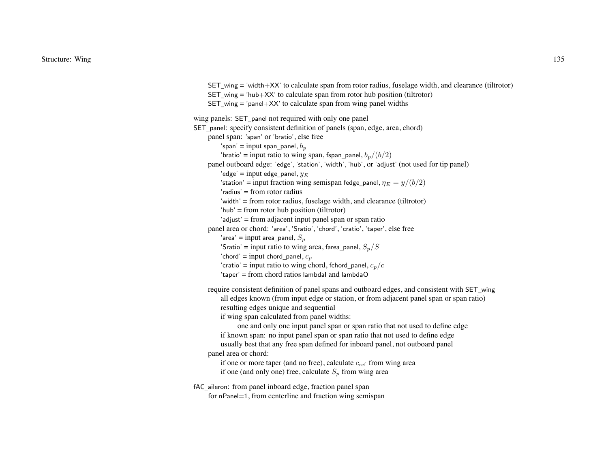```
SET
_wing = 'width+XX' to calculate span from rotor radius, fuselage width, and clearance (tiltrotor)
     SET
_wing = 'hub+XX' to calculate span from rotor hub position (tiltrotor)
     SET
_wing = 'panel+XX' to calculate span from wing panel widths
wing panels: SET_panel not required with only one panel
SET
_panel: specify consistent definition of panels (span, edge, area, chord)
    panel span: 'span' or 'bratio', else free
         'span' = input span_panel, b_p'bratio' = input ratio to wing span, fspan_panel, b_p/(b/2)panel outboard edge: 'edge', 'station', 'width', 'hub', or 'adjust' (not used for tip panel)
         'edge' = input edge_panel, yE
         'station' = input fraction wing semispan fedge_panel, \eta_E = y/(b/2)'radius' = from rotor radius
         'width' = from rotor radius, fuselage width, and clearance (tiltrotor)
         'hub' = from rotor hub position (tiltrotor)
         'adjust' = from adjacent input panel span or span ratio
    panel area or chord: 'area', 'Sratio', 'chord', 'cratio', 'taper', else free
         'area' = input area panel, S_p'Sratio' = input ratio to wing area, farea_panel, Sp/S
         'chord' = input chord_panel, c_p'cratio' = input ratio to wing chord, fchord_panel, c_p/c'taper' = from chord ratios lambdaI and lambdaO
    require consistent definition of panel spans and outboard edges, and consistent with SET_wing
         all edges known (from input edge or station, or from adjacent panel span or span ratio)
         resulting edges unique and sequential
         if wing span calculated from panel widths:
              one and only one input panel span or span ratio that not used to define edge
         if known span: no input panel span or span ratio that not used to define edge
         usually best that any free span defined for inboard panel, not outboard panel
    panel area or chord:
         if one or more taper (and no free), calculate cref from wing area
         if one (and only one) free, calculate S_p from wing area
fAC
_
aileron: from panel inboard edge, fraction panel span
    for nPanel=1, from centerline and fraction wing semispan
```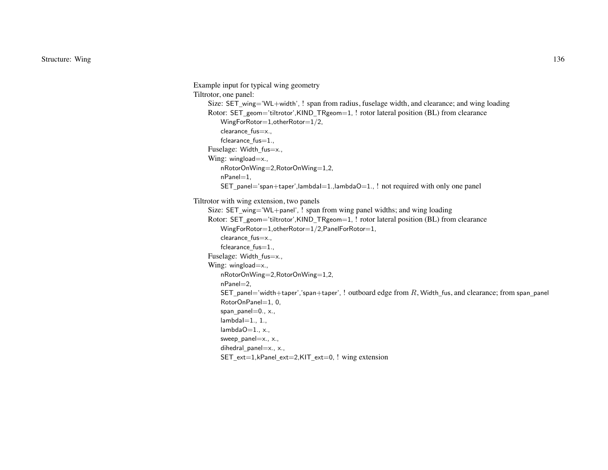```
Example input for typical wing geometry
Tiltrotor, one panel:
     Size: SET
_wing='WL+width', ! span from radius, fuselage width, and clearance; and wing loading
     Rotor: SET
_geom='tiltrotor',KIND_TRgeom=1, ! rotor lateral position (BL) from clearance
         WingForRotor=1,otherRotor=1/2,
         clearance
_
fus=x.,
         fclearance
_
fus=1.,
    Fuselage: Width_fus=x.,
    Wing: wingload=x.,
         nRotorOnWing=2,RotorOnWing=1,2,
         nPanel=1,
         SET
_panel='span+taper',lambdaI=1.,lambdaO=1., ! not required with only one panel
Tiltrotor with wing extension, two panels
     Size: SET
_wing='WL+panel', ! span from wing panel widths; and wing loading
     Rotor: SET
_geom='tiltrotor',KIND_TRgeom=1, ! rotor lateral position (BL) from clearance
        WingForRotor=1,otherRotor=1/2,PanelForRotor=1,
         clearance
_
fus=x.,
         fclearance
_
fus=1.,
    Fuselage: Width_fus=x.,
    Wing: wingload=x.,
         nRotorOnWing=2,RotorOnWing=1,2,
         nPaneI=2,
         \mathsf{SET\_panel}='width+taper','span+taper', ! outboard edge from R, Width_fus, and clearance; from span_panel
         RotorOnPanel=1, 0,
         span_panel=0., x.,lambda=1., 1.,lambdaO=1., x.,
         sweep_panel=x., x.,
         dihedral
_panel=x., x.,
         SET
_
ext=1,kPanel
_
ext=2,KIT
_
ext=0, ! wing extension
```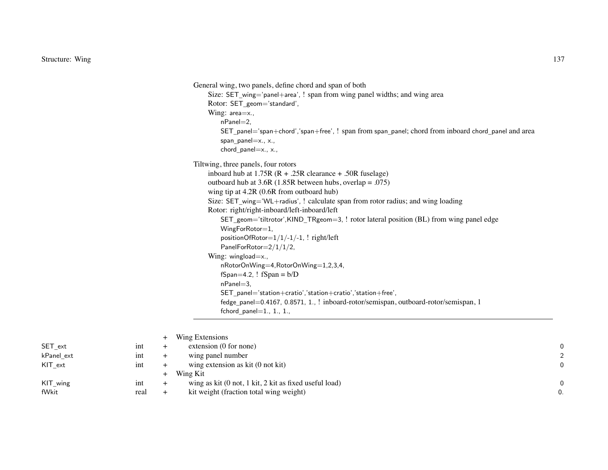```
General wing, two panels, define chord and span of both
     Size: SET
_wing='panel+area', ! span from wing panel widths; and wing area
     Rotor: SET
_geom='standard',
    Wing: area=x.,
        nPanel=2.
         SET
_panel='span+chord','span+free', ! span from span_panel; chord from inboard chord_panel and area
        span_panel=x., x.,
         chord
_panel=x., x.,
Tiltwing, three panels, four rotors
    inboard hub at 1.75R (R + .25R clearance + .50R fuselage)
    outboard hub at 3.6R (1.85R between hubs, overlap = .075)
    wing tip at 4.2R (0.6R from outboard hub)
     Size: SET
_wing='WL+radius', ! calculate span from rotor radius; and wing loading
    Rotor: right/right-inboard/left-inboard/left
         SET
_geom='tiltrotor',KIND_TRgeom=3, ! rotor lateral position (BL) from wing panel edge
        WingForRotor=1,
        positionOfRotor=1/1/-1/-1, ! right/left
        PanelForRotor=2/1/1/2,
    Wing: wingload=x.,
        nRotorOnWing=4,RotorOnWing=1,2,3,4,
        fSpan=4.2, ! fSpan = b/DnPanel=3,
         SET
_panel='station+cratio','station+cratio','station+free',
        fedge_panel=0.4167, 0.8571, 1., ! inboard-rotor/semispan, outboard-rotor/semispan, 1
         fchord
_panel=1., 1., 1.,
```

|            |      | Wing Extensions                                                                          |    |
|------------|------|------------------------------------------------------------------------------------------|----|
| $SET\_ext$ | 1nt  | extension (0 for none)                                                                   |    |
| kPanel_ext | 1nt  | wing panel number                                                                        |    |
| KIT_ext    | 1nt  | wing extension as $kit(0 not kit)$                                                       |    |
|            |      | Wing Kit                                                                                 |    |
| KIT_wing   | 1nt  | wing as kit $(0 \text{ not}, 1 \text{ kit}, 2 \text{ kit} \text{ as fixed useful load})$ |    |
| fWkit      | real | kit weight (fraction total wing weight)                                                  | 0. |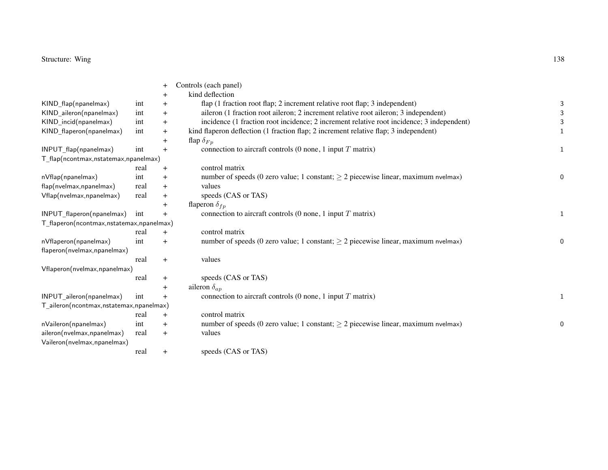|                                          |      | $\ddot{}$    | Controls (each panel)                                                                     |  |
|------------------------------------------|------|--------------|-------------------------------------------------------------------------------------------|--|
|                                          |      | $+$          | kind deflection                                                                           |  |
| KIND_flap(npanelmax)                     | int  | $\ddot{}$    | flap (1 fraction root flap; 2 increment relative root flap; 3 independent)                |  |
| KIND_aileron(npanelmax)                  | int  | $\ddot{}$    | aileron (1 fraction root aileron; 2 increment relative root aileron; 3 independent)       |  |
| KIND_incid(npanelmax)                    | int  | $\ddot{}$    | incidence (1 fraction root incidence; 2 increment relative root incidence; 3 independent) |  |
| KIND flaperon(npanelmax)                 | int  | $\mathrm{+}$ | kind flaperon deflection (1 fraction flap; 2 increment relative flap; 3 independent)      |  |
|                                          |      | $\ddot{}$    | flap $\delta_{Fp}$                                                                        |  |
| INPUT flap(npanelmax)                    | int  | $\ddot{}$    | connection to aircraft controls (0 none, 1 input $T$ matrix)                              |  |
| T_flap(ncontmax,nstatemax,npanelmax)     |      |              |                                                                                           |  |
|                                          | real | $\ddot{}$    | control matrix                                                                            |  |
| nVflap(npanelmax)                        | int  | $+$          | number of speeds (0 zero value; 1 constant; $\geq 2$ piecewise linear, maximum nvelmax)   |  |
| flap(nvelmax, npanelmax)                 | real | $\ddot{}$    | values                                                                                    |  |
| Vflap(nvelmax,npanelmax)                 | real | $\ddot{}$    | speeds (CAS or TAS)                                                                       |  |
|                                          |      | $\,^+$       | flaperon $\delta_{fp}$                                                                    |  |
| INPUT_flaperon(npanelmax)                | int  | $+$          | connection to aircraft controls (0 none, 1 input $T$ matrix)                              |  |
| T_flaperon(ncontmax,nstatemax,npanelmax) |      |              |                                                                                           |  |
|                                          | real | $\pm$        | control matrix                                                                            |  |
| nVflaperon(npanelmax)                    | int  | $\pm$        | number of speeds (0 zero value; 1 constant; $\geq 2$ piecewise linear, maximum nvelmax)   |  |
| flaperon(nvelmax, npanelmax)             |      |              |                                                                                           |  |
|                                          | real | $+$          | values                                                                                    |  |
| Vflaperon(nvelmax,npanelmax)             |      |              |                                                                                           |  |
|                                          | real | $\ddot{}$    | speeds (CAS or TAS)                                                                       |  |
|                                          |      | $\ddot{}$    | aileron $\delta_{ap}$                                                                     |  |
| INPUT_aileron(npanelmax)                 | int  | $+$          | connection to aircraft controls $(0 \text{ none}, 1 \text{ input } T \text{ matrix})$     |  |
| T_aileron(ncontmax,nstatemax,npanelmax)  |      |              |                                                                                           |  |
|                                          | real | $+$          | control matrix                                                                            |  |
| nVaileron(npanelmax)                     | int  | $\ddot{}$    | number of speeds (0 zero value; 1 constant; $\geq 2$ piecewise linear, maximum nvelmax)   |  |
| aileron(nvelmax, npanelmax)              | real | $\ddot{}$    | values                                                                                    |  |
| Vaileron(nvelmax, npanelmax)             |      |              |                                                                                           |  |
|                                          | real | $\,^+$       | speeds (CAS or TAS)                                                                       |  |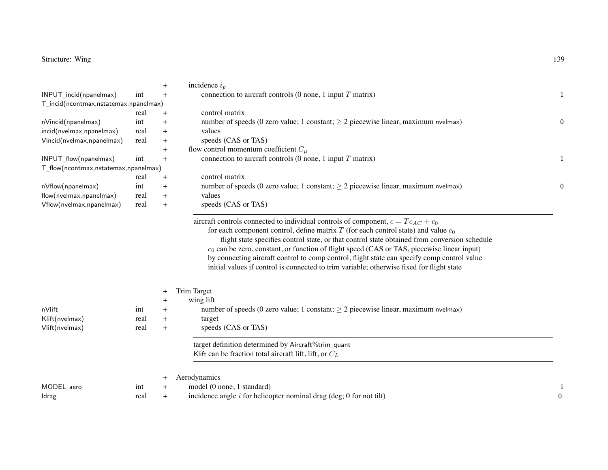|                                       |      | $\ddot{}$      | incidence $i_p$                                                                                                                                                                                                                                                                                                                                                                                                                                                                                                                                                              |   |
|---------------------------------------|------|----------------|------------------------------------------------------------------------------------------------------------------------------------------------------------------------------------------------------------------------------------------------------------------------------------------------------------------------------------------------------------------------------------------------------------------------------------------------------------------------------------------------------------------------------------------------------------------------------|---|
| INPUT_incid(npanelmax)                | int  | $\overline{+}$ | connection to aircraft controls $(0 \text{ none}, 1 \text{ input } T \text{ matrix})$                                                                                                                                                                                                                                                                                                                                                                                                                                                                                        |   |
| T_incid(ncontmax,nstatemax,npanelmax) |      |                |                                                                                                                                                                                                                                                                                                                                                                                                                                                                                                                                                                              |   |
|                                       | real | $+$            | control matrix                                                                                                                                                                                                                                                                                                                                                                                                                                                                                                                                                               |   |
| nVincid(npanelmax)                    | int  | $+$            | number of speeds (0 zero value; 1 constant; $\geq 2$ piecewise linear, maximum nvelmax)                                                                                                                                                                                                                                                                                                                                                                                                                                                                                      |   |
| incid(nvelmax, npanelmax)             | real | $+$            | values                                                                                                                                                                                                                                                                                                                                                                                                                                                                                                                                                                       |   |
| Vincid(nvelmax, npanelmax)            | real | $+$            | speeds (CAS or TAS)                                                                                                                                                                                                                                                                                                                                                                                                                                                                                                                                                          |   |
|                                       |      | $+$            | flow control momentum coefficient $C_u$                                                                                                                                                                                                                                                                                                                                                                                                                                                                                                                                      |   |
| INPUT_flow(npanelmax)                 | int  | $+$            | connection to aircraft controls $(0 \text{ none}, 1 \text{ input } T \text{ matrix})$                                                                                                                                                                                                                                                                                                                                                                                                                                                                                        |   |
| T_flow(ncontmax,nstatemax,npanelmax)  |      |                |                                                                                                                                                                                                                                                                                                                                                                                                                                                                                                                                                                              |   |
|                                       | real | $\ddot{}$      | control matrix                                                                                                                                                                                                                                                                                                                                                                                                                                                                                                                                                               |   |
| nVflow(npanelmax)                     | int  | $\ddot{}$      | number of speeds (0 zero value; 1 constant; $\geq 2$ piecewise linear, maximum nvelmax)                                                                                                                                                                                                                                                                                                                                                                                                                                                                                      |   |
| flow(nvelmax, npanelmax)              | real | $+$            | values                                                                                                                                                                                                                                                                                                                                                                                                                                                                                                                                                                       |   |
| Vflow(nvelmax,npanelmax)              | real | $\ddot{}$      | speeds (CAS or TAS)                                                                                                                                                                                                                                                                                                                                                                                                                                                                                                                                                          |   |
|                                       |      |                | aircraft controls connected to individual controls of component, $c = Tc_{AC} + c_0$<br>for each component control, define matrix $T$ (for each control state) and value $c_0$<br>flight state specifies control state, or that control state obtained from conversion schedule<br>$c_0$ can be zero, constant, or function of flight speed (CAS or TAS, piecewise linear input)<br>by connecting aircraft control to comp control, flight state can specify comp control value<br>initial values if control is connected to trim variable; otherwise fixed for flight state |   |
|                                       |      | $\ddot{}$      | <b>Trim Target</b>                                                                                                                                                                                                                                                                                                                                                                                                                                                                                                                                                           |   |
|                                       |      | $\ddot{}$      | wing lift                                                                                                                                                                                                                                                                                                                                                                                                                                                                                                                                                                    |   |
| nVlift                                | int  | $\ddot{}$      | number of speeds (0 zero value; 1 constant; $\geq 2$ piecewise linear, maximum nvelmax)                                                                                                                                                                                                                                                                                                                                                                                                                                                                                      |   |
| Klift(nvelmax)                        | real | $+$            | target                                                                                                                                                                                                                                                                                                                                                                                                                                                                                                                                                                       |   |
| Vlift(nvelmax)                        | real | $+$            | speeds (CAS or TAS)                                                                                                                                                                                                                                                                                                                                                                                                                                                                                                                                                          |   |
|                                       |      |                | target definition determined by Aircraft%trim_quant                                                                                                                                                                                                                                                                                                                                                                                                                                                                                                                          |   |
|                                       |      |                | Klift can be fraction total aircraft lift, lift, or $C_L$                                                                                                                                                                                                                                                                                                                                                                                                                                                                                                                    |   |
|                                       |      |                | Aerodynamics                                                                                                                                                                                                                                                                                                                                                                                                                                                                                                                                                                 |   |
| MODEL_aero                            | int  | $\pm$<br>$+$   | model (0 none, 1 standard)                                                                                                                                                                                                                                                                                                                                                                                                                                                                                                                                                   |   |
| Idrag                                 | real | $\ddot{}$      | incidence angle $i$ for helicopter nominal drag (deg; 0 for not tilt)                                                                                                                                                                                                                                                                                                                                                                                                                                                                                                        | 0 |
|                                       |      |                |                                                                                                                                                                                                                                                                                                                                                                                                                                                                                                                                                                              |   |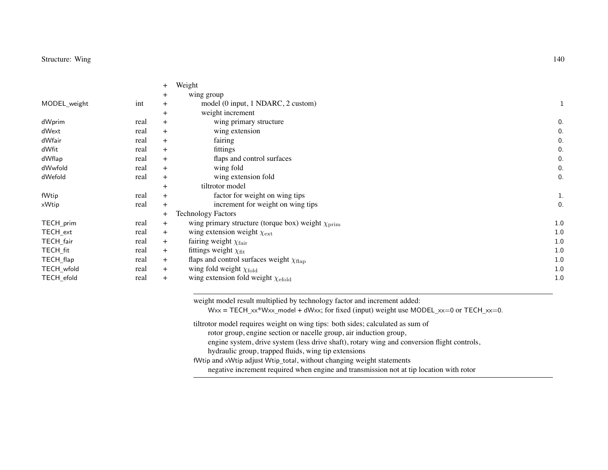|              |      | $+$            | Weight                                                          |     |
|--------------|------|----------------|-----------------------------------------------------------------|-----|
|              |      | $\pm$          | wing group                                                      |     |
| MODEL_weight | int  | $+$            | model (0 input, 1 NDARC, 2 custom)                              |     |
|              |      | $\pm$          | weight increment                                                |     |
| dWprim       | real | $+$            | wing primary structure                                          | 0.  |
| dWext        | real | $+$            | wing extension                                                  | 0.  |
| dWfair       | real | $\pm$          | fairing                                                         | 0.  |
| dWfit        | real | $+$            | fittings                                                        | 0.  |
| dWflap       | real | $+$            | flaps and control surfaces                                      | 0.  |
| dWwfold      | real | $+$            | wing fold                                                       | 0.  |
| dWefold      | real | $\overline{+}$ | wing extension fold                                             | 0.  |
|              |      |                | tiltrotor model                                                 |     |
| fWtip        | real | $\pm$          | factor for weight on wing tips                                  | 1.  |
| xWtip        | real | $+$            | increment for weight on wing tips                               | 0.  |
|              |      | $\pm$          | <b>Technology Factors</b>                                       |     |
| TECH_prim    | real | $+$            | wing primary structure (torque box) weight $\chi_{\text{prim}}$ | 1.0 |
| TECH_ext     | real | $+$            | wing extension weight $\chi_{\rm ext}$                          | 1.0 |
| TECH_fair    | real | $+$            | fairing weight $\chi_{\text{fair}}$                             | 1.0 |
| TECH_fit     | real | $+$            | fittings weight $\chi_{\text{fit}}$                             | 1.0 |
| TECH_flap    | real | $+$            | flaps and control surfaces weight $\chi_{\text{flap}}$          | 1.0 |
| TECH_wfold   | real | $+$            | wing fold weight $\chi_{\text{fold}}$                           | 1.0 |
| TECH_efold   | real | $+$            | wing extension fold weight $\chi_{\rm efold}$                   | 1.0 |

weight model result multiplied by technology factor and increment added:

Wxx = TECH\_xx\*Wxx\_model + dWxx; for fixed (input) weight use MODEL\_xx=0 or TECH\_xx=0.

tiltrotor model requires weight on wing tips: both sides; calculated as sum of

rotor group, engine section or nacelle group, air induction group,

engine system, drive system (less drive shaft), rotary wing and conversion flight controls,

hydraulic group, trapped fluids, wing tip extensions

fWtip and xWtip adjust Wtip\_total, without changing weight statements

negative increment required when engine and transmission not at tip location with rotor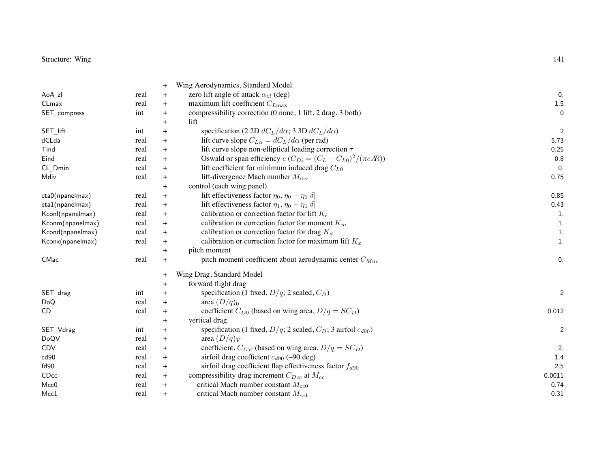|                          |      | $\pm$          | Wing Aerodynamics, Standard Model                                       |                |
|--------------------------|------|----------------|-------------------------------------------------------------------------|----------------|
| AoA_zl                   | real | $\ddot{}$      | zero lift angle of attack $\alpha_{zl}$ (deg)                           | 0.             |
| CLmax                    | real | $+$            | maximum lift coefficient $C_{L\text{max}}$                              | 1.5            |
| $\mathsf{SET\_compress}$ | int  | $\ddot{}$      | compressibility correction (0 none, 1 lift, 2 drag, 3 both)             | 0              |
|                          |      | $\ddot{}$      | lift                                                                    |                |
| SET_lift                 | int  | $+$            | specification (2 2D $dC_L/d\alpha$ ; 3 3D $dC_L/d\alpha$ )              | 2              |
| dCLda                    | real | $\ddot{}$      | lift curve slope $C_{L\alpha} = dC_L/d\alpha$ (per rad)                 | 5.73           |
| Tind                     | real | $+$            | lift curve slope non-elliptical loading correction $\tau$               | 0.25           |
| Eind                     | real | $\pm$          | Oswald or span efficiency $e(C_{Di} = (C_L - C_{L0})^2 / (\pi e A R))$  | 0.8            |
| CL Dmin                  | real | $\ddot{}$      | lift coefficient for minimum induced drag $C_{L0}$                      | $\mathbf{0}$   |
| Mdiv                     | real | $\pm$          | lift-divergence Mach number $M_{\rm div}$                               | 0.75           |
|                          |      | $\pm$          | control (each wing panel)                                               |                |
| $eta($ npanelmax $)$     | real | $\pm$          | lift effectiveness factor $\eta_0$ , $\eta_0 - \eta_1  \delta $         | 0.85           |
| eta1(npanelmax)          | real | $\pm$          | lift effectiveness factor $\eta_1, \eta_0 - \eta_1  \delta $            | 0.43           |
| Kconl(npanelmax)         | real | $+$            | calibration or correction factor for lift $K_{\ell}$                    | 1.             |
| Kconm(npanelmax)         | real | $+$            | calibration or correction factor for moment $K_m$                       | 1.             |
| Kcond(npanelmax)         | real | $\pm$          | calibration or correction factor for drag $K_d$                         | $\mathbf{1}$ . |
| Kconx(npanelmax)         | real | $\pm$          | calibration or correction factor for maximum lift $K_x$                 | 1.             |
|                          |      | $\overline{+}$ | pitch moment                                                            |                |
| CMac                     | real | $+$            | pitch moment coefficient about aerodynamic center $C_{Mac}$             | 0.             |
|                          |      | $\pm$          | Wing Drag, Standard Model                                               |                |
|                          |      | $\pm$          | forward flight drag                                                     |                |
| SET_drag                 | int  | $\pm$          | specification (1 fixed, $D/q$ ; 2 scaled, $C_D$ )                       | $\overline{c}$ |
| DoQ                      | real | $+$            | area $(D/q)_0$                                                          |                |
| CD                       | real | $\pm$          | coefficient $C_{D0}$ (based on wing area, $D/q = SC_D$ )                | 0.012          |
|                          |      | $\pm$          | vertical drag                                                           |                |
| SET_Vdrag                | int  | $\pm$          | specification (1 fixed, $D/q$ ; 2 scaled, $C_D$ ; 3 airfoil $c_{d90}$ ) | $\overline{c}$ |
| DoQV                     | real | $+$            | area $(D/q)V$                                                           |                |
| CDV                      | real | $\pm$          | coefficient, $C_{DV}$ (based on wing area, $D/q = SC_D$ )               | 2.             |
| cd90                     | real | $\pm$          | airfoil drag coefficient $c_{d90}$ (-90 deg)                            | 1.4            |
| fd90                     | real | $\pm$          | airfoil drag coefficient flap effectiveness factor $f_{d90}$            | 2.5            |
| CDcc                     | real | $+$            | compressibility drag increment $C_{Dec}$ at $M_{cc}$                    | 0.0011         |
| Mcc0                     | real | $\pm$          | critical Mach number constant $M_{cc0}$                                 | 0.74           |
| Mcc1                     | real | $+$            | critical Mach number constant $M_{cc1}$                                 | 0.31           |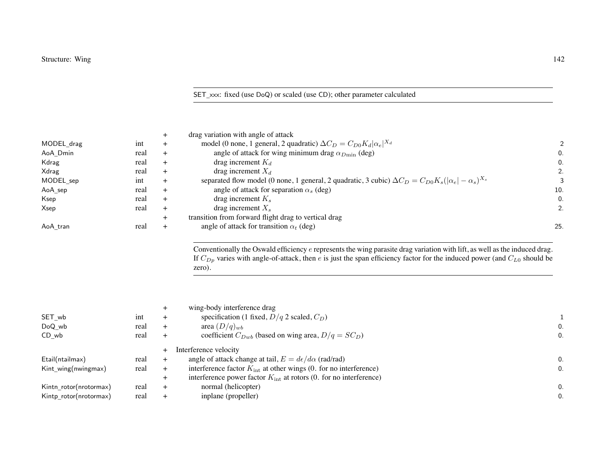### SET \_ xxx: fixed (use DoQ) or scaled (use CD); other parameter calculated

|                        |      | $+$   | drag variation with angle of attack                                                                                    |     |
|------------------------|------|-------|------------------------------------------------------------------------------------------------------------------------|-----|
| MODEL drag             | int  | $+$   | model (0 none, 1 general, 2 quadratic) $\Delta C_D = C_{D0} K_d  \alpha_e ^{X_d}$                                      |     |
| AoA_Dmin               | real | $+$   | angle of attack for wing minimum drag $\alpha_{Dmin}$ (deg)                                                            | 0.  |
| Kdrag                  | real | $+$   | drag increment $K_d$                                                                                                   | 0.  |
| Xdrag                  | real | $+$   | drag increment $X_d$                                                                                                   | 2.  |
| MODEL sep              | int  | $+$   | separated flow model (0 none, 1 general, 2 quadratic, 3 cubic) $\Delta C_D = C_{D0} K_s ( \alpha_e  - \alpha_s)^{X_s}$ | 3   |
| AoA_sep                | real | $+$   | angle of attack for separation $\alpha_s$ (deg)                                                                        | 10. |
| Ksep                   | real | $+$   | drag increment $K_s$                                                                                                   | 0.  |
| Xsep                   | real | $\pm$ | drag increment $X_s$                                                                                                   | 2.  |
|                        |      | $+$   | transition from forward flight drag to vertical drag                                                                   |     |
| AoA_tran               | real | $+$   | angle of attack for transition $\alpha_t$ (deg)                                                                        | 25. |
|                        |      | $+$   | wing-body interference drag                                                                                            |     |
| SET_wb                 | int  | $+$   | specification (1 fixed, $D/q$ 2 scaled, $C_D$ )                                                                        |     |
| DoQ_wb                 | real | $+$   | area $(D/q)_{wb}$                                                                                                      | 0.  |
| $CD_w$                 | real | $+$   | coefficient $C_{Dwb}$ (based on wing area, $D/q = SC_D$ )                                                              | 0.  |
|                        |      | $\pm$ | Interference velocity                                                                                                  |     |
| Etail(ntailmax)        | real | $+$   | angle of attack change at tail, $E = d\epsilon/d\alpha$ (rad/rad)                                                      | 0.  |
| Kint_wing(nwingmax)    | real | $+$   | interference factor $K_{\text{int}}$ at other wings (0. for no interference)                                           | 0.  |
|                        |      | $+$   | interference power factor $K_{int}$ at rotors (0. for no interference)                                                 |     |
| Kintn_rotor(nrotormax) | real | $+$   | normal (helicopter)                                                                                                    | 0.  |
| Kintp_rotor(nrotormax) | real | $+$   | inplane (propeller)                                                                                                    | 0.  |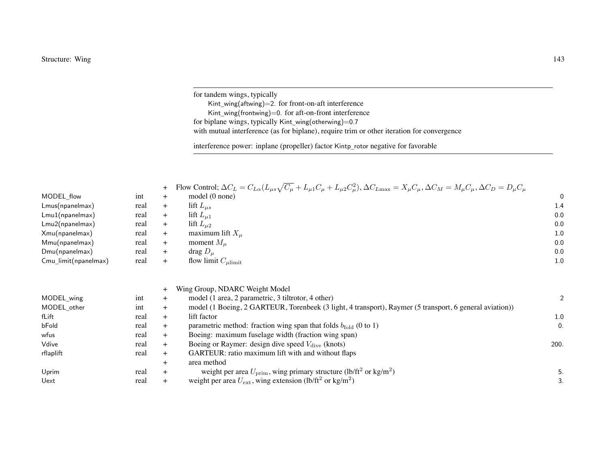interference power: inplane (propeller) factor Kintp\_rotor negative for favorable

|                      |              |            | Flow Control; $\Delta C_L = C_{L\alpha} (L_{\mu s} \sqrt{C_{\mu}} + L_{\mu 1} C_{\mu} + L_{\mu 2} C_{\mu}^2), \Delta C_{L\text{max}} = X_{\mu} C_{\mu}, \Delta C_M = M_{\mu} C_{\mu}, \Delta C_D = D_{\mu} C_{\mu}$ |                |
|----------------------|--------------|------------|---------------------------------------------------------------------------------------------------------------------------------------------------------------------------------------------------------------------|----------------|
| MODEL flow           | int          | $+$        | model (0 none)                                                                                                                                                                                                      | 0              |
| Lmus(npanelmax)      | real         | $+$        | lift $L_{\mu s}$                                                                                                                                                                                                    | 1.4            |
| Lmu1(npanelmax)      | real         | $+$        | lift $L_{\mu 1}$                                                                                                                                                                                                    | 0.0            |
| Lmu2(npanelmax)      | real         | $+$        | lift $L_{u2}$                                                                                                                                                                                                       | 0.0            |
| Xmu(npanelmax)       | real         | $+$        | maximum lift $X_\mu$                                                                                                                                                                                                | 1.0            |
| Mmu(npanelmax)       | real         | $+$        | moment $M_{\mu}$                                                                                                                                                                                                    | 0.0            |
| Dmu(npanelmax)       | real         | $+$        | drag $D_{\mu}$                                                                                                                                                                                                      | 0.0            |
| Cmu_limit(npanelmax) | real         | $+$        | flow limit $C_{\mu\text{limit}}$                                                                                                                                                                                    | 1.0            |
|                      |              |            | Wing Group, NDARC Weight Model                                                                                                                                                                                      |                |
| MODEL wing           | int          | $+$        | model (1 area, 2 parametric, 3 tiltrotor, 4 other)                                                                                                                                                                  | $\overline{2}$ |
| MODEL_other          | int          | $+$        | model (1 Boeing, 2 GARTEUR, Torenbeek (3 light, 4 transport), Raymer (5 transport, 6 general aviation))                                                                                                             |                |
| fLift                | real         | $+$        | lift factor                                                                                                                                                                                                         | 1.0            |
| bFold                | real         | $+$        | parametric method: fraction wing span that folds $b_{\text{fold}}$ (0 to 1)                                                                                                                                         | 0.             |
| wfus<br>Vdive        | real<br>real | $+$<br>$+$ | Boeing: maximum fuselage width (fraction wing span)                                                                                                                                                                 | 200.           |
|                      | real         | $+$        | Boeing or Raymer: design dive speed $V_{\text{dive}}$ (knots)                                                                                                                                                       |                |
| rflaplift            |              | $+$        | GARTEUR: ratio maximum lift with and without flaps<br>area method                                                                                                                                                   |                |
| Uprim                | real         | $+$        |                                                                                                                                                                                                                     | 5.             |
| Uext                 | real         | $+$        | weight per area $U_{\text{prim}}$ , wing primary structure (lb/ft <sup>2</sup> or kg/m <sup>2</sup> )<br>weight per area $U_{\text{ext}}$ , wing extension (lb/ft <sup>2</sup> or kg/m <sup>2</sup> )               | 3.             |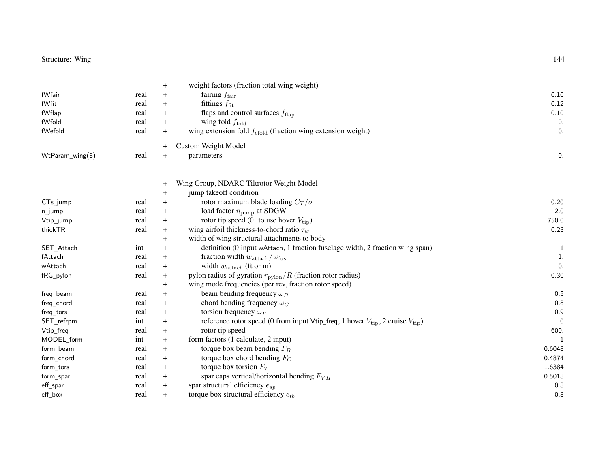|                 |      | $\ddot{}$ | weight factors (fraction total wing weight)                                                           |              |
|-----------------|------|-----------|-------------------------------------------------------------------------------------------------------|--------------|
| fWfair          | real | $+$       | fairing $f_{\text{fair}}$                                                                             | 0.10         |
| fWfit           | real | $+$       | fittings $f_{\text{fit}}$                                                                             | 0.12         |
| fWflap          | real | $\ddot{}$ | flaps and control surfaces $f_{\text{flap}}$                                                          | 0.10         |
| fWfold          | real | $+$       | wing fold $f_{\text{fold}}$                                                                           | 0.           |
| fWefold         | real | $+$       | wing extension fold $f_{\text{efold}}$ (fraction wing extension weight)                               | 0.           |
|                 |      | $+$       | <b>Custom Weight Model</b>                                                                            |              |
| WtParam_wing(8) | real | $\ddot{}$ | parameters                                                                                            | 0.           |
|                 |      | $\ddot{}$ | Wing Group, NDARC Tiltrotor Weight Model                                                              |              |
|                 |      | $\ddot{}$ | jump takeoff condition                                                                                |              |
| CTs_jump        | real | $+$       | rotor maximum blade loading $C_T/\sigma$                                                              | 0.20         |
| $n_j$ ump       | real | $+$       | load factor $n_{\text{jump}}$ at SDGW                                                                 | 2.0          |
| Vtip_jump       | real | $+$       | rotor tip speed (0. to use hover $V_{\text{tip}}$ )                                                   | 750.0        |
| thickTR         | real | $+$       | wing airfoil thickness-to-chord ratio $\tau_w$                                                        | 0.23         |
|                 |      | $+$       | width of wing structural attachments to body                                                          |              |
| SET_Attach      | int  | $+$       | definition (0 input wAttach, 1 fraction fuselage width, 2 fraction wing span)                         | 1            |
| fAttach         | real | $+$       | fraction width $w_{\text{attack}}/w_{\text{fus}}$                                                     | 1.           |
| wAttach         | real | $+$       | width $w_{\text{attach}}$ (ft or m)                                                                   | 0.           |
| fRG_pylon       | real | $\ddot{}$ | pylon radius of gyration $r_{\text{pylon}}/R$ (fraction rotor radius)                                 | 0.30         |
|                 |      | $+$       | wing mode frequencies (per rev, fraction rotor speed)                                                 |              |
| freq_beam       | real | $\ddot{}$ | beam bending frequency $\omega_B$                                                                     | 0.5          |
| freq_chord      | real | $+$       | chord bending frequency $\omega_C$                                                                    | 0.8          |
| freq_tors       | real | $\ddot{}$ | torsion frequency $\omega_T$                                                                          | 0.9          |
| SET_refrpm      | int  | $+$       | reference rotor speed (0 from input Vtip_freq, 1 hover $V_{\text{tip}}$ , 2 cruise $V_{\text{tip}}$ ) | $\mathbf 0$  |
| Vtip_freq       | real | $+$       | rotor tip speed                                                                                       | 600.         |
| MODEL form      | int  | $+$       | form factors (1 calculate, 2 input)                                                                   | $\mathbf{1}$ |
| form_beam       | real | $+$       | torque box beam bending $F_B$                                                                         | 0.6048       |
| form_chord      | real | $+$       | torque box chord bending $F_C$                                                                        | 0.4874       |
| form_tors       | real | $+$       | torque box torsion $F_T$                                                                              | 1.6384       |
| form_spar       | real | $+$       | spar caps vertical/horizontal bending $F_{VH}$                                                        | 0.5018       |
| eff_spar        | real | $+$       | spar structural efficiency $e_{sp}$                                                                   | 0.8          |
| eff box         | real | $\ddot{}$ | torque box structural efficiency $e_{tb}$                                                             | 0.8          |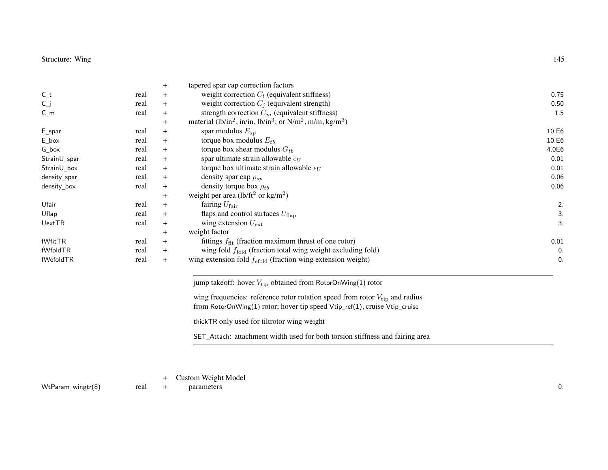|               |      | $\ddot{}$ | tapered spar cap correction factors                                                                                                                                   |              |
|---------------|------|-----------|-----------------------------------------------------------------------------------------------------------------------------------------------------------------------|--------------|
| $C_{t}$       | real | $+$       | weight correction $C_t$ (equivalent stiffness)                                                                                                                        | 0.75         |
| $C_j$         | real | $+$       | weight correction $C_i$ (equivalent strength)                                                                                                                         | 0.50         |
| $C_{m}$       | real | $\ddot{}$ | strength correction $C_m$ (equivalent stiffness)                                                                                                                      | 1.5          |
|               |      | $+$       | material (lb/in <sup>2</sup> , in/in, lb/in <sup>3</sup> ; or N/m <sup>2</sup> , m/m, kg/m <sup>3</sup> )                                                             |              |
| E_spar        | real | $\ddot{}$ | spar modulus $E_{sp}$                                                                                                                                                 | 10.E6        |
| E_box         | real | $+$       | torque box modulus $E_{tb}$                                                                                                                                           | 10.E6        |
| G_box         | real | $\ddot{}$ | torque box shear modulus $G_{tb}$                                                                                                                                     | 4.0E6        |
| StrainU spar  | real | $\ddot{}$ | spar ultimate strain allowable $\epsilon_U$                                                                                                                           | 0.01         |
| StrainU box   | real | $\ddot{}$ | torque box ultimate strain allowable $\epsilon_U$                                                                                                                     | 0.01         |
| density_spar  | real | $+$       | density spar cap $\rho_{sp}$                                                                                                                                          | 0.06         |
| density_box   | real | $\ddot{}$ | density torque box $\rho_{tb}$                                                                                                                                        | 0.06         |
|               |      | $\ddot{}$ | weight per area (lb/ft <sup>2</sup> or $\text{kg/m}^2$ )                                                                                                              |              |
| Ufair         | real | $+$       | fairing $U_{\text{fair}}$                                                                                                                                             | 2.           |
| Uflap         | real | $+$       | flaps and control surfaces $U_{\text{flap}}$                                                                                                                          | 3.           |
| <b>UextTR</b> | real | $\ddot{}$ | wing extension $U_{\text{ext}}$                                                                                                                                       | 3.           |
|               |      | $\ddot{}$ | weight factor                                                                                                                                                         |              |
| fWfitTR       | real | $\ddot{}$ | fittings $f_{\text{fit}}$ (fraction maximum thrust of one rotor)                                                                                                      | 0.01         |
| fWfoldTR      | real | $\ddot{}$ | wing fold $f_{fold}$ (fraction total wing weight excluding fold)                                                                                                      | $\mathbf{0}$ |
| fWefoldTR     | real | $\ddot{}$ | wing extension fold $f_{\text{efold}}$ (fraction wing extension weight)                                                                                               | 0.           |
|               |      |           | jump takeoff: hover $V_{\text{tip}}$ obtained from RotorOnWing(1) rotor                                                                                               |              |
|               |      |           | wing frequencies: reference rotor rotation speed from rotor $V_{\text{tip}}$ and radius<br>from RotorOnWing(1) rotor; hover tip speed Vtip_ref(1), cruise Vtip_cruise |              |
|               |      |           | thickTR only used for tiltrotor wing weight                                                                                                                           |              |
|               |      |           | SET_Attach: attachment width used for both torsion stiffness and fairing area                                                                                         |              |

WtParam\_wingtr(8)

+ Custom Weight Model<br>+ parameters \_wingtr(8) real <sup>+</sup> parameters 0.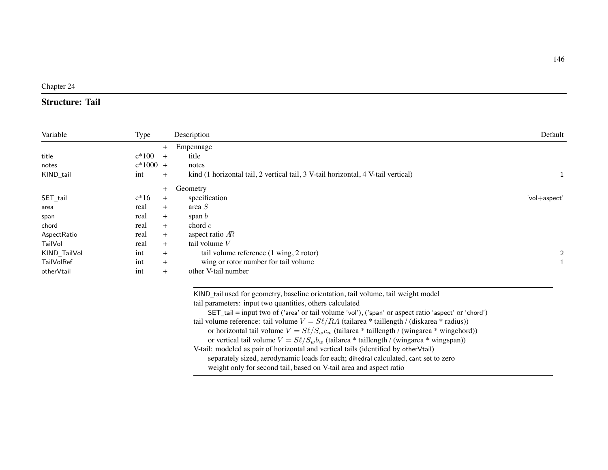### Chapter 24

### **Structure: Tail**

| Variable          | Type       |     | Description                                                                       | Default      |
|-------------------|------------|-----|-----------------------------------------------------------------------------------|--------------|
|                   |            | $+$ | Empennage                                                                         |              |
| title             | $c*100$    | $+$ | title                                                                             |              |
| notes             | $c*1000 +$ |     | notes                                                                             |              |
| KIND tail         | int        | $+$ | kind (1 horizontal tail, 2 vertical tail, 3 V-tail horizontal, 4 V-tail vertical) | Ŧ.           |
|                   |            | $+$ | Geometry                                                                          |              |
| $SET$ _tail       | $c*16$     | $+$ | specification                                                                     | 'vol+aspect' |
| area              | real       | $+$ | area $S$                                                                          |              |
| span              | real       | $+$ | span $b$                                                                          |              |
| chord             | real       | $+$ | chord $c$                                                                         |              |
| AspectRatio       | real       | $+$ | aspect ratio $AR$                                                                 |              |
| TailVol           | real       | $+$ | tail volume $V$                                                                   |              |
| KIND TailVol      | int        | $+$ | tail volume reference (1 wing, 2 rotor)                                           | 2            |
| <b>TailVolRef</b> | int        | $+$ | wing or rotor number for tail volume                                              |              |
| otherVtail        | int        | $+$ | other V-tail number                                                               |              |

KIND \_ tail used for geometry, baseline orientation, tail volume, tail weight model tail parameters: input two quantities, others calculated SET \_ tail <sup>=</sup> input two of ('area' or tail volume 'vol'), ('span' or aspec<sup>t</sup> ratio 'aspect' or 'chord') tail volume reference: tail volume  $V = S\ell/RA$  (tailarea \* taillength / (diskarea \* radius)) or horizontal tail volume  $V = S\ell/S_w c_w$  (tailarea \* taillength / (wingarea \* wingchord)) or vertical tail volume  $V = S\ell/S_wb_w$  (tailarea \* taillength / (wingarea \* wingspan)) V-tail: modeled as pair of horizontal and vertical tails (identified by otherVtail) separately sized, aerodynamic loads for each; dihedral calculated, cant set to zero weight only for second tail, based on V-tail area and aspec<sup>t</sup> ratio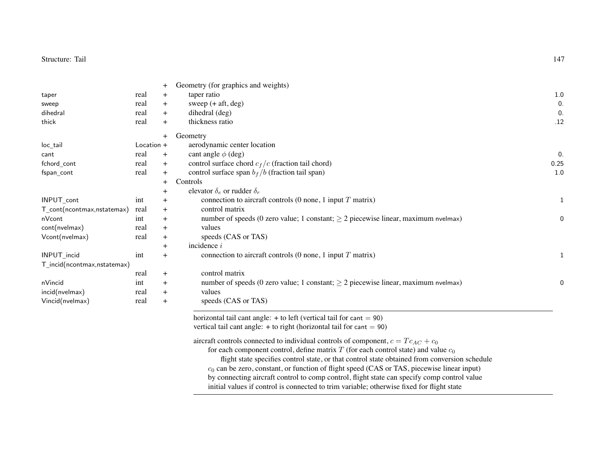#### Structure: Tail 2002 and 2008 and 2008 and 2008 and 2008 and 2008 and 2008 and 2008 and 2008 and 2008 and 2008

|                             |              |           | Geometry (for graphics and weights)                                                                                                             |      |
|-----------------------------|--------------|-----------|-------------------------------------------------------------------------------------------------------------------------------------------------|------|
| taper                       | real         | $\ddot{}$ | taper ratio                                                                                                                                     | 1.0  |
| sweep                       | real         | $\pm$     | sweep $(+$ aft, deg)                                                                                                                            | 0.   |
| dihedral                    | real         | $+$       | dihedral (deg)                                                                                                                                  | 0.   |
| thick                       | real         | $+$       | thickness ratio                                                                                                                                 | .12  |
|                             |              | $\pm$     | Geometry                                                                                                                                        |      |
| loc_tail                    | Location $+$ |           | aerodynamic center location                                                                                                                     |      |
| cant                        | real         | $\pm$     | cant angle $\phi$ (deg)                                                                                                                         | 0.   |
| fchord cont                 | real         | $+$       | control surface chord $c_f/c$ (fraction tail chord)                                                                                             | 0.25 |
| fspan cont                  | real         | $\ddot{}$ | control surface span $b_f/b$ (fraction tail span)                                                                                               | 1.0  |
|                             |              | $\pm$     | Controls                                                                                                                                        |      |
|                             |              | $\div$    | elevator $\delta_e$ or rudder $\delta_r$                                                                                                        |      |
| INPUT cont                  | int          | $\ddot{}$ | connection to aircraft controls $(0 \text{ none}, 1 \text{ input } T \text{ matrix})$                                                           | 1    |
| T_cont(ncontmax,nstatemax)  | real         | $+$       | control matrix                                                                                                                                  |      |
| nVcont                      | int          | $\pm$     | number of speeds (0 zero value; 1 constant; $\geq 2$ piecewise linear, maximum nvelmax)                                                         | 0    |
| cont(nvelmax)               | real         | $+$       | values                                                                                                                                          |      |
| Vcont(nvelmax)              | real         | $\ddot{}$ | speeds (CAS or TAS)                                                                                                                             |      |
|                             |              | $\ddot{}$ | incidence $i$                                                                                                                                   |      |
| <b>INPUT</b> incid          | int          | $+$       | connection to aircraft controls $(0 \text{ none}, 1 \text{ input } T \text{ matrix})$                                                           |      |
| T_incid(ncontmax,nstatemax) |              |           |                                                                                                                                                 |      |
|                             | real         | $\pm$     | control matrix                                                                                                                                  |      |
| nVincid                     | int          | $+$       | number of speeds (0 zero value; 1 constant; $\geq 2$ piecewise linear, maximum nvelmax)                                                         | 0    |
| incid(nvelmax)              | real         | $+$       | values                                                                                                                                          |      |
| Vincid(nvelmax)             | real         | $\ddot{}$ | speeds (CAS or TAS)                                                                                                                             |      |
|                             |              |           | horizontal tail cant angle: $+$ to left (vertical tail for cant = 90)<br>vertical tail cant angle: $+$ to right (horizontal tail for cant = 90) |      |

aircraft controls connected to individual controls of component,  $c = Tc_{AC} + c_0$ for each component control, define matrix  $T$  (for each control state) and value  $c_0$ 

flight state specifies control state, or that control state obtained from conversion schedule *<sup>c</sup>*<sup>0</sup> can be zero, constant, or function of flight speed (CAS or TAS, piecewise linear input) by connecting aircraft control to comp control, flight state can specify comp control value initial values if control is connected to trim variable; otherwise fixed for flight state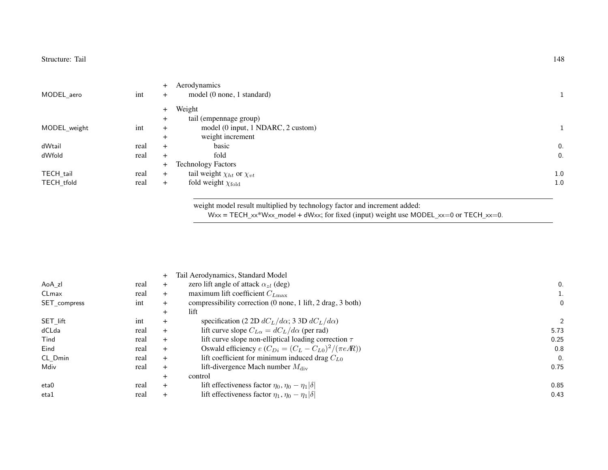#### Structure: Tail 148

| int<br>MODEL aero   | $+$<br>$+$ | Aerodynamics<br>model (0 none, 1 standard) |     |
|---------------------|------------|--------------------------------------------|-----|
|                     | $+$        | Weight                                     |     |
|                     | $^{+}$     | tail (empennage group)                     |     |
| int<br>MODEL weight | $+$        | model (0 input, 1 NDARC, 2 custom)         |     |
|                     | $\ddot{}$  | weight increment                           |     |
| dWtail<br>real      | $\ddot{}$  | basic                                      | 0.  |
| dWfold<br>real      | $^{+}$     | fold                                       | 0.  |
|                     | $+$        | <b>Technology Factors</b>                  |     |
| TECH_tail<br>real   | $+$        | tail weight $\chi_{ht}$ or $\chi_{vt}$     | 1.0 |
| TECH tfold<br>real  | $+$        | fold weight $\chi_{\text{fold}}$           | 1.0 |

weight model result multiplied by technology factor and increment added:

Wxx = TECH\_xx\*Wxx\_model + dWxx; for fixed (input) weight use MODEL\_xx=0 or TECH\_xx=0.

|              |      | $+$ | Tail Aerodynamics, Standard Model                              |      |
|--------------|------|-----|----------------------------------------------------------------|------|
| AoA zl       | real | $+$ | zero lift angle of attack $\alpha_{zl}$ (deg)                  | 0.   |
| CLmax        | real | $+$ | maximum lift coefficient $C_{L\text{max}}$                     |      |
| SET_compress | int  | $+$ | compressibility correction (0 none, 1 lift, 2 drag, 3 both)    | 0    |
|              |      | $+$ | lift                                                           |      |
| SET_lift     | int  | $+$ | specification (2 2D $dC_L/d\alpha$ ; 3 3D $dC_L/d\alpha$ )     | 2    |
| dCLda        | real | $+$ | lift curve slope $C_{L\alpha} = dC_L/d\alpha$ (per rad)        | 5.73 |
| Tind         | real | $+$ | lift curve slope non-elliptical loading correction $\tau$      | 0.25 |
| Eind         | real | $+$ | Oswald efficiency $e(C_{Di} = (C_L - C_{L0})^2 / (\pi e A R))$ | 0.8  |
| CL Dmin      | real | $+$ | lift coefficient for minimum induced drag $C_{L0}$             | 0.   |
| Mdiv         | real | $+$ | lift-divergence Mach number $M_{\text{div}}$                   | 0.75 |
|              |      | $+$ | control                                                        |      |
| eta0         | real | $+$ | lift effectiveness factor $\eta_0$ , $\eta_0 - \eta_1 \delta $ | 0.85 |
| eta1         | real |     | lift effectiveness factor $\eta_1, \eta_0 - \eta_1  \delta $   | 0.43 |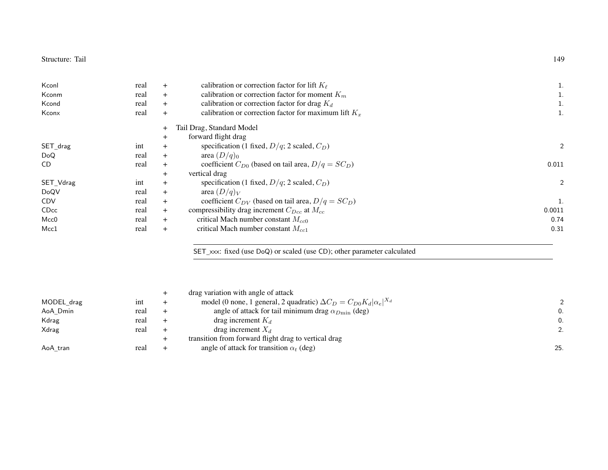#### Structure: Tail 149

| Kconl<br>Kconm<br>Kcond<br>Kconx | real<br>real<br>real<br>real | $+$<br>$+$<br>$+$<br>$+$ | calibration or correction factor for lift $K_{\ell}$<br>calibration or correction factor for moment $K_m$<br>calibration or correction factor for drag $K_d$<br>calibration or correction factor for maximum lift $Kx$ | 1.<br>1.<br>1.<br>1. |
|----------------------------------|------------------------------|--------------------------|------------------------------------------------------------------------------------------------------------------------------------------------------------------------------------------------------------------------|----------------------|
|                                  |                              |                          | Tail Drag, Standard Model                                                                                                                                                                                              |                      |
|                                  |                              | $+$                      | forward flight drag                                                                                                                                                                                                    |                      |
| SET drag                         | int                          | $+$                      | specification (1 fixed, $D/q$ ; 2 scaled, $C_D$ )                                                                                                                                                                      | $\overline{2}$       |
| DoQ                              | real                         | $+$                      | area $(D/q)_0$                                                                                                                                                                                                         |                      |
| <b>CD</b>                        | real                         | $+$                      | coefficient $C_{D0}$ (based on tail area, $D/q = SC_D$ )                                                                                                                                                               | 0.011                |
|                                  |                              | $+$                      | vertical drag                                                                                                                                                                                                          |                      |
| SET_Vdrag                        | int                          | $+$                      | specification (1 fixed, $D/q$ ; 2 scaled, $C_D$ )                                                                                                                                                                      | $\overline{2}$       |
| DoQV                             | real                         | $+$                      | area $(D/q)V$                                                                                                                                                                                                          |                      |
| CDV                              | real                         | $+$                      | coefficient $C_{DV}$ (based on tail area, $D/q = SC_D$ )                                                                                                                                                               | 1.                   |
| <b>CD<sub>cc</sub></b>           | real                         | $+$                      | compressibility drag increment $C_{Dec}$ at $M_{cc}$                                                                                                                                                                   | 0.0011               |
| Mcc <sub>0</sub>                 | real                         | $+$                      | critical Mach number constant $M_{cc0}$                                                                                                                                                                                | 0.74                 |
| Mcc1                             | real                         | $+$                      | critical Mach number constant $M_{cc1}$                                                                                                                                                                                | 0.31                 |

SET \_ xxx: fixed (use DoQ) or scaled (use CD); other parameter calculated

|            |      | drag variation with angle of attack                                               |     |
|------------|------|-----------------------------------------------------------------------------------|-----|
| MODEL drag | 1nt  | model (0 none, 1 general, 2 quadratic) $\Delta C_D = C_{D0} K_d  \alpha_e ^{X_d}$ |     |
| AoA Dmin   | real | angle of attack for tail minimum drag $\alpha_{Dmin}$ (deg)                       | 0.  |
| Kdrag      | real | drag increment $K_d$                                                              | 0.  |
| Xdrag      | real | drag increment $X_d$                                                              | 2.  |
|            |      | transition from forward flight drag to vertical drag                              |     |
| AoA tran   | real | angle of attack for transition $\alpha_t$ (deg)                                   | 25. |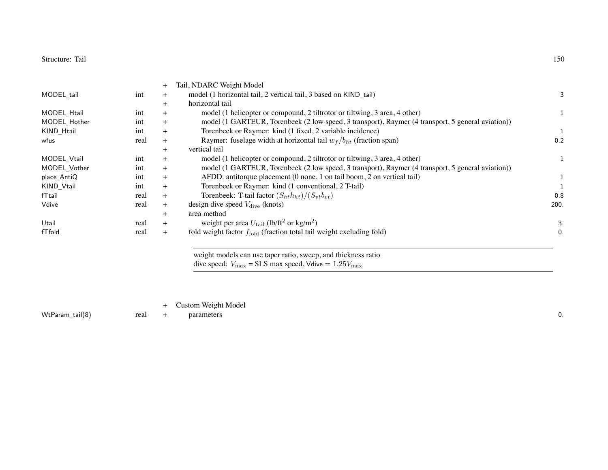### Structure: Tail 150

|              |      |        | Tail, NDARC Weight Model                                                                          |      |
|--------------|------|--------|---------------------------------------------------------------------------------------------------|------|
| MODEL tail   | int  | $^{+}$ | model (1 horizontal tail, 2 vertical tail, 3 based on KIND tail)                                  |      |
|              |      | $+$    | horizontal tail                                                                                   |      |
| MODEL Htail  | int  | $+$    | model (1 helicopter or compound, 2 tiltrotor or tiltwing, 3 area, 4 other)                        |      |
| MODEL Hother | int  | $+$    | model (1 GARTEUR, Torenbeek (2 low speed, 3 transport), Raymer (4 transport, 5 general aviation)) |      |
| KIND Htail   | int  | $+$    | Torenbeek or Raymer: kind (1 fixed, 2 variable incidence)                                         |      |
| wfus         | real | $^{+}$ | Raymer: fuselage width at horizontal tail $w_f/b_{ht}$ (fraction span)                            | 0.2  |
|              |      | $\pm$  | vertical tail                                                                                     |      |
| MODEL Vtail  | int  | $+$    | model (1 helicopter or compound, 2 tiltrotor or tiltwing, 3 area, 4 other)                        |      |
| MODEL Vother | int  | $+$    | model (1 GARTEUR, Torenbeek (2 low speed, 3 transport), Raymer (4 transport, 5 general aviation)) |      |
| place_AntiQ  | int  | $+$    | AFDD: antitorque placement (0 none, 1 on tail boom, 2 on vertical tail)                           |      |
| KIND Vtail   | int  | $+$    | Torenbeek or Raymer: kind (1 conventional, 2 T-tail)                                              |      |
| fTtail       | real | $+$    | Torenbeek: T-tail factor $(S_{ht}h_{ht})/(S_{vt}b_{vt})$                                          | 0.8  |
| Vdive        | real | $+$    | design dive speed $V_{\text{dive}}$ (knots)                                                       | 200. |
|              |      | $+$    | area method                                                                                       |      |
| Utail        | real | $+$    | weight per area $U_{\text{tail}}$ (lb/ft <sup>2</sup> or kg/m <sup>2</sup> )                      |      |
| fTfold       | real | $+$    | fold weight factor $f_{\text{fold}}$ (fraction total tail weight excluding fold)                  | 0.   |
|              |      |        |                                                                                                   |      |

weight models can use taper ratio, sweep, and thickness ratio dive speed:  $V_{\text{max}} =$  SLS max speed, Vdive =  $1.25V_{\text{max}}$ 

WtParam\_tail(8)

<sup>+</sup> Custom Weight Model

\_tail(8) real <sup>+</sup> parameters 0.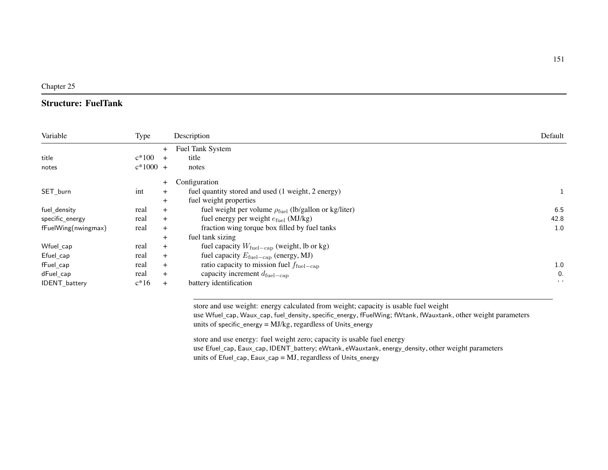## **Structure: FuelTank**

| Variable             | Type       |        | Description                                                         | Default   |
|----------------------|------------|--------|---------------------------------------------------------------------|-----------|
|                      |            | $+$    | Fuel Tank System                                                    |           |
| title                | $c*100$    | $+$    | title                                                               |           |
| notes                | $c*1000 +$ |        | notes                                                               |           |
|                      |            | $+$    | Configuration                                                       |           |
| SET burn             | int        | $+$    | fuel quantity stored and used (1 weight, 2 energy)                  |           |
|                      |            | $+$    | fuel weight properties                                              |           |
| fuel density         | real       | $+$    | fuel weight per volume $\rho_{\text{fuel}}$ (lb/gallon or kg/liter) | 6.5       |
| specific energy      | real       | $+$    | fuel energy per weight $e_{\text{fuel}}$ (MJ/kg)                    | 42.8      |
| fFuelWing(nwingmax)  | real       | $+$    | fraction wing torque box filled by fuel tanks                       | 1.0       |
|                      |            | $^{+}$ | fuel tank sizing                                                    |           |
| Wfuel_cap            | real       | $+$    | fuel capacity $W_{\text{fuel-cap}}$ (weight, lb or kg)              |           |
| Efuel_cap            | real       | $+$    | fuel capacity $E_{\text{fuel-cap}}$ (energy, MJ)                    |           |
| fFuel_cap            | real       | $+$    | ratio capacity to mission fuel $f_{\text{fuel-cap}}$                | $1.0\,$   |
| dFuel cap            | real       | $^{+}$ | capacity increment $d_{\text{fuel-cap}}$                            | 0.        |
| <b>IDENT</b> battery | $c*16$     | $^{+}$ | battery identification                                              | $, \cdot$ |

store and use weight: energy calculated from weight; capacity is usable fuel weight use Wfuel \_cap, Waux\_cap, fuel\_density, specific\_energy, fFuelWing; fWtank, fWauxtank, other weight parameters units of specific\_energy <sup>=</sup> MJ/kg, regardless of Units\_energy

store and use energy: fuel weight zero; capacity is usable fuel energy use Efuel \_cap, Eaux\_cap, IDENT\_battery; eWtank, eWauxtank, energy\_density, other weight parameters units of Efuel \_cap, Eaux\_cap <sup>=</sup> MJ, regardless of Units\_energy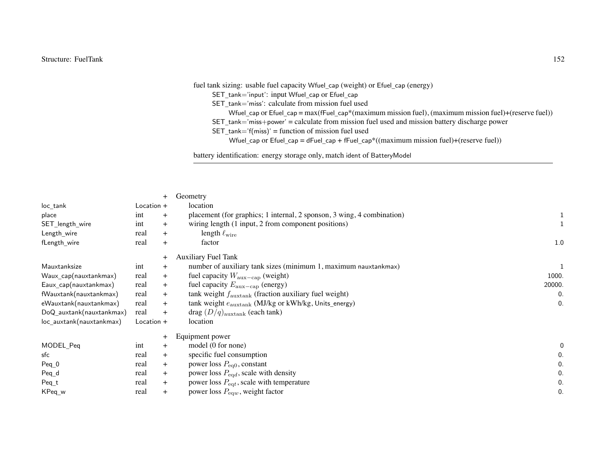fuel tank sizing: usable fuel capacity Wfuel\_cap (weight) or Efuel\_cap (energy)

SET \_tank='input': input Wfuel\_cap or Efuel\_cap

SET \_ tank='miss': calculate from mission fuel used

Wfuel \_cap or Efuel\_cap <sup>=</sup> max(fFuel\_cap\*(maximum mission fuel), (maximum mission fuel)+(reserve fuel))

SET \_tank='miss+power' <sup>=</sup> calculate from mission fuel used and mission battery discharge power

SET \_tank='f(miss)' <sup>=</sup> function of mission fuel used

Wfuel \_cap or Efuel\_cap <sup>=</sup> dFuel\_cap <sup>+</sup> fFuel\_cap\*((maximum mission fuel)+(reserve fuel))

battery identification: energy storage only, match ident of BatteryModel

|                          |              | $+$    | Geometry                                                               |        |
|--------------------------|--------------|--------|------------------------------------------------------------------------|--------|
| loc tank                 | Location +   |        | location                                                               |        |
| place                    | int          |        | placement (for graphics; 1 internal, 2 sponson, 3 wing, 4 combination) |        |
| SET_length_wire          | int          | $+$    | wiring length (1 input, 2 from component positions)                    |        |
| Length_wire              | real         | $+$    | length $\ell_{\text{wire}}$                                            |        |
| fLength_wire             | real         | $^{+}$ | factor                                                                 | 1.0    |
|                          |              |        | <b>Auxiliary Fuel Tank</b>                                             |        |
| Mauxtanksize             | int          | $^{+}$ | number of auxiliary tank sizes (minimum 1, maximum nauxtankmax)        |        |
| Waux_cap(nauxtankmax)    | real         | $+$    | fuel capacity $W_{\text{aux-cap}}$ (weight)                            | 1000.  |
| Eaux_cap(nauxtankmax)    | real         | $+$    | fuel capacity $E_{\text{aux-cap}}$ (energy)                            | 20000. |
| fWauxtank(nauxtankmax)   | real         | $+$    | tank weight $f_{\text{aux tank}}$ (fraction auxiliary fuel weight)     | 0.     |
| eWauxtank(nauxtankmax)   | real         | $+$    | tank weight $e_{\text{aux tank}}$ (MJ/kg or kWh/kg, Units_energy)      | 0.     |
| DoQ_auxtank(nauxtankmax) | real         | $+$    | drag $(D/q)_{\text{auxtank}}$ (each tank)                              |        |
| loc_auxtank(nauxtankmax) | $Location +$ |        | location                                                               |        |
|                          |              | $+$    | Equipment power                                                        |        |
| MODEL Peq                | int          |        | model (0 for none)                                                     | 0      |
| sfc                      | real         | $+$    | specific fuel consumption                                              | 0.     |
| $Peq_0$                  | real         | $+$    | power loss $P_{eq0}$ , constant                                        | 0.     |
| $Peq_d$                  | real         | $+$    | power loss $P_{\text{eq}d}$ , scale with density                       | 0.     |
| $Peq_t$                  | real         | $+$    | power loss $P_{eqt}$ , scale with temperature                          | 0.     |
| KPeq_w                   | real         | $+$    | power loss $P_{\text{equ}}$ , weight factor                            | 0.     |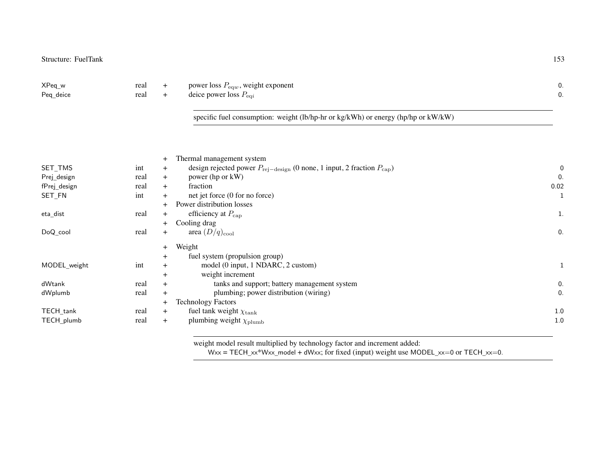### Structure: FuelTank 153

| $XPeq_w$  | real | $+$ | power loss $P_{\text{equ}}$ , weight exponent                                     | $\mathbf{0}$ |
|-----------|------|-----|-----------------------------------------------------------------------------------|--------------|
| Peq deice | real | $+$ | deice power loss $P_{\text{eq}i}$                                                 | $\mathbf{0}$ |
|           |      |     | specific fuel consumption: weight (lb/hp-hr or kg/kWh) or energy (hp/hp or kW/kW) |              |

|              |      | $\pm$  | Thermal management system                                                                     |      |
|--------------|------|--------|-----------------------------------------------------------------------------------------------|------|
| SET_TMS      | int  | $+$    | design rejected power $P_{\text{rei–design}}$ (0 none, 1 input, 2 fraction $P_{\text{cap}}$ ) |      |
| Prej_design  | real | $+$    | power (hp or kW)                                                                              | 0.   |
| fPrej_design | real | $+$    | fraction                                                                                      | 0.02 |
| SET FN       | int  | $+$    | net jet force (0 for no force)                                                                | 1    |
|              |      |        | Power distribution losses                                                                     |      |
| eta_dist     | real | $^+$   | efficiency at $P_{\text{cap}}$                                                                |      |
|              |      | $+$    | Cooling drag                                                                                  |      |
| DoQ_cool     | real | $+$    | area $(D/q)_{\text{cool}}$                                                                    | 0.   |
|              |      | $+$    | Weight                                                                                        |      |
|              |      | $+$    | fuel system (propulsion group)                                                                |      |
| MODEL weight | int  | $+$    | model (0 input, 1 NDARC, 2 custom)                                                            |      |
|              |      | $^{+}$ | weight increment                                                                              |      |
| dWtank       | real | $+$    | tanks and support; battery management system                                                  | 0.   |
| dWplumb      | real | $^+$   | plumbing; power distribution (wiring)                                                         | 0.   |
|              |      | $^+$   | <b>Technology Factors</b>                                                                     |      |
| TECH_tank    | real | $+$    | fuel tank weight $\chi$ <sub>tank</sub>                                                       | 1.0  |
| TECH_plumb   | real | $+$    | plumbing weight $\chi_{\text{plumb}}$                                                         | 1.0  |
|              |      |        |                                                                                               |      |

weight model result multiplied by technology factor and increment added:

 $Wxx = TECH_xxx*Wxx_model + dWxx$ ; for fixed (input) weight use MODEL\_xx=0 or TECH\_xx=0.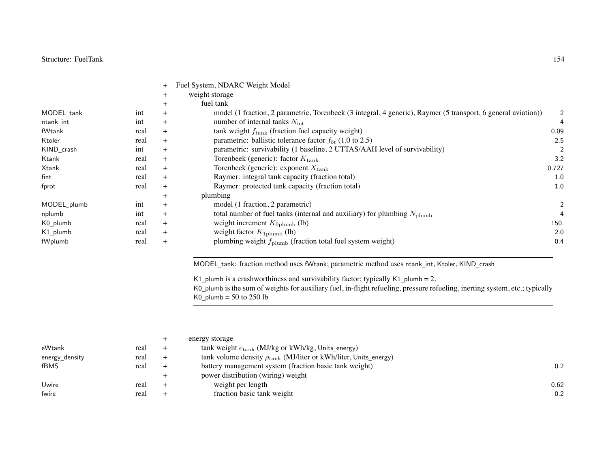|             |      |           | Fuel System, NDARC Weight Model                                                                               |                |
|-------------|------|-----------|---------------------------------------------------------------------------------------------------------------|----------------|
|             |      | $+$       | weight storage                                                                                                |                |
|             |      | $\ddot{}$ | fuel tank                                                                                                     |                |
| MODEL tank  | int  | $+$       | model (1 fraction, 2 parametric, Torenbeek (3 integral, 4 generic), Raymer (5 transport, 6 general aviation)) | $\overline{2}$ |
| ntank int   | int  | $+$       | number of internal tanks $N_{\text{int}}$                                                                     |                |
| fWtank      | real | $+$       | tank weight $f_{\text{tank}}$ (fraction fuel capacity weight)                                                 | 0.09           |
| Ktoler      | real | $+$       | parametric: ballistic tolerance factor $f_{bt}$ (1.0 to 2.5)                                                  | 2.5            |
| KIND_crash  | int  | $+$       | parametric: survivability (1 baseline, 2 UTTAS/AAH level of survivability)                                    |                |
| Ktank       | real | $+$       | Torenbeek (generic): factor $K_{\text{tank}}$                                                                 | 3.2            |
| Xtank       | real | $+$       | Torenbeek (generic): exponent $X_{\text{tank}}$                                                               | 0.727          |
| fint        | real | $+$       | Raymer: integral tank capacity (fraction total)                                                               | 1.0            |
| fprot       | real | $+$       | Raymer: protected tank capacity (fraction total)                                                              | 1.0            |
|             |      | $+$       | plumbing                                                                                                      |                |
| MODEL plumb | int  | $+$       | model (1 fraction, 2 parametric)                                                                              |                |
| nplumb      | int  | $+$       | total number of fuel tanks (internal and auxiliary) for plumbing $N_{\text{plumb}}$                           |                |
| K0_plumb    | real | $+$       | weight increment $K_{0\text{plumb}}$ (lb)                                                                     | 150.           |
| K1_plumb    | real | $+$       | weight factor $K_{1\text{plumb}}$ (lb)                                                                        | 2.0            |
| fWplumb     | real | $\pm$     | plumbing weight $f_{\text{plumb}}$ (fraction total fuel system weight)                                        | 0.4            |

MODEL \_ tank: fraction method uses fWtank; parametric method uses ntank\_int, Ktoler, KIND\_crash

K1 \_plumb is <sup>a</sup> crashworthiness and survivability factor; typically K1\_plumb <sup>=</sup> 2.

K0 \_plumb is the sum of weights for auxiliary fuel, in-flight refueling, pressure refueling, inerting system, etc.; typically K0 \_plumb <sup>=</sup> 50 to 250 lb

|                |      | energy storage                                                                 |                  |
|----------------|------|--------------------------------------------------------------------------------|------------------|
| eWtank         | real | tank weight $e_{\text{tank}}$ (MJ/kg or kWh/kg, Units energy)                  |                  |
| energy density | real | tank volume density $\rho_{\text{tank}}$ (MJ/liter or kWh/liter, Units energy) |                  |
| fBMS           | real | battery management system (fraction basic tank weight)                         | 0.2              |
|                |      | power distribution (wiring) weight                                             |                  |
| Uwire          | real | weight per length                                                              | 0.62             |
| fwire          | real | fraction basic tank weight                                                     | 0.2 <sub>0</sub> |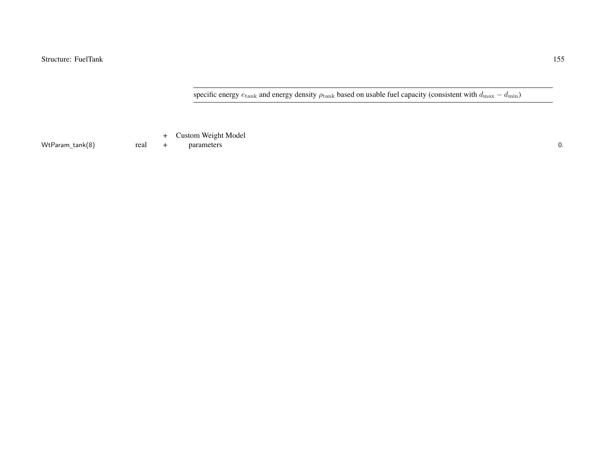Structure: FuelTank 155

specific energy  $e_{\text{tank}}$  and energy density  $\rho_{\text{tank}}$  based on usable fuel capacity (consistent with  $d_{\text{max}} - d_{\text{min}}$ )

WtParam\_tank(8) \_tank(8) real <sup>+</sup> parameters 0.

<sup>+</sup> Custom Weight Model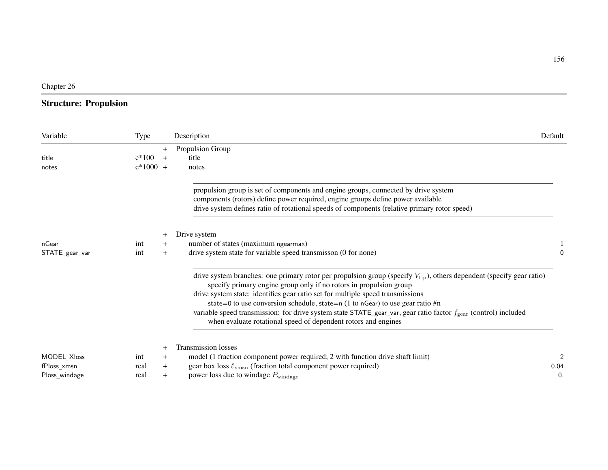## **Structure: Propulsion**

| Variable       | Type       |           | Description                                                                                                                                                                                            | Default      |
|----------------|------------|-----------|--------------------------------------------------------------------------------------------------------------------------------------------------------------------------------------------------------|--------------|
|                |            | $\ddot{}$ | Propulsion Group                                                                                                                                                                                       |              |
| title          | $c*100$    |           | title                                                                                                                                                                                                  |              |
| notes          | $c*1000 +$ |           | notes                                                                                                                                                                                                  |              |
|                |            |           | propulsion group is set of components and engine groups, connected by drive system                                                                                                                     |              |
|                |            |           | components (rotors) define power required, engine groups define power available                                                                                                                        |              |
|                |            |           | drive system defines ratio of rotational speeds of components (relative primary rotor speed)                                                                                                           |              |
|                |            |           | Drive system                                                                                                                                                                                           |              |
| nGear          | int        |           | number of states (maximum ngearmax)                                                                                                                                                                    |              |
| STATE_gear_var | int        | $+$       | drive system state for variable speed transmisson (0 for none)                                                                                                                                         |              |
|                |            |           | drive system branches: one primary rotor per propulsion group (specify $V_{\text{tip}}$ ), others dependent (specify gear ratio)<br>specify primary engine group only if no rotors in propulsion group |              |
|                |            |           | drive system state: identifies gear ratio set for multiple speed transmissions                                                                                                                         |              |
|                |            |           | state=0 to use conversion schedule, state=n (1 to nGear) to use gear ratio $\#n$                                                                                                                       |              |
|                |            |           | variable speed transmission: for drive system state STATE_gear_var, gear ratio factor $f_{\text{gear}}$ (control) included<br>when evaluate rotational speed of dependent rotors and engines           |              |
|                |            |           |                                                                                                                                                                                                        |              |
|                |            |           | <b>Transmission losses</b>                                                                                                                                                                             |              |
| MODEL Xloss    | int        |           | model (1 fraction component power required; 2 with function drive shaft limit)                                                                                                                         | 2            |
| fPloss xmsn    | real       | $^{+}$    | gear box loss $\ell_{\text{xmsn}}$ (fraction total component power required)                                                                                                                           | 0.04         |
| Ploss windage  | real       |           | power loss due to windage $P_{\text{windage}}$                                                                                                                                                         | $\mathbf{0}$ |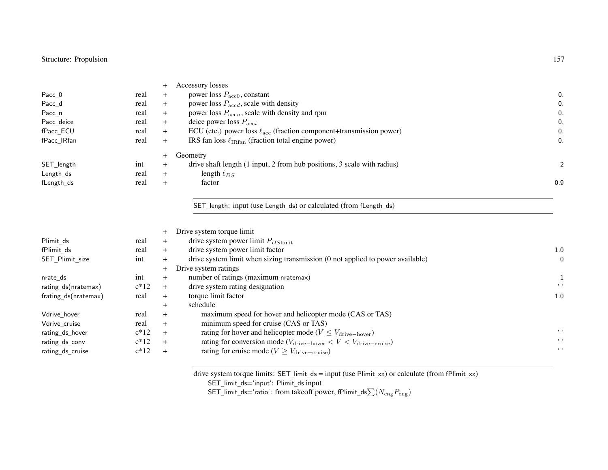|                 |      | $+$  | Accessory losses                                                                  |     |
|-----------------|------|------|-----------------------------------------------------------------------------------|-----|
| Pacc_0          | real | $+$  | power loss $P_{\text{acc}0}$ , constant                                           | 0.  |
| Pacc_d          | real | $+$  | power loss $P_{\text{accd}}$ , scale with density                                 | 0.  |
| Pacc n          | real | $+$  | power loss $P_{\text{acc}n}$ , scale with density and rpm                         | 0.  |
| Pacc deice      | real | $+$  | deice power loss $P_{\text{acc}i}$                                                | 0.  |
| fPacc ECU       | real | $+$  | ECU (etc.) power loss $\ell_{\text{acc}}$ (fraction component+transmission power) | 0.  |
| fPacc_IRfan     | real | $+$  | IRS fan loss $\ell_{\text{IRfan}}$ (fraction total engine power)                  | 0.  |
|                 |      | $^+$ | Geometry                                                                          |     |
| SET_length      | int  | $+$  | drive shaft length (1 input, 2 from hub positions, 3 scale with radius)           | 2   |
| Length_ds       | real | $+$  | length $\ell_{DS}$                                                                |     |
| fLength_ds      | real | $+$  | factor                                                                            | 0.9 |
|                 |      |      | SET_length: input (use Length_ds) or calculated (from fLength_ds)                 |     |
|                 |      | $+$  | Drive system torque limit                                                         |     |
| Plimit ds       | real | $+$  | drive system power limit $P_{DS$ limit                                            |     |
| fPlimit ds      | real | $+$  | drive system power limit factor                                                   | 1.0 |
| SET Plimit size | int  | $+$  | drive system limit when sizing transmission (0 not applied to power available)    | 0   |

| int    |        | drive system limit when sizing transmission (0 not applied to power available) | 0                                                                                     |
|--------|--------|--------------------------------------------------------------------------------|---------------------------------------------------------------------------------------|
|        | $+$    | Drive system ratings                                                           |                                                                                       |
| int    |        | number of ratings (maximum nratemax)                                           |                                                                                       |
| $c*12$ | $+$    | drive system rating designation                                                | $, \cdot$                                                                             |
| real   | $+$    | torque limit factor                                                            | 1.0                                                                                   |
|        |        | schedule                                                                       |                                                                                       |
| real   | $+$    | maximum speed for hover and helicopter mode (CAS or TAS)                       |                                                                                       |
| real   | $+$    | minimum speed for cruise (CAS or TAS)                                          |                                                                                       |
| $c*12$ | $^{+}$ | rating for hover and helicopter mode ( $V \leq V_{\text{drive-hover}}$ )       | $, \cdot$                                                                             |
| $c*12$ | $^{+}$ |                                                                                | $, \cdot$                                                                             |
| $c*12$ |        | rating for cruise mode ( $V \geq V_{\text{drive-cruise}}$ )                    | $, \cdot$                                                                             |
|        |        |                                                                                | rating for conversion mode ( $V_{\text{drive-hover}} < V < V_{\text{drive-cruise}}$ ) |

drive system torque limits: SET\_limit\_ds = input (use Plimit\_xx) or calculate (from fPlimit\_xx)

SET \_ limit \_ds='input': Plimit\_ds input

SET \_ limit \_ ds='ratio': from takeoff power, fPlimit\_ds-(*<sup>N</sup>*eng*P*eng)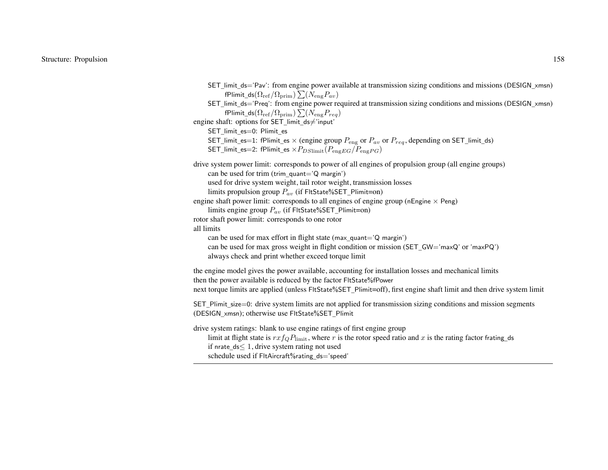SET \_ limit \_ ds='Pav': from engine power available at transmission sizing conditions and missions (DESIGN\_xmsn)  $\textsf{fPlimit\_ds}(\Omega_{\text{ref}}/\Omega_{\text{prim}})\sum(N_{\text{eng}}P_{av})$ SET \_ limit \_ds='Preq': from engine power required at transmission sizing conditions and missions (DESIGN\_xmsn)  $f$ Plimit\_ds $(\Omega_{\rm ref}/\Omega_{\rm prim})\sum(N_{\rm eng}P_{req})$ engine shaft: options for SET\_limit\_ds='input' SET \_ limit \_ es=0: Plimit \_ es <code>SET\_limit\_es=1: fPlimit\_es</code>  $\times$  (engine group  $P_{\rm eng}$  or  $P_{av}$  or  $P_{req}$ , depending on <code>SET\_limit\_ds</code>)  $\mathsf{SET\_limit\_es}{=}\2\mathrm{:}\ \mathsf{fPlimit\_es} \times P_{DS\mathrm{limit}}(P_{\mathrm{eng}EG}/P_{\mathrm{eng}PG})$ drive system power limit: corresponds to power of all engines of propulsion group (all engine groups) can be used for trim (trim\_quant='Q margin') used for drive system weight, tail rotor weight, transmission losses limits propulsion group *Pav* (if FltState%SET\_Plimit=on) engine shaft power limit: corresponds to all engines of engine group (nEngine  $\times$  Peng) limits engine group  $P_{av}$  (if FltState%SET\_Plimit=on) rotor shaft power limit: corresponds to one rotor all limits can be used for max effort in flight state (max quant=' $Q$  margin') can be used for max gross weight in flight condition or mission (SET\_GW='maxQ' or 'maxPQ') always check and print whether exceed torque limit the engine model gives the power available, accounting for installation losses and mechanical limits then the power available is reduced by the factor FltState%fPower next torque limits are applied (unless FItState%SET Plimit=off), first engine shaft limit and then drive system limit SET \_ Plimit \_ size=0: drive system limits are not applied for transmission sizing conditions and mission segments (DESIGN\_xmsn); otherwise use FltState%SET\_Plimit drive system ratings: blank to use engine ratings of first engine group limit at flight state is  $rxf_QP_{\text{limit}}$ , where *r* is the rotor speed ratio and *x* is the rating factor frating\_ds if nrate \_ ds≤ 1, drive system rating not used

schedule used if FltAircraft%rating\_ds='speed'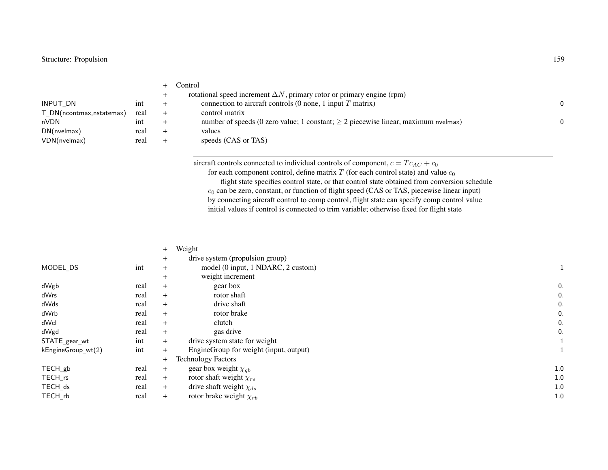|                           |      | Control                                                                                 |  |
|---------------------------|------|-----------------------------------------------------------------------------------------|--|
|                           |      | rotational speed increment $\Delta N$ , primary rotor or primary engine (rpm)           |  |
| INPUT DN                  | 1nt  | connection to aircraft controls (0 none, 1 input $T$ matrix)                            |  |
| T DN(ncontmax, nstatemax) | real | control matrix                                                                          |  |
| nVDN                      | 1nt  | number of speeds (0 zero value; 1 constant; $\geq 2$ piecewise linear, maximum nvelmax) |  |
| DN(nvelmax)               | real | values                                                                                  |  |
| VDN(nvelmax)              | real | speeds (CAS or TAS)                                                                     |  |
|                           |      |                                                                                         |  |

aircraft controls connected to individual controls of component,  $c = Tc_{AC} + c_0$ for each componen<sup>t</sup> control, define matrix *T* (for each control state) and value *<sup>c</sup>*<sup>0</sup> flight state specifies control state, or that control state obtained from conversion schedule *<sup>c</sup>*<sup>0</sup> can be zero, constant, or function of flight speed (CAS or TAS, piecewise linear input) by connecting aircraft control to comp control, flight state can specify comp control value initial values if control is connected to trim variable; otherwise fixed for flight state

|                    |      | $+$ | Weight                                 |     |
|--------------------|------|-----|----------------------------------------|-----|
|                    |      | $+$ | drive system (propulsion group)        |     |
| MODEL DS           | int  | $+$ | model (0 input, 1 NDARC, 2 custom)     |     |
|                    |      | $+$ | weight increment                       |     |
| dWgb               | real | $+$ | gear box                               | 0.  |
| dWrs               | real | $+$ | rotor shaft                            | 0.  |
| dWds               | real | $+$ | drive shaft                            | 0.  |
| dWrb               | real | $+$ | rotor brake                            | 0.  |
| dWcl               | real | $+$ | clutch                                 | 0.  |
| dWgd               | real | $+$ | gas drive                              | 0.  |
| STATE_gear_wt      | int  | $+$ | drive system state for weight          |     |
| kEngineGroup_wt(2) | int  | $+$ | EngineGroup for weight (input, output) |     |
|                    |      | $+$ | <b>Technology Factors</b>              |     |
| TECH_gb            | real | $+$ | gear box weight $\chi_{gb}$            | 1.0 |
| TECH rs            | real | $+$ | rotor shaft weight $\chi_{rs}$         | 1.0 |
| TECH ds            | real | $+$ | drive shaft weight $\chi_{ds}$         | 1.0 |
| TECH rb            | real | $+$ | rotor brake weight $\chi_{rb}$         | 1.0 |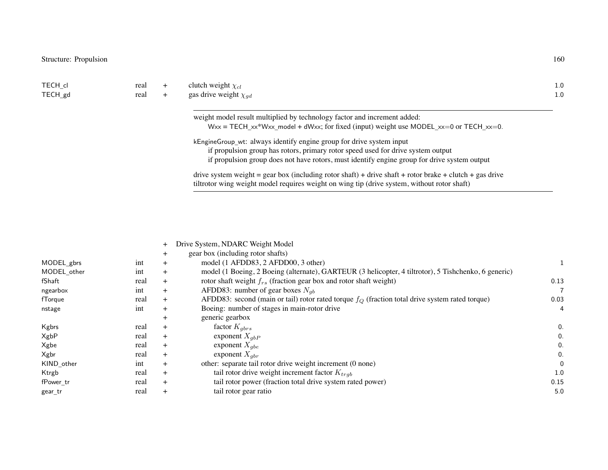## Structure: Propulsion 160

| TECH cl<br>TECH gd | real<br>real | clutch weight $\chi_{cl}$<br>gas drive weight $\chi_{ad}$                                               | 1.0<br>1.0 |
|--------------------|--------------|---------------------------------------------------------------------------------------------------------|------------|
|                    |              |                                                                                                         |            |
|                    |              | weight model result multiplied by technology factor and increment added:                                |            |
|                    |              | $Wxx$ = TECH xx*Wxx model + dWxx; for fixed (input) weight use MODEL xx=0 or TECH xx=0.                 |            |
|                    |              | kEngineGroup wt: always identify engine group for drive system input                                    |            |
|                    |              | if propulsion group has rotors, primary rotor speed used for drive system output                        |            |
|                    |              | if propulsion group does not have rotors, must identify engine group for drive system output            |            |
|                    |              | drive system weight = gear box (including rotor shaft) + drive shaft + rotor brake + clutch + gas drive |            |
|                    |              | tiltrotor wing weight model requires weight on wing tip (drive system, without rotor shaft)             |            |
|                    |              |                                                                                                         |            |

|             |      |       | Drive System, NDARC Weight Model                                                                     |      |
|-------------|------|-------|------------------------------------------------------------------------------------------------------|------|
|             |      | $+$   | gear box (including rotor shafts)                                                                    |      |
| MODEL_gbrs  | int  | $+$   | model (1 AFDD83, 2 AFDD00, 3 other)                                                                  |      |
| MODEL other | int  | $+$   | model (1 Boeing, 2 Boeing (alternate), GARTEUR (3 helicopter, 4 tiltrotor), 5 Tishchenko, 6 generic) |      |
| fShaft      | real | $+$   | rotor shaft weight $f_{rs}$ (fraction gear box and rotor shaft weight)                               | 0.13 |
| ngearbox    | int  | $+$   | AFDD83: number of gear boxes $N_{ab}$                                                                |      |
| fTorque     | real | $+$   | AFDD83: second (main or tail) rotor rated torque $f_Q$ (fraction total drive system rated torque)    | 0.03 |
| nstage      | int  | $+$   | Boeing: number of stages in main-rotor drive                                                         | 4    |
|             |      | $\pm$ | generic gearbox                                                                                      |      |
| Kgbrs       | real | $+$   | factor $K_{\textit{abrs}}$                                                                           | 0.   |
| <b>XgbP</b> | real | $+$   | exponent $X_{abP}$                                                                                   | 0.   |
| Xgbe        | real | $+$   | exponent $X_{abe}$                                                                                   | 0.   |
| Xgbr        | real | $+$   | exponent $X_{abr}$                                                                                   | 0.   |
| KIND_other  | int  | $+$   | other: separate tail rotor drive weight increment (0 none)                                           | 0    |
| Ktrgb       | real | $\pm$ | tail rotor drive weight increment factor $K_{trab}$                                                  | 1.0  |
| fPower tr   | real | $+$   | tail rotor power (fraction total drive system rated power)                                           | 0.15 |
| gear_tr     | real |       | tail rotor gear ratio                                                                                | 5.0  |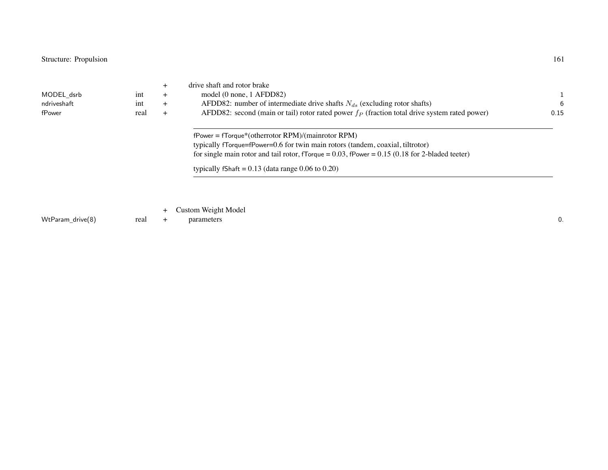Structure: Propulsion 161

| MODEL dsrb<br>ndriveshaft<br>fPower | int<br>int<br>real | $^{+}$<br>$+$<br>$+$<br>$+$ | drive shaft and rotor brake<br>model $(0 \text{ none}, 1 \text{ AFDD82})$<br>AFDD82: number of intermediate drive shafts $N_{ds}$ (excluding rotor shafts)<br>AFDD82: second (main or tail) rotor rated power $f_P$ (fraction total drive system rated power) | 6<br>0.15 |
|-------------------------------------|--------------------|-----------------------------|---------------------------------------------------------------------------------------------------------------------------------------------------------------------------------------------------------------------------------------------------------------|-----------|
|                                     |                    |                             | $fPower = fTorque*(otherrotor RPM)/(mainrotor RPM)$<br>typically fTorque=fPower=0.6 for twin main rotors (tandem, coaxial, tiltrotor)<br>for single main rotor and tail rotor, f $T_{\text{orque}} = 0.03$ , fPower = 0.15 (0.18 for 2-bladed teeter)         |           |
|                                     |                    |                             | typically fShaft = $0.13$ (data range 0.06 to 0.20)                                                                                                                                                                                                           |           |
|                                     |                    |                             |                                                                                                                                                                                                                                                               |           |

WtParam\_drive(8) \_drive(8) real <sup>+</sup> parameters 0.

+ Custom Weight Model<br>+ parameters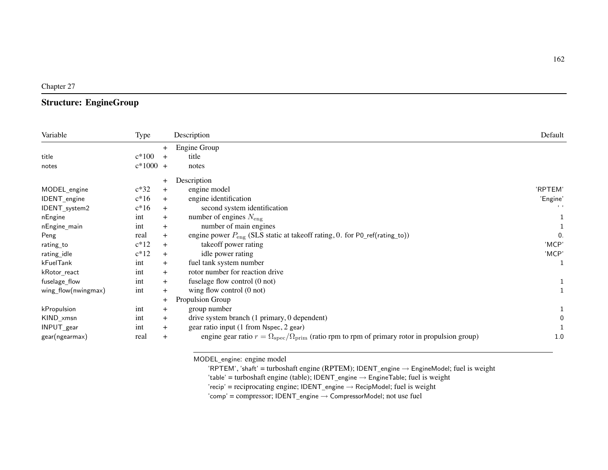### Chapter 27

## **Structure: EngineGroup**

| Variable            | Type       |       | Description                                                                                                         | Default  |
|---------------------|------------|-------|---------------------------------------------------------------------------------------------------------------------|----------|
|                     |            | $+$   | <b>Engine Group</b>                                                                                                 |          |
| title               | $c*100$    | $+$   | title                                                                                                               |          |
| notes               | $c*1000 +$ |       | notes                                                                                                               |          |
|                     |            | $+$   | Description                                                                                                         |          |
| MODEL_engine        | $c*32$     | $+$   | engine model                                                                                                        | 'RPTEM'  |
| IDENT_engine        | $c*16$     | $+$   | engine identification                                                                                               | 'Engine' |
| IDENT_system2       | $c*16$     | $+$   | second system identification                                                                                        |          |
| nEngine             | int        | $+$   | number of engines $N_{\text{eng}}$                                                                                  |          |
| nEngine_main        | int        | $+$   | number of main engines                                                                                              |          |
| Peng                | real       | $+$   | engine power $P_{\text{eng}}$ (SLS static at takeoff rating, 0. for P0_ref(rating_to))                              | 0.       |
| rating_to           | $c*12$     | $+$   | takeoff power rating                                                                                                | 'MCP'    |
| rating_idle         | $c*12$     | $+$   | idle power rating                                                                                                   | 'MCP'    |
| kFuelTank           | int        | $+$   | fuel tank system number                                                                                             |          |
| kRotor react        | int        | $+$   | rotor number for reaction drive                                                                                     |          |
| fuselage_flow       | int        | $+$   | fuselage flow control (0 not)                                                                                       |          |
| wing_flow(nwingmax) | int        | $+$   | wing flow control $(0$ not)                                                                                         |          |
|                     |            | $\pm$ | Propulsion Group                                                                                                    |          |
| kPropulsion         | int        | $+$   | group number                                                                                                        |          |
| KIND_xmsn           | int        | $+$   | drive system branch (1 primary, 0 dependent)                                                                        | 0        |
| INPUT_gear          | int        | $+$   | gear ratio input (1 from Nspec, 2 gear)                                                                             |          |
| gear(ngearmax)      | real       | $+$   | engine gear ratio $r = \Omega_{\rm spec}/\Omega_{\rm prim}$ (ratio rpm to rpm of primary rotor in propulsion group) | 1.0      |

MODEL \_engine: engine model

 $'$ RPTEM', 'shaft' = turboshaft engine (RPTEM); IDENT\_engine  $\rightarrow$  EngineModel; fuel is weight

'table' = turboshaft engine (table); IDENT\_engine  $\rightarrow$  EngineTable; fuel is weight

 $'$ recip' = reciprocating engine; IDENT\_engine  $\rightarrow$  RecipModel; fuel is weight

'comp' = compressor; IDENT\_engine  $\rightarrow$  CompressorModel; not use fuel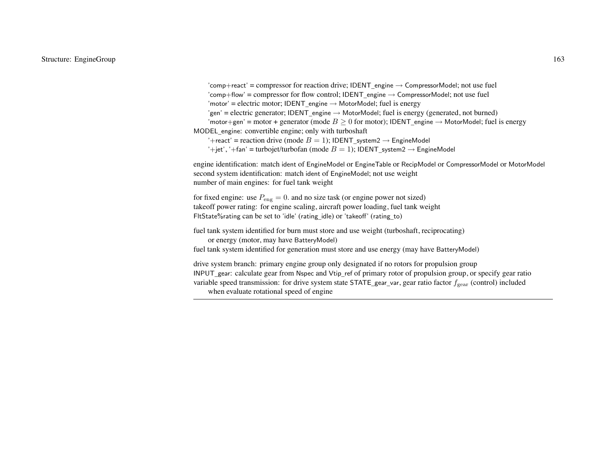$\gamma'$ comp+react' = compressor for reaction drive; IDENT engine  $\rightarrow$  CompressorModel; not use fuel 'comp+flow' = compressor for flow control; IDENT engine  $\rightarrow$  CompressorModel; not use fuel 'motor' = electric motor; IDENT engine  $\rightarrow$  MotorModel; fuel is energy  $'gen' = electric generator$ ; IDENT engine  $\rightarrow$  MotorModel; fuel is energy (generated, not burned) 'motor+gen' = motor + generator (mode  $B > 0$  for motor); IDENT engine  $\rightarrow$  MotorModel; fuel is energy MODEL \_engine: convertible engine; only with turboshaft '+react' = reaction drive (mode  $B = 1$ ); IDENT system2  $\rightarrow$  EngineModel '+jet', '+fan' = turbojet/turbofan (mode  $B = 1$ ); IDENT system2  $\rightarrow$  EngineModel engine identification: match ident of EngineModel or EngineTable or RecipModel or CompressorModel or MotorModel second system identification: match ident of EngineModel; not use weight number of main engines: for fuel tank weight for fixed engine: use  $P_{\text{eng}} = 0$ . and no size task (or engine power not sized) takeoff power rating: for engine scaling, aircraft power loading, fuel tank weight FltState%rating can be set to 'idle' (rating idle) or 'takeoff' (rating to) fuel tank system identified for burn must store and use weight (turboshaft, reciprocating) or energy (motor, may have BatteryModel) fuel tank system identified for generation must store and use energy (may have BatteryModel) drive system branch: primary engine group only designated if no rotors for propulsion group INPUT \_gear: calculate gear from Nspec and Vtip\_ref of primary rotor of propulsion group, or specify gear ratio variable speed transmission: for drive system state STATE\_gear\_var, gear ratio factor  $f_{\text{year}}$  (control) included when evaluate rotational speed of engine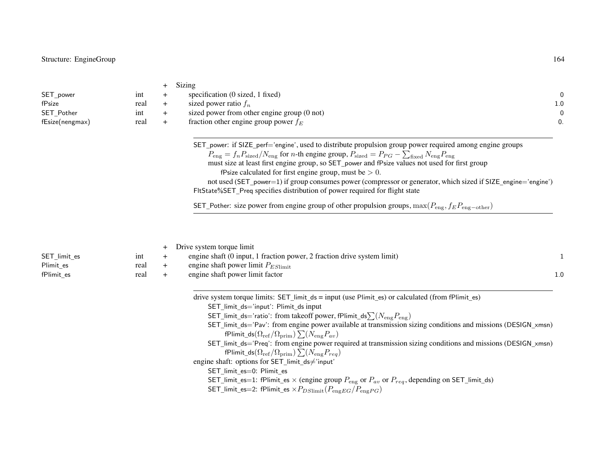### Structure: EngineGroup 164

|                 |      | Sizing                                                                                                   |          |
|-----------------|------|----------------------------------------------------------------------------------------------------------|----------|
| SET power       | 1nt  | specification (0 sized, 1 fixed)                                                                         | 0        |
| fPsize          | real | sized power ratio $f_n$                                                                                  | $1.0\,$  |
| SET Pother      | 1nt  | sized power from other engine group $(0 \text{ not})$                                                    | $\Omega$ |
| fEsize(nengmax) | real | fraction other engine group power $f_E$                                                                  | 0.       |
|                 |      | SET_power: if SIZE_perf='engine', used to distribute propulsion group power required among engine groups |          |

|              |      |     | must size at least first engine group, so SET power and fPsize values not used for first group<br>fPsize calculated for first engine group, must be $> 0$ .<br>not used (SET_power=1) if group consumes power (compressor or generator, which sized if SIZE_engine='engine')<br>FItState%SET Preq specifies distribution of power required for flight state |     |
|--------------|------|-----|-------------------------------------------------------------------------------------------------------------------------------------------------------------------------------------------------------------------------------------------------------------------------------------------------------------------------------------------------------------|-----|
|              |      |     | SET_Pother: size power from engine group of other propulsion groups, $\max(P_{eng}, f_E P_{eng-other})$                                                                                                                                                                                                                                                     |     |
|              |      |     |                                                                                                                                                                                                                                                                                                                                                             |     |
|              |      | $+$ | Drive system torque limit                                                                                                                                                                                                                                                                                                                                   |     |
| SET limit es | int  | $+$ | engine shaft (0 input, 1 fraction power, 2 fraction drive system limit)                                                                                                                                                                                                                                                                                     |     |
| Plimit es    | real | $+$ | engine shaft power limit $P_{ES\text{limit}}$                                                                                                                                                                                                                                                                                                               |     |
| fPlimit es   | real |     | engine shaft power limit factor                                                                                                                                                                                                                                                                                                                             | 1.0 |

drive system torque limits: SET limit  $ds = input$  (use Plimit es) or calculated (from fPlimit es)

 $P_{\text{eng}} = f_n P_{\text{signed}} / N_{\text{eng}}$  for *n*-th engine group,  $P_{\text{signed}} = P_{PG} - \sum_{\text{fixed}} N_{\text{eng}} P_{\text{eng}}$ 

- SET \_ limit \_ds='input': Plimit\_ds input
- SET \_ limit \_ ds='ratio': from takeoff power, fPlimit\_ds-(*<sup>N</sup>*eng*P*eng)
- SET \_ limit \_ ds='Pav': from engine power available at transmission sizing conditions and missions (DESIGN\_xmsn)  $\textsf{fPlimit\_ds}(\Omega_{\text{ref}}/\Omega_{\text{prim}})\sum(N_{\text{eng}}P_{av})$
- SET \_ limit \_ds='Preq': from engine power required at transmission sizing conditions and missions (DESIGN\_xmsn)  $f$ Plimit\_ds $(\Omega_{\rm ref}/\Omega_{\rm prim})\sum(N_{\rm eng}P_{req})$

engine shaft: options for SET\_limit\_ds='input'

SET \_ limit \_ es=0: Plimit \_ es

- <code>SET\_limit\_es=1: fPlimit\_es</code>  $\times$  (engine group  $P_{\rm eng}$  or  $P_{av}$  or  $P_{req}$ , depending on <code>SET\_limit\_ds</code>)
- $\mathsf{SET\_limit\_es}{=}\2\mathrm{:}\ \mathsf{fPlimit\_es} \times P_{DS\mathrm{limit}}(P_{\mathrm{eng}EG}/P_{\mathrm{eng}PG})$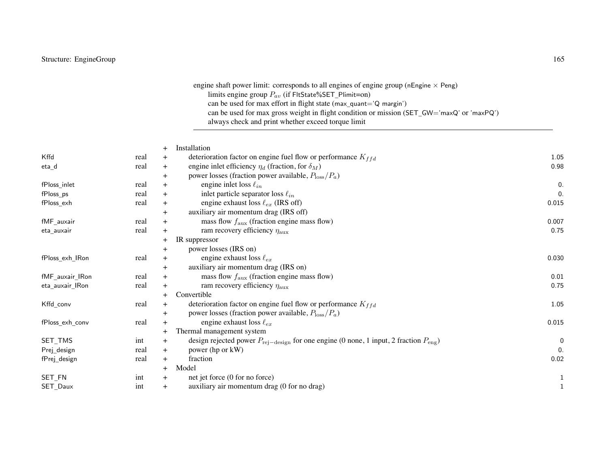|                 |      |           | engine shaft power limit: corresponds to all engines of engine group ( $n_{\text{engine}} \times \text{Peng}$ )<br>limits engine group $P_{av}$ (if FltState%SET_Plimit=on)<br>can be used for max effort in flight state (max_quant='Q margin')<br>can be used for max gross weight in flight condition or mission (SET_GW='maxQ' or 'maxPQ')<br>always check and print whether exceed torque limit |              |
|-----------------|------|-----------|------------------------------------------------------------------------------------------------------------------------------------------------------------------------------------------------------------------------------------------------------------------------------------------------------------------------------------------------------------------------------------------------------|--------------|
|                 |      | $+$       | Installation                                                                                                                                                                                                                                                                                                                                                                                         |              |
| Kffd            | real | $\ddot{}$ | deterioration factor on engine fuel flow or performance $K_{ffd}$                                                                                                                                                                                                                                                                                                                                    | 1.05         |
| eta d           | real | $\ddot{}$ | engine inlet efficiency $\eta_d$ (fraction, for $\delta_M$ )                                                                                                                                                                                                                                                                                                                                         | 0.98         |
|                 |      | $\pm$     | power losses (fraction power available, $P_{\text{loss}}/P_a$ )                                                                                                                                                                                                                                                                                                                                      |              |
| fPloss_inlet    | real | $\ddot{}$ | engine inlet loss $\ell_{in}$                                                                                                                                                                                                                                                                                                                                                                        | 0.           |
| fPloss_ps       | real | $\ddot{}$ | inlet particle separator loss $\ell_{in}$                                                                                                                                                                                                                                                                                                                                                            | $\mathbf{0}$ |
| fPloss exh      | real | $\ddot{}$ | engine exhaust loss $\ell_{ex}$ (IRS off)                                                                                                                                                                                                                                                                                                                                                            | 0.015        |
|                 |      | $\ddot{}$ | auxiliary air momentum drag (IRS off)                                                                                                                                                                                                                                                                                                                                                                |              |
| fMF_auxair      | real | $\ddot{}$ | mass flow $f_{\text{aux}}$ (fraction engine mass flow)                                                                                                                                                                                                                                                                                                                                               | 0.007        |
| eta auxair      | real | $\ddot{}$ | ram recovery efficiency $\eta_{\text{aux}}$                                                                                                                                                                                                                                                                                                                                                          | 0.75         |
|                 |      | $\ddot{}$ | IR suppressor                                                                                                                                                                                                                                                                                                                                                                                        |              |
|                 |      | $\ddot{}$ | power losses (IRS on)                                                                                                                                                                                                                                                                                                                                                                                |              |
| fPloss exh IRon | real | $\ddot{}$ | engine exhaust loss $\ell_{ex}$                                                                                                                                                                                                                                                                                                                                                                      | 0.030        |
|                 |      | $+$       | auxiliary air momentum drag (IRS on)                                                                                                                                                                                                                                                                                                                                                                 |              |
| fMF_auxair_IRon | real | $+$       | mass flow $f_{\text{aux}}$ (fraction engine mass flow)                                                                                                                                                                                                                                                                                                                                               | 0.01         |
| eta_auxair_IRon | real | $\ddot{}$ | ram recovery efficiency $\eta_{\text{aux}}$                                                                                                                                                                                                                                                                                                                                                          | 0.75         |
|                 |      | $+$       | Convertible                                                                                                                                                                                                                                                                                                                                                                                          |              |
| Kffd conv       | real | $\ddot{}$ | deterioration factor on engine fuel flow or performance $K_{ffd}$                                                                                                                                                                                                                                                                                                                                    | 1.05         |
|                 |      | $\ddot{}$ | power losses (fraction power available, $P_{\text{loss}}/P_a$ )                                                                                                                                                                                                                                                                                                                                      |              |
| fPloss_exh_conv | real | $\ddot{}$ | engine exhaust loss $\ell_{ex}$                                                                                                                                                                                                                                                                                                                                                                      | 0.015        |
|                 |      | $\ddot{}$ | Thermal management system                                                                                                                                                                                                                                                                                                                                                                            |              |
| SET_TMS         | int  | $\ddot{}$ | design rejected power $P_{\text{rej}-\text{design}}$ for one engine (0 none, 1 input, 2 fraction $P_{\text{eng}}$ )                                                                                                                                                                                                                                                                                  |              |
| Prej_design     | real | $\ddot{}$ | power (hp or kW)                                                                                                                                                                                                                                                                                                                                                                                     | $\mathbf{0}$ |
| fPrej_design    | real | $+$       | fraction                                                                                                                                                                                                                                                                                                                                                                                             | 0.02         |
|                 |      | $+$       | Model                                                                                                                                                                                                                                                                                                                                                                                                |              |
| SET FN          | int  | $\pm$     | net jet force (0 for no force)                                                                                                                                                                                                                                                                                                                                                                       | $\mathbf{1}$ |
| SET Daux        | ınt  | $\ddot{}$ | auxiliary air momentum drag (0 for no drag)                                                                                                                                                                                                                                                                                                                                                          | $\mathbf{1}$ |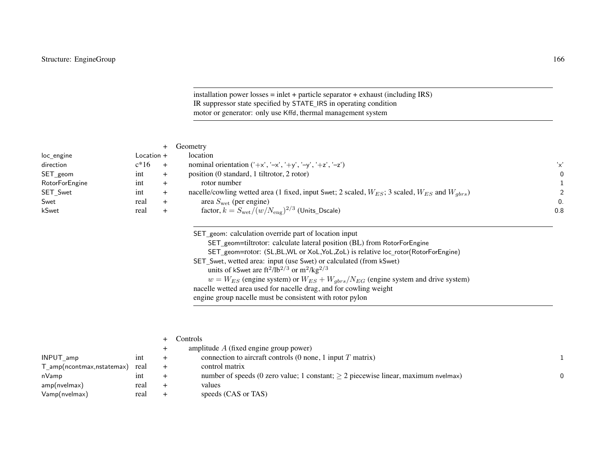| installation power losses = inlet + particle separator + exhaust (including $IRS$ ) |
|-------------------------------------------------------------------------------------|
| IR suppressor state specified by STATE IRS in operating condition                   |
| motor or generator: only use Kffd, thermal management system                        |

|                |              |      | Geometry                                                                                                   |     |
|----------------|--------------|------|------------------------------------------------------------------------------------------------------------|-----|
| loc engine     | $Location +$ |      | location                                                                                                   |     |
| direction      | $c*16$       | $+$  | nominal orientation $('+x', ' -x', ' +y', ' -y', ' +z', ' -z')$                                            | 'x' |
| SET geom       | int          | $+$  | position (0 standard, 1 tiltrotor, 2 rotor)                                                                |     |
| RotorForEngine | int          | ÷.   | rotor number                                                                                               |     |
| SET_Swet       | int          | $^+$ | nacelle/cowling wetted area (1 fixed, input Swet; 2 scaled, $W_{ES}$ ; 3 scaled, $W_{ES}$ and $W_{qbrs}$ ) |     |
| Swet           | real         | $^+$ | area $S_{\text{wet}}$ (per engine)                                                                         | 0.  |
| kSwet          | real         | ÷.   | factor, $k = S_{\text{wet}}/(w/N_{\text{eng}})^{2/3}$ (Units_Dscale)                                       | 0.8 |
|                |              |      |                                                                                                            |     |

SET \_geom: calculation override par<sup>t</sup> of location input

SET \_geom=tiltrotor: calculate lateral position (BL) from RotorForEngine

SET \_geom=rotor: (SL,BL,WL or XoL,YoL,ZoL) is relative loc\_rotor(RotorForEngine)

SET \_ Swet, wetted area: input (use Swet) or calculated (from kSwet)

units of kSwet are  $ft^2/lb^{2/3}$  or  $m^2/kg^{2/3}$ 

 $w = W_{ES}$  (engine system) or  $W_{ES} + W_{gbrs}/N_{EG}$  (engine system and drive system)

nacelle wetted area used for nacelle drag, and for cowling weight

engine group nacelle must be consistent with rotor pylon

|                                |      | Controls                                                                                |  |
|--------------------------------|------|-----------------------------------------------------------------------------------------|--|
|                                |      | amplitude $A$ (fixed engine group power)                                                |  |
| INPUT amp                      | 1nt  | connection to aircraft controls (0 none, 1 input $T$ matrix)                            |  |
| $T_{amp}$ (ncontmax,nstatemax) | real | control matrix                                                                          |  |
| nVamp                          | ınt  | number of speeds (0 zero value; 1 constant; $\geq 2$ piecewise linear, maximum nvelmax) |  |
| amp(nvelmax)                   | real | values                                                                                  |  |
| Vamp(nvelmax)                  | real | speeds (CAS or TAS)                                                                     |  |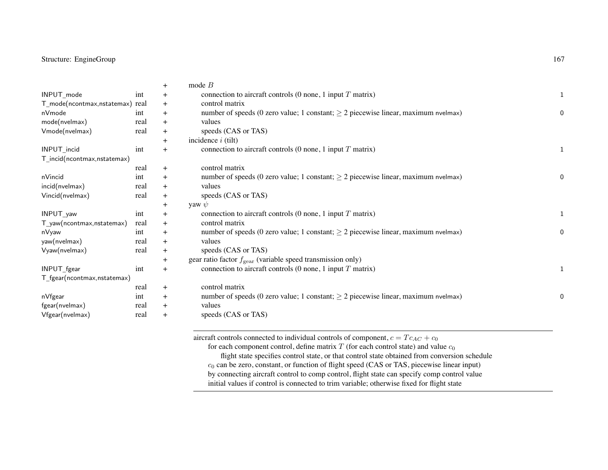### Structure: EngineGroup 167

|                                            |      | $\pm$ | mode $B$                                                                                |   |
|--------------------------------------------|------|-------|-----------------------------------------------------------------------------------------|---|
| INPUT_mode                                 | int  | $+$   | connection to aircraft controls $(0 \text{ none}, 1 \text{ input } T \text{ matrix})$   |   |
| T_mode(ncontmax,nstatemax)                 | real | $+$   | control matrix                                                                          |   |
| nVmode                                     | int  | $\pm$ | number of speeds (0 zero value; 1 constant; $\geq$ 2 piecewise linear, maximum nvelmax) | 0 |
| mode(nvelmax)                              | real | $\pm$ | values                                                                                  |   |
| Vmode(nvelmax)                             | real | $\pm$ | speeds (CAS or TAS)                                                                     |   |
|                                            |      | $\pm$ | incidence $i$ (tilt)                                                                    |   |
| <b>INPUT</b> incid                         | int  | $+$   | connection to aircraft controls (0 none, 1 input $T$ matrix)                            |   |
| T_incid(ncontmax,nstatemax)                |      |       |                                                                                         |   |
|                                            | real | $\pm$ | control matrix                                                                          |   |
| nVincid                                    | int  | $\pm$ | number of speeds (0 zero value; 1 constant; $\geq 2$ piecewise linear, maximum nvelmax) | 0 |
| incid(nvelmax)                             | real | $+$   | values                                                                                  |   |
| Vincid(nvelmax)                            | real | $\pm$ | speeds (CAS or TAS)                                                                     |   |
|                                            |      | $\pm$ | yaw $\psi$                                                                              |   |
| INPUT_yaw                                  | int  | $+$   | connection to aircraft controls (0 none, 1 input $T$ matrix)                            |   |
| T_yaw(ncontmax,nstatemax)                  | real | $+$   | control matrix                                                                          |   |
| nVyaw                                      | int  | $\pm$ | number of speeds (0 zero value; 1 constant; $\geq 2$ piecewise linear, maximum nvelmax) | 0 |
| yaw(nvelmax)                               | real | $\pm$ | values                                                                                  |   |
| Vyaw(nvelmax)                              | real | $\pm$ | speeds (CAS or TAS)                                                                     |   |
|                                            |      | $\pm$ | gear ratio factor $f_{\text{gear}}$ (variable speed transmission only)                  |   |
| INPUT_fgear                                | int  | $+$   | connection to aircraft controls $(0 \text{ none}, 1 \text{ input } T \text{ matrix})$   |   |
| $T_{\text{g}}$ fgear (ncontmax, nstatemax) |      |       |                                                                                         |   |
|                                            | real | $\pm$ | control matrix                                                                          |   |
| nVfgear                                    | int  | $\pm$ | number of speeds (0 zero value; 1 constant; $\geq 2$ piecewise linear, maximum nvelmax) | 0 |
| fgear(nvelmax)                             | real | $+$   | values                                                                                  |   |
| Vfgear(nvelmax)                            | real | $+$   | speeds (CAS or TAS)                                                                     |   |

aircraft controls connected to individual controls of component,  $c = Tc_{AC} + c_0$ 

for each component control, define matrix  $T$  (for each control state) and value  $c_0$ flight state specifies control state, or that control state obtained from conversion schedule *<sup>c</sup>*<sup>0</sup> can be zero, constant, or function of flight speed (CAS or TAS, piecewise linear input) by connecting aircraft control to comp control, flight state can specify comp control value initial values if control is connected to trim variable; otherwise fixed for flight state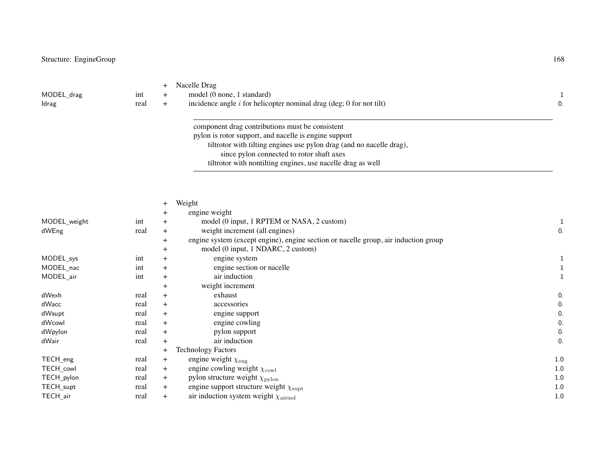## Structure: EngineGroup 168

|              |      | $+$       | Nacelle Drag                                                                        |     |
|--------------|------|-----------|-------------------------------------------------------------------------------------|-----|
| MODEL_drag   | int  | $+$       | model (0 none, 1 standard)                                                          |     |
| Idrag        | real | $+$       | incidence angle $i$ for helicopter nominal drag (deg; 0 for not tilt)               | 0.  |
|              |      |           | component drag contributions must be consistent                                     |     |
|              |      |           | pylon is rotor support, and nacelle is engine support                               |     |
|              |      |           | tiltrotor with tilting engines use pylon drag (and no nacelle drag),                |     |
|              |      |           | since pylon connected to rotor shaft axes                                           |     |
|              |      |           | tiltrotor with nontilting engines, use nacelle drag as well                         |     |
|              |      |           |                                                                                     |     |
|              |      | $\ddot{}$ | Weight                                                                              |     |
|              |      | $+$       | engine weight                                                                       |     |
| MODEL_weight | int  | $\ddot{}$ | model (0 input, 1 RPTEM or NASA, 2 custom)                                          |     |
| dWEng        | real | $\ddot{}$ | weight increment (all engines)                                                      | 0.  |
|              |      | $\ddot{}$ | engine system (except engine), engine section or nacelle group, air induction group |     |
|              |      | $+$       | model (0 input, 1 NDARC, 2 custom)                                                  |     |
| MODEL_sys    | int  | $+$       | engine system                                                                       | 1   |
| MODEL nac    | int  | $\pm$     | engine section or nacelle                                                           |     |
| MODEL_air    | int  | $\ddot{}$ | air induction                                                                       | 1   |
|              |      | $+$       | weight increment                                                                    |     |
| dWexh        | real | $\ddot{}$ | exhaust                                                                             | 0.  |
| dWacc        | real | $\ddot{}$ | accessories                                                                         | 0.  |
| dWsupt       | real | $\ddot{}$ | engine support                                                                      | 0.  |
| dWcowl       | real | $+$       | engine cowling                                                                      | 0.  |
| dWpylon      | real | $+$       | pylon support                                                                       | 0.  |
| dWair        | real | $\ddot{}$ | air induction                                                                       | 0.  |
|              |      | $\pm$     | <b>Technology Factors</b>                                                           |     |
| TECH_eng     | real | $+$       | engine weight $\chi_{\text{eng}}$                                                   | 1.0 |
| TECH cowl    | real | $+$       | engine cowling weight $\chi_{\text{cowl}}$                                          | 1.0 |
| TECH_pylon   | real | $+$       | pylon structure weight $\chi_{\text{pylon}}$                                        | 1.0 |
| TECH_supt    | real | $\ddot{}$ | engine support structure weight $\chi_{\rm{surf}}$                                  | 1.0 |
| TECH air     | real | $+$       | air induction system weight $\chi_{\rm airind}$                                     | 1.0 |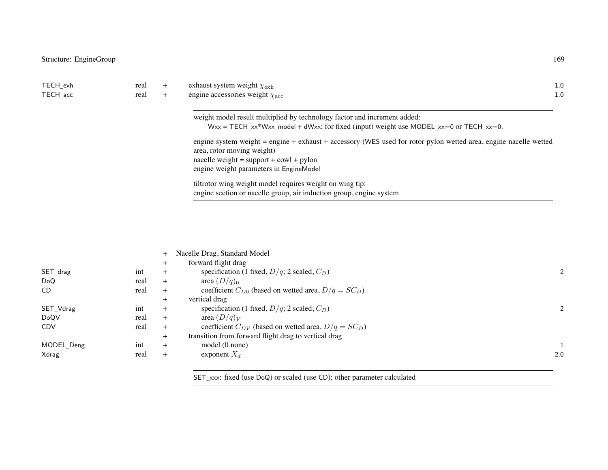| Structure: EngineGroup | 169 |
|------------------------|-----|
|                        |     |

| exhaust system weight $\chi_{\rm exh}$                                                                                                                                                                                                       | 1.0 |
|----------------------------------------------------------------------------------------------------------------------------------------------------------------------------------------------------------------------------------------------|-----|
| engine accessories weight $\chi_{\text{acc}}$                                                                                                                                                                                                | 1.0 |
| weight model result multiplied by technology factor and increment added:<br>$Wxx$ = TECH xx*Wxx model + dWxx; for fixed (input) weight use MODEL xx=0 or TECH xx=0.                                                                          |     |
| engine system weight $=$ engine $+$ exhaust $+$ accessory (WES used for rotor pylon wetted area, engine nacelle wetted<br>area, rotor moving weight)<br>$nacelle weight = support + cowl + pylon$<br>engine weight parameters in EngineModel |     |
| tiltrotor wing weight model requires weight on wing tip:<br>engine section or nacelle group, air induction group, engine system                                                                                                              |     |
|                                                                                                                                                                                                                                              |     |

|            |      | $+$   | Nacelle Drag, Standard Model                               |     |
|------------|------|-------|------------------------------------------------------------|-----|
|            |      | $+$   | forward flight drag                                        |     |
| SET_drag   | int  | $+$   | specification (1 fixed, $D/q$ ; 2 scaled, $C_D$ )          |     |
| DoQ        | real | $+$   | area $(D/q)_0$                                             |     |
| CD.        | real | $+$   | coefficient $C_{D0}$ (based on wetted area, $D/q = SC_D$ ) |     |
|            |      | $+$   | vertical drag                                              |     |
| SET_Vdrag  | int  | $+$   | specification (1 fixed, $D/q$ ; 2 scaled, $C_D$ )          |     |
| DoQV       | real | $+$   | area $(D/q)V$                                              |     |
| CDV        | real | $+$   | coefficient $C_{DV}$ (based on wetted area, $D/q = SC_D$ ) |     |
|            |      | $\pm$ | transition from forward flight drag to vertical drag       |     |
| MODEL Deng | int  | $+$   | model (0 none)                                             |     |
| Xdrag      | real | $\pm$ | exponent $X_d$                                             | 2.0 |
|            |      |       |                                                            |     |

SET \_ xxx: fixed (use DoQ) or scaled (use CD); other parameter calculated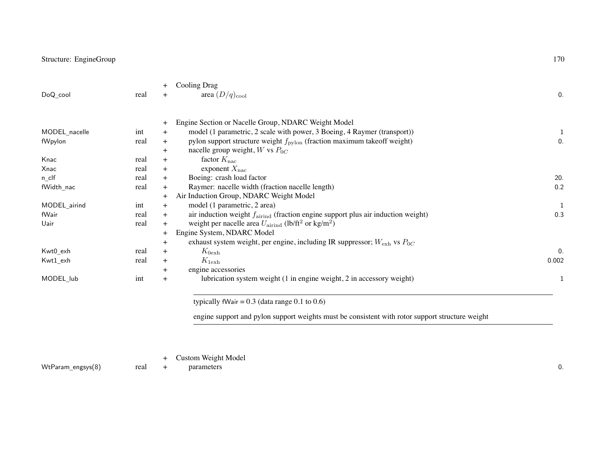## Structure: EngineGroup 170

|               |      |              | Cooling Drag                                                                                                               |              |
|---------------|------|--------------|----------------------------------------------------------------------------------------------------------------------------|--------------|
| DoQ_cool      | real |              | area $(D/q)_{\text{cool}}$                                                                                                 | 0.           |
|               |      | $\pm$        | Engine Section or Nacelle Group, NDARC Weight Model                                                                        |              |
| MODEL nacelle | int  | $+$          | model (1 parametric, 2 scale with power, 3 Boeing, 4 Raymer (transport))                                                   |              |
| fWpylon       | real | $\pm$<br>$+$ | pylon support structure weight $f_{\text{pylon}}$ (fraction maximum takeoff weight)<br>nacelle group weight, W vs $P_{0C}$ | 0.           |
| Knac          | real | $+$          | factor $K_{\text{nac}}$                                                                                                    |              |
| Xnac          | real | $\pm$        | exponent $X_{\text{nac}}$                                                                                                  |              |
| $n$ _clf      | real | $+$          | Boeing: crash load factor                                                                                                  | 20.          |
| fWidth nac    | real | $+$          | Raymer: nacelle width (fraction nacelle length)                                                                            | 0.2          |
|               |      | $\pm$        | Air Induction Group, NDARC Weight Model                                                                                    |              |
| MODEL_airind  | int  | $+$          | model (1 parametric, 2 area)                                                                                               |              |
| fWair         | real | $+$          | air induction weight $f_{\text{airind}}$ (fraction engine support plus air induction weight)                               | 0.3          |
| Uair          | real | $+$          | weight per nacelle area $U_{\text{airind}}$ (lb/ft <sup>2</sup> or kg/m <sup>2</sup> )                                     |              |
|               |      | $\pm$        | Engine System, NDARC Model                                                                                                 |              |
|               |      | $+$          | exhaust system weight, per engine, including IR suppressor; $W_{\text{exh}}$ vs $P_{0C}$                                   |              |
| Kwt0 exh      | real | $+$          | $K_{0\text{exh}}$                                                                                                          | $\mathbf{0}$ |
| Kwt1_exh      | real | $\pm$        | $K_{1\text{exh}}$                                                                                                          | 0.002        |
|               |      | $\pm$        | engine accessories                                                                                                         |              |
| MODEL lub     | int  | $\pm$        | lubrication system weight (1 in engine weight, 2 in accessory weight)                                                      |              |
|               |      |              | typically fWair = $0.3$ (data range 0.1 to 0.6)                                                                            |              |
|               |      |              | engine support and pylon support weights must be consistent with rotor support structure weight                            |              |
|               |      |              |                                                                                                                            |              |

WtParam\_engsys(8)

<sup>+</sup> Custom Weight Model \_engsys(8) real <sup>+</sup> parameters 0.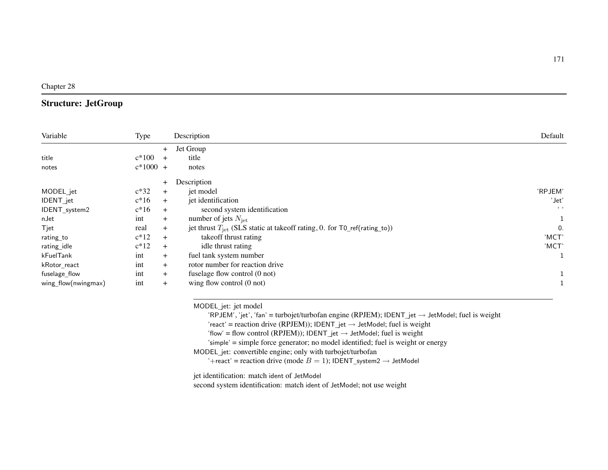### **Structure: JetGroup**

| Variable            | Type       |        | Description                                                                          | Default   |
|---------------------|------------|--------|--------------------------------------------------------------------------------------|-----------|
|                     |            | $+$    | Jet Group                                                                            |           |
| title               | $c*100$    | $+$    | title                                                                                |           |
| notes               | $c*1000 +$ |        | notes                                                                                |           |
|                     |            | $+$    | Description                                                                          |           |
| MODEL_jet           | $c*32$     | $^{+}$ | jet model                                                                            | 'RPJEM'   |
| IDENT_jet           | $c*16$     | $+$    | jet identification                                                                   | 'Jet'     |
| IDENT system2       | $c*16$     | $+$    | second system identification                                                         | $, \cdot$ |
| nJet                | int        | $+$    | number of jets $N_{\text{jet}}$                                                      |           |
| Tjet                | real       | $+$    | jet thrust $T_{\text{iet}}$ (SLS static at takeoff rating, 0. for T0_ref(rating_to)) | 0.        |
| rating_to           | $c*12$     | $+$    | takeoff thrust rating                                                                | 'MCT      |
| rating_idle         | $c*12$     | $+$    | idle thrust rating                                                                   | 'MCT'     |
| kFuelTank           | int        | $+$    | fuel tank system number                                                              |           |
| kRotor_react        | int        | $+$    | rotor number for reaction drive                                                      |           |
| fuselage_flow       | int        | $+$    | fuselage flow control (0 not)                                                        |           |
| wing_flow(nwingmax) | int        | $+$    | wing flow control $(0$ not)                                                          |           |

MODEL \_jet: jet model

'RPJEM', 'jet', 'fan' <sup>=</sup> turbojet/turbofan engine (RPJEM); IDENT\_jet <sup>→</sup> JetModel; fuel is weight

'react' = reaction drive (RPJEM)); IDENT\_jet  $\rightarrow$  JetModel; fuel is weight

'flow' = flow control (RPJEM)); IDENT\_jet  $\rightarrow$  JetModel; fuel is weight

'simple' <sup>=</sup> simple force generator; no model identified; fuel is weight or energy

MODEL \_jet: convertible engine; only with turbojet/turbofan

'+react' = reaction drive (mode  $B = 1$ ); IDENT\_system2  $\rightarrow$  JetModel

jet identification: match ident of JetModel

second system identification: match ident of JetModel; not use weight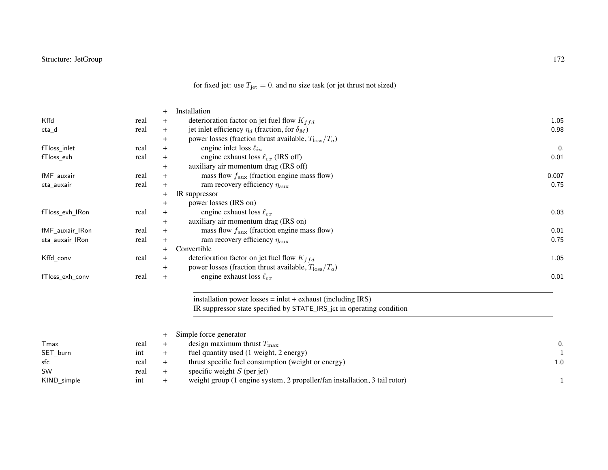# for fixed jet: use  $T_{\rm jet} = 0.$  and no size task (or jet thrust not sized)

|                 |      | $+$       | Installation                                                                                                                            |       |
|-----------------|------|-----------|-----------------------------------------------------------------------------------------------------------------------------------------|-------|
| Kffd            | real | $+$       | deterioration factor on jet fuel flow $K_{ffd}$                                                                                         | 1.05  |
| eta d           | real | $+$       | jet inlet efficiency $\eta_d$ (fraction, for $\delta_M$ )                                                                               | 0.98  |
|                 |      | $\ddot{}$ | power losses (fraction thrust available, $T_{\text{loss}}/T_a$ )                                                                        |       |
| fTloss inlet    | real | $+$       | engine inlet loss $\ell_{in}$                                                                                                           | 0.    |
| fTloss_exh      | real | $\ddot{}$ | engine exhaust loss $\ell_{ex}$ (IRS off)                                                                                               | 0.01  |
|                 |      | $\ddot{}$ | auxiliary air momentum drag (IRS off)                                                                                                   |       |
| fMF_auxair      | real | $+$       | mass flow $f_{\text{aux}}$ (fraction engine mass flow)                                                                                  | 0.007 |
| eta_auxair      | real | $\pm$     | ram recovery efficiency $\eta_{\text{aux}}$                                                                                             | 0.75  |
|                 |      | $\,^+$    | IR suppressor                                                                                                                           |       |
|                 |      | $\pm$     | power losses (IRS on)                                                                                                                   |       |
| fTloss exh IRon | real | $\ddot{}$ | engine exhaust loss $\ell_{ex}$                                                                                                         | 0.03  |
|                 |      | $\pm$     | auxiliary air momentum drag (IRS on)                                                                                                    |       |
| fMF_auxair_IRon | real | $+$       | mass flow $f_{\text{aux}}$ (fraction engine mass flow)                                                                                  | 0.01  |
| eta_auxair_IRon | real | $\ddot{}$ | ram recovery efficiency $\eta_{\text{aux}}$                                                                                             | 0.75  |
|                 |      | $+$       | Convertible                                                                                                                             |       |
| Kffd conv       | real | $\ddot{}$ | deterioration factor on jet fuel flow $K_{ffd}$                                                                                         | 1.05  |
|                 |      | $+$       | power losses (fraction thrust available, $T_{\text{loss}}/T_a$ )                                                                        |       |
| fTloss exh conv | real | $\ddot{}$ | engine exhaust loss $\ell_{ex}$                                                                                                         | 0.01  |
|                 |      |           | installation power losses = inlet + exhaust (including $IRS$ )<br>IR suppressor state specified by STATE_IRS_jet in operating condition |       |
|                 |      | $\ddot{}$ | Simple force generator                                                                                                                  |       |
| Tmax            | real | $\ddot{}$ | design maximum thrust $T_{\text{max}}$                                                                                                  | 0.    |
| SET_burn        | int  | $\ddot{}$ | fuel quantity used (1 weight, 2 energy)                                                                                                 |       |
| sfc             | real | $+$       | thrust specific fuel consumption (weight or energy)                                                                                     | 1.0   |
| SW              | real | $\pm$     | specific weight $S$ (per jet)                                                                                                           |       |
| KIND_simple     | int  | $+$       | weight group (1 engine system, 2 propeller/fan installation, 3 tail rotor)                                                              |       |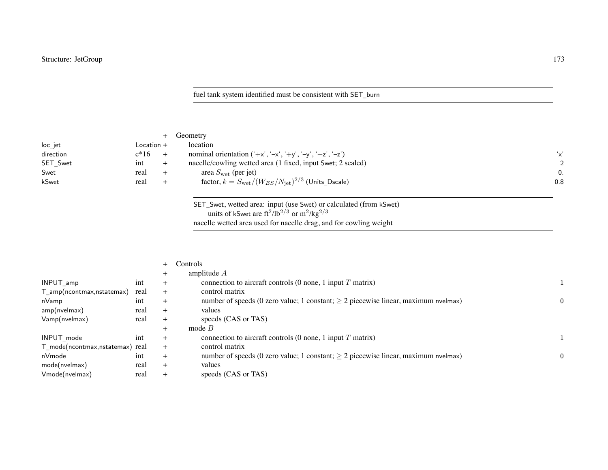#### Structure: JetGroup 173

### fuel tank system identified must be consistent with SET\_burn

|           |              |     | Geometry                                                                       |                |
|-----------|--------------|-----|--------------------------------------------------------------------------------|----------------|
| loc jet   | $Location +$ |     | location                                                                       |                |
| direction | $c*16$       | $+$ | nominal orientation $('+x', ' -x', '+y', ' -y', ' +z', ' -z')$                 | 'x'            |
| SET Swet  | 1nt.         | $+$ | nacelle/cowling wetted area (1 fixed, input Swet; 2 scaled)                    |                |
| Swet      | real         |     | area $S_{\text{wet}}$ (per jet)                                                | $\mathbf{0}$ . |
| kSwet     | real         | $+$ | $\text{factor}, k = S_\text{wet} / (W_{ES}/N_\text{iet})^{2/3}$ (Units_Dscale) | 0.8            |

SET \_ Swet, wetted area: input (use Swet) or calculated (from kSwet) units of kSwet are ft<sup>2</sup>/lb<sup>2</sup>*/*<sup>3</sup> or <sup>m</sup><sup>2</sup>/kg<sup>2</sup>*/*<sup>3</sup> nacelle wetted area used for nacelle drag, and for cowling weight

|                                 |      |        | Controls                                                                                |  |
|---------------------------------|------|--------|-----------------------------------------------------------------------------------------|--|
|                                 |      | $\pm$  | amplitude $A$                                                                           |  |
| INPUT amp                       | int  | $+$    | connection to aircraft controls (0 none, 1 input $T$ matrix)                            |  |
| $T_{amp}$ (ncontmax, nstatemax) | real |        | control matrix                                                                          |  |
| nVamp                           | int  |        | number of speeds (0 zero value; 1 constant; $\geq 2$ piecewise linear, maximum nvelmax) |  |
| amp(nvelmax)                    | real | $\pm$  | values                                                                                  |  |
| Vamp(nvelmax)                   | real | $\pm$  | speeds (CAS or TAS)                                                                     |  |
|                                 |      | $\pm$  | mode $B$                                                                                |  |
| INPUT mode                      | int  |        | connection to aircraft controls (0 none, 1 input $T$ matrix)                            |  |
| T_mode(ncontmax,nstatemax) real |      |        | control matrix                                                                          |  |
| nVmode                          | int  | $+$    | number of speeds (0 zero value; 1 constant; $\geq$ 2 piecewise linear, maximum nvelmax) |  |
| mode(nvelmax)                   | real | $^{+}$ | values                                                                                  |  |
| Vmode(nvelmax)                  | real |        | speeds (CAS or TAS)                                                                     |  |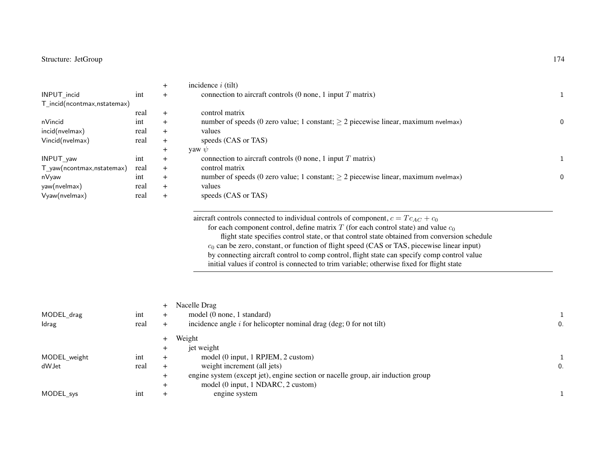## Structure: JetGroup 174

|                             |      | $\ddot{}$      | incidence $i$ (tilt)                                                                                                                                                                                                                                                                                                                                                                                                                                                                 |             |
|-----------------------------|------|----------------|--------------------------------------------------------------------------------------------------------------------------------------------------------------------------------------------------------------------------------------------------------------------------------------------------------------------------------------------------------------------------------------------------------------------------------------------------------------------------------------|-------------|
| <b>INPUT</b> incid          | int  | $\overline{+}$ | connection to aircraft controls $(0 \text{ none}, 1 \text{ input } T \text{ matrix})$                                                                                                                                                                                                                                                                                                                                                                                                | 1           |
| T_incid(ncontmax,nstatemax) |      |                |                                                                                                                                                                                                                                                                                                                                                                                                                                                                                      |             |
|                             | real | $\ddot{}$      | control matrix                                                                                                                                                                                                                                                                                                                                                                                                                                                                       |             |
| nVincid                     | int  | $\ddot{}$      | number of speeds (0 zero value; 1 constant; $\geq 2$ piecewise linear, maximum nvelmax)                                                                                                                                                                                                                                                                                                                                                                                              | 0           |
| incid(nvelmax)              | real | $\ddot{}$      | values                                                                                                                                                                                                                                                                                                                                                                                                                                                                               |             |
| Vincid(nvelmax)             | real | $\ddot{}$      | speeds (CAS or TAS)                                                                                                                                                                                                                                                                                                                                                                                                                                                                  |             |
|                             |      | $\pm$          | yaw $\psi$                                                                                                                                                                                                                                                                                                                                                                                                                                                                           |             |
| <b>INPUT</b> yaw            | int  | $\ddot{}$      | connection to aircraft controls (0 none, 1 input $T$ matrix)                                                                                                                                                                                                                                                                                                                                                                                                                         | 1           |
| T_yaw(ncontmax,nstatemax)   | real | $+$            | control matrix                                                                                                                                                                                                                                                                                                                                                                                                                                                                       |             |
| nVyaw                       | int  | $\ddot{}$      | number of speeds (0 zero value; 1 constant; $\geq 2$ piecewise linear, maximum nvelmax)                                                                                                                                                                                                                                                                                                                                                                                              | 0           |
| yaw(nvelmax)                | real | $\ddot{}$      | values                                                                                                                                                                                                                                                                                                                                                                                                                                                                               |             |
| Vyaw(nvelmax)               | real | $+$            | speeds (CAS or TAS)                                                                                                                                                                                                                                                                                                                                                                                                                                                                  |             |
|                             |      |                | for each component control, define matrix $T$ (for each control state) and value $c_0$<br>flight state specifies control state, or that control state obtained from conversion schedule<br>$c_0$ can be zero, constant, or function of flight speed (CAS or TAS, piecewise linear input)<br>by connecting aircraft control to comp control, flight state can specify comp control value<br>initial values if control is connected to trim variable; otherwise fixed for flight state |             |
|                             |      | $\pm$          | Nacelle Drag                                                                                                                                                                                                                                                                                                                                                                                                                                                                         |             |
| MODEL drag                  | int  | $\pm$          | model (0 none, 1 standard)                                                                                                                                                                                                                                                                                                                                                                                                                                                           |             |
| Idrag                       | real | $\ddot{}$      | incidence angle $i$ for helicopter nominal drag (deg; 0 for not tilt)                                                                                                                                                                                                                                                                                                                                                                                                                | 0.          |
|                             |      | $+$            | Weight                                                                                                                                                                                                                                                                                                                                                                                                                                                                               |             |
|                             |      | $\,{}^+$       | jet weight                                                                                                                                                                                                                                                                                                                                                                                                                                                                           |             |
| MODEL_weight                | int  | $\ddot{}$      | model (0 input, 1 RPJEM, 2 custom)                                                                                                                                                                                                                                                                                                                                                                                                                                                   |             |
| dWJet                       | real | $\pm$          | weight increment (all jets)                                                                                                                                                                                                                                                                                                                                                                                                                                                          | 0.          |
|                             |      | $\pm$          | engine system (except jet), engine section or nacelle group, air induction group                                                                                                                                                                                                                                                                                                                                                                                                     |             |
|                             |      | $\pm$          | model (0 input, 1 NDARC, 2 custom)                                                                                                                                                                                                                                                                                                                                                                                                                                                   |             |
| MODEL sys                   | int  | $\pm$          | engine system                                                                                                                                                                                                                                                                                                                                                                                                                                                                        | $\mathbf 1$ |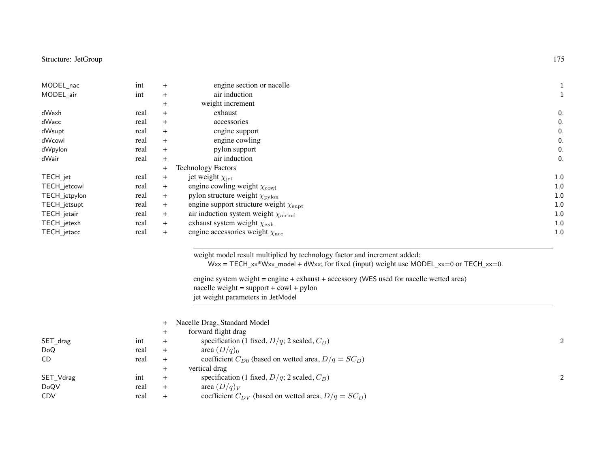#### Structure: JetGroup 175

| MODEL nac     | int  | $+$ | engine section or nacelle                            |     |
|---------------|------|-----|------------------------------------------------------|-----|
| MODEL air     | int  | $+$ | air induction                                        |     |
|               |      | $+$ | weight increment                                     |     |
| dWexh         | real | $+$ | exhaust                                              | 0.  |
| dWacc         | real | $+$ | accessories                                          | 0.  |
| dWsupt        | real | $+$ | engine support                                       | 0.  |
| dWcowl        | real | $+$ | engine cowling                                       | 0.  |
| dWpylon       | real | $+$ | pylon support                                        | 0.  |
| dWair         | real | $+$ | air induction                                        | 0.  |
|               |      | $+$ | <b>Technology Factors</b>                            |     |
| TECH_jet      | real | $+$ | jet weight $\chi_{\rm jet}$                          | 1.0 |
| TECH_jetcowl  | real | $+$ | engine cowling weight $\chi_{\text{cowl}}$           | 1.0 |
| TECH_jetpylon | real | $+$ | pylon structure weight $\chi_{\text{pylon}}$         | 1.0 |
| TECH_jetsupt  | real | $+$ | engine support structure weight $\chi_{\text{subt}}$ | 1.0 |
| TECH_jetair   | real | $+$ | air induction system weight $\chi_{\rm airind}$      | 1.0 |
| TECH_jetexh   | real | $+$ | exhaust system weight $\chi_{\rm exh}$               | 1.0 |
| TECH_jetacc   | real | $+$ | engine accessories weight $\chi_{\rm acc}$           | 1.0 |
|               |      |     |                                                      |     |

weight model result multiplied by technology factor and increment added:

Wxx = TECH\_xx\*Wxx\_model + dWxx; for fixed (input) weight use MODEL\_xx=0 or TECH\_xx=0.

engine system weight <sup>=</sup> engine <sup>+</sup> exhaust <sup>+</sup> accessory (WES used for nacelle wetted area)  $nacelle weight = support + cowl + pylon$ jet weight parameters in JetModel

|            |      |       | Nacelle Drag, Standard Model                               |  |
|------------|------|-------|------------------------------------------------------------|--|
|            |      |       | forward flight drag                                        |  |
| SET_drag   | int  |       | specification (1 fixed, $D/q$ ; 2 scaled, $C_D$ )          |  |
| DoQ        | real |       | area $(D/q)_0$                                             |  |
| CD.        | real |       | coefficient $C_{D0}$ (based on wetted area, $D/q = SC_D$ ) |  |
|            |      | $\pm$ | vertical drag                                              |  |
| SET Vdrag  | int  |       | specification (1 fixed, $D/q$ ; 2 scaled, $C_D$ )          |  |
| DoQV       | real |       | area $(D/q)_V$                                             |  |
| <b>CDV</b> | real |       | coefficient $C_{DV}$ (based on wetted area, $D/q = SC_D$ ) |  |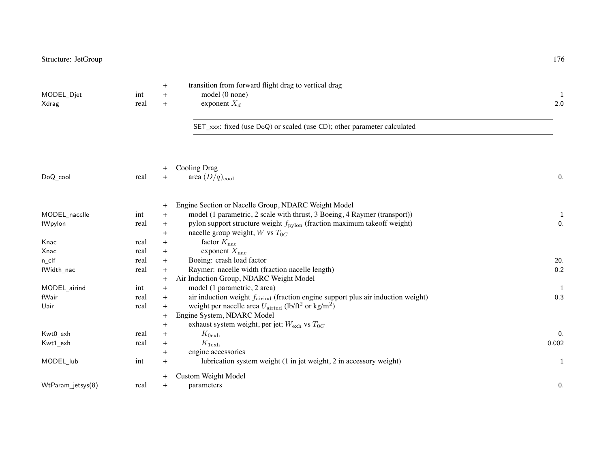| Structure: JetGroup | 176 |
|---------------------|-----|
|---------------------|-----|

| MODEL_Djet<br>Xdrag | int<br>real | $\ddot{}$<br>$+$<br>$\ddot{}$ | transition from forward flight drag to vertical drag<br>model (0 none)<br>exponent $X_d$     | 2.0          |
|---------------------|-------------|-------------------------------|----------------------------------------------------------------------------------------------|--------------|
|                     |             |                               | SET_xxx: fixed (use DoQ) or scaled (use CD); other parameter calculated                      |              |
|                     |             |                               | Cooling Drag                                                                                 |              |
| DoQ_cool            | real        | $+$                           | area $(D/q)_{\text{cool}}$                                                                   | 0.           |
|                     |             | $+$                           | Engine Section or Nacelle Group, NDARC Weight Model                                          |              |
| MODEL nacelle       | int         | $\ddot{}$                     | model (1 parametric, 2 scale with thrust, 3 Boeing, 4 Raymer (transport))                    |              |
| fWpylon             | real        | $\pm$                         | pylon support structure weight $f_{\text{pylon}}$ (fraction maximum takeoff weight)          | $\mathbf{0}$ |
|                     |             | $+$                           | nacelle group weight, W vs $T_{0C}$                                                          |              |
| Knac                | real        | $\ddot{}$                     | factor $K_{\text{nac}}$                                                                      |              |
| Xnac                | real        | $\ddot{}$                     | exponent $X_{\text{nac}}$                                                                    |              |
| n_clf               | real        | $+$                           | Boeing: crash load factor                                                                    | 20.          |
| fWidth_nac          | real        | $\pm$                         | Raymer: nacelle width (fraction nacelle length)                                              | 0.2          |
|                     |             | $\pm$                         | Air Induction Group, NDARC Weight Model                                                      |              |
| MODEL_airind        | int         | $+$                           | model (1 parametric, 2 area)                                                                 |              |
| fWair               | real        | $\ddot{}$                     | air induction weight $f_{\text{airind}}$ (fraction engine support plus air induction weight) | 0.3          |
| Uair                | real        | $\ddot{}$                     | weight per nacelle area $U_{\text{airind}}$ (lb/ft <sup>2</sup> or kg/m <sup>2</sup> )       |              |
|                     |             | $\,^+$                        | Engine System, NDARC Model                                                                   |              |
|                     |             | $\ddot{}$                     | exhaust system weight, per jet; $W_{\text{exh}}$ vs $T_{0C}$                                 |              |
| Kwt0_exh            | real        | $\pm$                         | $K_{0\text{exh}}$                                                                            | $\mathbf{0}$ |
| Kwt1_exh            | real        | $\pm$                         | $K_{1\text{exh}}$                                                                            | 0.002        |
|                     |             | $\pm$                         | engine accessories                                                                           |              |
| MODEL_lub           | int         | $+$                           | lubrication system weight (1 in jet weight, 2 in accessory weight)                           | 1            |
|                     |             | $+$                           | <b>Custom Weight Model</b>                                                                   |              |
| WtParam_jetsys(8)   | real        | $\pm$                         | parameters                                                                                   | $\mathbf{0}$ |
|                     |             |                               |                                                                                              |              |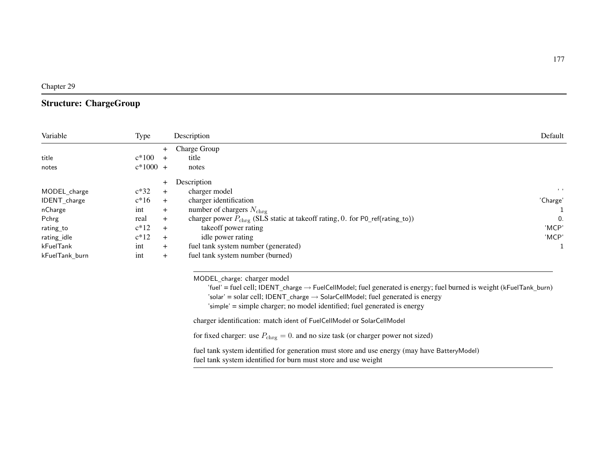| Variable       | Type       |        | Description                                                                              | Default      |
|----------------|------------|--------|------------------------------------------------------------------------------------------|--------------|
|                |            | $+$    | Charge Group                                                                             |              |
| title          | $c*100$    | $+$    | title                                                                                    |              |
| notes          | $c*1000 +$ |        | notes                                                                                    |              |
|                |            | $+$    | Description                                                                              |              |
| MODEL charge   | $c*32$     | $+$    | charger model                                                                            | $, \cdot$    |
| IDENT_charge   | $c*16$     | $+$    | charger identification                                                                   | 'Charge'     |
| nCharge        | int        | $+$    | number of chargers $N_{\text{chrg}}$                                                     |              |
| Pchrg          | real       | $+$    | charger power $P_{\text{chrg}}$ (SLS static at takeoff rating, 0. for P0_ref(rating_to)) | $\mathbf{0}$ |
| rating_to      | $c*12$     | $+$    | takeoff power rating                                                                     | 'MCP'        |
| rating_idle    | $c*12$     | $^{+}$ | idle power rating                                                                        | 'MCP'        |
| kFuelTank      | int        | $+$    | fuel tank system number (generated)                                                      |              |
| kFuelTank burn | int        | $+$    | fuel tank system number (burned)                                                         |              |

MODEL \_charge: charger model

'fuel' <sup>=</sup> fuel cell; IDENT\_charge <sup>→</sup> FuelCellModel; fuel generated is energy; fuel burned is weight (kFuelTank\_burn) 'solar' = solar cell; IDENT\_charge  $\rightarrow$  SolarCellModel; fuel generated is energy 'simple' <sup>=</sup> simple charger; no model identified; fuel generated is energy

charger identification: match ident of FuelCellModel or SolarCellModel

for fixed charger: use  $P_{\text{chrg}} = 0$ . and no size task (or charger power not sized)

fuel tank system identified for generation must store and use energy (may have BatteryModel) fuel tank system identified for burn must store and use weight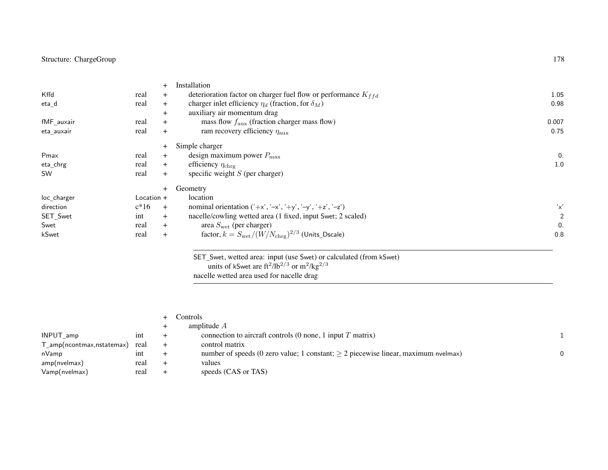|             |            | $+$ | Installation                                                          |       |
|-------------|------------|-----|-----------------------------------------------------------------------|-------|
| Kffd        | real       | $+$ | deterioration factor on charger fuel flow or performance $K_{ffd}$    | 1.05  |
| eta d       | real       | $+$ | charger inlet efficiency $\eta_d$ (fraction, for $\delta_M$ )         | 0.98  |
|             |            | $+$ | auxiliary air momentum drag                                           |       |
| fMF_auxair  | real       | $+$ | mass flow $f_{\text{aux}}$ (fraction charger mass flow)               | 0.007 |
| eta auxair  | real       | $+$ | ram recovery efficiency $\eta_{\text{aux}}$                           | 0.75  |
|             |            | $+$ | Simple charger                                                        |       |
| Pmax        | real       | $+$ | design maximum power $P_{\text{max}}$                                 | 0.    |
| eta_chrg    | real       | $+$ | efficiency $\eta_{\rm chrg}$                                          | 1.0   |
| SW          | real       | $+$ | specific weight $S$ (per charger)                                     |       |
|             |            | $+$ | Geometry                                                              |       |
| loc_charger | Location + |     | location                                                              |       |
| direction   | $c*16$     | $+$ | nominal orientation $('+x', '+x', '+y', '+y', '+z', '+z')$            | 'x'   |
| SET_Swet    | int        | $+$ | nacelle/cowling wetted area (1 fixed, input Swet; 2 scaled)           | 2     |
| Swet        | real       | $+$ | area $S_{\text{wet}}$ (per charger)                                   | 0.    |
| kSwet       | real       | $+$ | factor, $k = S_{\text{wet}}/(W/N_{\text{chrg}})^{2/3}$ (Units_Dscale) | 0.8   |

SET \_ Swet, wetted area: input (use Swet) or calculated (from kSwet) units of kSwet are ft<sup>2</sup>/lb<sup>2</sup>*/*<sup>3</sup> or <sup>m</sup><sup>2</sup>/kg<sup>2</sup>*/*<sup>3</sup> nacelle wetted area used for nacelle drag

|                                 |      | Controls                                                                                |  |
|---------------------------------|------|-----------------------------------------------------------------------------------------|--|
|                                 |      | amplitude $A$                                                                           |  |
| INPUT amp                       | 1nt  | connection to aircraft controls (0 none, 1 input $T$ matrix)                            |  |
| $T_{amp}$ (ncontmax, nstatemax) | real | control matrix                                                                          |  |
| nVamp                           | 1nt  | number of speeds (0 zero value; 1 constant; $\geq 2$ piecewise linear, maximum nvelmax) |  |
| amp(nvelmax)                    | real | values                                                                                  |  |
| Vamp(nvelmax)                   | real | speeds (CAS or TAS)                                                                     |  |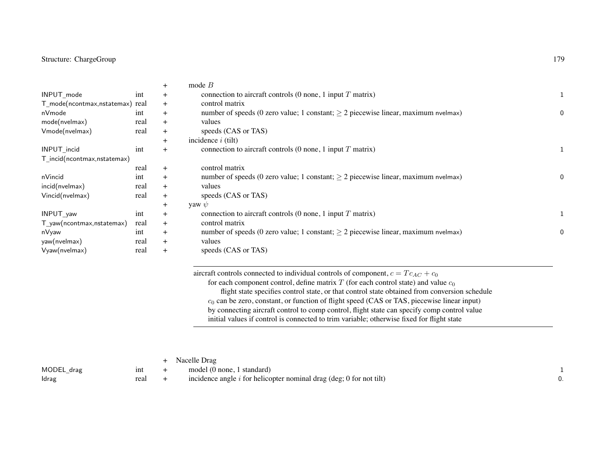|                                        |      | $\ddot{}$ | mode $B$                                                                                |   |
|----------------------------------------|------|-----------|-----------------------------------------------------------------------------------------|---|
| INPUT mode                             | int  | $+$       | connection to aircraft controls $(0 \text{ none}, 1 \text{ input } T \text{ matrix})$   |   |
| T_mode(ncontmax,nstatemax)             | real | $+$       | control matrix                                                                          |   |
| nVmode                                 | int  | $+$       | number of speeds (0 zero value; 1 constant; $\geq 2$ piecewise linear, maximum nvelmax) | 0 |
| mode(nvelmax)                          | real | $+$       | values                                                                                  |   |
| Vmode(nvelmax)                         | real | $\pm$     | speeds (CAS or TAS)                                                                     |   |
|                                        |      | $\pm$     | incidence $i$ (tilt)                                                                    |   |
| <b>INPUT</b> incid                     | int  | $+$       | connection to aircraft controls $(0 \text{ none}, 1 \text{ input } T \text{ matrix})$   |   |
| T_incid(ncontmax,nstatemax)            |      |           |                                                                                         |   |
|                                        | real | $+$       | control matrix                                                                          |   |
| nVincid                                | int  | $+$       | number of speeds (0 zero value; 1 constant; $\geq 2$ piecewise linear, maximum nvelmax) | 0 |
| incid(nvelmax)                         | real | $\ddot{}$ | values                                                                                  |   |
| Vincid(nvelmax)                        | real | $+$       | speeds (CAS or TAS)                                                                     |   |
|                                        |      | $\ddot{}$ | yaw $\psi$                                                                              |   |
| <b>INPUT</b> yaw                       | int  | $+$       | connection to aircraft controls $(0 \text{ none}, 1 \text{ input } T \text{ matrix})$   |   |
| $T_{\text{v}}$ aw(ncontmax, nstatemax) | real | $+$       | control matrix                                                                          |   |
| nVyaw                                  | int  | $+$       | number of speeds (0 zero value; 1 constant; $\geq 2$ piecewise linear, maximum nvelmax) | 0 |
| yaw(nvelmax)                           | real | $\ddot{}$ | values                                                                                  |   |
| Vyaw(nvelmax)                          | real | $\ddot{}$ | speeds (CAS or TAS)                                                                     |   |
|                                        |      |           |                                                                                         |   |

| aircraft controls connected to individual controls of component, $c = Tc_{AC} + c_0$          |
|-----------------------------------------------------------------------------------------------|
| for each component control, define matrix T (for each control state) and value $c_0$          |
| flight state specifies control state, or that control state obtained from conversion schedule |
| $c_0$ can be zero, constant, or function of flight speed (CAS or TAS, piecewise linear input) |
| by connecting aircraft control to comp control, flight state can specify comp control value   |
| initial values if control is connected to trim variable; otherwise fixed for flight state     |
|                                                                                               |

MODEL\_drag

- <sup>+</sup> Nacelle Drag
- drag int + model (0 none, 1 standard) 1 Idrag  $\overline{\phantom{a}}$  real  $\overline{\phantom{a}}$  incidence angle *i* for helicopter nominal drag (deg; 0 for not tilt) 0.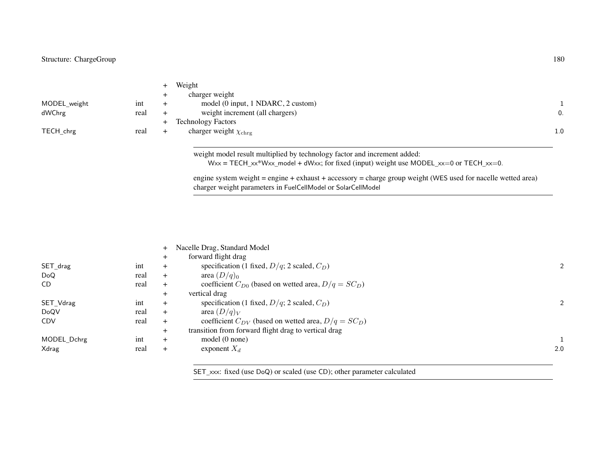|              |      |   | Weight                              |     |
|--------------|------|---|-------------------------------------|-----|
|              |      |   | charger weight                      |     |
| MODEL_weight | int  |   | model (0 input, 1 NDARC, 2 custom)  |     |
| dWChrg       | real |   | weight increment (all chargers)     | 0.  |
|              |      | ÷ | <b>Technology Factors</b>           |     |
| TECH_chrg    | real |   | charger weight $\chi_{\text{chrg}}$ | 1.0 |
|              |      |   |                                     |     |

weight model result multiplied by technology factor and increment added:

Wxx = TECH\_xx\*Wxx\_model + dWxx; for fixed (input) weight use MODEL\_xx=0 or TECH\_xx=0.

engine system weight <sup>=</sup> engine <sup>+</sup> exhaust <sup>+</sup> accessory <sup>=</sup> charge group weight (WES used for nacelle wetted area) charger weight parameters in FuelCellModel or SolarCellModel

|             |      | $+$   | Nacelle Drag, Standard Model                               |               |
|-------------|------|-------|------------------------------------------------------------|---------------|
|             |      | $+$   | forward flight drag                                        |               |
| SET_drag    | int  | $^+$  | specification (1 fixed, $D/q$ ; 2 scaled, $C_D$ )          | $\mathcal{P}$ |
| DoQ         | real | $+$   | area $(D/q)_0$                                             |               |
| CD          | real | $+$   | coefficient $C_{D0}$ (based on wetted area, $D/q = SC_D$ ) |               |
|             |      | $+$   | vertical drag                                              |               |
| SET_Vdrag   | int  | $^+$  | specification (1 fixed, $D/q$ ; 2 scaled, $C_D$ )          | $\mathcal{P}$ |
| DoQV        | real | $+$   | area $(D/q)_V$                                             |               |
| <b>CDV</b>  | real | $+$   | coefficient $C_{DV}$ (based on wetted area, $D/q = SC_D$ ) |               |
|             |      | $+$   | transition from forward flight drag to vertical drag       |               |
| MODEL Dchrg | int  | $+$   | model (0 none)                                             |               |
| Xdrag       | real | $\pm$ | exponent $X_d$                                             | 2.0           |

SET \_ xxx: fixed (use DoQ) or scaled (use CD); other parameter calculated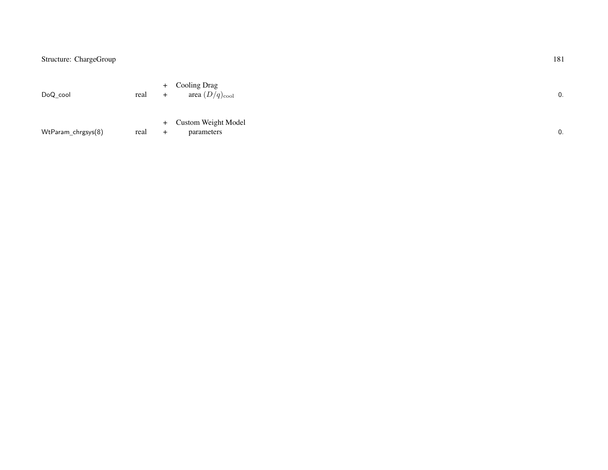| DoQ_cool           | real | $+$ | + Cooling Drag<br>area $(D/q)_{\text{cool}}$ | 0.           |
|--------------------|------|-----|----------------------------------------------|--------------|
| WtParam_chrgsys(8) | real | $+$ | + Custom Weight Model<br>parameters          | $\mathbf{0}$ |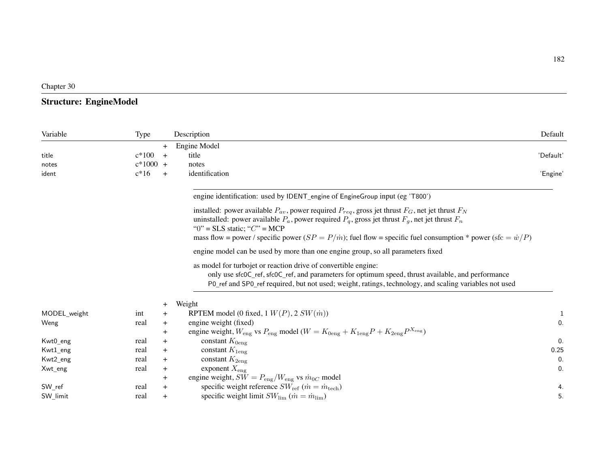| Variable     | Type       |        | Description                                                                                                                                                                                                                                                                    | Default   |
|--------------|------------|--------|--------------------------------------------------------------------------------------------------------------------------------------------------------------------------------------------------------------------------------------------------------------------------------|-----------|
|              |            | $^{+}$ | Engine Model                                                                                                                                                                                                                                                                   |           |
| title        | $c*100$    | $+$    | title                                                                                                                                                                                                                                                                          | 'Default' |
| notes        | $c*1000 +$ |        | notes                                                                                                                                                                                                                                                                          |           |
| ident        | $c*16$     | $+$    | identification                                                                                                                                                                                                                                                                 | 'Engine'  |
|              |            |        | engine identification: used by IDENT engine of EngineGroup input (eg 'T800')                                                                                                                                                                                                   |           |
|              |            |        | installed: power available $P_{av}$ , power required $P_{req}$ , gross jet thrust $F_G$ , net jet thrust $F_N$<br>uninstalled: power available $P_a$ , power required $P_q$ , gross jet thrust $F_g$ , net jet thrust $F_n$<br>" $0$ " = SLS static; " $C$ " = MCP             |           |
|              |            |        | mass flow = power / specific power $(SP = P/m)$ ; fuel flow = specific fuel consumption * power (sfc = $\dot{w}/P$ )                                                                                                                                                           |           |
|              |            |        | engine model can be used by more than one engine group, so all parameters fixed                                                                                                                                                                                                |           |
|              |            |        | as model for turbojet or reaction drive of convertible engine:<br>only use sfc0C_ref, sfc0C_ref, and parameters for optimum speed, thrust available, and performance<br>P0 ref and SP0 ref required, but not used; weight, ratings, technology, and scaling variables not used |           |
|              |            | $+$    | Weight                                                                                                                                                                                                                                                                         |           |
| MODEL weight | int        | $+$    | RPTEM model (0 fixed, 1 $W(P)$ , 2 $SW(\dot{m})$ )                                                                                                                                                                                                                             |           |
| Weng         | real       | $+$    | engine weight (fixed)                                                                                                                                                                                                                                                          | 0.        |
|              |            | $\pm$  | engine weight, $W_{\text{eng}}$ vs $P_{\text{eng}}$ model ( $W = K_{0\text{eng}} + K_{1\text{eng}}P + K_{2\text{eng}}P^{X_{\text{eng}}}$ )                                                                                                                                     |           |
| Kwt0_eng     | real       | $+$    | constant $K_{0eng}$                                                                                                                                                                                                                                                            | 0.        |
| Kwt1_eng     | real       | $+$    | constant $K_{1\text{eng}}$                                                                                                                                                                                                                                                     | 0.25      |
| Kwt2_eng     | real       | $+$    | constant $K_{2enq}$                                                                                                                                                                                                                                                            | 0.        |
| Xwt_eng      | real       | $^{+}$ | exponent $X_{\text{eng}}$                                                                                                                                                                                                                                                      | 0.        |
|              |            | $+$    | engine weight, $SW = P_{\text{eng}}/W_{\text{eng}}$ vs $\dot{m}_{0C}$ model                                                                                                                                                                                                    |           |
| SW_ref       | real       | $+$    | specific weight reference $SW_{ref}$ ( $\dot{m} = \dot{m}_{tech}$ )                                                                                                                                                                                                            | 4.        |
| SW_limit     | real       | $+$    | specific weight limit $SW_{\text{lim}}$ $(\dot{m} = \dot{m}_{\text{lim}})$                                                                                                                                                                                                     | 5.        |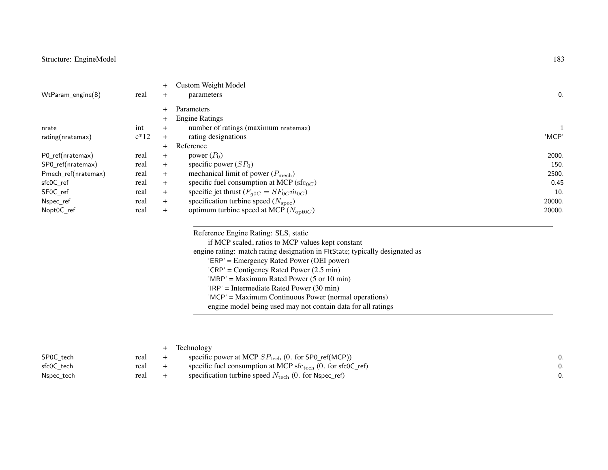|                         |        |     | Custom Weight Model                                    |        |
|-------------------------|--------|-----|--------------------------------------------------------|--------|
| $WtParam$ engine $(8)$  | real   | $+$ | parameters                                             | 0.     |
|                         |        |     | Parameters                                             |        |
|                         |        |     | <b>Engine Ratings</b>                                  |        |
| nrate                   | int    | $+$ | number of ratings (maximum nratemax)                   |        |
| rating(nratemax)        | $c*12$ | $+$ | rating designations                                    | 'MCP'  |
|                         |        |     | Reference                                              |        |
| P0_ref(nratemax)        | real   | $+$ | power $(P_0)$                                          | 2000.  |
| SP0 ref(nratemax)       | real   | $+$ | specific power $(SP_0)$                                | 150.   |
| Pmech ref(nratemax)     | real   | $+$ | mechanical limit of power $(P_{\text{mech}})$          | 2500.  |
| sfc0C_ref               | real   | $+$ | specific fuel consumption at MCP ( $sfc_{0C}$ )        | 0.45   |
| SF <sub>0</sub> C ref   | real   | $+$ | specific jet thrust $(F_{q0C} = SF_{0C} \dot{m}_{0C})$ | 10.    |
| Nspec_ref               | real   | $+$ | specification turbine speed $(N_{\rm spec})$           | 20000. |
| Nopt <sub>0</sub> C ref | real   | $+$ | optimum turbine speed at MCP ( $N_{\text{opt0C}}$ )    | 20000. |

Reference Engine Rating: SLS, static

if MCP scaled, ratios to MCP values kept constant

engine rating: match rating designation in FltState; typically designated as

'ERP' <sup>=</sup> Emergency Rated Power (OEI power)

'CRP' <sup>=</sup> Contigency Rated Power (2.5 min)

'MRP' <sup>=</sup> Maximum Rated Power (5 or 10 min)

- 'IRP' <sup>=</sup> Intermediate Rated Power (30 min)
- 'MCP' <sup>=</sup> Maximum Continuous Power (normal operations)

engine model being used may not contain data for all ratings

|            |        |     | Technology                                                                                        |  |
|------------|--------|-----|---------------------------------------------------------------------------------------------------|--|
| SPOC tech  | real + |     | specific power at MCP $SP_{\text{tech}}$ (0. for SP0 ref(MCP))                                    |  |
| sfc0C tech | real   | $+$ | specific fuel consumption at MCP $\text{sfc}_{\text{tech}}$ (0. for $\text{sfcOC}_{\text{ref}}$ ) |  |
| Nspec tech | real   | $+$ | specification turbine speed $N_{\text{tech}}$ (0. for Nspec_ref)                                  |  |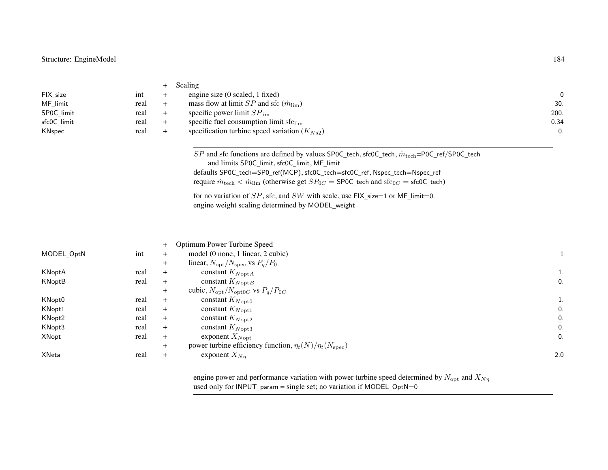|             |      | $+$ | Scaling                                                                                                                                                                                                                                                                                                                                                                                                                                                                                                                  |              |
|-------------|------|-----|--------------------------------------------------------------------------------------------------------------------------------------------------------------------------------------------------------------------------------------------------------------------------------------------------------------------------------------------------------------------------------------------------------------------------------------------------------------------------------------------------------------------------|--------------|
| FIX size    | int  | $+$ | engine size (0 scaled, 1 fixed)                                                                                                                                                                                                                                                                                                                                                                                                                                                                                          | $\mathbf{0}$ |
| MF limit    | real | $+$ | mass flow at limit $SP$ and sfc $(\dot{m}_{\rm lim})$                                                                                                                                                                                                                                                                                                                                                                                                                                                                    | 30.          |
| SP0C limit  | real | $+$ | specific power limit $SP_{\text{lim}}$                                                                                                                                                                                                                                                                                                                                                                                                                                                                                   | 200.         |
| sfc0C limit | real | $+$ | specific fuel consumption limit $\rm sfc_{\rm lim}$                                                                                                                                                                                                                                                                                                                                                                                                                                                                      | 0.34         |
| KNspec      | real | $+$ | specification turbine speed variation $(K_{Ns2})$                                                                                                                                                                                                                                                                                                                                                                                                                                                                        | 0.           |
|             |      |     | $SP$ and sfc functions are defined by values SP0C tech, sfc0C tech, $\dot{m}_{\text{tech}}$ =P0C ref/SP0C tech<br>and limits SP0C limit, sfc0C limit, MF limit<br>defaults SP0C tech=SP0 ref(MCP), sfc0C tech=sfc0C ref, Nspec tech=Nspec ref<br>require $\dot{m}_{\text{tech}} < \dot{m}_{\text{lim}}$ (otherwise get $SP_{0C} =$ SP0C_tech and sfc <sub>0C</sub> = sfc0C tech)<br>for no variation of $SP$ , sfc, and SW with scale, use FIX size=1 or MF limit=0.<br>engine weight scaling determined by MODEL weight |              |

|            |      |       | Optimum Power Turbine Speed                                            |     |
|------------|------|-------|------------------------------------------------------------------------|-----|
| MODEL OptN | int  |       | model (0 none, 1 linear, 2 cubic)                                      |     |
|            |      | $\pm$ | linear, $N_{\rm opt}/N_{\rm spec}$ vs $P_q/P_0$                        |     |
| KNoptA     | real | $\pm$ | constant $K_{N \text{opt} A}$                                          |     |
| KNoptB     | real | $+$   | constant $K_{N \text{opt} B}$                                          | 0.  |
|            |      | $+$   | cubic, $N_{\text{opt}}/N_{\text{opt0}C}$ vs $P_q/P_{0C}$               |     |
| KNopt0     | real | $\pm$ | constant $K_{N\text{opt0}}$                                            |     |
| KNopt1     | real | $+$   | constant $K_{N\text{opt1}}$                                            | 0.  |
| KNopt2     | real | $+$   | constant $K_{Nopt2}$                                                   | 0.  |
| KNopt3     | real | $+$   | constant $K_{N \text{opt3}}$                                           | 0.  |
| XNopt      | real | $+$   | exponent $X_{N\text{opt}}$                                             | 0.  |
|            |      | $+$   | power turbine efficiency function, $\eta_t(N)/\eta_t(N_{\text{spec}})$ |     |
| XNeta      | real | $\pm$ | exponent $X_{N\eta}$                                                   | 2.0 |

engine power and performance variation with power turbine speed determined by  $N_{\text{opt}}$  and  $X_{N\eta}$ used only for INPUT\_param = single set; no variation if MODEL\_OptN=0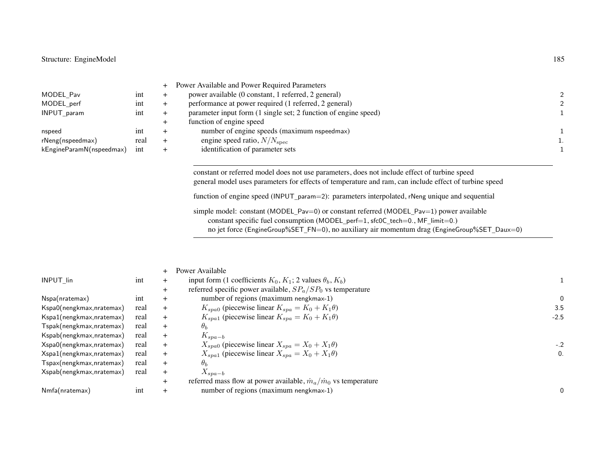|                          |      | $+$  | Power Available and Power Required Parameters                   |  |
|--------------------------|------|------|-----------------------------------------------------------------|--|
| MODEL Pav                | int  |      | power available (0 constant, 1 referred, 2 general)             |  |
| MODEL perf               | ınt  |      | performance at power required (1 referred, 2 general)           |  |
| INPUT param              | 1nt  |      | parameter input form (1 single set; 2 function of engine speed) |  |
|                          |      |      | function of engine speed                                        |  |
| nspeed                   | 1nt  |      | number of engine speeds (maximum nspeedmax)                     |  |
| rNeng(nspeedmax)         | real | $^+$ | engine speed ratio, $N/N_{\text{spec}}$                         |  |
| kEngineParamN(nspeedmax) | int  |      | identification of parameter sets                                |  |
|                          |      |      |                                                                 |  |
|                          |      |      | $\mathcal{C}$ 1 1 1 1 1<br>$\cdots$ $\cdots$ $\cdots$ $\cdots$  |  |

constant or referred model does not use parameters, does not include effect of turbine speed general model uses parameters for effects of temperature and ram, can include effect of turbine speed

function of engine speed (INPUT\_param=2): parameters interpolated, rNeng unique and sequential

simple model: constant (MODEL\_Pav=0) or constant referred (MODEL\_Pav=1) power available constant specific fuel consumption (MODEL perf=1, sfc0C tech=0., MF  $limit=0.$ ) no jet force (EngineGroup%SET\_FN=0), no auxiliary air momentum drag (EngineGroup%SET\_Daux=0)

|                           |      | $+$            | Power Available                                                               |             |
|---------------------------|------|----------------|-------------------------------------------------------------------------------|-------------|
| INPUT lin                 | int  |                | input form (1 coefficients $K_0, K_1$ ; 2 values $\theta_b, K_b$ )            |             |
|                           |      | $+$            | referred specific power available, $SP_a/SP_0$ vs temperature                 |             |
| Nspa(nratemax)            | int  | $+$            | number of regions (maximum nengkmax-1)                                        | $\mathbf 0$ |
| Kspa0(nengkmax,nratemax)  | real | $^{+}$         | $K_{spa0}$ (piecewise linear $K_{spa} = K_0 + K_1 \theta$ )                   | 3.5         |
| Kspa1(nengkmax,nratemax)  | real | $+$            | $K_{spa1}$ (piecewise linear $K_{spa} = K_0 + K_1 \theta$ )                   | $-2.5$      |
| Tspak(nengkmax,nratemax)  | real | $+$            | $\theta_b$                                                                    |             |
| Kspab(nengkmax, nratemax) | real | $+$            | $K_{spa-b}$                                                                   |             |
| Xspa0(nengkmax,nratemax)  | real |                | $X_{spa0}$ (piecewise linear $X_{spa} = X_0 + X_1 \theta$ )                   | $-.2$       |
| Xspa1(nengkmax,nratemax)  | real | $+$            | $X_{spa1}$ (piecewise linear $X_{spa} = X_0 + X_1 \theta$ )                   | 0.          |
| Tspax(nengkmax,nratemax)  | real | $+$            | $\theta_b$                                                                    |             |
| Xspab(nengkmax, nratemax) | real |                | $X_{spa-b}$                                                                   |             |
|                           |      | $\overline{+}$ | referred mass flow at power available, $\dot{m}_a / \dot{m}_0$ vs temperature |             |
| Nmfa(nratemax)            | int  |                | number of regions (maximum nengkmax-1)                                        | 0           |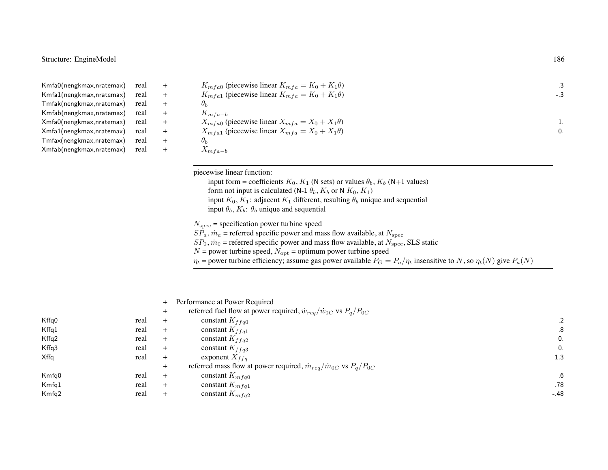| Kmfa0(nengkmax,nratemax) | real | $\pm$ | $K_{mfa0}$   |
|--------------------------|------|-------|--------------|
| Kmfa1(nengkmax,nratemax) | real | $\pm$ | $K_{mfa1}$   |
| Tmfak(nengkmax,nratemax) | real | $\pm$ | $\theta_h$   |
| Kmfab(nengkmax,nratemax) | real | $\pm$ | $K_{mfa-b}$  |
| Xmfa0(nengkmax,nratemax) | real | $\pm$ | $X_{mfa0}$ ( |
| Xmfa1(nengkmax,nratemax) | real | $\pm$ | $X_{mfa1}$ ( |
| Tmfax(nengkmax,nratemax) | real | $\pm$ | $\theta_h$   |
| Xmfab(nengkmax,nratemax) | real | $\pm$ | $X_{mfa-b}$  |
|                          |      |       |              |

| Kmfa0(nengkmax,nratemax)                                                        | real | $K_{mfa0}$ (piecewise linear $K_{mfa} = K_0 + K_1 \theta$ ) |       |
|---------------------------------------------------------------------------------|------|-------------------------------------------------------------|-------|
| Kmfa1(nengkmax,nratemax)                                                        | real | $K_{mfa1}$ (piecewise linear $K_{mfa} = K_0 + K_1 \theta$ ) | $-.3$ |
| $\mathsf{T}$ mfak $(\mathsf{n}\mathsf{engk}\mathsf{max},\mathsf{nr}$ atemax $)$ | real | $\theta_h$                                                  |       |
| Kmfab(nengkmax,nratemax)                                                        | real | $K_{mfa-b}$                                                 |       |
| Xmfa0(nengkmax,nratemax)                                                        | real | $X_{mfa0}$ (piecewise linear $X_{mfa} = X_0 + X_1 \theta$ ) |       |
| Xmfa1(nengkmax,nratemax)                                                        | real | $X_{mfa1}$ (piecewise linear $X_{mfa} = X_0 + X_1 \theta$ ) | 0.    |
| $\mathsf{T}$ mfax $(\mathsf{n}\mathsf{engk}\mathsf{max},\mathsf{nr}$ atemax $)$ | real |                                                             |       |
| Xmfab(nengkmax,nratemax)                                                        | real | $A_{mfa-b}$                                                 |       |
|                                                                                 |      |                                                             |       |

piecewise linear function:

input form = coefficients  $K_0$ ,  $K_1$  (N sets) or values  $\theta_b$ ,  $K_b$  (N+1 values) form not input is calculated (N-1  $\theta_b$ ,  $K_b$  or N  $K_0$ ,  $K_1$ ) input  $K_0$ ,  $K_1$ : adjacent  $K_1$  different, resulting  $\theta_b$  unique and sequential input  $\theta_b$ ,  $K_b$ :  $\theta_b$  unique and sequential

*N*spec <sup>=</sup> specification power turbine speed

 $S\dot{P}_a$ ,  $\dot{m}_a$  = referred specific power and mass flow available, at  $N_{\text{spec}}$ 

 $SP_0$ ,  $\dot{m}_0$  = referred specific power and mass flow available, at  $N_{\rm spec}$ , SLS static

 $N =$  power turbine speed,  $N_{\text{opt}} =$  optimum power turbine speed

*n*<sub>t</sub> = power turbine efficiency; assume gas power available  $P_G = P_a / \eta_t$  insensitive to *N*, so  $\eta_t(N)$  give  $P_a(N)$ 

| referred fuel flow at power required, $\dot{w}_{req} / \dot{w}_{0C}$ vs $P_q / P_{0C}$<br>+<br>Kffq0<br>constant $K_{ffq0}$<br>real<br>Kffq1<br>real<br>constant $K_{ffq1}$<br>$+$<br>Kffq2<br>constant $K_{ffq2}$<br>real<br>$\pm$<br>Kffq3<br>constant $K_{ffq3}$<br>real<br>$\pm$<br>Xffq<br>exponent $X_{ffq}$<br>real<br>$\pm$<br>referred mass flow at power required, $\dot{m}_{req} / \dot{m}_{0C}$ vs $P_q / P_{0C}$<br>$^+$<br>Kmfq0<br>constant $K_{mfg0}$<br>real<br>Kmfa1<br>constant $K_{mfa1}$<br>real<br>$\pm$ |       |      | $+$ | Performance at Power Required |              |
|--------------------------------------------------------------------------------------------------------------------------------------------------------------------------------------------------------------------------------------------------------------------------------------------------------------------------------------------------------------------------------------------------------------------------------------------------------------------------------------------------------------------------------|-------|------|-----|-------------------------------|--------------|
|                                                                                                                                                                                                                                                                                                                                                                                                                                                                                                                                |       |      |     |                               |              |
|                                                                                                                                                                                                                                                                                                                                                                                                                                                                                                                                |       |      |     |                               |              |
|                                                                                                                                                                                                                                                                                                                                                                                                                                                                                                                                |       |      |     |                               | 8.           |
|                                                                                                                                                                                                                                                                                                                                                                                                                                                                                                                                |       |      |     |                               | $\mathbf{0}$ |
|                                                                                                                                                                                                                                                                                                                                                                                                                                                                                                                                |       |      |     |                               | 0.           |
|                                                                                                                                                                                                                                                                                                                                                                                                                                                                                                                                |       |      |     |                               | 1.3          |
|                                                                                                                                                                                                                                                                                                                                                                                                                                                                                                                                |       |      |     |                               |              |
|                                                                                                                                                                                                                                                                                                                                                                                                                                                                                                                                |       |      |     |                               | 6            |
|                                                                                                                                                                                                                                                                                                                                                                                                                                                                                                                                |       |      |     |                               | .78          |
|                                                                                                                                                                                                                                                                                                                                                                                                                                                                                                                                | Kmfq2 | real |     | constant $K_{mfg2}$           | - 48         |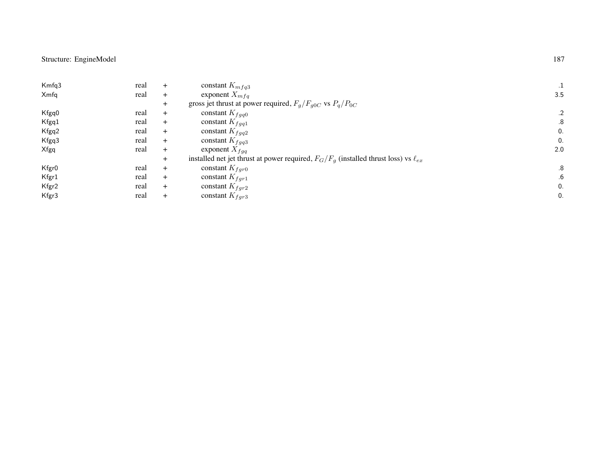| Kmfq3 | real | $^+$ | constant $K_{mfg3}$                                                                          | $\cdot$        |
|-------|------|------|----------------------------------------------------------------------------------------------|----------------|
| Xmfq  | real | $+$  | exponent $X_{mfg}$                                                                           | 3.5            |
|       |      | $+$  | gross jet thrust at power required, $F_g/F_{g0C}$ vs $P_q/P_{0C}$                            |                |
| Kfgq0 | real | $+$  | constant $K_{fqq0}$                                                                          | $\overline{2}$ |
| Kfgq1 | real | $+$  | constant $K_{fqq1}$                                                                          | .8             |
| Kfgq2 | real | $+$  | constant $K_{fqq2}$                                                                          | 0.             |
| Kfgq3 | real | $+$  | constant $K_{fqq3}$                                                                          | 0.             |
| Xfgq  | real | $+$  | exponent $X_{fqq}$                                                                           | 2.0            |
|       |      | $+$  | installed net jet thrust at power required, $F_G/F_g$ (installed thrust loss) vs $\ell_{ex}$ |                |
| Kfgr0 | real | $+$  | constant $K_{far0}$                                                                          | .8             |
| Kfgr1 | real | $+$  | constant $K_{fgr1}$                                                                          | .6             |
| Kfgr2 | real | $+$  | constant $K_{fgr2}$                                                                          | 0.             |
| Kfgr3 | real |      | constant $K_{fgr3}$                                                                          | 0.             |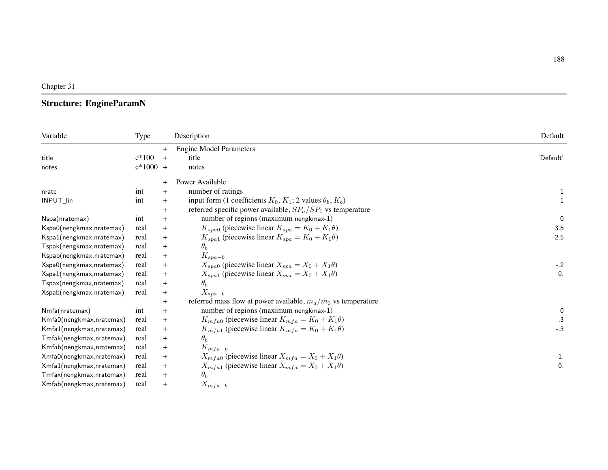## Chapter 31

## **Structure: EngineParamN**

| Variable                  | Type       |                | Description                                                                   | Default     |
|---------------------------|------------|----------------|-------------------------------------------------------------------------------|-------------|
|                           |            | $\pm$          | <b>Engine Model Parameters</b>                                                |             |
| title                     | $c*100$    | $+$            | title                                                                         | 'Default'   |
| notes                     | $c*1000 +$ |                | notes                                                                         |             |
|                           |            | $+$            | Power Available                                                               |             |
| nrate                     | int        | $\pm$          | number of ratings                                                             |             |
| INPUT_lin                 | int        | $\ddot{}$      | input form (1 coefficients $K_0, K_1$ ; 2 values $\theta_b, K_b$ )            | 1           |
|                           |            | $\pm$          | referred specific power available, $SP_a/SP_0$ vs temperature                 |             |
| Nspa(nratemax)            | int        | $\overline{+}$ | number of regions (maximum nengkmax-1)                                        | $\mathbf 0$ |
| Kspa0(nengkmax,nratemax)  | real       | $\ddot{}$      | $K_{spa0}$ (piecewise linear $K_{spa} = K_0 + K_1 \theta$ )                   | 3.5         |
| Kspa1(nengkmax,nratemax)  | real       | $\pm$          | $K_{spa1}$ (piecewise linear $K_{spa} = K_0 + K_1 \theta$ )                   | $-2.5$      |
| Tspak(nengkmax,nratemax)  | real       | $\pm$          | $\theta_b$                                                                    |             |
| Kspab(nengkmax, nratemax) | real       | $\pm$          | $K_{spa-b}$                                                                   |             |
| Xspa0(nengkmax,nratemax)  | real       | $\pm$          | $X_{spa0}$ (piecewise linear $X_{spa} = X_0 + X_1 \theta$ )                   | $-.2$       |
| Xspa1(nengkmax,nratemax)  | real       | $\pm$          | $X_{spa1}$ (piecewise linear $X_{spa} = X_0 + X_1 \theta$ )                   | 0.          |
| Tspax(nengkmax,nratemax)  | real       | $\ddot{}$      | $\theta_b$                                                                    |             |
| Xspab(nengkmax,nratemax)  | real       | $\ddot{}$      | $X_{spa-b}$                                                                   |             |
|                           |            | $\pm$          | referred mass flow at power available, $\dot{m}_a / \dot{m}_0$ vs temperature |             |
| Nmfa(nratemax)            | int        | $\pm$          | number of regions (maximum nengkmax-1)                                        | 0           |
| Kmfa0(nengkmax,nratemax)  | real       | $\pm$          | $K_{mfa0}$ (piecewise linear $K_{mfa} = K_0 + K_1\theta$ )                    |             |
| Kmfa1(nengkmax,nratemax)  | real       | $\ddot{}$      | $K_{mfa1}$ (piecewise linear $K_{mfa} = K_0 + K_1 \theta$ )                   | $-.3$       |
| Tmfak(nengkmax,nratemax)  | real       | $\pm$          | $\theta_b$                                                                    |             |
| Kmfab(nengkmax,nratemax)  | real       | $\pm$          | $K_{mfa-b}$                                                                   |             |
| Xmfa0(nengkmax,nratemax)  | real       | $\ddot{}$      | $X_{mfa0}$ (piecewise linear $X_{mfa} = X_0 + X_1 \theta$ )                   | 1.          |
| Xmfa1(nengkmax,nratemax)  | real       | $\pm$          | $X_{mfa1}$ (piecewise linear $X_{mfa} = X_0 + X_1 \theta$ )                   | 0.          |
| Tmfax(nengkmax,nratemax)  | real       | $\pm$          | $\theta_b$                                                                    |             |
| Xmfab(nengkmax,nratemax)  | real       | $\pm$          | $X_{mfa-b}$                                                                   |             |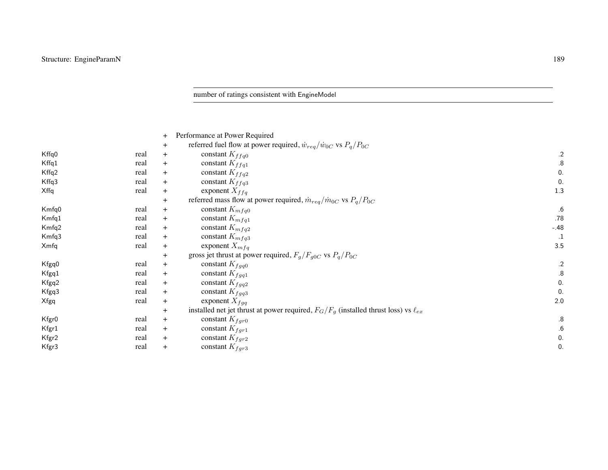## number of ratings consistent with EngineModel

|       |      | $+$       | Performance at Power Required                                                                |                       |
|-------|------|-----------|----------------------------------------------------------------------------------------------|-----------------------|
|       |      | $\ddot{}$ | referred fuel flow at power required, $\dot{w}_{req} / \dot{w}_{0C}$ vs $P_q / P_{0C}$       |                       |
| Kffq0 | real | $+$       | constant $K_{ffq0}$                                                                          | $\cdot$               |
| Kffq1 | real | $+$       | constant $K_{ffq1}$                                                                          | $\boldsymbol{\cdot}8$ |
| Kffq2 | real | $+$       | constant $K_{ffq2}$                                                                          | 0.                    |
| Kffq3 | real | $+$       | constant $K_{ffq3}$                                                                          | 0.                    |
| Xffq  | real | $\pm$     | exponent $X_{ffq}$                                                                           | 1.3                   |
|       |      | $+$       | referred mass flow at power required, $\dot{m}_{req} / \dot{m}_{0C}$ vs $P_q / P_{0C}$       |                       |
| Kmfq0 | real | $+$       | constant $K_{mfq0}$                                                                          | .6                    |
| Kmfq1 | real | $+$       | constant $K_{mfg1}$                                                                          | .78                   |
| Kmfq2 | real | $\ddot{}$ | constant $K_{mfg2}$                                                                          | $-.48$                |
| Kmfq3 | real | $+$       | constant $K_{mfg3}$                                                                          | $\cdot$ 1             |
| Xmfq  | real | $+$       | exponent $X_{mfg}$                                                                           | 3.5                   |
|       |      | $\ddot{}$ | gross jet thrust at power required, $F_q/F_{q0C}$ vs $P_q/P_{0C}$                            |                       |
| Kfgq0 | real | $+$       | constant $K_{fqq0}$                                                                          | $\cdot$               |
| Kfgq1 | real | $+$       | constant $K_{fgq1}$                                                                          | .8                    |
| Kfgq2 | real | $+$       | constant $K_{fgq2}$                                                                          | 0.                    |
| Kfgq3 | real | $+$       | constant $K_{f g q 3}$                                                                       | 0.                    |
| Xfgq  | real | $+$       | exponent $X_{fqq}$                                                                           | 2.0                   |
|       |      | $\pm$     | installed net jet thrust at power required, $F_G/F_g$ (installed thrust loss) vs $\ell_{ex}$ |                       |
| Kfgr0 | real | $+$       | constant $K_{fqr0}$                                                                          | .8                    |
| Kfgr1 | real | $+$       | constant $K_{fgr1}$                                                                          | .6                    |
| Kfgr2 | real | $+$       | constant $K_{fgr2}$                                                                          | 0.                    |
| Kfgr3 | real | $\ddot{}$ | constant $K_{fgr3}$                                                                          | 0.                    |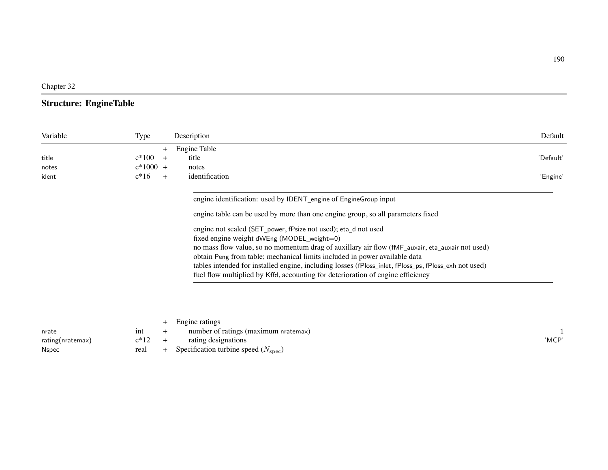## Chapter 32

## **Structure: EngineTable**

| Variable | Type       |     | Description                                                                                           | Default   |
|----------|------------|-----|-------------------------------------------------------------------------------------------------------|-----------|
|          |            | $+$ | Engine Table                                                                                          |           |
| title    | $c*100 +$  |     | title                                                                                                 | 'Default' |
| notes    | $c*1000 +$ |     | notes                                                                                                 |           |
| ident    | $c*16$     | $+$ | identification                                                                                        | 'Engine'  |
|          |            |     | engine identification: used by IDENT engine of EngineGroup input                                      |           |
|          |            |     | engine table can be used by more than one engine group, so all parameters fixed                       |           |
|          |            |     | engine not scaled (SET_power, fPsize not used); eta_d not used                                        |           |
|          |            |     | fixed engine weight $dWEng (MODEL)$ weight=0)                                                         |           |
|          |            |     | no mass flow value, so no momentum drag of auxillary air flow (fMF auxair, eta auxair not used)       |           |
|          |            |     | obtain Peng from table; mechanical limits included in power available data                            |           |
|          |            |     | tables intended for installed engine, including losses (fPloss inlet, fPloss ps, fPloss exh not used) |           |
|          |            |     | fuel flow multiplied by Kffd, accounting for deterioration of engine efficiency                       |           |
|          |            |     |                                                                                                       |           |
|          |            |     |                                                                                                       |           |

|                  |        | Engine ratings                               |       |
|------------------|--------|----------------------------------------------|-------|
| nrate            | 1nt    | number of ratings (maximum nratemax)         |       |
| rating(nratemax) | $c*12$ | rating designations                          | 'MCP' |
| Nspec            | real   | Specification turbine speed $(N_{\rm spec})$ |       |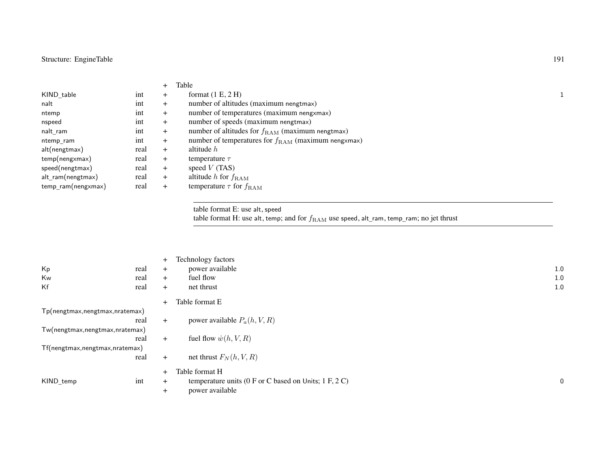## Structure: EngineTable 191

|                      |      | $+$    | Table                                                       |  |
|----------------------|------|--------|-------------------------------------------------------------|--|
| KIND table           | int  | $+$    | format $(1 E, 2 H)$                                         |  |
| nalt                 | int  | $+$    | number of altitudes (maximum nengtmax)                      |  |
| ntemp                | int  | $+$    | number of temperatures (maximum nengxmax)                   |  |
| nspeed               | int  | $+$    | number of speeds (maximum nengtmax)                         |  |
| nalt ram             | int  | $+$    | number of altitudes for $f_{\rm RAM}$ (maximum nengtmax)    |  |
| ntemp ram            | int  | $+$    | number of temperatures for $f_{\rm RAM}$ (maximum nengxmax) |  |
| alt(nengtmax)        | real | $+$    | altitude $h$                                                |  |
| temp(nengxmax)       | real | $^{+}$ | temperature $\tau$                                          |  |
| speed(nengtmax)      | real | $^{+}$ | speed $V$ (TAS)                                             |  |
| alt_ram(nengtmax)    | real | $^{+}$ | altitude $h$ for $f_{\rm RAM}$                              |  |
| $temp$ ram(nengxmax) | real |        | temperature $\tau$ for $f_{\rm RAM}$                        |  |

#### table format E: use alt, speed table format H: use alt, temp; and for  $f_{\rm RAM}$  use speed, alt\_ram, temp\_ram; no jet thrust

| Kp                                     | real | $+$<br>$+$ | Technology factors<br>power available                    | 1.0 |
|----------------------------------------|------|------------|----------------------------------------------------------|-----|
| Kw                                     | real | $+$        | fuel flow                                                | 1.0 |
| Kf                                     | real | $+$        | net thrust                                               | 1.0 |
|                                        |      | $+$        | Table format E                                           |     |
| Tp(nengtmax,nengtmax,nratemax)         |      |            |                                                          |     |
|                                        | real | $+$        | power available $P_a(h, V, R)$                           |     |
| $Tw(n$ engtmax, nengtmax, nratemax $)$ |      |            |                                                          |     |
|                                        | real | $+$        | fuel flow $\dot{w}(h, V, R)$                             |     |
| Tf(nengtmax, nengtmax, nratemax)       |      |            |                                                          |     |
|                                        | real | $+$        | net thrust $F_N(h, V, R)$                                |     |
|                                        |      | $+$        | Table format H                                           |     |
| KIND temp                              | int  | $+$        | temperature units (0 F or C based on Units; $1 F, 2 C$ ) | 0   |
|                                        |      | $+$        | power available                                          |     |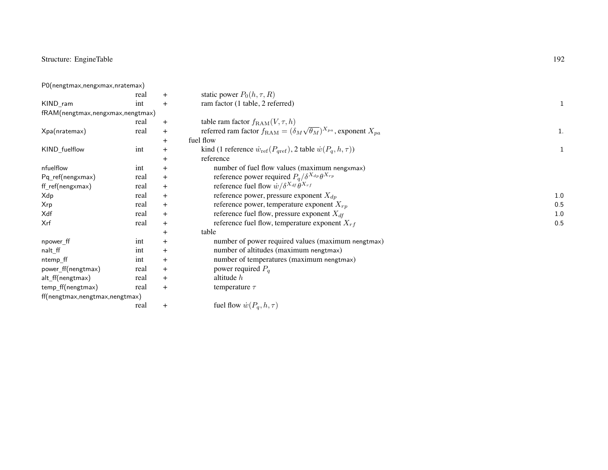## Structure: EngineTable 192

P0(nengtmax,nengxmax,nratemax)

|                                  | real | $+$       | static power $P_0(h, \tau, R)$                                                              |     |
|----------------------------------|------|-----------|---------------------------------------------------------------------------------------------|-----|
| KIND_ram                         | int  | $\pm$     | ram factor (1 table, 2 referred)                                                            |     |
| fRAM(nengtmax,nengxmax,nengtmax) |      |           |                                                                                             |     |
|                                  | real | $\pm$     | table ram factor $f_{\rm RAM}(V, \tau, h)$                                                  |     |
| Xpa(nratemax)                    | real | $\pm$     | referred ram factor $f_{\rm RAM} = (\delta_M \sqrt{\theta_M})^{X_{pa}}$ , exponent $X_{pa}$ | 1.  |
|                                  |      | $\pm$     | fuel flow                                                                                   |     |
| KIND_fuelflow                    | int  | $+$       | kind (1 reference $\dot{w}_{ref}(P_{\text{aref}})$ , 2 table $\dot{w}(P_a, h, \tau)$ )      |     |
|                                  |      | $\pm$     | reference                                                                                   |     |
| nfuelflow                        | int  | $+$       | number of fuel flow values (maximum nengxmax)                                               |     |
| Pq_ref(nengxmax)                 | real | $+$       | reference power required $P_q/\delta^{X_{dp}}\theta^{X_{rp}}$                               |     |
| ff_ref(nengxmax)                 | real | $^{+}$    | reference fuel flow $\dot{w}/\delta^{X_{df}}\theta^{X_{rf}}$                                |     |
| Xdp                              | real | $\pm$     | reference power, pressure exponent $X_{dp}$                                                 | 1.0 |
| Xrp                              | real | $\ddot{}$ | reference power, temperature exponent $X_{rp}$                                              | 0.5 |
| Xdf                              | real | $+$       | reference fuel flow, pressure exponent $X_{df}$                                             | 1.0 |
| Xrf                              | real | $\ddot{}$ | reference fuel flow, temperature exponent $X_{rf}$                                          | 0.5 |
|                                  |      | $\pm$     | table                                                                                       |     |
| npower ff                        | int  | $+$       | number of power required values (maximum nengtmax)                                          |     |
| nalt_ff                          | int  | $+$       | number of altitudes (maximum nengtmax)                                                      |     |
| ntemp_ff                         | int  | $+$       | number of temperatures (maximum nengtmax)                                                   |     |
| power_ff(nengtmax)               | real | $\ddot{}$ | power required $P_q$                                                                        |     |
| alt_ff(nengtmax)                 | real | $+$       | altitude $h$                                                                                |     |
| temp_ff(nengtmax)                | real | $\pm$     | temperature $\tau$                                                                          |     |
| ff(nengtmax,nengtmax,nengtmax)   |      |           |                                                                                             |     |
|                                  | real | $\pm$     | fuel flow $\dot{w}(P_a, h, \tau)$                                                           |     |
|                                  |      |           |                                                                                             |     |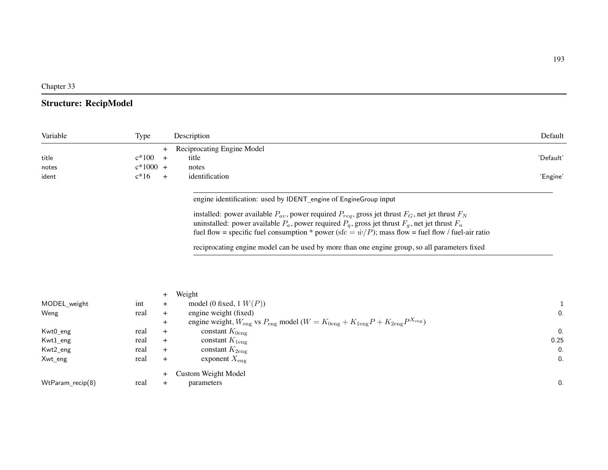| Variable         | Type       |           | Description                                                                                                                                                                                                                                                                                                                               | Default   |
|------------------|------------|-----------|-------------------------------------------------------------------------------------------------------------------------------------------------------------------------------------------------------------------------------------------------------------------------------------------------------------------------------------------|-----------|
|                  |            | $\ddot{}$ | Reciprocating Engine Model                                                                                                                                                                                                                                                                                                                |           |
| title            | $c*100$    | $+$       | title                                                                                                                                                                                                                                                                                                                                     | 'Default' |
| notes            | $c*1000 +$ |           | notes                                                                                                                                                                                                                                                                                                                                     |           |
| ident            | $c*16$     | $+$       | identification                                                                                                                                                                                                                                                                                                                            | 'Engine'  |
|                  |            |           | engine identification: used by IDENT_engine of EngineGroup input                                                                                                                                                                                                                                                                          |           |
|                  |            |           | installed: power available $P_{av}$ , power required $P_{req}$ , gross jet thrust $F_G$ , net jet thrust $F_N$<br>uninstalled: power available $P_a$ , power required $P_a$ , gross jet thrust $F_a$ , net jet thrust $F_n$<br>fuel flow = specific fuel consumption * power (sfc = $\dot{w}/P$ ); mass flow = fuel flow / fuel-air ratio |           |
|                  |            |           | reciprocating engine model can be used by more than one engine group, so all parameters fixed                                                                                                                                                                                                                                             |           |
|                  |            |           |                                                                                                                                                                                                                                                                                                                                           |           |
|                  |            |           |                                                                                                                                                                                                                                                                                                                                           |           |
|                  |            | $+$       | Weight                                                                                                                                                                                                                                                                                                                                    |           |
| MODEL weight     | int        | $^{+}$    | model (0 fixed, 1 $W(P)$ )                                                                                                                                                                                                                                                                                                                | 1         |
| Weng             | real       | $+$       | engine weight (fixed)                                                                                                                                                                                                                                                                                                                     | 0.        |
|                  |            | $\ddot{}$ | engine weight, $W_{\text{eng}}$ vs $P_{\text{eng}}$ model ( $W = K_{0\text{eng}} + K_{1\text{eng}}P + K_{2\text{eng}}P^{X_{\text{eng}}}$ )                                                                                                                                                                                                |           |
| Kwt0_eng         | real       | $\ddot{}$ | constant $K_{0\text{eng}}$                                                                                                                                                                                                                                                                                                                | 0.        |
| Kwt1_eng         | real       | $+$       | constant $K_{\text{length}}$                                                                                                                                                                                                                                                                                                              | 0.25      |
| Kwt2_eng         | real       | $+$       | constant $K_{2\text{eng}}$                                                                                                                                                                                                                                                                                                                | 0.        |
| Xwt_eng          | real       | $\ddot{}$ | exponent $X_{\text{eng}}$                                                                                                                                                                                                                                                                                                                 | 0.        |
|                  |            |           | <b>Custom Weight Model</b>                                                                                                                                                                                                                                                                                                                |           |
| WtParam_recip(8) | real       | $^+$      | parameters                                                                                                                                                                                                                                                                                                                                | 0.        |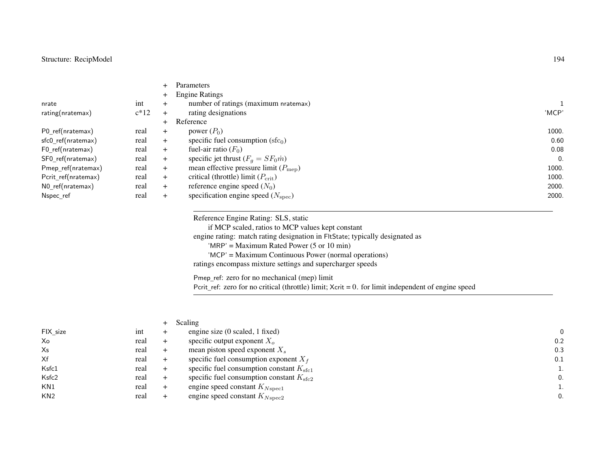|                     |        |     | Parameters                                       |       |
|---------------------|--------|-----|--------------------------------------------------|-------|
|                     |        | $+$ | <b>Engine Ratings</b>                            |       |
| nrate               | int    | $+$ | number of ratings (maximum nratemax)             |       |
| rating(nratemax)    | $c*12$ | $+$ | rating designations                              | 'MCP' |
|                     |        |     | Reference                                        |       |
| P0_ref(nratemax)    | real   | $+$ | power $(P_0)$                                    | 1000. |
| sfc0 ref(nratemax)  | real   | $+$ | specific fuel consumption $(sfc0)$               | 0.60  |
| F0 ref(nratemax)    | real   | $+$ | fuel-air ratio $(F_0)$                           | 0.08  |
| SF0 ref(nratemax)   | real   | $+$ | specific jet thrust $(F_q = SF_0\dot{m})$        | 0.    |
| Pmep_ref(nratemax)  | real   | $+$ | mean effective pressure limit $(P_{\text{mep}})$ | 1000. |
| Pcrit_ref(nratemax) | real   | $+$ | critical (throttle) limit $(P_{\rm crit})$       | 1000. |
| NO ref(nratemax)    | real   | $+$ | reference engine speed $(N_0)$                   | 2000. |
| Nspec ref           | real   | $+$ | specification engine speed $(N_{\rm spec})$      | 2000. |

Reference Engine Rating: SLS, static

if MCP scaled, ratios to MCP values kept constant

engine rating: match rating designation in FltState; typically designated as

'MRP' = Maximum Rated Power (5 or 10 min)

'MCP' <sup>=</sup> Maximum Continuous Power (normal operations)

ratings encompass mixture settings and supercharger speeds

Pmep\_ref: zero for no mechanical (mep) limit

Pcrit \_ ref: zero for no critical (throttle) limit; Xcrit <sup>=</sup> 0. for limit independent of engine speed

|                 |      | $+$ | Scaling                                              |          |
|-----------------|------|-----|------------------------------------------------------|----------|
| FIX size        | 1nt  |     | engine size $(0 \text{ scaled}, 1 \text{ fixed})$    |          |
| Xo              | real |     | specific output exponent $X_0$                       | 0.2      |
| Xs              | real |     | mean piston speed exponent $X_s$                     | 0.3      |
| Xf              | real | $+$ | specific fuel consumption exponent $X_f$             | 0.1      |
| Ksfc1           | real | $+$ | specific fuel consumption constant $K_{\text{sfc1}}$ |          |
| Ksfc2           | real | $+$ | specific fuel consumption constant $K_{\text{sfc2}}$ | 0.       |
| KN1             | real | $+$ | engine speed constant $K_{N\text{spec1}}$            |          |
| KN <sub>2</sub> | real |     | engine speed constant $K_{N\text{spec2}}$            | $\Omega$ |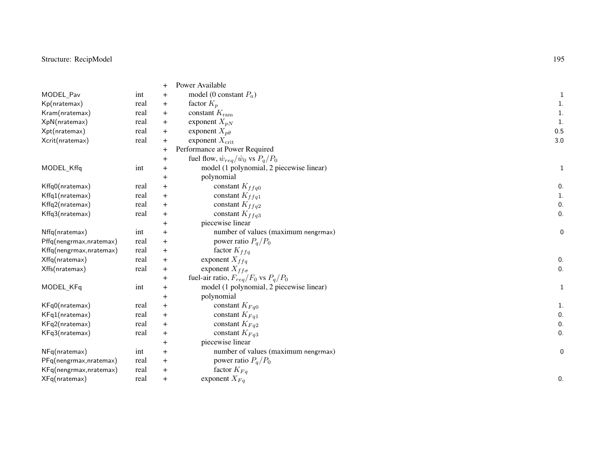|                         |      | $+$       | Power Available                                       |              |
|-------------------------|------|-----------|-------------------------------------------------------|--------------|
| MODEL Pav               | int  | $\ddot{}$ | model (0 constant $P_a$ )                             | $\mathbf 1$  |
| Kp(nratemax)            | real | $+$       | factor $K_p$                                          | $\mathbf{1}$ |
| Kram(nratemax)          | real | $+$       | constant $K_{\text{ram}}$                             | 1.           |
| XpN(nratemax)           | real | $+$       | exponent $X_{pN}$                                     | $\mathbf{1}$ |
| Xpt(nratemax)           | real | $+$       | exponent $X_{p\theta}$                                | 0.5          |
| Xcrit(nratemax)         | real | $+$       | exponent $X_{\rm crit}$                               | 3.0          |
|                         |      | $+$       | Performance at Power Required                         |              |
|                         |      | $+$       | fuel flow, $\dot{w}_{req} / \dot{w}_0$ vs $P_q / P_0$ |              |
| MODEL_Kffq              | int  | $\ddot{}$ | model (1 polynomial, 2 piecewise linear)              | 1            |
|                         |      | $+$       | polynomial                                            |              |
| Kffq0(nratemax)         | real | $+$       | constant $K_{ffq0}$                                   | 0.           |
| Kffq1(nratemax)         | real | $\ddot{}$ | constant $K_{ffq1}$                                   | $\mathbf{1}$ |
| Kffq2(nratemax)         | real | $+$       | constant $K_{ffq2}$                                   | 0.           |
| Kffq3(nratemax)         | real | $\ddot{}$ | constant $K_{ffq3}$                                   | 0.           |
|                         |      | $\ddot{}$ | piecewise linear                                      |              |
| Nffq(nratemax)          | int  | $\ddot{}$ | number of values (maximum nengrmax)                   | 0            |
| Pffq(nengrmax,nratemax) | real | $\ddot{}$ | power ratio $P_q/P_0$                                 |              |
| Kffq(nengrmax,nratemax) | real | $\ddot{}$ | factor $K_{ffq}$                                      |              |
| Xffq(nratemax)          | real | $\ddot{}$ | exponent $X_{ffq}$                                    | 0.           |
| Xffs(nratemax)          | real | $\ddot{}$ | exponent $X_{ff\sigma}$                               | 0.           |
|                         |      | $+$       | fuel-air ratio, $F_{req}/F_0$ vs $P_q/P_0$            |              |
| MODEL_KFq               | int  | $+$       | model (1 polynomial, 2 piecewise linear)              | $\mathbf{1}$ |
|                         |      | $\pm$     | polynomial                                            |              |
| KFq0(nratemax)          | real | $+$       | constant $K_{Fq0}$                                    | 1.           |
| KFq1(nratemax)          | real | $\ddot{}$ | constant $K_{Fa1}$                                    | 0.           |
| KFq2(nratemax)          | real | $+$       | constant $K_{Fq2}$                                    | 0.           |
| KFq3(nratemax)          | real | $\ddot{}$ | constant $K_{Fq3}$                                    | 0.           |
|                         |      | $\ddot{}$ | piecewise linear                                      |              |
| NFq(nratemax)           | int  | $\ddot{}$ | number of values (maximum nengrmax)                   | 0            |
| PFq(nengrmax,nratemax)  | real | $\ddot{}$ | power ratio $P_q/P_0$                                 |              |
| KFq(nengrmax,nratemax)  | real | $\ddot{}$ | factor $K_{Fq}$                                       |              |
| XFq(nratemax)           | real | $\ddot{}$ | exponent $X_{Fq}$                                     | 0.           |
|                         |      |           |                                                       |              |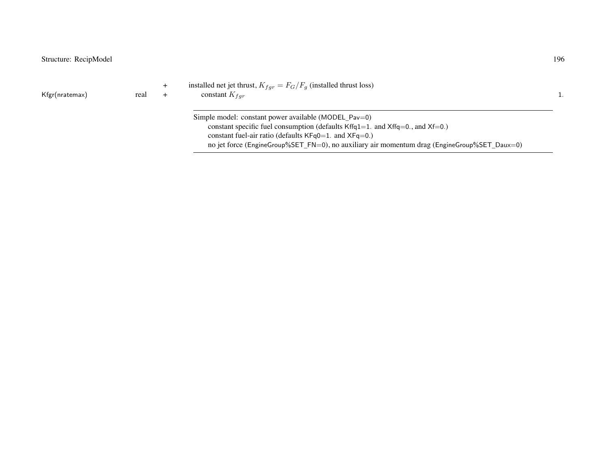| Kfgr(nratemax) |  |
|----------------|--|
|                |  |

+ installed net jet thrust,  $K_{fgr} = F_G/F_g$  (installed thrust loss) Kfgr(nratemax) real + constant  $K_{fgr}$  1.

| Simple model: constant power available (MODEL Pav=0)                                                                       |
|----------------------------------------------------------------------------------------------------------------------------|
| constant specific fuel consumption (defaults $Kffq1=1$ , and $Xffq=0$ , and $Xf=0$ .)                                      |
| constant fuel-air ratio (defaults $KFq0=1$ . and $XFq=0$ .)                                                                |
| no jet force (Engine Group $\frac{3}{5}$ SET FN=0), no auxiliary air momentum drag (Engine Group $\frac{3}{5}$ SET Daux=0) |
|                                                                                                                            |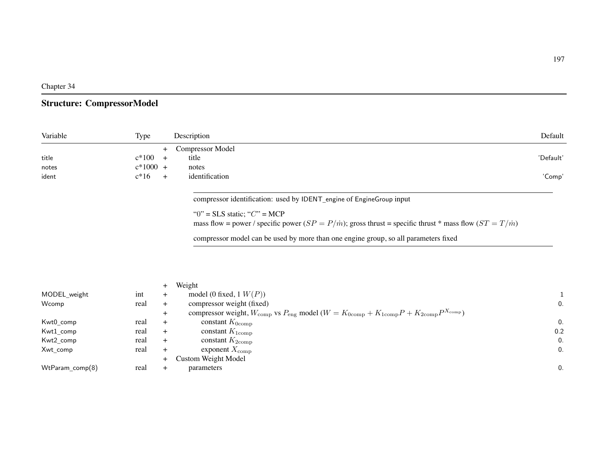## Chapter 34

## **Structure: CompressorModel**

| Variable             | <b>Type</b> |       | Description                                                                                                                                        | Default   |
|----------------------|-------------|-------|----------------------------------------------------------------------------------------------------------------------------------------------------|-----------|
|                      |             | $+$   | Compressor Model                                                                                                                                   |           |
| title                | $c*100$     | $+$   | title                                                                                                                                              | 'Default' |
| notes                | $c*1000 +$  |       | notes                                                                                                                                              |           |
| ident                | $c*16$      | $+$   | identification                                                                                                                                     | 'Comp'    |
|                      |             |       | compressor identification: used by IDENT_engine of EngineGroup input                                                                               |           |
|                      |             |       | " $0$ " = SLS static; " $C$ " = MCP                                                                                                                |           |
|                      |             |       | mass flow = power / specific power $(SP = P/m)$ ; gross thrust = specific thrust * mass flow $(ST = T/m)$                                          |           |
|                      |             |       | compressor model can be used by more than one engine group, so all parameters fixed                                                                |           |
|                      |             | $+$   | Weight                                                                                                                                             |           |
| MODEL_weight         | int         | $\pm$ | model (0 fixed, 1 $W(P)$ )                                                                                                                         |           |
| Wcomp                | real        | $+$   | compressor weight (fixed)                                                                                                                          | 0.        |
|                      |             | $+$   | compressor weight, $W_{\text{comp}}$ vs $P_{\text{eng}}$ model ( $W = K_{0\text{comp}} + K_{1\text{comp}}P + K_{2\text{comp}}P^{X_{\text{comp}}})$ |           |
| Kwt0_comp            | real        | $+$   | constant $K_{0\text{comp}}$                                                                                                                        | 0.        |
| Kwt1_comp            | real        | $+$   | constant $K_{1\text{comp}}$                                                                                                                        | 0.2       |
| Kwt2_comp            | real        | $+$   | constant $K_{2\text{comp}}$                                                                                                                        | 0.        |
| Xwt_comp             | real        | $^+$  | exponent $X_{\text{comp}}$                                                                                                                         | 0.        |
|                      |             |       | <b>Custom Weight Model</b>                                                                                                                         |           |
| $WtParam$ comp $(8)$ | real        | $+$   | parameters                                                                                                                                         | 0.        |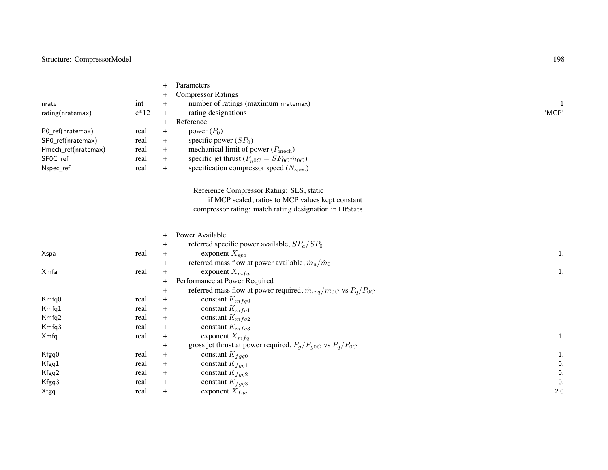|        | $\pm$        | Parameters                                                        |                                                                                                                                                                                                                                                                                                                                                                                                                                                                                                                                                                                                                                                                                                                                      |
|--------|--------------|-------------------------------------------------------------------|--------------------------------------------------------------------------------------------------------------------------------------------------------------------------------------------------------------------------------------------------------------------------------------------------------------------------------------------------------------------------------------------------------------------------------------------------------------------------------------------------------------------------------------------------------------------------------------------------------------------------------------------------------------------------------------------------------------------------------------|
|        |              | <b>Compressor Ratings</b>                                         |                                                                                                                                                                                                                                                                                                                                                                                                                                                                                                                                                                                                                                                                                                                                      |
| int    | $+$          |                                                                   |                                                                                                                                                                                                                                                                                                                                                                                                                                                                                                                                                                                                                                                                                                                                      |
| $c*12$ | $+$          | rating designations                                               | 'MCP'                                                                                                                                                                                                                                                                                                                                                                                                                                                                                                                                                                                                                                                                                                                                |
|        | $+$          | Reference                                                         |                                                                                                                                                                                                                                                                                                                                                                                                                                                                                                                                                                                                                                                                                                                                      |
| real   | $\ddot{}$    | power $(P_0)$                                                     |                                                                                                                                                                                                                                                                                                                                                                                                                                                                                                                                                                                                                                                                                                                                      |
| real   | $\ddot{}$    | specific power $(SP_0)$                                           |                                                                                                                                                                                                                                                                                                                                                                                                                                                                                                                                                                                                                                                                                                                                      |
| real   | $\ddot{}$    | mechanical limit of power $(P_{\text{mech}})$                     |                                                                                                                                                                                                                                                                                                                                                                                                                                                                                                                                                                                                                                                                                                                                      |
| real   | $\ddot{}$    | specific jet thrust ( $F_{q0C} = SF_{0C} \dot{m}_{0C}$ )          |                                                                                                                                                                                                                                                                                                                                                                                                                                                                                                                                                                                                                                                                                                                                      |
| real   | $+$          | specification compressor speed $(N_{\text{spec}})$                |                                                                                                                                                                                                                                                                                                                                                                                                                                                                                                                                                                                                                                                                                                                                      |
|        |              |                                                                   |                                                                                                                                                                                                                                                                                                                                                                                                                                                                                                                                                                                                                                                                                                                                      |
|        |              |                                                                   |                                                                                                                                                                                                                                                                                                                                                                                                                                                                                                                                                                                                                                                                                                                                      |
|        |              | compressor rating: match rating designation in FltState           |                                                                                                                                                                                                                                                                                                                                                                                                                                                                                                                                                                                                                                                                                                                                      |
|        |              |                                                                   |                                                                                                                                                                                                                                                                                                                                                                                                                                                                                                                                                                                                                                                                                                                                      |
|        |              |                                                                   |                                                                                                                                                                                                                                                                                                                                                                                                                                                                                                                                                                                                                                                                                                                                      |
|        |              |                                                                   | 1.                                                                                                                                                                                                                                                                                                                                                                                                                                                                                                                                                                                                                                                                                                                                   |
|        |              |                                                                   |                                                                                                                                                                                                                                                                                                                                                                                                                                                                                                                                                                                                                                                                                                                                      |
|        |              |                                                                   | 1.                                                                                                                                                                                                                                                                                                                                                                                                                                                                                                                                                                                                                                                                                                                                   |
|        |              |                                                                   |                                                                                                                                                                                                                                                                                                                                                                                                                                                                                                                                                                                                                                                                                                                                      |
|        |              |                                                                   |                                                                                                                                                                                                                                                                                                                                                                                                                                                                                                                                                                                                                                                                                                                                      |
| real   | $\ddot{}$    |                                                                   |                                                                                                                                                                                                                                                                                                                                                                                                                                                                                                                                                                                                                                                                                                                                      |
| real   | $+$          |                                                                   |                                                                                                                                                                                                                                                                                                                                                                                                                                                                                                                                                                                                                                                                                                                                      |
| real   | $+$          |                                                                   |                                                                                                                                                                                                                                                                                                                                                                                                                                                                                                                                                                                                                                                                                                                                      |
| real   | $\ddot{}$    |                                                                   |                                                                                                                                                                                                                                                                                                                                                                                                                                                                                                                                                                                                                                                                                                                                      |
| real   | $\ddot{}$    |                                                                   | 1.                                                                                                                                                                                                                                                                                                                                                                                                                                                                                                                                                                                                                                                                                                                                   |
|        | $\ddot{}$    |                                                                   |                                                                                                                                                                                                                                                                                                                                                                                                                                                                                                                                                                                                                                                                                                                                      |
| real   | $\ddot{}$    |                                                                   |                                                                                                                                                                                                                                                                                                                                                                                                                                                                                                                                                                                                                                                                                                                                      |
| real   | $\ddot{}$    |                                                                   | 0.                                                                                                                                                                                                                                                                                                                                                                                                                                                                                                                                                                                                                                                                                                                                   |
| real   | $\ddot{}$    |                                                                   | 0.                                                                                                                                                                                                                                                                                                                                                                                                                                                                                                                                                                                                                                                                                                                                   |
| real   | $\ddot{}$    |                                                                   | $\mathbf{0}$                                                                                                                                                                                                                                                                                                                                                                                                                                                                                                                                                                                                                                                                                                                         |
| real   | $\ddot{}$    | exponent $X_{fqq}$                                                | 2.0                                                                                                                                                                                                                                                                                                                                                                                                                                                                                                                                                                                                                                                                                                                                  |
|        | real<br>real | $\pm$<br>$+$<br>$\ddot{}$<br>$+$<br>$\ddot{}$<br>$\ddot{}$<br>$+$ | number of ratings (maximum nratemax)<br>Reference Compressor Rating: SLS, static<br>if MCP scaled, ratios to MCP values kept constant<br>Power Available<br>referred specific power available, $SP_a/SP_0$<br>exponent $X_{spa}$<br>referred mass flow at power available, $\dot{m}_a/\dot{m}_0$<br>exponent $X_{mfa}$<br>Performance at Power Required<br>referred mass flow at power required, $\dot{m}_{req} / \dot{m}_{0C}$ vs $P_q / P_{0C}$<br>constant $K_{mfg0}$<br>constant $K_{mfg1}$<br>constant $K_{mfg2}$<br>constant $K_{mfg3}$<br>exponent $X_{mfg}$<br>gross jet thrust at power required, $F_g/F_{g0C}$ vs $P_q/P_{0C}$<br>constant $K_{faq0}$<br>constant $K_{fqq1}$<br>constant $K_{fqq2}$<br>constant $K_{fgg3}$ |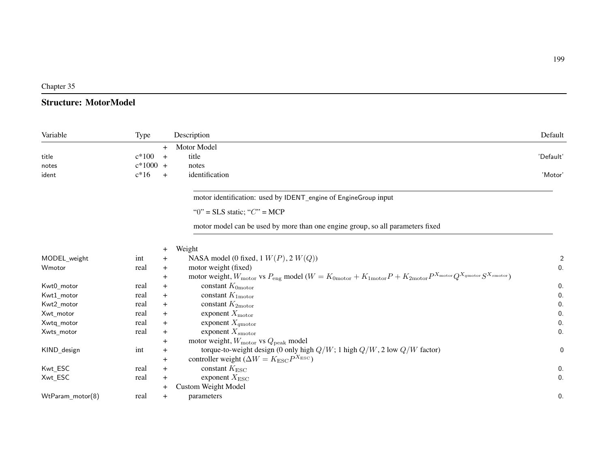## Chapter 35

## **Structure: MotorModel**

| Variable         | Type       |        | Description                                                                                                                                                                                       | Default        |
|------------------|------------|--------|---------------------------------------------------------------------------------------------------------------------------------------------------------------------------------------------------|----------------|
|                  |            | $+$    | Motor Model                                                                                                                                                                                       |                |
| title            | $c*100$    | $+$    | title                                                                                                                                                                                             | 'Default'      |
| notes            | $c*1000 +$ |        | notes                                                                                                                                                                                             |                |
| ident            | $c*16$     | $+$    | identification                                                                                                                                                                                    | 'Motor'        |
|                  |            |        | motor identification: used by IDENT_engine of EngineGroup input                                                                                                                                   |                |
|                  |            |        | " $0$ " = SLS static; " $C$ " = MCP                                                                                                                                                               |                |
|                  |            |        | motor model can be used by more than one engine group, so all parameters fixed                                                                                                                    |                |
|                  |            | $+$    | Weight                                                                                                                                                                                            |                |
| MODEL_weight     | int        | $+$    | NASA model (0 fixed, 1 $W(P)$ , 2 $W(Q)$ )                                                                                                                                                        | $\overline{2}$ |
| Wmotor           | real       | $\pm$  | motor weight (fixed)                                                                                                                                                                              | 0.             |
|                  |            | $+$    | motor weight, $W_{\text{motor}}$ vs $P_{\text{eng}}$ model ( $W = K_{0 \text{motor}} + K_{1 \text{motor}}P + K_{2 \text{motor}}P^{X_{\text{motor}}}Q^{X_{q \text{motor}}}S^{X_{s \text{motor}}})$ |                |
| Kwt0 motor       | real       | $\pm$  | constant $K_{0\text{motor}}$                                                                                                                                                                      | 0.             |
| Kwt1 motor       | real       | $+$    | constant $K_{1\text{motor}}$                                                                                                                                                                      | 0.             |
| Kwt2_motor       | real       | $+$    | constant $K_{2\text{motor}}$                                                                                                                                                                      | 0.             |
| Xwt_motor        | real       | $+$    | exponent $X_{\text{motor}}$                                                                                                                                                                       | 0.             |
| Xwtq_motor       | real       | $^{+}$ | exponent $X_{q\text{motor}}$                                                                                                                                                                      | 0.             |
| Xwts_motor       | real       | $\pm$  | exponent $X_{\rm smooth}$                                                                                                                                                                         | 0.             |
|                  |            | $+$    | motor weight, $W_{\text{motor}}$ vs $Q_{\text{peak}}$ model                                                                                                                                       |                |
| KIND_design      | int        | $+$    | torque-to-weight design (0 only high $Q/W$ ; 1 high $Q/W$ , 2 low $Q/W$ factor)                                                                                                                   | 0              |
|                  |            | $+$    | controller weight ( $\Delta W = K_{\rm ESC} P^{X_{\rm ESC}}$ )                                                                                                                                    |                |
| Kwt_ESC          | real       | $+$    | constant $K_{\text{ESC}}$                                                                                                                                                                         | 0.             |
| Xwt_ESC          | real       | $+$    | exponent $X_{\text{ESC}}$                                                                                                                                                                         | 0.             |
|                  |            |        | <b>Custom Weight Model</b>                                                                                                                                                                        |                |
| WtParam_motor(8) | real       | $^+$   | parameters                                                                                                                                                                                        | 0.             |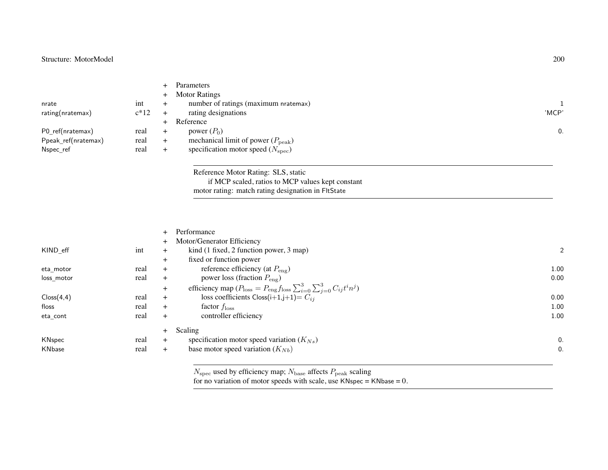|                     |        |     | Parameters                                    |              |
|---------------------|--------|-----|-----------------------------------------------|--------------|
|                     |        | $+$ | <b>Motor Ratings</b>                          |              |
| nrate               | 1nt    |     | number of ratings (maximum nratemax)          |              |
| rating(nratemax)    | $c*12$ |     | rating designations                           | 'MCP'        |
|                     |        |     | Reference                                     |              |
| P0 ref(nratemax)    | real   | $+$ | power $(P_0)$                                 | $\mathbf{0}$ |
| Ppeak ref(nratemax) | real   | $+$ | mechanical limit of power $(P_{\text{peak}})$ |              |
| Nspec_ref           | real   | $+$ | specification motor speed $(N_{\rm spec})$    |              |

Reference Motor Rating: SLS, static if MCP scaled, ratios to MCP values kept constant motor rating: match rating designation in FltState

|                     |      | $+$ | Performance                                                                                                        |                |
|---------------------|------|-----|--------------------------------------------------------------------------------------------------------------------|----------------|
|                     |      | $+$ | Motor/Generator Efficiency                                                                                         |                |
| KIND eff            | int  | $+$ | kind (1 fixed, 2 function power, 3 map)                                                                            | $\overline{2}$ |
|                     |      | $+$ | fixed or function power                                                                                            |                |
| eta motor           | real | $+$ | reference efficiency (at $P_{\text{eng}}$ )                                                                        | 1.00           |
| loss motor          | real | $+$ | power loss (fraction $P_{\text{eng}}$ )                                                                            | 0.00           |
|                     |      | $+$ | efficiency map ( $P_{\text{loss}} = P_{\text{eng}} f_{\text{loss}} \sum_{i=0}^{3} \sum_{j=0}^{3} C_{ij} t^i n^j$ ) |                |
| $\text{Closs}(4,4)$ | real | $+$ | loss coefficients Closs(i+1,j+1)= $C_{ii}$                                                                         | 0.00           |
| floss               | real | $+$ | factor $f_{\text{loss}}$                                                                                           | 1.00           |
| eta cont            | real | $+$ | controller efficiency                                                                                              | 1.00           |
|                     |      | $+$ | Scaling                                                                                                            |                |
| KNspec              | real | $+$ | specification motor speed variation $(K_{Ns})$                                                                     | 0.             |
| KNbase              | real | $+$ | base motor speed variation $(K_{Nb})$                                                                              | 0.             |

 $N_{\rm spec}$  used by efficiency map;  $N_{\rm base}$  affects  $P_{\rm peak}$  scaling for no variation of motor speeds with scale, use KNspec <sup>=</sup> KNbase <sup>=</sup> 0.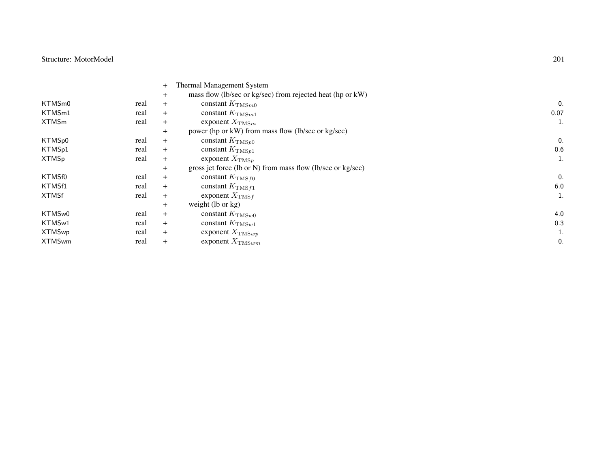#### Structure: MotorModel 201

|                     |      | $+$    | Thermal Management System                                   |      |
|---------------------|------|--------|-------------------------------------------------------------|------|
|                     |      | $+$    | mass flow (lb/sec or kg/sec) from rejected heat (hp or kW)  |      |
| KTMS <sub>m0</sub>  | real | $+$    | constant $K_{\text{TMS}m0}$                                 | 0.   |
| KTMSm1              | real | $+$    | constant $K_{\text{TMS}m1}$                                 | 0.07 |
| <b>XTMSm</b>        | real | $+$    | exponent $X_{\text{TMS}m}$                                  | 1.   |
|                     |      | $+$    | power (hp or kW) from mass flow (lb/sec or kg/sec)          |      |
| KTMS <sub>p0</sub>  | real | $+$    | constant $K_{\text{TMSp0}}$                                 | 0.   |
| KTMSp1              | real | $+$    | constant $K_{\text{TMSp1}}$                                 | 0.6  |
| <b>XTMSp</b>        | real | $+$    | exponent $X_{\text{TMS}p}$                                  | 1.   |
|                     |      | $+$    | gross jet force (lb or N) from mass flow (lb/sec or kg/sec) |      |
| KTMSf0              | real | $+$    | constant $K_{\text{TMS}f0}$                                 | 0.   |
| KTMSf1              | real | $+$    | constant $K_{\text{TMS}f1}$                                 | 6.0  |
| <b>XTMSf</b>        | real | $^{+}$ | exponent $X_{\text{TMS}f}$                                  | 1.   |
|                     |      | $+$    | weight (lb or kg)                                           |      |
| KTMS <sub>w</sub> 0 | real | $+$    | constant $K_{\text{TMS}w0}$                                 | 4.0  |
| KTMS <sub>w1</sub>  | real | $+$    | constant $K_{\text{TMS}w1}$                                 | 0.3  |
| XTMSwp              | real | $+$    | exponent $X_{\text{TMS}wp}$                                 | 1.   |
| <b>XTMSwm</b>       | real | $+$    | exponent $X_{\text{TMS}wm}$                                 | 0.   |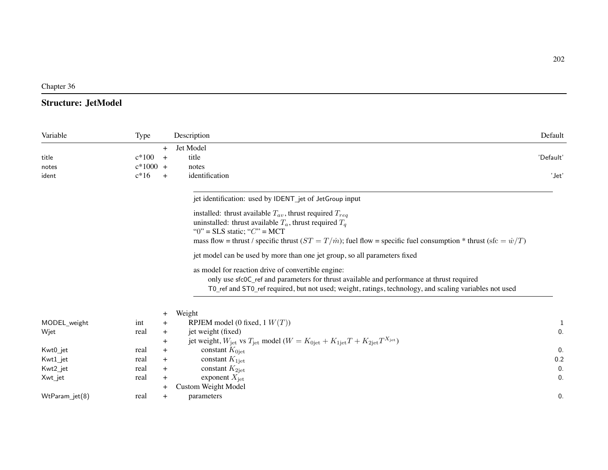# **Structure: JetModel**

| Variable         | <b>Type</b> |        | Description                                                                                                                                                                                                                                               | Default   |
|------------------|-------------|--------|-----------------------------------------------------------------------------------------------------------------------------------------------------------------------------------------------------------------------------------------------------------|-----------|
|                  |             | $+$    | Jet Model                                                                                                                                                                                                                                                 |           |
| title            | $c*100$     | $+$    | title                                                                                                                                                                                                                                                     | 'Default' |
| notes            | $c*1000 +$  |        | notes                                                                                                                                                                                                                                                     |           |
| ident            | $c*16$      | $+$    | identification                                                                                                                                                                                                                                            | 'Jet'     |
|                  |             |        | jet identification: used by IDENT jet of JetGroup input                                                                                                                                                                                                   |           |
|                  |             |        | installed: thrust available $T_{av}$ , thrust required $T_{req}$                                                                                                                                                                                          |           |
|                  |             |        | uninstalled: thrust available $T_a$ , thrust required $T_a$                                                                                                                                                                                               |           |
|                  |             |        | " $0$ " = SLS static; " $C$ " = MCT                                                                                                                                                                                                                       |           |
|                  |             |        | mass flow = thrust / specific thrust $(ST = T/m)$ ; fuel flow = specific fuel consumption * thrust (sfc = $\dot{w}/T$ )                                                                                                                                   |           |
|                  |             |        | jet model can be used by more than one jet group, so all parameters fixed                                                                                                                                                                                 |           |
|                  |             |        | as model for reaction drive of convertible engine:<br>only use sfc0C_ref and parameters for thrust available and performance at thrust required<br>T0_ref and ST0_ref required, but not used; weight, ratings, technology, and scaling variables not used |           |
|                  |             | $+$    | Weight                                                                                                                                                                                                                                                    |           |
| MODEL_weight     | int         | $^+$   | RPJEM model (0 fixed, 1 $W(T)$ )                                                                                                                                                                                                                          |           |
| Wjet             | real        | $\pm$  | jet weight (fixed)                                                                                                                                                                                                                                        | 0.        |
|                  |             | $\pm$  | jet weight, $W_{\text{jet}}$ vs $T_{\text{jet}}$ model ( $W = K_{0\text{jet}} + K_{1\text{jet}}T + K_{2\text{jet}}T^{X_{\text{jet}}}$ )                                                                                                                   |           |
| Kwt0_jet         | real        | $^{+}$ | constant $K_{0\text{iet}}$                                                                                                                                                                                                                                | 0.        |
| Kwt1_jet         | real        | $+$    | constant $K_{1,\text{jet}}$                                                                                                                                                                                                                               | 0.2       |
| Kwt2_jet         | real        | $+$    | constant $K_{2,\text{jet}}$                                                                                                                                                                                                                               | 0.        |
| Xwt_jet          | real        | $^+$   | exponent $X_{\text{iet}}$                                                                                                                                                                                                                                 | 0.        |
|                  |             |        | <b>Custom Weight Model</b>                                                                                                                                                                                                                                |           |
| $WtParam_Jet(8)$ | real        | +      | parameters                                                                                                                                                                                                                                                | 0.        |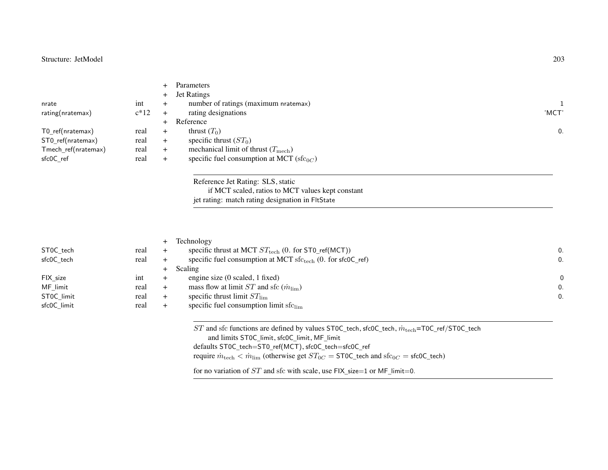#### Structure: JetModel 203

|                     |        |      | Parameters                                      |       |
|---------------------|--------|------|-------------------------------------------------|-------|
|                     |        | $+$  | <b>Jet Ratings</b>                              |       |
| nrate               | 1nt    |      | number of ratings (maximum nratemax)            |       |
| rating(nratemax)    | $c*12$ |      | rating designations                             | 'MCT' |
|                     |        | $+$  | Reference                                       |       |
| T0 ref(nratemax)    | real   | $^+$ | thrust $(T_0)$                                  | 0.    |
| ST0 ref(nratemax)   | real   | $+$  | specific thrust $(ST_0)$                        |       |
| Tmech_ref(nratemax) | real   | $+$  | mechanical limit of thrust $(T_{\text{mech}})$  |       |
| sfc0C ref           | real   |      | specific fuel consumption at MCT ( $sfc_{0C}$ ) |       |

Reference Jet Rating: SLS, static if MCT scaled, ratios to MCT values kept constant jet rating: match rating designation in FltState

|             |      |     | Technology                                                           |              |
|-------------|------|-----|----------------------------------------------------------------------|--------------|
| STOC tech   | real |     | specific thrust at MCT $ST_{\text{tech}}$ (0. for ST0_ref(MCT))      | 0.           |
| sfc0C_tech  | real |     | specific fuel consumption at MCT $sfc_{tech}$ (0. for $sfc0C_ref)$ ) | 0.           |
|             |      |     | Scaling                                                              |              |
| FIX_size    | 1nt  |     | engine size (0 scaled, 1 fixed)                                      |              |
| MF_limit    | real |     | mass flow at limit $ST$ and sfc $(\dot{m}_{\text{lim}})$             | $\mathbf{0}$ |
| ST0C limit  | real | $+$ | specific thrust limit $ST_{\text{lim}}$                              | $\mathbf{0}$ |
| sfc0C limit | real |     | specific fuel consumption limit $sfc_{\text{lim}}$                   |              |
|             |      |     |                                                                      |              |

*ST* and sfc functions are defined by values ST0C\_tech, sfc0C\_tech,  $\dot{m}_{\rm tech}$ =T0C\_ref/ST0C\_tech and limits ST0C \_ limit, sfc0C\_limit, MF\_limit defaults ST0C \_ tech=ST0 \_ref(MCT), sfc0C\_tech=sfc0C\_ref require  $\dot{m}_{\text{tech}} < \dot{m}_{\text{lim}}$  (otherwise get  $ST_{0C} = \text{ST0C\_tech}$  and  $\text{sfc}_{0C} = \text{sfc0C\_tech}$ )

for no variation of  $ST$  and sfc with scale, use FIX size=1 or MF limit=0.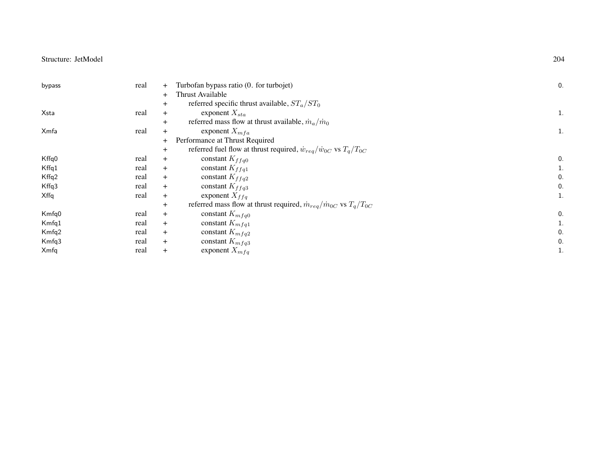#### Structure: JetModel 204

| bypass | real |                | Turbofan bypass ratio (0. for turbojet)                                                 |              |
|--------|------|----------------|-----------------------------------------------------------------------------------------|--------------|
|        |      |                | Thrust Available                                                                        |              |
|        |      | $\pm$          | referred specific thrust available, $ST_a/ST_0$                                         |              |
| Xsta   | real | $\ddot{}$      | exponent $X_{sta}$                                                                      |              |
|        |      | $\pm$          | referred mass flow at thrust available, $\dot{m}_a/\dot{m}_0$                           |              |
| Xmfa   | real | $\overline{+}$ | exponent $X_{mfa}$                                                                      |              |
|        |      | $\pm$          | Performance at Thrust Required                                                          |              |
|        |      | $\ddot{}$      | referred fuel flow at thrust required, $\dot{w}_{req} / \dot{w}_{0C}$ vs $T_q / T_{0C}$ |              |
| Kffq0  | real | $\pm$          | constant $K_{ffq0}$                                                                     | $\mathbf{0}$ |
| Kffq1  | real | $+$            | constant $K_{ffq1}$                                                                     |              |
| Kffq2  | real | $\pm$          | constant $K_{ffq2}$                                                                     |              |
| Kffq3  | real | $\pm$          | constant $K_{ffq3}$                                                                     |              |
| Xffq   | real | $+$            | exponent $X_{ffq}$                                                                      |              |
|        |      | $+$            | referred mass flow at thrust required, $\dot{m}_{req} / \dot{m}_{0C}$ vs $T_q / T_{0C}$ |              |
| Kmfq0  | real | $\pm$          | constant $K_{mfg0}$                                                                     |              |
| Kmfq1  | real | $+$            | constant $K_{mfg1}$                                                                     |              |
| Kmfq2  | real | $+$            | constant $K_{mfg2}$                                                                     |              |
| Kmfq3  | real | $\overline{+}$ | constant $K_{mfg3}$                                                                     |              |
| Xmfq   | real | $\pm$          | exponent $X_{mfg}$                                                                      |              |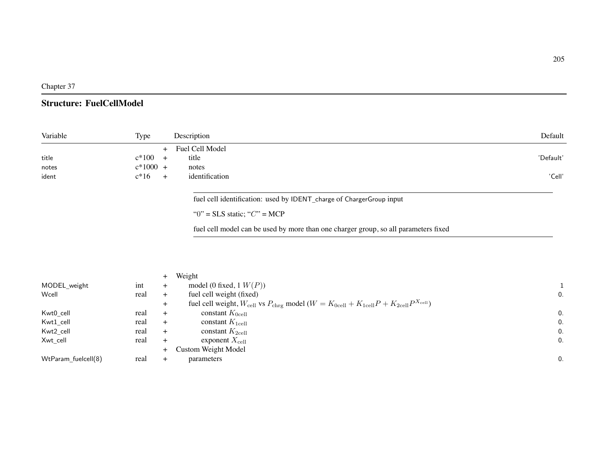## **Structure: FuelCellModel**

| Type   |                                                                                                             | Default                          |
|--------|-------------------------------------------------------------------------------------------------------------|----------------------------------|
|        |                                                                                                             |                                  |
|        | title                                                                                                       | 'Default'                        |
|        | notes                                                                                                       |                                  |
| $c*16$ | identification                                                                                              | 'Cell'                           |
|        | fuel cell identification: used by IDENT_charge of ChargerGroup input<br>" $0$ " = SLS static; " $C$ " = MCP |                                  |
|        | $c*100 +$<br>$c*1000 +$<br>$+$                                                                              | Description<br>+ Fuel Cell Model |

fuel cell model can be used by more than one charger group, so all parameters fixed

|                     |      |       | Weight                                                                                                    |              |
|---------------------|------|-------|-----------------------------------------------------------------------------------------------------------|--------------|
| MODEL_weight        | int  | $+$   | model (0 fixed, 1 $W(P)$ )                                                                                |              |
| Wcell               | real | $+$   | fuel cell weight (fixed)                                                                                  | $\mathbf{0}$ |
|                     |      | $+$   | fuel cell weight, $W_{cell}$ vs $P_{chrg}$ model ( $W = K_{0cell} + K_{1cell}P + K_{2cell}P^{X_{cell}}$ ) |              |
| Kwt0_cell           | real | $\pm$ | constant $K_{0\text{cell}}$                                                                               | $\mathbf{0}$ |
| $Kwt1\_cell$        | real | $+$   | constant $K_{1\text{cell}}$                                                                               | $\mathbf{0}$ |
| Kwt2_cell           | real | $\pm$ | constant $K_{2\text{cell}}$                                                                               | $\mathbf{0}$ |
| Xwt cell            | real |       | exponent $X_{\text{cell}}$                                                                                | $\mathbf{0}$ |
|                     |      |       | <b>Custom Weight Model</b>                                                                                |              |
| WtParam_fuelcell(8) | real | +     | parameters                                                                                                | $\mathbf{0}$ |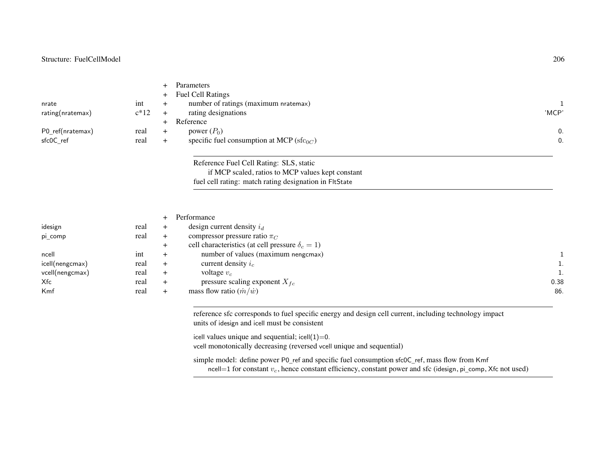|                  |        |     | Parameters                                      |                |
|------------------|--------|-----|-------------------------------------------------|----------------|
|                  |        | $+$ | <b>Fuel Cell Ratings</b>                        |                |
| nrate            | int    | $+$ | number of ratings (maximum nratemax)            |                |
| rating(nratemax) | $c*12$ | $+$ | rating designations                             | 'MCP'          |
|                  |        |     | + Reference                                     |                |
| P0_ref(nratemax) | real   | $+$ | power $(P_0)$                                   | $\mathbf{0}$ . |
| sfc0C ref        | real   | $+$ | specific fuel consumption at MCP ( $sfc_{0C}$ ) | 0.             |
|                  |        |     |                                                 |                |
|                  |        |     | Reference Fuel Cell Rating: SLS static          |                |

Reference Fuel Cell Rating: SLS, static if MCP scaled, ratios to MCP values kept constant fuel cell rating: match rating designation in FltState

|                 |      |       | Performance                                             |      |
|-----------------|------|-------|---------------------------------------------------------|------|
| idesign         | real | ÷     | design current density $i_d$                            |      |
| pi comp         | real | $+$   | compressor pressure ratio $\pi_C$                       |      |
|                 |      | $+$   | cell characteristics (at cell pressure $\delta_c = 1$ ) |      |
| ncell           | 1nt  |       | number of values (maximum nengcmax)                     |      |
| icell(nengcmax) | real | $^+$  | current density $i_c$                                   |      |
| vcell(nengcmax) | real |       | voltage $v_c$                                           |      |
| Xfc             | real | $\pm$ | pressure scaling exponent $X_{fc}$                      | 0.38 |
| Kmf             | real |       | mass flow ratio $(\dot{m}/\dot{w})$                     | 86.  |

reference sfc corresponds to fuel specific energy and design cell current, including technology impact units of idesign and icell must be consistent

icell values unique and sequential; icell $(1)=0$ .

vcell monotonically decreasing (reversed vcell unique and sequential)

simple model: define power P0\_ref and specific fuel consumption sfc0C\_ref, mass flow from Kmf ncell=1 for constant *<sup>v</sup><sup>c</sup>*, hence constant efficiency, constant power and sfc (idesign, pi\_comp, Xfc not used)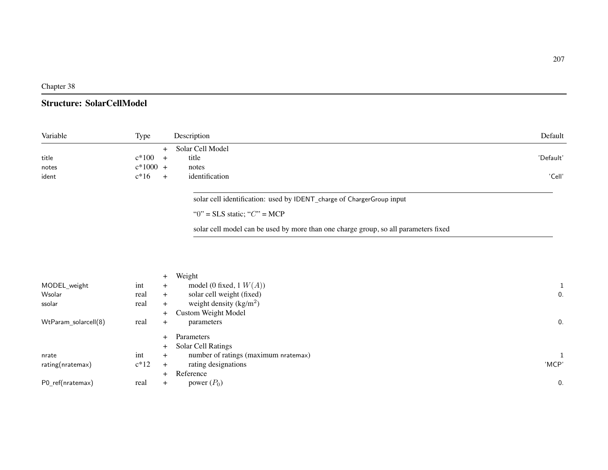### **Structure: SolarCellModel**

| Variable | Type       |     | Description      |  |                                                                                       | Default   |
|----------|------------|-----|------------------|--|---------------------------------------------------------------------------------------|-----------|
|          |            | $+$ | Solar Cell Model |  |                                                                                       |           |
| title    | $c*100 +$  |     | title            |  |                                                                                       | 'Default' |
| notes    | $c*1000 +$ |     | notes            |  |                                                                                       |           |
| ident    | $c*16$     | $+$ | identification   |  |                                                                                       | 'Cell'    |
|          |            |     |                  |  |                                                                                       |           |
|          |            |     | 1.11111          |  | $\mathcal{L}$ and $\mathcal{L}$ and $\mathcal{L}$ and $\mathcal{L}$ and $\mathcal{L}$ |           |

solar cell identification: used by IDENT\_charge of ChargerGroup input

"0" <sup>=</sup> SLS static; "*C*" <sup>=</sup> MCP

solar cell model can be used by more than one charge group, so all parameters fixed

|                      |        | $+$ | Weight                               |       |
|----------------------|--------|-----|--------------------------------------|-------|
| MODEL_weight         | int    | $+$ | model (0 fixed, 1 $W(A)$ )           |       |
| Wsolar               | real   | $+$ | solar cell weight (fixed)            | 0.    |
| ssolar               | real   | $+$ | weight density $(kg/m2)$             |       |
|                      |        | $+$ | <b>Custom Weight Model</b>           |       |
| WtParam_solarcell(8) | real   | $+$ | parameters                           | 0.    |
|                      |        |     |                                      |       |
|                      |        | $+$ | Parameters                           |       |
|                      |        | $+$ | <b>Solar Cell Ratings</b>            |       |
| nrate                | int    | $+$ | number of ratings (maximum nratemax) |       |
| rating(nratemax)     | $c*12$ | $+$ | rating designations                  | 'MCP' |
|                      |        | $+$ | Reference                            |       |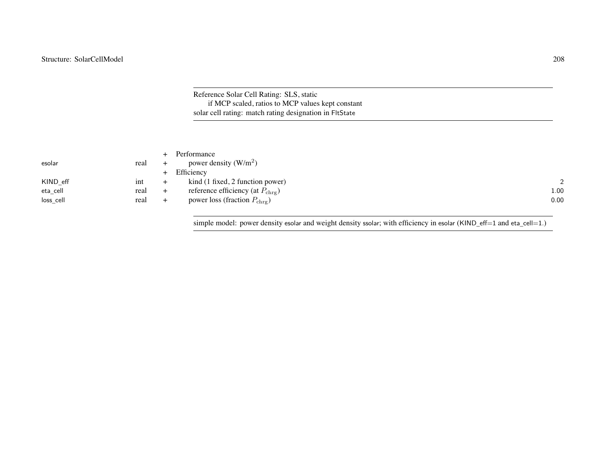Reference Solar Cell Rating: SLS, static if MCP scaled, ratios to MCP values kept constant solar cell rating: match rating designation in FltState

|           |      |        | Performance                                  |      |
|-----------|------|--------|----------------------------------------------|------|
| esolar    | real |        | power density $(W/m^2)$                      |      |
|           |      |        | Efficiency                                   |      |
| KIND eff  | 1nt  |        | kind (1 fixed, 2 function power)             |      |
| eta cell  | real | $\div$ | reference efficiency (at $P_{\text{chrg}}$ ) | 1.00 |
| loss cell | real |        | power loss (fraction $P_{\text{chrg}}$ )     | 0.00 |

simple model: power density esolar and weight density ssolar; with efficiency in esolar (KIND\_eff=1 and eta\_cell=1.)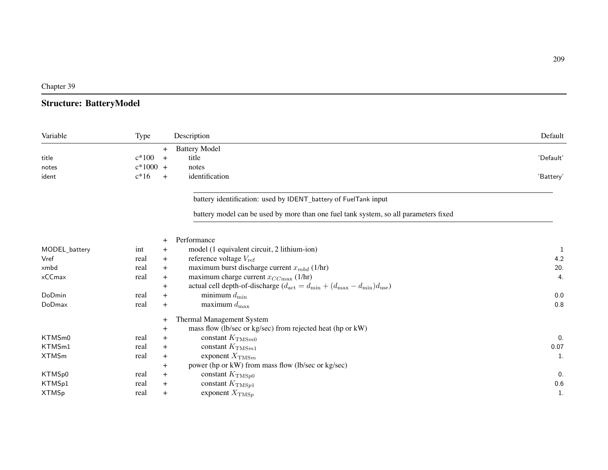# **Structure: BatteryModel**

| Variable      | Type       |           | Description                                                                                                            | Default   |
|---------------|------------|-----------|------------------------------------------------------------------------------------------------------------------------|-----------|
|               |            | $\ddot{}$ | <b>Battery Model</b>                                                                                                   |           |
| title         | $c*100$    | $+$       | title                                                                                                                  | 'Default' |
| notes         | $c*1000 +$ |           | notes                                                                                                                  |           |
| ident         | $c*16$     | $+$       | identification                                                                                                         | 'Battery' |
|               |            |           | battery identification: used by IDENT_battery of FuelTank input                                                        |           |
|               |            |           | battery model can be used by more than one fuel tank system, so all parameters fixed                                   |           |
|               |            | $+$       | Performance                                                                                                            |           |
| MODEL_battery | int        | $\pm$     | model (1 equivalent circuit, 2 lithium-ion)                                                                            | 1         |
| Vref          | real       | $+$       | reference voltage $V_{\text{ref}}$                                                                                     | 4.2       |
| xmbd          | real       | $+$       | maximum burst discharge current $x_{mbd}$ (1/hr)                                                                       | 20.       |
| $x$ CCma $x$  | real       | $+$       | maximum charge current $x_{CCmax}$ (1/hr)                                                                              | 4.        |
|               |            | $\ddot{}$ | actual cell depth-of-discharge ( $d_{\text{act}} = d_{\text{min}} + (d_{\text{max}} - d_{\text{min}})d_{\text{use}}$ ) |           |
| DoDmin        | real       | $+$       | minimum $d_{\min}$                                                                                                     | 0.0       |
| DoDmax        | real       | $+$       | maximum $d_{\text{max}}$                                                                                               | 0.8       |
|               |            | $+$       | <b>Thermal Management System</b>                                                                                       |           |
|               |            | $\pm$     | mass flow (lb/sec or kg/sec) from rejected heat (hp or kW)                                                             |           |
| KTMSm0        | real       | $+$       | constant $K_{\text{TMS}m0}$                                                                                            | 0.        |
| KTMSm1        | real       | $\ddot{}$ | constant $K_{\text{TMS}m1}$                                                                                            | 0.07      |
| <b>XTMSm</b>  | real       | $\ddot{}$ | exponent $X_{\text{TMS}m}$                                                                                             | 1.        |
|               |            | $\ddot{}$ | power (hp or kW) from mass flow (lb/sec or kg/sec)                                                                     |           |
| KTMSp0        | real       | $+$       | constant $K_{\text{TMSp0}}$                                                                                            | 0.        |
| KTMSp1        | real       | $\ddot{}$ | constant $K_{\text{TMS}p1}$                                                                                            | 0.6       |
| <b>XTMSp</b>  | real       | $\ddot{}$ | exponent $X_{\text{TMS}p}$                                                                                             | 1.        |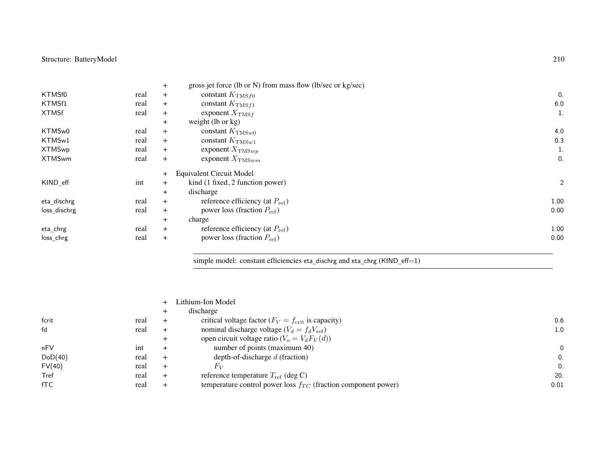### Structure: BatteryModel 210

|                    |      | $+$ | gross jet force (lb or N) from mass flow (lb/sec or kg/sec) |                |
|--------------------|------|-----|-------------------------------------------------------------|----------------|
| KTMSf0             | real | $+$ | constant $K_{\text{TMS}f0}$                                 | 0.             |
| KTMSf1             | real | $+$ | constant $K_{\text{TMS}f1}$                                 | 6.0            |
| <b>XTMSf</b>       | real | $+$ | exponent $X_{\text{TMS}f}$                                  | $\mathbf{1}$ . |
|                    |      | $+$ | weight $(lb \text{ or } kg)$                                |                |
| KTMS <sub>w0</sub> | real | $+$ | constant $K_{\text{TMS}w0}$                                 | 4.0            |
| KTMS <sub>w1</sub> | real | $+$ | constant $K_{\text{TMS}w1}$                                 | 0.3            |
| <b>XTMSwp</b>      | real | $+$ | exponent $X_{\text{TMS}wp}$                                 | 1.             |
| <b>XTMSwm</b>      | real | $+$ | exponent $X_{\text{TMS}wm}$                                 | 0.             |
|                    |      | $+$ | <b>Equivalent Circuit Model</b>                             |                |
| KIND eff           | int  | $+$ | kind (1 fixed, 2 function power)                            | 2              |
|                    |      | $+$ | discharge                                                   |                |
| eta_dischrg        | real | $+$ | reference efficiency (at $P_{ref}$ )                        | 1.00           |
| loss_dischrg       | real | $+$ | power loss (fraction $P_{ref}$ )                            | 0.00           |
|                    |      | $+$ | charge                                                      |                |
| eta_chrg           | real | $+$ | reference efficiency (at $P_{\text{ref}}$ )                 | 1.00           |
| loss_chrg          | real | $+$ | power loss (fraction $P_{ref}$ )                            | 0.00           |

### simple model: constant efficiencies eta\_dischrg and eta\_chrg (KIND\_eff=1)

|         |      |     | Lithium-Ion Model                                                  |            |
|---------|------|-----|--------------------------------------------------------------------|------------|
|         |      |     | discharge                                                          |            |
| fcrit   | real |     | critical voltage factor ( $F_V = f_{\text{crit}}$ is capacity)     | 0.6        |
| fd      | real | $+$ | nominal discharge voltage ( $V_d = f_d V_{\text{ref}}$ )           | 1.0        |
|         |      |     | open circuit voltage ratio ( $V_o = V_d F_V(d)$ )                  |            |
| nFV     | int  |     | number of points (maximum 40)                                      |            |
| DoD(40) | real |     | depth-of-discharge $d$ (fraction)                                  | $\Omega$ . |
| FV(40)  | real |     | $F_V$                                                              | $\Omega$ . |
| Tref    | real |     | reference temperature $T_{ref}$ (deg C)                            | 20.        |
| fTC     | real |     | temperature control power loss $f_{TC}$ (fraction component power) | 0.01       |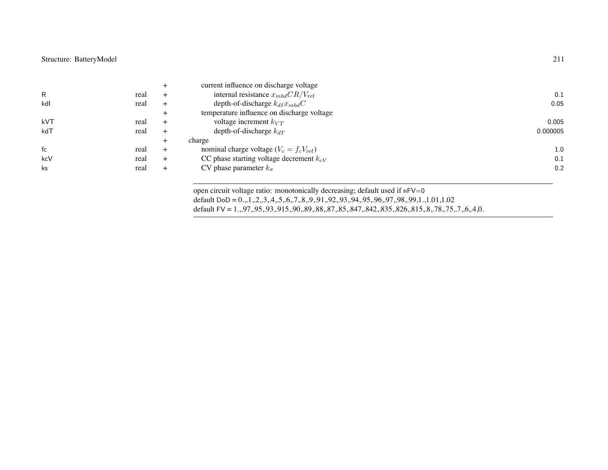#### Structure: BatteryModel 211

|     |      |        | current influence on discharge voltage                |          |
|-----|------|--------|-------------------------------------------------------|----------|
| R   | real |        | internal resistance $x_{mbd}CR/V_{ref}$               | 0.1      |
| kdl | real |        | depth-of-discharge $k_{dI}x_{mbd}C$                   | 0.05     |
|     |      |        | temperature influence on discharge voltage            |          |
| kVT | real |        | voltage increment $k_{VT}$                            | 0.005    |
| kdT | real |        | depth-of-discharge $k_{dT}$                           | 0.000005 |
|     |      |        | charge                                                |          |
| fc  | real | $\pm$  | nominal charge voltage ( $V_c = f_c V_{\text{ref}}$ ) | 1.0      |
| kcV | real | $^{+}$ | CC phase starting voltage decrement $k_{cV}$          | 0.1      |
| ks  | real |        | CV phase parameter $k_{\sigma}$                       | 0.2      |

open circuit voltage ratio: monotonically decreasing; default used if  $nFV=0$ default DoD <sup>=</sup> 0.,.1,.2,.3,.4,.5,.6,.7,.8,.9,.91,.92,.93,.94,.95,.96,.97,.98,.99,1.,1.01,1.02 default FV <sup>=</sup> 1.,.97,.95,.93,.915,.90,.89,.88,.87,.85,.847,.842,.835,.826,.815,.8,.78,.75,.7,.6,.4,0.